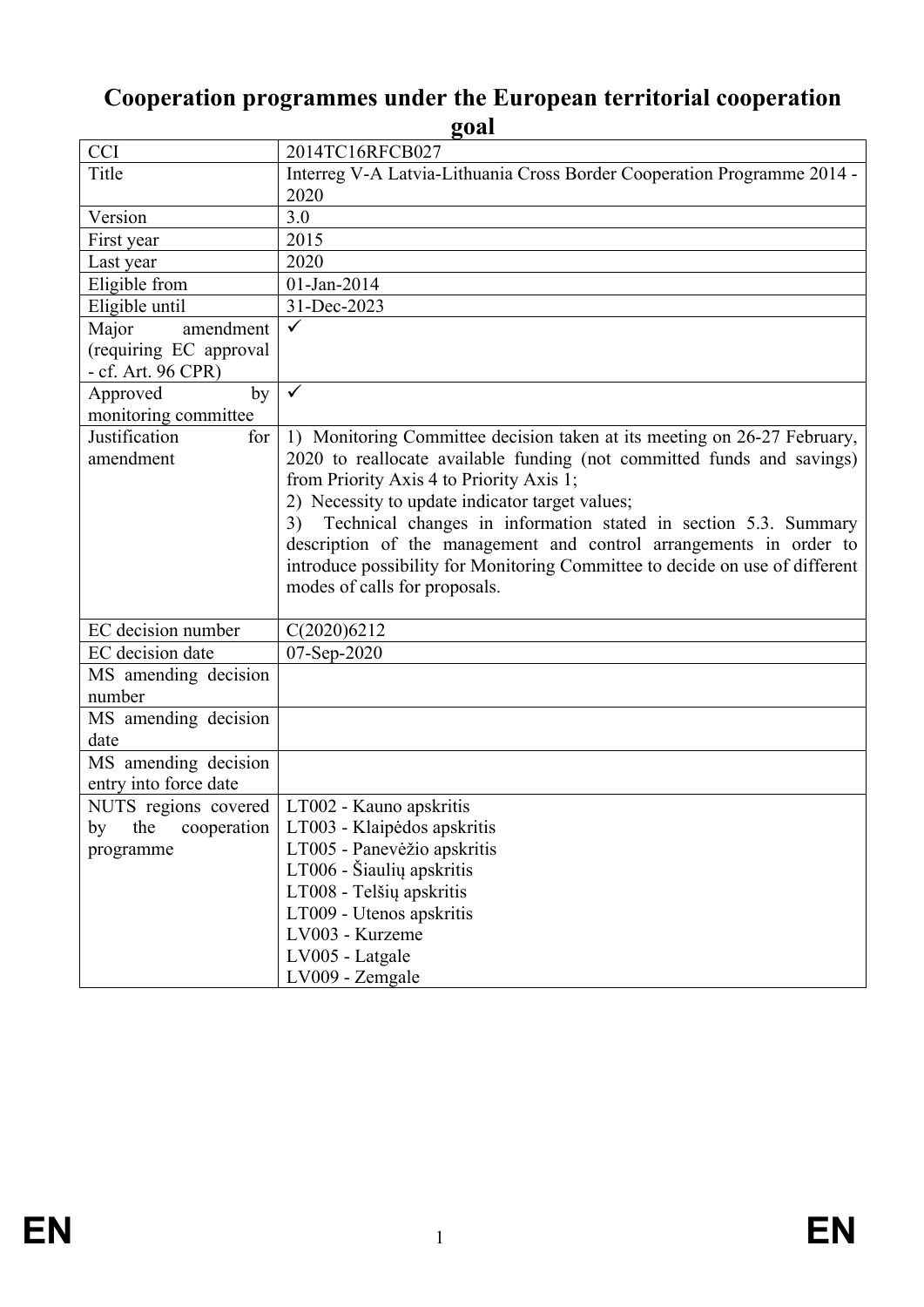# **Cooperation programmes under the European territorial cooperation goal**

| <b>CCI</b>                                                                                                                                                                                                                     | 2014TC16RFCB027                                                                                                                                                                                                                                                                                                                                                                                                                                                                                                                                                             |
|--------------------------------------------------------------------------------------------------------------------------------------------------------------------------------------------------------------------------------|-----------------------------------------------------------------------------------------------------------------------------------------------------------------------------------------------------------------------------------------------------------------------------------------------------------------------------------------------------------------------------------------------------------------------------------------------------------------------------------------------------------------------------------------------------------------------------|
| Title                                                                                                                                                                                                                          | Interreg V-A Latvia-Lithuania Cross Border Cooperation Programme 2014 -                                                                                                                                                                                                                                                                                                                                                                                                                                                                                                     |
|                                                                                                                                                                                                                                | 2020                                                                                                                                                                                                                                                                                                                                                                                                                                                                                                                                                                        |
| Version                                                                                                                                                                                                                        | 3.0                                                                                                                                                                                                                                                                                                                                                                                                                                                                                                                                                                         |
| First year                                                                                                                                                                                                                     | 2015                                                                                                                                                                                                                                                                                                                                                                                                                                                                                                                                                                        |
| Last year                                                                                                                                                                                                                      | 2020                                                                                                                                                                                                                                                                                                                                                                                                                                                                                                                                                                        |
| Eligible from                                                                                                                                                                                                                  | 01-Jan-2014                                                                                                                                                                                                                                                                                                                                                                                                                                                                                                                                                                 |
| Eligible until                                                                                                                                                                                                                 | 31-Dec-2023                                                                                                                                                                                                                                                                                                                                                                                                                                                                                                                                                                 |
| Major<br>amendment                                                                                                                                                                                                             | $\checkmark$                                                                                                                                                                                                                                                                                                                                                                                                                                                                                                                                                                |
| (requiring EC approval                                                                                                                                                                                                         |                                                                                                                                                                                                                                                                                                                                                                                                                                                                                                                                                                             |
| - cf. Art. 96 CPR)                                                                                                                                                                                                             |                                                                                                                                                                                                                                                                                                                                                                                                                                                                                                                                                                             |
| Approved<br>by                                                                                                                                                                                                                 | $\checkmark$                                                                                                                                                                                                                                                                                                                                                                                                                                                                                                                                                                |
| monitoring committee                                                                                                                                                                                                           |                                                                                                                                                                                                                                                                                                                                                                                                                                                                                                                                                                             |
| Justification<br>for <sub>1</sub>                                                                                                                                                                                              | 1) Monitoring Committee decision taken at its meeting on 26-27 February,                                                                                                                                                                                                                                                                                                                                                                                                                                                                                                    |
| amendment                                                                                                                                                                                                                      | 2020 to reallocate available funding (not committed funds and savings)                                                                                                                                                                                                                                                                                                                                                                                                                                                                                                      |
|                                                                                                                                                                                                                                | from Priority Axis 4 to Priority Axis 1;                                                                                                                                                                                                                                                                                                                                                                                                                                                                                                                                    |
|                                                                                                                                                                                                                                |                                                                                                                                                                                                                                                                                                                                                                                                                                                                                                                                                                             |
|                                                                                                                                                                                                                                |                                                                                                                                                                                                                                                                                                                                                                                                                                                                                                                                                                             |
|                                                                                                                                                                                                                                |                                                                                                                                                                                                                                                                                                                                                                                                                                                                                                                                                                             |
|                                                                                                                                                                                                                                |                                                                                                                                                                                                                                                                                                                                                                                                                                                                                                                                                                             |
|                                                                                                                                                                                                                                |                                                                                                                                                                                                                                                                                                                                                                                                                                                                                                                                                                             |
|                                                                                                                                                                                                                                |                                                                                                                                                                                                                                                                                                                                                                                                                                                                                                                                                                             |
|                                                                                                                                                                                                                                |                                                                                                                                                                                                                                                                                                                                                                                                                                                                                                                                                                             |
|                                                                                                                                                                                                                                |                                                                                                                                                                                                                                                                                                                                                                                                                                                                                                                                                                             |
|                                                                                                                                                                                                                                |                                                                                                                                                                                                                                                                                                                                                                                                                                                                                                                                                                             |
|                                                                                                                                                                                                                                |                                                                                                                                                                                                                                                                                                                                                                                                                                                                                                                                                                             |
|                                                                                                                                                                                                                                |                                                                                                                                                                                                                                                                                                                                                                                                                                                                                                                                                                             |
|                                                                                                                                                                                                                                |                                                                                                                                                                                                                                                                                                                                                                                                                                                                                                                                                                             |
|                                                                                                                                                                                                                                |                                                                                                                                                                                                                                                                                                                                                                                                                                                                                                                                                                             |
|                                                                                                                                                                                                                                |                                                                                                                                                                                                                                                                                                                                                                                                                                                                                                                                                                             |
|                                                                                                                                                                                                                                |                                                                                                                                                                                                                                                                                                                                                                                                                                                                                                                                                                             |
|                                                                                                                                                                                                                                |                                                                                                                                                                                                                                                                                                                                                                                                                                                                                                                                                                             |
|                                                                                                                                                                                                                                |                                                                                                                                                                                                                                                                                                                                                                                                                                                                                                                                                                             |
|                                                                                                                                                                                                                                |                                                                                                                                                                                                                                                                                                                                                                                                                                                                                                                                                                             |
|                                                                                                                                                                                                                                |                                                                                                                                                                                                                                                                                                                                                                                                                                                                                                                                                                             |
|                                                                                                                                                                                                                                |                                                                                                                                                                                                                                                                                                                                                                                                                                                                                                                                                                             |
|                                                                                                                                                                                                                                |                                                                                                                                                                                                                                                                                                                                                                                                                                                                                                                                                                             |
|                                                                                                                                                                                                                                |                                                                                                                                                                                                                                                                                                                                                                                                                                                                                                                                                                             |
| EC decision number<br>EC decision date<br>MS amending decision<br>number<br>MS amending decision<br>date<br>MS amending decision<br>entry into force date<br>NUTS regions covered   LT002 - Kauno apskritis<br>by<br>programme | 2) Necessity to update indicator target values;<br>Technical changes in information stated in section 5.3. Summary<br>3)<br>description of the management and control arrangements in order to<br>introduce possibility for Monitoring Committee to decide on use of different<br>modes of calls for proposals.<br>C(2020)6212<br>07-Sep-2020<br>the cooperation   LT003 - Klaipėdos apskritis<br>LT005 - Panevėžio apskritis<br>LT006 - Šiaulių apskritis<br>LT008 - Telšių apskritis<br>LT009 - Utenos apskritis<br>LV003 - Kurzeme<br>LV005 - Latgale<br>LV009 - Zemgale |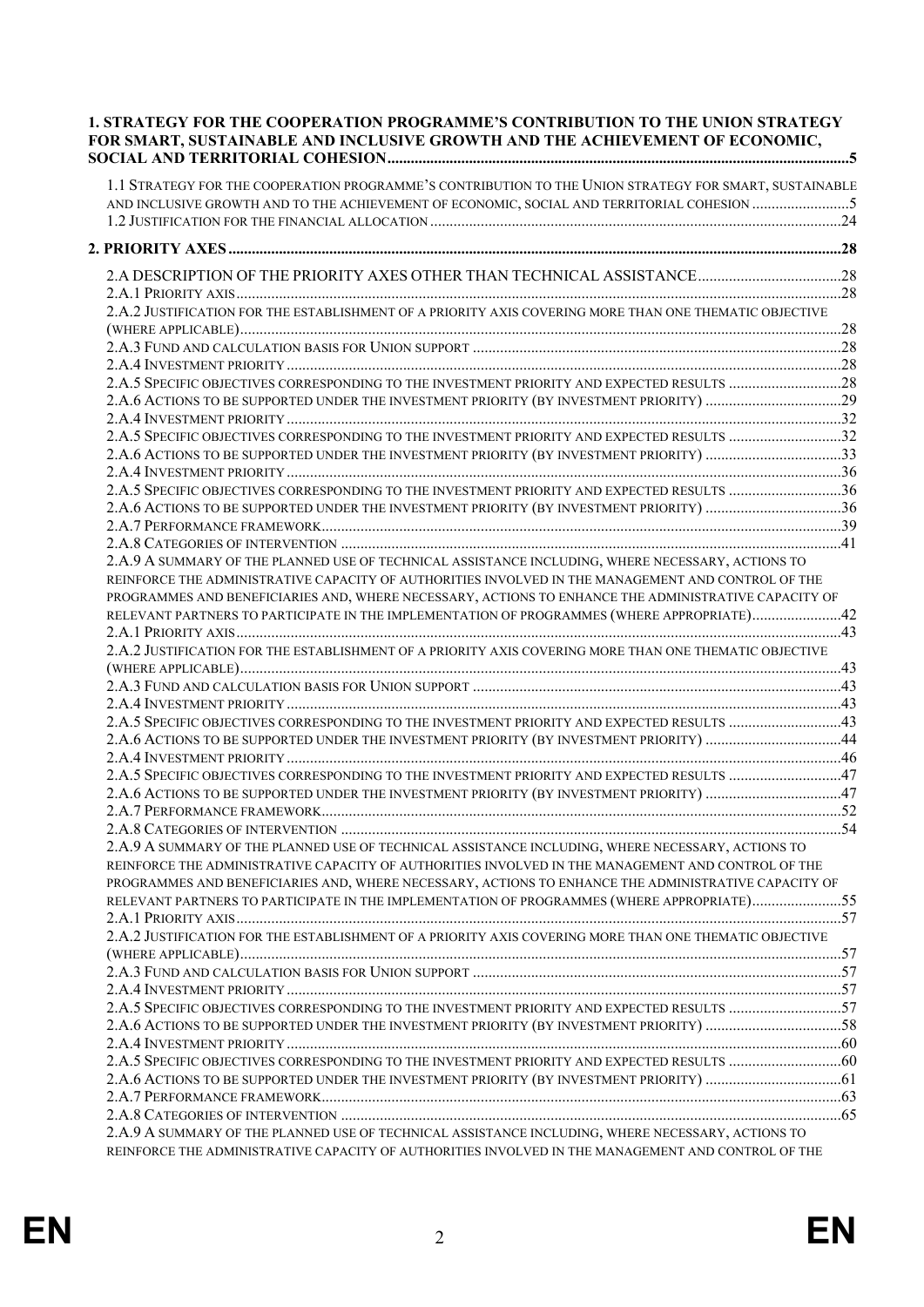#### **[1. STRATEGY FOR THE COOPERATION PROGRAMME'S CONTRIBUTION TO THE UNION STRATEGY](#page-4-0)  [FOR SMART, SUSTAINABLE AND INCLUSIVE GROWTH AND THE ACHIEVEMENT OF ECONOMIC,](#page-4-0)  [SOCIAL AND TERRITORIAL COHESION.......................................................................................................................5](#page-4-0)**

| 1.1 STRATEGY FOR THE COOPERATION PROGRAMME'S CONTRIBUTION TO THE UNION STRATEGY FOR SMART, SUSTAINABLE<br>AND INCLUSIVE GROWTH AND TO THE ACHIEVEMENT OF ECONOMIC, SOCIAL AND TERRITORIAL COHESION 5    |  |
|---------------------------------------------------------------------------------------------------------------------------------------------------------------------------------------------------------|--|
|                                                                                                                                                                                                         |  |
|                                                                                                                                                                                                         |  |
|                                                                                                                                                                                                         |  |
|                                                                                                                                                                                                         |  |
| 2.A.2 JUSTIFICATION FOR THE ESTABLISHMENT OF A PRIORITY AXIS COVERING MORE THAN ONE THEMATIC OBJECTIVE                                                                                                  |  |
|                                                                                                                                                                                                         |  |
|                                                                                                                                                                                                         |  |
|                                                                                                                                                                                                         |  |
|                                                                                                                                                                                                         |  |
|                                                                                                                                                                                                         |  |
|                                                                                                                                                                                                         |  |
| 2.A.6 ACTIONS TO BE SUPPORTED UNDER THE INVESTMENT PRIORITY (BY INVESTMENT PRIORITY) 33                                                                                                                 |  |
|                                                                                                                                                                                                         |  |
| 2.A.5 SPECIFIC OBJECTIVES CORRESPONDING TO THE INVESTMENT PRIORITY AND EXPECTED RESULTS 36                                                                                                              |  |
| 2.A.6 ACTIONS TO BE SUPPORTED UNDER THE INVESTMENT PRIORITY (BY INVESTMENT PRIORITY) 36                                                                                                                 |  |
|                                                                                                                                                                                                         |  |
|                                                                                                                                                                                                         |  |
| 2.A.9 A SUMMARY OF THE PLANNED USE OF TECHNICAL ASSISTANCE INCLUDING, WHERE NECESSARY, ACTIONS TO                                                                                                       |  |
| REINFORCE THE ADMINISTRATIVE CAPACITY OF AUTHORITIES INVOLVED IN THE MANAGEMENT AND CONTROL OF THE                                                                                                      |  |
| PROGRAMMES AND BENEFICIARIES AND, WHERE NECESSARY, ACTIONS TO ENHANCE THE ADMINISTRATIVE CAPACITY OF                                                                                                    |  |
| RELEVANT PARTNERS TO PARTICIPATE IN THE IMPLEMENTATION OF PROGRAMMES (WHERE APPROPRIATE)42                                                                                                              |  |
|                                                                                                                                                                                                         |  |
| 2.A.2 JUSTIFICATION FOR THE ESTABLISHMENT OF A PRIORITY AXIS COVERING MORE THAN ONE THEMATIC OBJECTIVE                                                                                                  |  |
|                                                                                                                                                                                                         |  |
|                                                                                                                                                                                                         |  |
|                                                                                                                                                                                                         |  |
|                                                                                                                                                                                                         |  |
| 2.A.6 ACTIONS TO BE SUPPORTED UNDER THE INVESTMENT PRIORITY (BY INVESTMENT PRIORITY) 44                                                                                                                 |  |
|                                                                                                                                                                                                         |  |
|                                                                                                                                                                                                         |  |
| 2.A.6 ACTIONS TO BE SUPPORTED UNDER THE INVESTMENT PRIORITY (BY INVESTMENT PRIORITY) 47                                                                                                                 |  |
|                                                                                                                                                                                                         |  |
|                                                                                                                                                                                                         |  |
| 2.A.9 A SUMMARY OF THE PLANNED USE OF TECHNICAL ASSISTANCE INCLUDING, WHERE NECESSARY, ACTIONS TO                                                                                                       |  |
| REINFORCE THE ADMINISTRATIVE CAPACITY OF AUTHORITIES INVOLVED IN THE MANAGEMENT AND CONTROL OF THE                                                                                                      |  |
| PROGRAMMES AND BENEFICIARIES AND, WHERE NECESSARY, ACTIONS TO ENHANCE THE ADMINISTRATIVE CAPACITY OF                                                                                                    |  |
| RELEVANT PARTNERS TO PARTICIPATE IN THE IMPLEMENTATION OF PROGRAMMES (WHERE APPROPRIATE)55                                                                                                              |  |
| 2.A.2 JUSTIFICATION FOR THE ESTABLISHMENT OF A PRIORITY AXIS COVERING MORE THAN ONE THEMATIC OBJECTIVE                                                                                                  |  |
|                                                                                                                                                                                                         |  |
|                                                                                                                                                                                                         |  |
|                                                                                                                                                                                                         |  |
| 2.A.5 SPECIFIC OBJECTIVES CORRESPONDING TO THE INVESTMENT PRIORITY AND EXPECTED RESULTS 57                                                                                                              |  |
|                                                                                                                                                                                                         |  |
|                                                                                                                                                                                                         |  |
|                                                                                                                                                                                                         |  |
|                                                                                                                                                                                                         |  |
|                                                                                                                                                                                                         |  |
|                                                                                                                                                                                                         |  |
| 2.A.9 A SUMMARY OF THE PLANNED USE OF TECHNICAL ASSISTANCE INCLUDING, WHERE NECESSARY, ACTIONS TO<br>REINFORCE THE ADMINISTRATIVE CAPACITY OF AUTHORITIES INVOLVED IN THE MANAGEMENT AND CONTROL OF THE |  |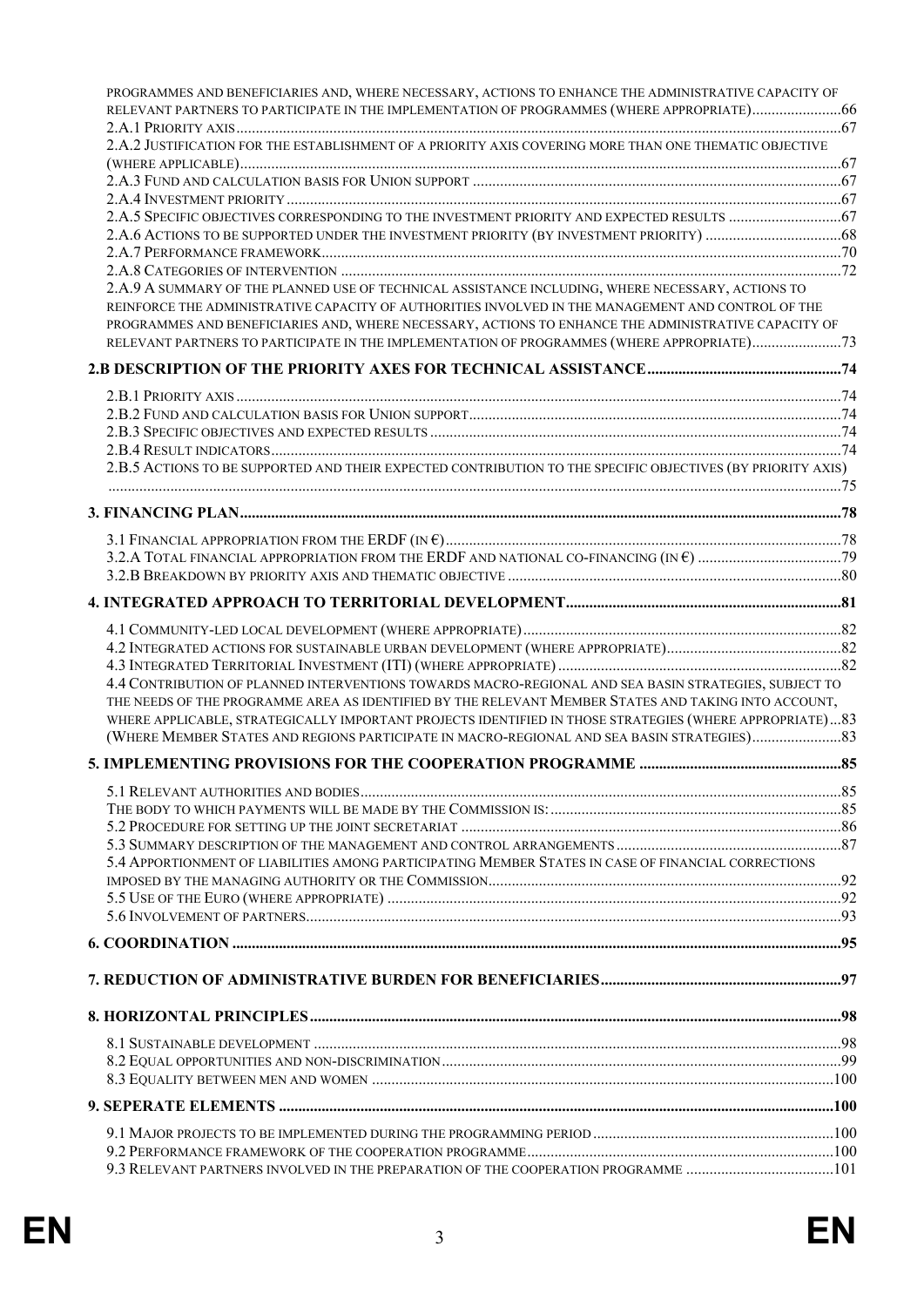| PROGRAMMES AND BENEFICIARIES AND, WHERE NECESSARY, ACTIONS TO ENHANCE THE ADMINISTRATIVE CAPACITY OF        |  |
|-------------------------------------------------------------------------------------------------------------|--|
| RELEVANT PARTNERS TO PARTICIPATE IN THE IMPLEMENTATION OF PROGRAMMES (WHERE APPROPRIATE)66                  |  |
| 2.A.2 JUSTIFICATION FOR THE ESTABLISHMENT OF A PRIORITY AXIS COVERING MORE THAN ONE THEMATIC OBJECTIVE      |  |
|                                                                                                             |  |
|                                                                                                             |  |
|                                                                                                             |  |
| 2.A.5 SPECIFIC OBJECTIVES CORRESPONDING TO THE INVESTMENT PRIORITY AND EXPECTED RESULTS  67                 |  |
|                                                                                                             |  |
|                                                                                                             |  |
| 2.A.9 A SUMMARY OF THE PLANNED USE OF TECHNICAL ASSISTANCE INCLUDING, WHERE NECESSARY, ACTIONS TO           |  |
| REINFORCE THE ADMINISTRATIVE CAPACITY OF AUTHORITIES INVOLVED IN THE MANAGEMENT AND CONTROL OF THE          |  |
| PROGRAMMES AND BENEFICIARIES AND, WHERE NECESSARY, ACTIONS TO ENHANCE THE ADMINISTRATIVE CAPACITY OF        |  |
| RELEVANT PARTNERS TO PARTICIPATE IN THE IMPLEMENTATION OF PROGRAMMES (WHERE APPROPRIATE)73                  |  |
|                                                                                                             |  |
|                                                                                                             |  |
|                                                                                                             |  |
|                                                                                                             |  |
|                                                                                                             |  |
| 2.B.5 ACTIONS TO BE SUPPORTED AND THEIR EXPECTED CONTRIBUTION TO THE SPECIFIC OBJECTIVES (BY PRIORITY AXIS) |  |
|                                                                                                             |  |
|                                                                                                             |  |
|                                                                                                             |  |
|                                                                                                             |  |
|                                                                                                             |  |
|                                                                                                             |  |
|                                                                                                             |  |
|                                                                                                             |  |
|                                                                                                             |  |
| 4.4 CONTRIBUTION OF PLANNED INTERVENTIONS TOWARDS MACRO-REGIONAL AND SEA BASIN STRATEGIES, SUBJECT TO       |  |
| THE NEEDS OF THE PROGRAMME AREA AS IDENTIFIED BY THE RELEVANT MEMBER STATES AND TAKING INTO ACCOUNT,        |  |
| WHERE APPLICABLE, STRATEGICALLY IMPORTANT PROJECTS IDENTIFIED IN THOSE STRATEGIES (WHERE APPROPRIATE)83     |  |
| (WHERE MEMBER STATES AND REGIONS PARTICIPATE IN MACRO-REGIONAL AND SEA BASIN STRATEGIES)33                  |  |
|                                                                                                             |  |
|                                                                                                             |  |
|                                                                                                             |  |
|                                                                                                             |  |
|                                                                                                             |  |
| 5.4 APPORTIONMENT OF LIABILITIES AMONG PARTICIPATING MEMBER STATES IN CASE OF FINANCIAL CORRECTIONS         |  |
|                                                                                                             |  |
|                                                                                                             |  |
|                                                                                                             |  |
|                                                                                                             |  |
|                                                                                                             |  |
|                                                                                                             |  |
|                                                                                                             |  |
|                                                                                                             |  |
|                                                                                                             |  |
|                                                                                                             |  |
|                                                                                                             |  |
|                                                                                                             |  |
| 9.3 RELEVANT PARTNERS INVOLVED IN THE PREPARATION OF THE COOPERATION PROGRAMME 101                          |  |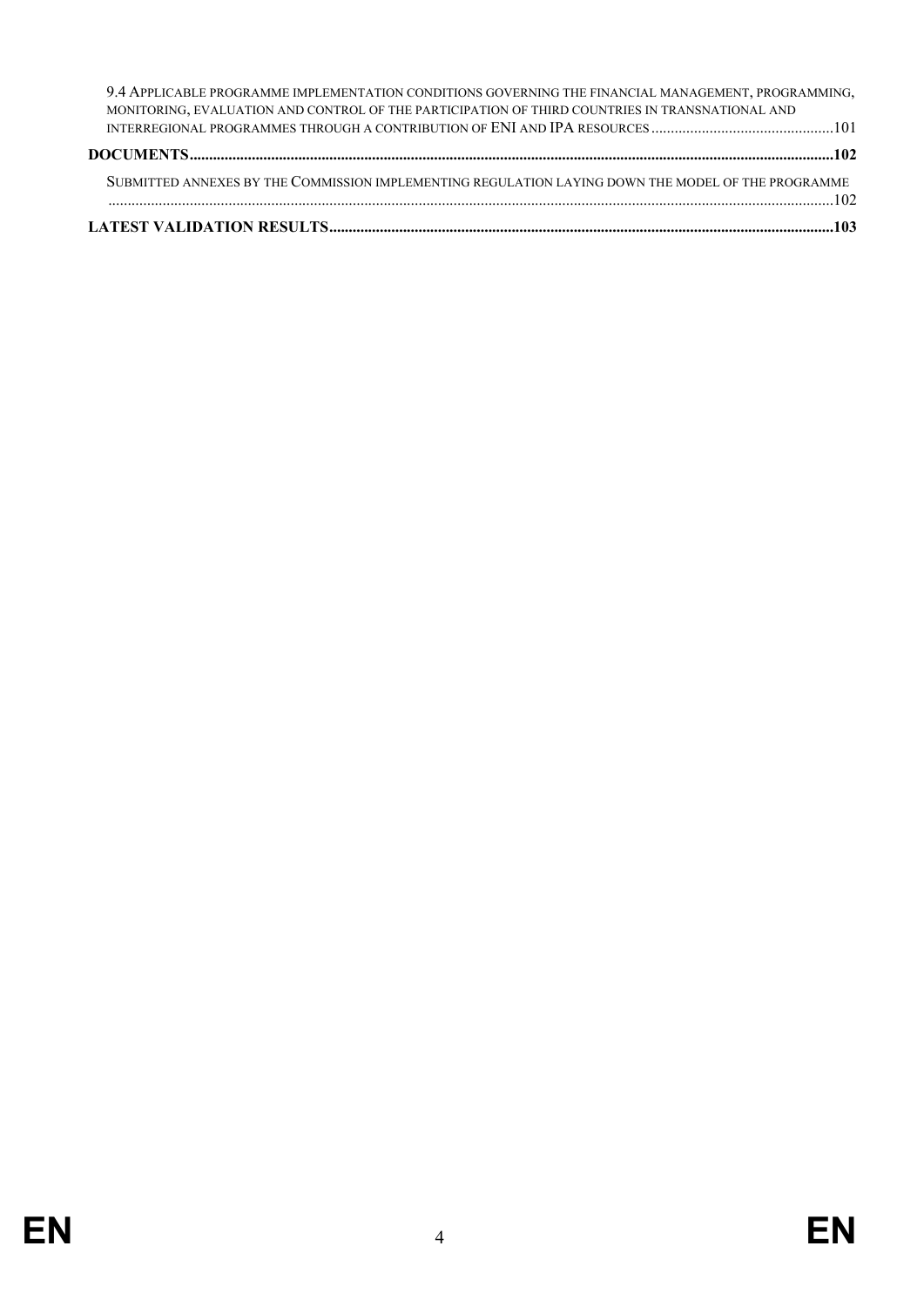9.4 A[PPLICABLE PROGRAMME IMPLEMENTATION CONDITIONS GOVERNING THE FINANCIAL MANAGEMENT](#page-100-1), PROGRAMMING, MONITORING, [EVALUATION AND CONTROL OF THE PARTICIPATION OF THIRD COUNTRIES IN TRANSNATIONAL AND](#page-100-1)  [INTERREGIONAL PROGRAMMES THROUGH A CONTRIBUTION OF](#page-100-1) ENI AND IPA RESOURCES ...............................................101 **[DOCUMENTS......................................................................................................................................................................102](#page-101-0)** SUBMITTED ANNEXES BY THE C[OMMISSION IMPLEMENTING REGULATION LAYING DOWN THE MODEL OF THE PROGRAMME](#page-101-1) [...........................................................................................................................................................................................102](#page-101-1)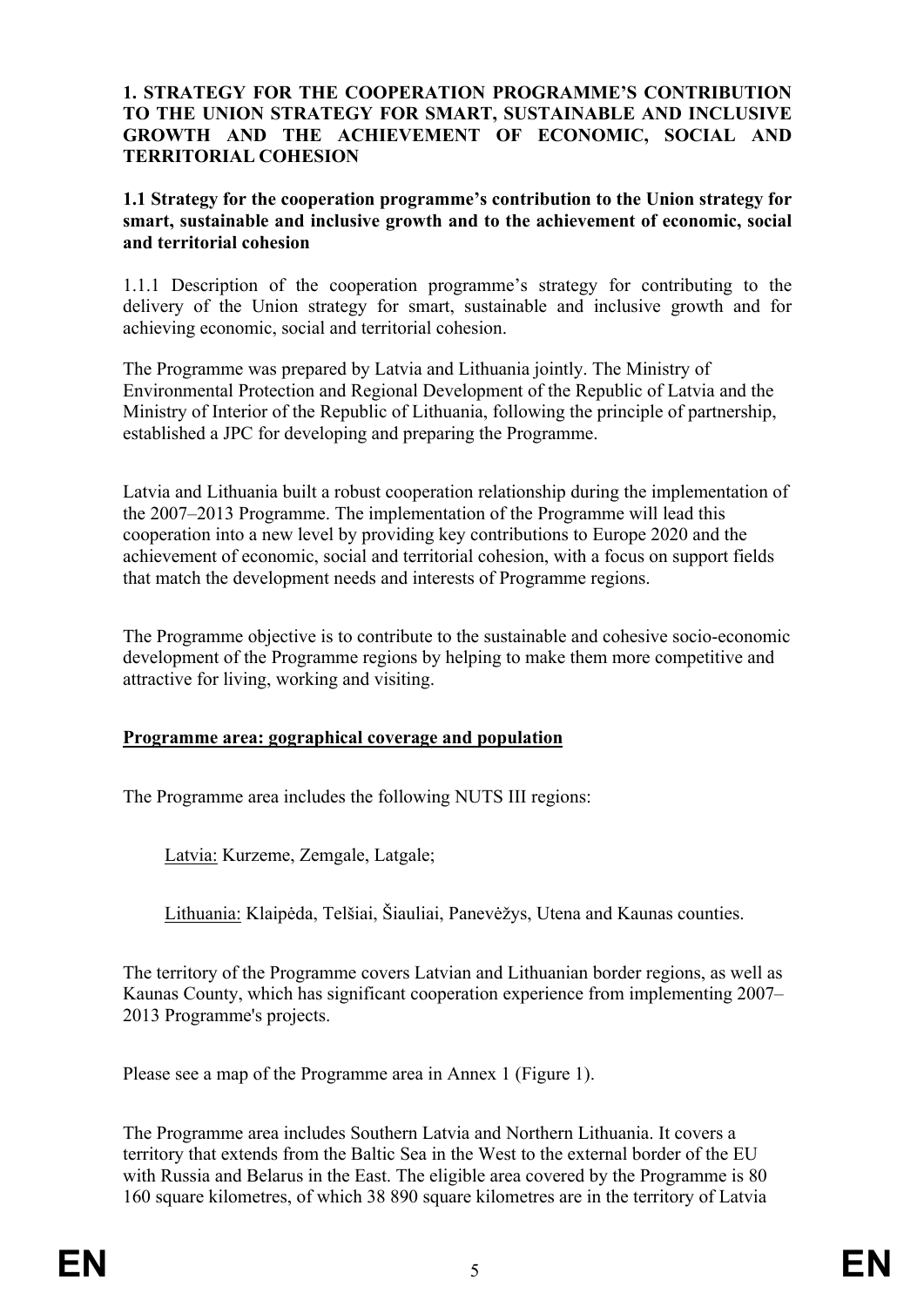#### <span id="page-4-0"></span>**1. STRATEGY FOR THE COOPERATION PROGRAMME'S CONTRIBUTION TO THE UNION STRATEGY FOR SMART, SUSTAINABLE AND INCLUSIVE GROWTH AND THE ACHIEVEMENT OF ECONOMIC, SOCIAL AND TERRITORIAL COHESION**

<span id="page-4-1"></span>**1.1 Strategy for the cooperation programme's contribution to the Union strategy for smart, sustainable and inclusive growth and to the achievement of economic, social and territorial cohesion**

1.1.1 Description of the cooperation programme's strategy for contributing to the delivery of the Union strategy for smart, sustainable and inclusive growth and for achieving economic, social and territorial cohesion.

The Programme was prepared by Latvia and Lithuania jointly. The Ministry of Environmental Protection and Regional Development of the Republic of Latvia and the Ministry of Interior of the Republic of Lithuania, following the principle of partnership, established a JPC for developing and preparing the Programme.

Latvia and Lithuania built a robust cooperation relationship during the implementation of the 2007–2013 Programme. The implementation of the Programme will lead this cooperation into a new level by providing key contributions to Europe 2020 and the achievement of economic, social and territorial cohesion, with a focus on support fields that match the development needs and interests of Programme regions.

The Programme objective is to contribute to the sustainable and cohesive socio-economic development of the Programme regions by helping to make them more competitive and attractive for living, working and visiting.

#### **Programme area: gographical coverage and population**

The Programme area includes the following NUTS III regions:

Latvia: Kurzeme, Zemgale, Latgale;

Lithuania: Klaipėda, Telšiai, Šiauliai, Panevėžys, Utena and Kaunas counties.

The territory of the Programme covers Latvian and Lithuanian border regions, as well as Kaunas County, which has significant cooperation experience from implementing 2007– 2013 Programme's projects.

Please see a map of the Programme area in Annex 1 (Figure 1).

The Programme area includes Southern Latvia and Northern Lithuania. It covers a territory that extends from the Baltic Sea in the West to the external border of the EU with Russia and Belarus in the East. The eligible area covered by the Programme is 80 160 square kilometres, of which 38 890 square kilometres are in the territory of Latvia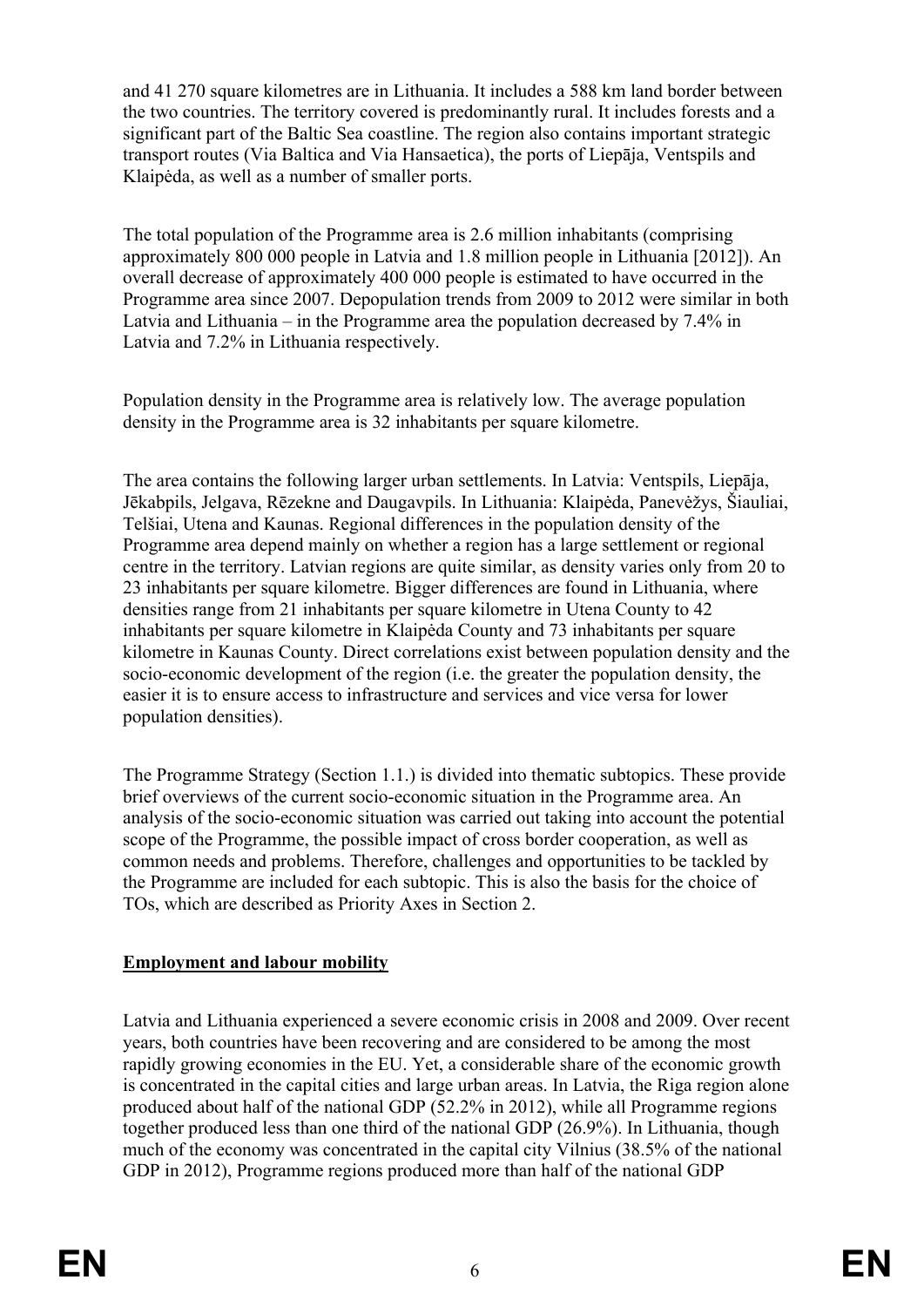and 41 270 square kilometres are in Lithuania. It includes a 588 km land border between the two countries. The territory covered is predominantly rural. It includes forests and a significant part of the Baltic Sea coastline. The region also contains important strategic transport routes (Via Baltica and Via Hansaetica), the ports of Liepāja, Ventspils and Klaipėda, as well as a number of smaller ports.

The total population of the Programme area is 2.6 million inhabitants (comprising approximately 800 000 people in Latvia and 1.8 million people in Lithuania [2012]). An overall decrease of approximately 400 000 people is estimated to have occurred in the Programme area since 2007. Depopulation trends from 2009 to 2012 were similar in both Latvia and Lithuania – in the Programme area the population decreased by 7.4% in Latvia and 7.2% in Lithuania respectively.

Population density in the Programme area is relatively low. The average population density in the Programme area is 32 inhabitants per square kilometre.

The area contains the following larger urban settlements. In Latvia: Ventspils, Liepāja, Jēkabpils, Jelgava, Rēzekne and Daugavpils. In Lithuania: Klaipėda, Panevėžys, Šiauliai, Telšiai, Utena and Kaunas. Regional differences in the population density of the Programme area depend mainly on whether a region has a large settlement or regional centre in the territory. Latvian regions are quite similar, as density varies only from 20 to 23 inhabitants per square kilometre. Bigger differences are found in Lithuania, where densities range from 21 inhabitants per square kilometre in Utena County to 42 inhabitants per square kilometre in Klaipėda County and 73 inhabitants per square kilometre in Kaunas County. Direct correlations exist between population density and the socio-economic development of the region (i.e. the greater the population density, the easier it is to ensure access to infrastructure and services and vice versa for lower population densities).

The Programme Strategy (Section 1.1.) is divided into thematic subtopics. These provide brief overviews of the current socio-economic situation in the Programme area. An analysis of the socio-economic situation was carried out taking into account the potential scope of the Programme, the possible impact of cross border cooperation, as well as common needs and problems. Therefore, challenges and opportunities to be tackled by the Programme are included for each subtopic. This is also the basis for the choice of TOs, which are described as Priority Axes in Section 2.

# **Employment and labour mobility**

Latvia and Lithuania experienced a severe economic crisis in 2008 and 2009. Over recent years, both countries have been recovering and are considered to be among the most rapidly growing economies in the EU. Yet, a considerable share of the economic growth is concentrated in the capital cities and large urban areas. In Latvia, the Riga region alone produced about half of the national GDP (52.2% in 2012), while all Programme regions together produced less than one third of the national GDP (26.9%). In Lithuania, though much of the economy was concentrated in the capital city Vilnius (38.5% of the national GDP in 2012), Programme regions produced more than half of the national GDP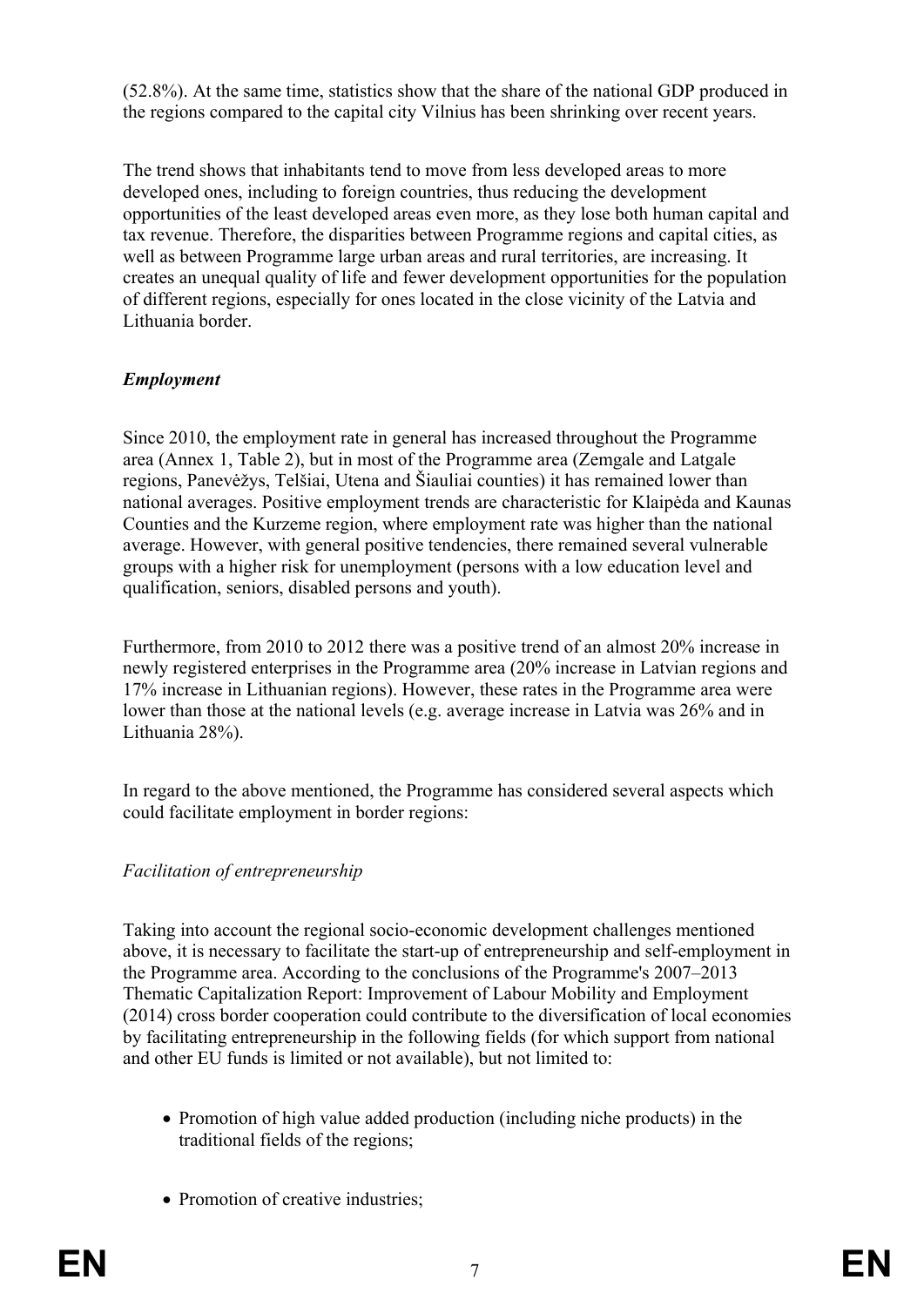(52.8%). At the same time, statistics show that the share of the national GDP produced in the regions compared to the capital city Vilnius has been shrinking over recent years.

The trend shows that inhabitants tend to move from less developed areas to more developed ones, including to foreign countries, thus reducing the development opportunities of the least developed areas even more, as they lose both human capital and tax revenue. Therefore, the disparities between Programme regions and capital cities, as well as between Programme large urban areas and rural territories, are increasing. It creates an unequal quality of life and fewer development opportunities for the population of different regions, especially for ones located in the close vicinity of the Latvia and Lithuania border.

# *Employment*

Since 2010, the employment rate in general has increased throughout the Programme area (Annex 1, Table 2), but in most of the Programme area (Zemgale and Latgale regions, Panevėžys, Telšiai, Utena and Šiauliai counties) it has remained lower than national averages. Positive employment trends are characteristic for Klaipėda and Kaunas Counties and the Kurzeme region, where employment rate was higher than the national average. However, with general positive tendencies, there remained several vulnerable groups with a higher risk for unemployment (persons with a low education level and qualification, seniors, disabled persons and youth).

Furthermore, from 2010 to 2012 there was a positive trend of an almost 20% increase in newly registered enterprises in the Programme area (20% increase in Latvian regions and 17% increase in Lithuanian regions). However, these rates in the Programme area were lower than those at the national levels (e.g. average increase in Latvia was 26% and in Lithuania 28%).

In regard to the above mentioned, the Programme has considered several aspects which could facilitate employment in border regions:

# *Facilitation of entrepreneurship*

Taking into account the regional socio-economic development challenges mentioned above, it is necessary to facilitate the start-up of entrepreneurship and self-employment in the Programme area. According to the conclusions of the Programme's 2007–2013 Thematic Capitalization Report: Improvement of Labour Mobility and Employment (2014) cross border cooperation could contribute to the diversification of local economies by facilitating entrepreneurship in the following fields (for which support from national and other EU funds is limited or not available), but not limited to:

- Promotion of high value added production (including niche products) in the traditional fields of the regions;
- Promotion of creative industries;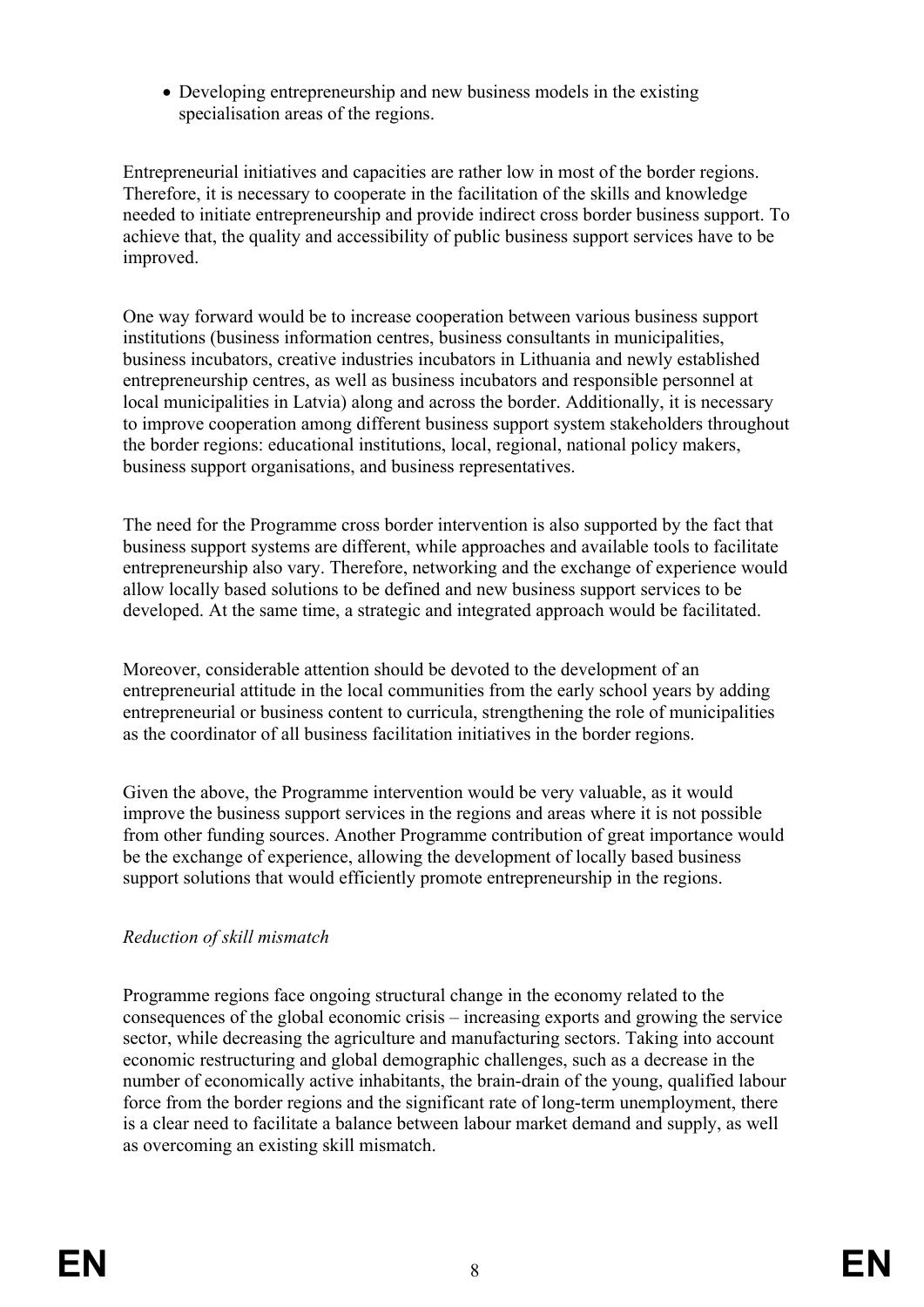Developing entrepreneurship and new business models in the existing specialisation areas of the regions.

Entrepreneurial initiatives and capacities are rather low in most of the border regions. Therefore, it is necessary to cooperate in the facilitation of the skills and knowledge needed to initiate entrepreneurship and provide indirect cross border business support. To achieve that, the quality and accessibility of public business support services have to be improved.

One way forward would be to increase cooperation between various business support institutions (business information centres, business consultants in municipalities, business incubators, creative industries incubators in Lithuania and newly established entrepreneurship centres, as well as business incubators and responsible personnel at local municipalities in Latvia) along and across the border. Additionally, it is necessary to improve cooperation among different business support system stakeholders throughout the border regions: educational institutions, local, regional, national policy makers, business support organisations, and business representatives.

The need for the Programme cross border intervention is also supported by the fact that business support systems are different, while approaches and available tools to facilitate entrepreneurship also vary. Therefore, networking and the exchange of experience would allow locally based solutions to be defined and new business support services to be developed. At the same time, a strategic and integrated approach would be facilitated.

Moreover, considerable attention should be devoted to the development of an entrepreneurial attitude in the local communities from the early school years by adding entrepreneurial or business content to curricula, strengthening the role of municipalities as the coordinator of all business facilitation initiatives in the border regions.

Given the above, the Programme intervention would be very valuable, as it would improve the business support services in the regions and areas where it is not possible from other funding sources. Another Programme contribution of great importance would be the exchange of experience, allowing the development of locally based business support solutions that would efficiently promote entrepreneurship in the regions.

#### *Reduction of skill mismatch*

Programme regions face ongoing structural change in the economy related to the consequences of the global economic crisis – increasing exports and growing the service sector, while decreasing the agriculture and manufacturing sectors. Taking into account economic restructuring and global demographic challenges, such as a decrease in the number of economically active inhabitants, the brain-drain of the young, qualified labour force from the border regions and the significant rate of long-term unemployment, there is a clear need to facilitate a balance between labour market demand and supply, as well as overcoming an existing skill mismatch.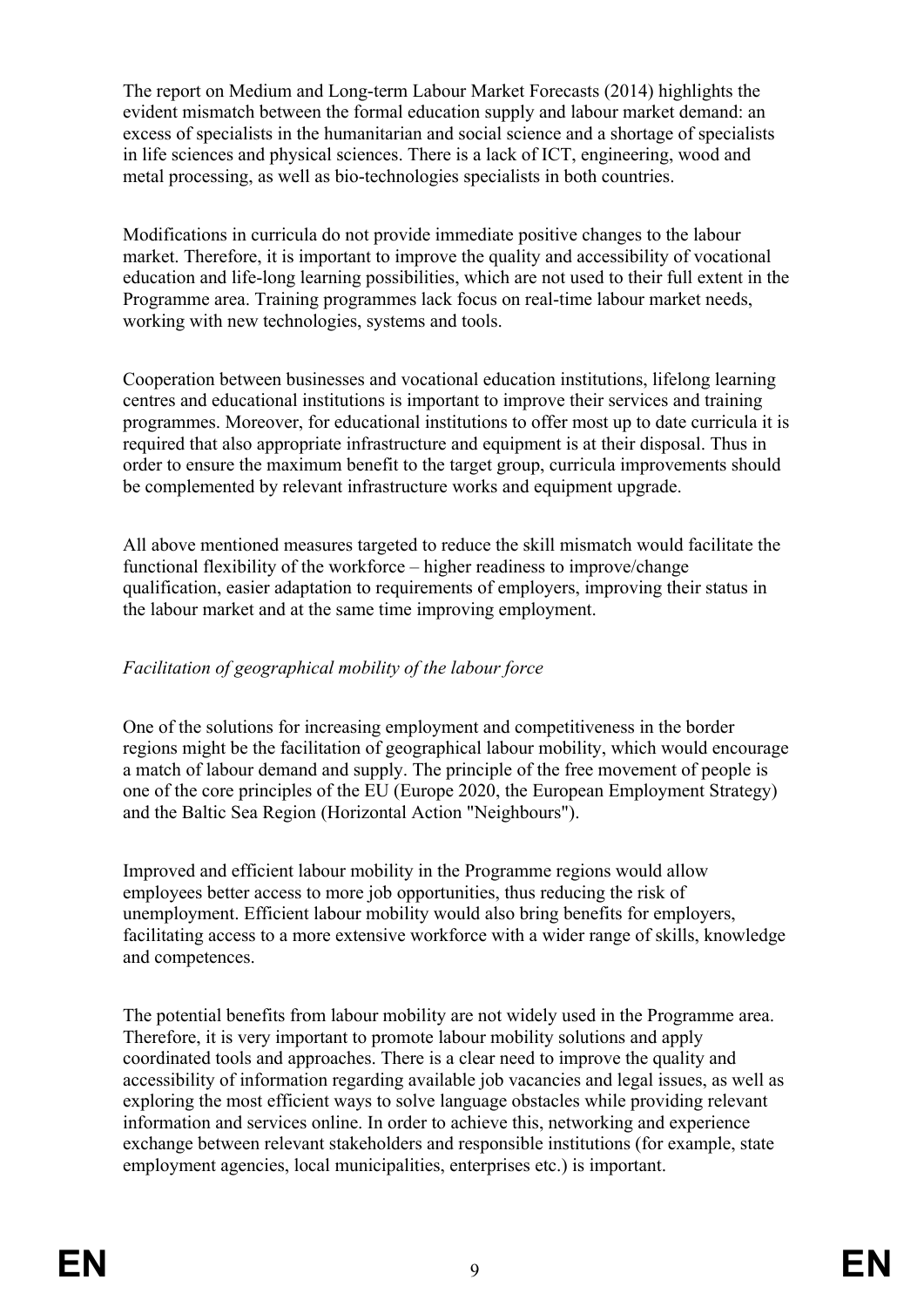The report on Medium and Long-term Labour Market Forecasts (2014) highlights the evident mismatch between the formal education supply and labour market demand: an excess of specialists in the humanitarian and social science and a shortage of specialists in life sciences and physical sciences. There is a lack of ICT, engineering, wood and metal processing, as well as bio-technologies specialists in both countries.

Modifications in curricula do not provide immediate positive changes to the labour market. Therefore, it is important to improve the quality and accessibility of vocational education and life-long learning possibilities, which are not used to their full extent in the Programme area. Training programmes lack focus on real-time labour market needs, working with new technologies, systems and tools.

Cooperation between businesses and vocational education institutions, lifelong learning centres and educational institutions is important to improve their services and training programmes. Moreover, for educational institutions to offer most up to date curricula it is required that also appropriate infrastructure and equipment is at their disposal. Thus in order to ensure the maximum benefit to the target group, curricula improvements should be complemented by relevant infrastructure works and equipment upgrade.

All above mentioned measures targeted to reduce the skill mismatch would facilitate the functional flexibility of the workforce – higher readiness to improve/change qualification, easier adaptation to requirements of employers, improving their status in the labour market and at the same time improving employment.

# *Facilitation of geographical mobility of the labour force*

One of the solutions for increasing employment and competitiveness in the border regions might be the facilitation of geographical labour mobility, which would encourage a match of labour demand and supply. The principle of the free movement of people is one of the core principles of the EU (Europe 2020, the European Employment Strategy) and the Baltic Sea Region (Horizontal Action "Neighbours").

Improved and efficient labour mobility in the Programme regions would allow employees better access to more job opportunities, thus reducing the risk of unemployment. Efficient labour mobility would also bring benefits for employers, facilitating access to a more extensive workforce with a wider range of skills, knowledge and competences.

The potential benefits from labour mobility are not widely used in the Programme area. Therefore, it is very important to promote labour mobility solutions and apply coordinated tools and approaches. There is a clear need to improve the quality and accessibility of information regarding available job vacancies and legal issues, as well as exploring the most efficient ways to solve language obstacles while providing relevant information and services online. In order to achieve this, networking and experience exchange between relevant stakeholders and responsible institutions (for example, state employment agencies, local municipalities, enterprises etc.) is important.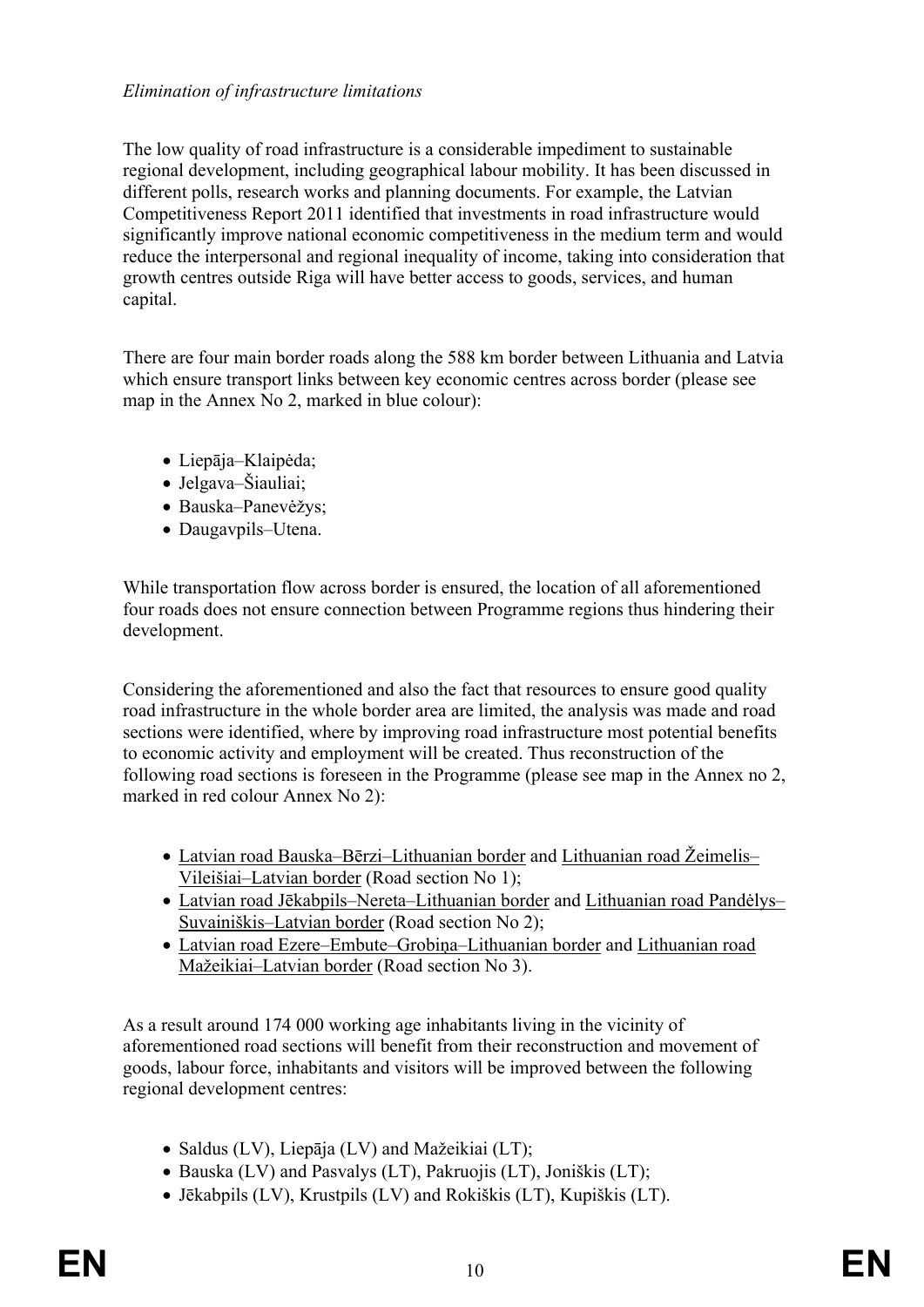## *Elimination of infrastructure limitations*

The low quality of road infrastructure is a considerable impediment to sustainable regional development, including geographical labour mobility. It has been discussed in different polls, research works and planning documents. For example, the Latvian Competitiveness Report 2011 identified that investments in road infrastructure would significantly improve national economic competitiveness in the medium term and would reduce the interpersonal and regional inequality of income, taking into consideration that growth centres outside Riga will have better access to goods, services, and human capital.

There are four main border roads along the 588 km border between Lithuania and Latvia which ensure transport links between key economic centres across border (please see map in the Annex No 2, marked in blue colour):

- Liepāja–Klaipėda;
- Jelgava–Šiauliai;
- Bauska–Panevėžys:
- Daugavpils–Utena.

While transportation flow across border is ensured, the location of all aforementioned four roads does not ensure connection between Programme regions thus hindering their development.

Considering the aforementioned and also the fact that resources to ensure good quality road infrastructure in the whole border area are limited, the analysis was made and road sections were identified, where by improving road infrastructure most potential benefits to economic activity and employment will be created. Thus reconstruction of the following road sections is foreseen in the Programme (please see map in the Annex no 2, marked in red colour Annex No 2):

- Latvian road Bauska–Bērzi–Lithuanian border and Lithuanian road Žeimelis– Vileišiai–Latvian border (Road section No 1);
- Latvian road Jēkabpils–Nereta–Lithuanian border and Lithuanian road Pandėlys– Suvainiškis–Latvian border (Road section No 2);
- Latvian road Ezere–Embute–Grobiņa–Lithuanian border and Lithuanian road Mažeikiai–Latvian border (Road section No 3).

As a result around 174 000 working age inhabitants living in the vicinity of aforementioned road sections will benefit from their reconstruction and movement of goods, labour force, inhabitants and visitors will be improved between the following regional development centres:

- Saldus (LV), Liepāja (LV) and Mažeikiai (LT);
- Bauska (LV) and Pasvalys (LT), Pakruojis (LT), Joniškis (LT);
- Jēkabpils (LV), Krustpils (LV) and Rokiškis (LT), Kupiškis (LT).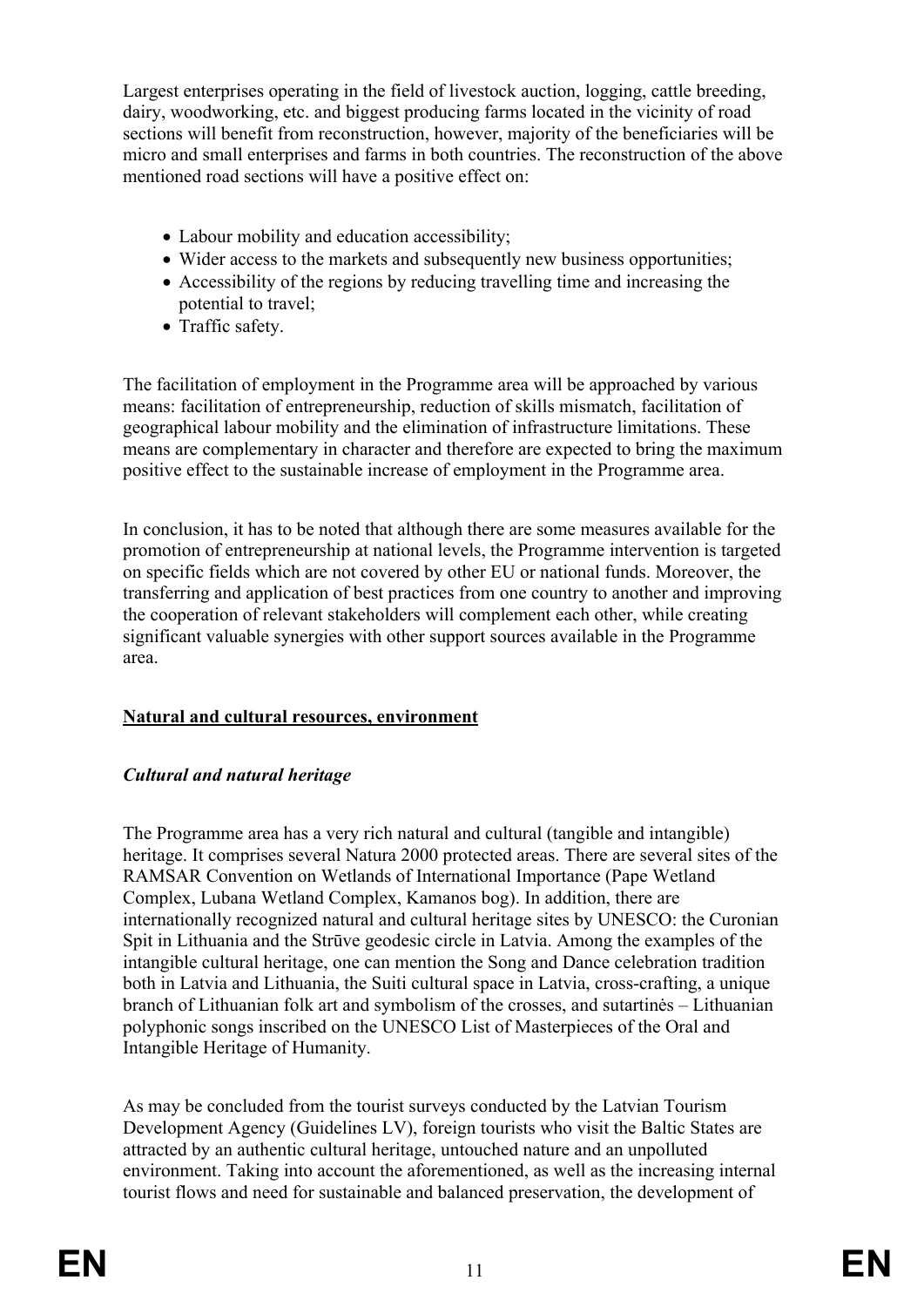Largest enterprises operating in the field of livestock auction, logging, cattle breeding, dairy, woodworking, etc. and biggest producing farms located in the vicinity of road sections will benefit from reconstruction, however, majority of the beneficiaries will be micro and small enterprises and farms in both countries. The reconstruction of the above mentioned road sections will have a positive effect on:

- Labour mobility and education accessibility;
- Wider access to the markets and subsequently new business opportunities;
- Accessibility of the regions by reducing travelling time and increasing the potential to travel;
- Traffic safety.

The facilitation of employment in the Programme area will be approached by various means: facilitation of entrepreneurship, reduction of skills mismatch, facilitation of geographical labour mobility and the elimination of infrastructure limitations. These means are complementary in character and therefore are expected to bring the maximum positive effect to the sustainable increase of employment in the Programme area.

In conclusion, it has to be noted that although there are some measures available for the promotion of entrepreneurship at national levels, the Programme intervention is targeted on specific fields which are not covered by other EU or national funds. Moreover, the transferring and application of best practices from one country to another and improving the cooperation of relevant stakeholders will complement each other, while creating significant valuable synergies with other support sources available in the Programme area.

# **Natural and cultural resources, environment**

# *Cultural and natural heritage*

The Programme area has a very rich natural and cultural (tangible and intangible) heritage. It comprises several Natura 2000 protected areas. There are several sites of the RAMSAR Convention on Wetlands of International Importance (Pape Wetland Complex, Lubana Wetland Complex, Kamanos bog). In addition, there are internationally recognized natural and cultural heritage sites by UNESCO: the Curonian Spit in Lithuania and the Strūve geodesic circle in Latvia. Among the examples of the intangible cultural heritage, one can mention the Song and Dance celebration tradition both in Latvia and Lithuania, the Suiti cultural space in Latvia, cross-crafting, a unique branch of Lithuanian folk art and symbolism of the crosses, and sutartinės – Lithuanian polyphonic songs inscribed on the UNESCO List of Masterpieces of the Oral and Intangible Heritage of Humanity.

As may be concluded from the tourist surveys conducted by the Latvian Tourism Development Agency (Guidelines LV), foreign tourists who visit the Baltic States are attracted by an authentic cultural heritage, untouched nature and an unpolluted environment. Taking into account the aforementioned, as well as the increasing internal tourist flows and need for sustainable and balanced preservation, the development of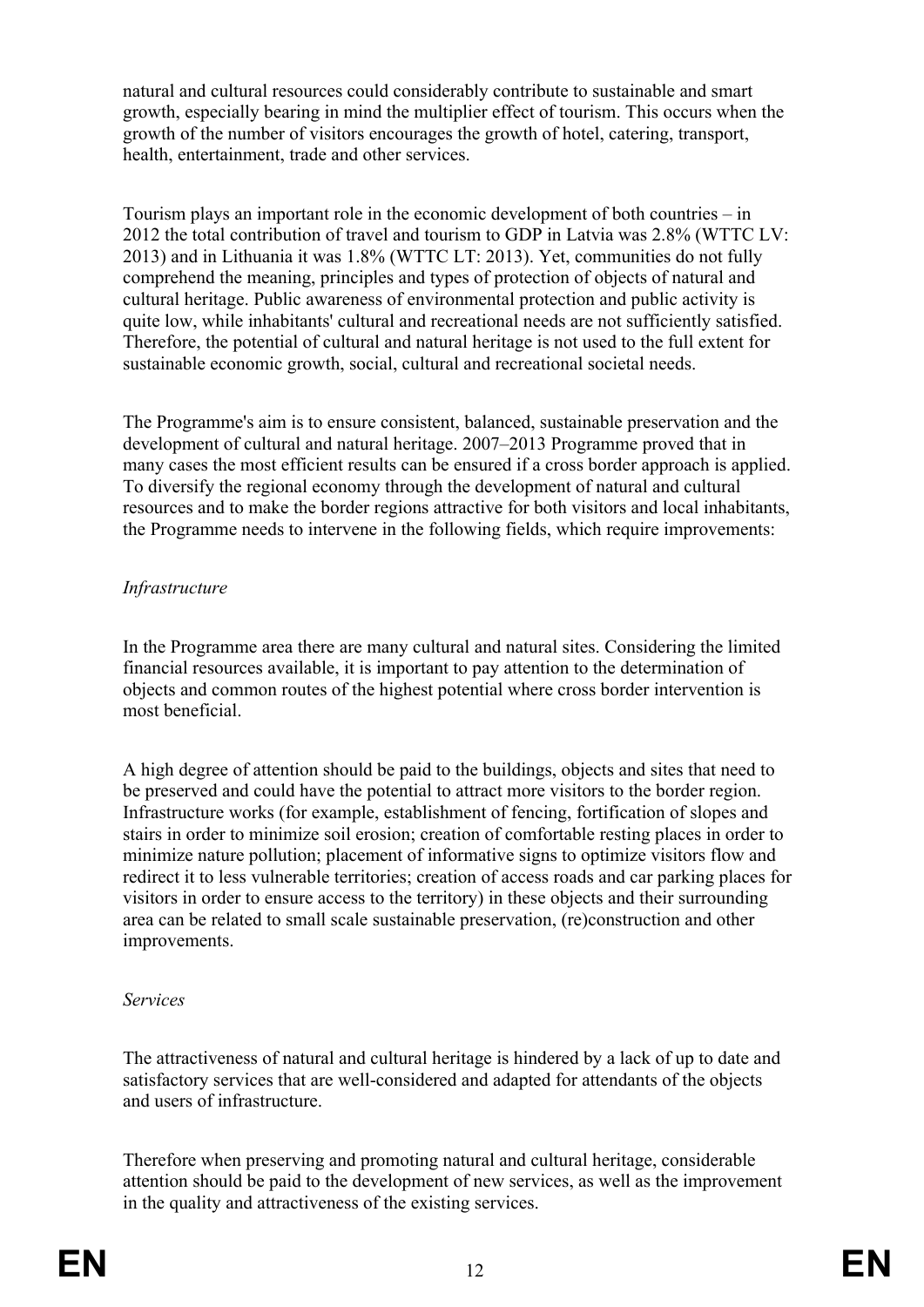natural and cultural resources could considerably contribute to sustainable and smart growth, especially bearing in mind the multiplier effect of tourism. This occurs when the growth of the number of visitors encourages the growth of hotel, catering, transport, health, entertainment, trade and other services.

Tourism plays an important role in the economic development of both countries – in 2012 the total contribution of travel and tourism to GDP in Latvia was 2.8% (WTTC LV: 2013) and in Lithuania it was 1.8% (WTTC LT: 2013). Yet, communities do not fully comprehend the meaning, principles and types of protection of objects of natural and cultural heritage. Public awareness of environmental protection and public activity is quite low, while inhabitants' cultural and recreational needs are not sufficiently satisfied. Therefore, the potential of cultural and natural heritage is not used to the full extent for sustainable economic growth, social, cultural and recreational societal needs.

The Programme's aim is to ensure consistent, balanced, sustainable preservation and the development of cultural and natural heritage. 2007–2013 Programme proved that in many cases the most efficient results can be ensured if a cross border approach is applied. To diversify the regional economy through the development of natural and cultural resources and to make the border regions attractive for both visitors and local inhabitants, the Programme needs to intervene in the following fields, which require improvements:

# *Infrastructure*

In the Programme area there are many cultural and natural sites. Considering the limited financial resources available, it is important to pay attention to the determination of objects and common routes of the highest potential where cross border intervention is most beneficial.

A high degree of attention should be paid to the buildings, objects and sites that need to be preserved and could have the potential to attract more visitors to the border region. Infrastructure works (for example, establishment of fencing, fortification of slopes and stairs in order to minimize soil erosion; creation of comfortable resting places in order to minimize nature pollution; placement of informative signs to optimize visitors flow and redirect it to less vulnerable territories; creation of access roads and car parking places for visitors in order to ensure access to the territory) in these objects and their surrounding area can be related to small scale sustainable preservation, (re)construction and other improvements.

#### *Services*

The attractiveness of natural and cultural heritage is hindered by a lack of up to date and satisfactory services that are well-considered and adapted for attendants of the objects and users of infrastructure.

Therefore when preserving and promoting natural and cultural heritage, considerable attention should be paid to the development of new services, as well as the improvement in the quality and attractiveness of the existing services.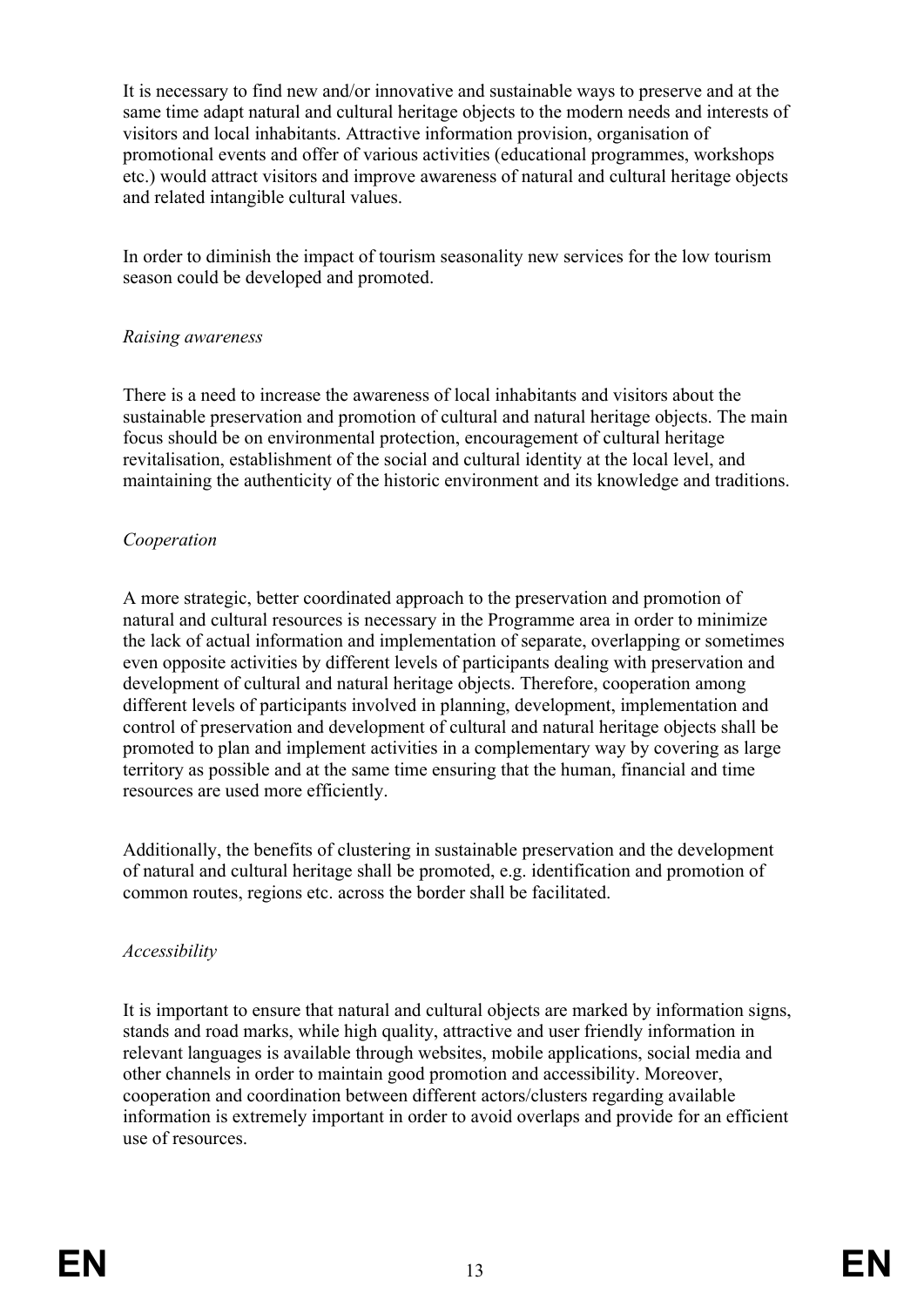It is necessary to find new and/or innovative and sustainable ways to preserve and at the same time adapt natural and cultural heritage objects to the modern needs and interests of visitors and local inhabitants. Attractive information provision, organisation of promotional events and offer of various activities (educational programmes, workshops etc.) would attract visitors and improve awareness of natural and cultural heritage objects and related intangible cultural values.

In order to diminish the impact of tourism seasonality new services for the low tourism season could be developed and promoted.

#### *Raising awareness*

There is a need to increase the awareness of local inhabitants and visitors about the sustainable preservation and promotion of cultural and natural heritage objects. The main focus should be on environmental protection, encouragement of cultural heritage revitalisation, establishment of the social and cultural identity at the local level, and maintaining the authenticity of the historic environment and its knowledge and traditions.

### *Cooperation*

A more strategic, better coordinated approach to the preservation and promotion of natural and cultural resources is necessary in the Programme area in order to minimize the lack of actual information and implementation of separate, overlapping or sometimes even opposite activities by different levels of participants dealing with preservation and development of cultural and natural heritage objects. Therefore, cooperation among different levels of participants involved in planning, development, implementation and control of preservation and development of cultural and natural heritage objects shall be promoted to plan and implement activities in a complementary way by covering as large territory as possible and at the same time ensuring that the human, financial and time resources are used more efficiently.

Additionally, the benefits of clustering in sustainable preservation and the development of natural and cultural heritage shall be promoted, e.g. identification and promotion of common routes, regions etc. across the border shall be facilitated.

# *Accessibility*

It is important to ensure that natural and cultural objects are marked by information signs, stands and road marks, while high quality, attractive and user friendly information in relevant languages is available through websites, mobile applications, social media and other channels in order to maintain good promotion and accessibility. Moreover, cooperation and coordination between different actors/clusters regarding available information is extremely important in order to avoid overlaps and provide for an efficient use of resources.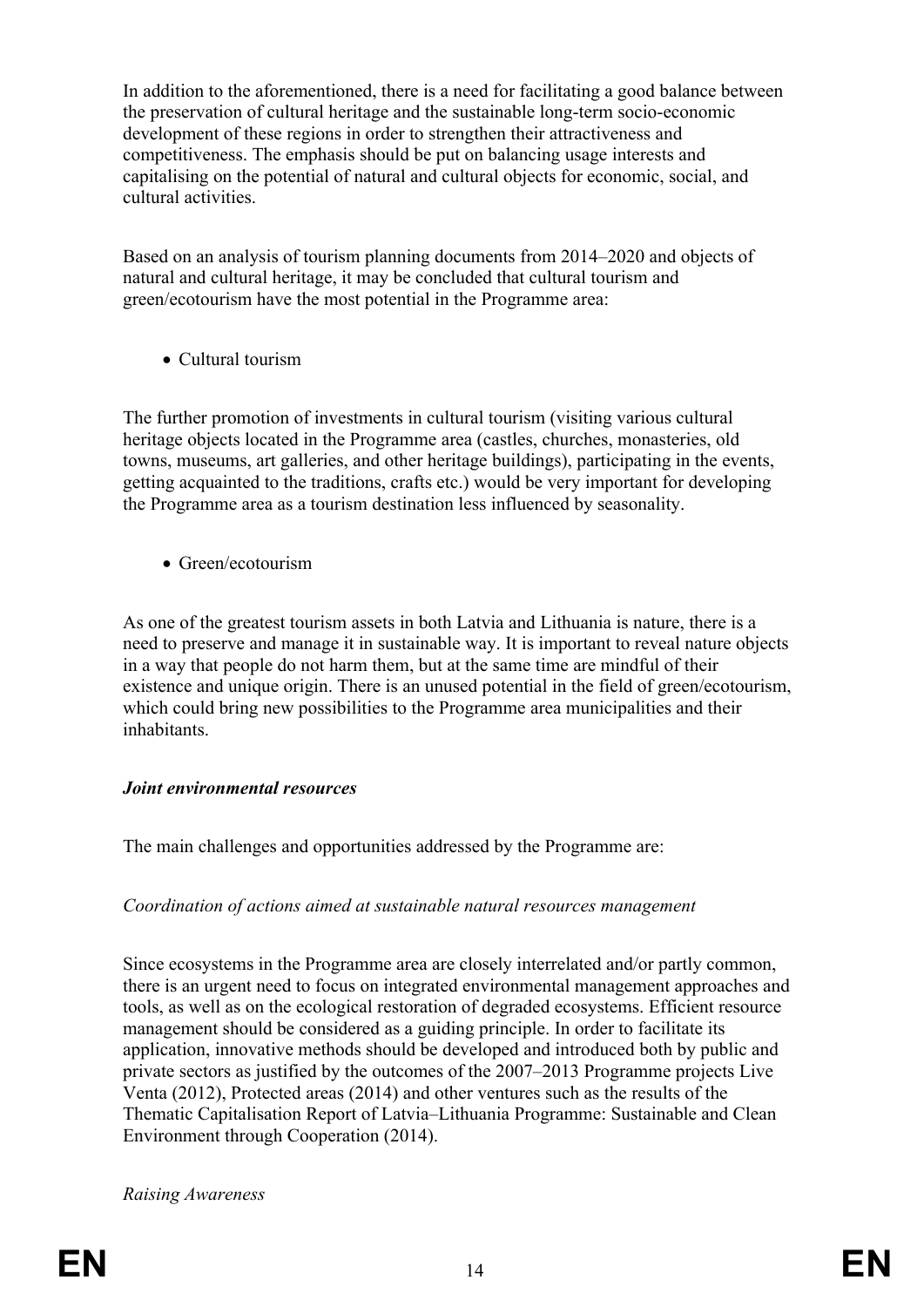In addition to the aforementioned, there is a need for facilitating a good balance between the preservation of cultural heritage and the sustainable long-term socio-economic development of these regions in order to strengthen their attractiveness and competitiveness. The emphasis should be put on balancing usage interests and capitalising on the potential of natural and cultural objects for economic, social, and cultural activities.

Based on an analysis of tourism planning documents from 2014–2020 and objects of natural and cultural heritage, it may be concluded that cultural tourism and green/ecotourism have the most potential in the Programme area:

• Cultural tourism

The further promotion of investments in cultural tourism (visiting various cultural heritage objects located in the Programme area (castles, churches, monasteries, old towns, museums, art galleries, and other heritage buildings), participating in the events, getting acquainted to the traditions, crafts etc.) would be very important for developing the Programme area as a tourism destination less influenced by seasonality.

• Green/ecotourism

As one of the greatest tourism assets in both Latvia and Lithuania is nature, there is a need to preserve and manage it in sustainable way. It is important to reveal nature objects in a way that people do not harm them, but at the same time are mindful of their existence and unique origin. There is an unused potential in the field of green/ecotourism, which could bring new possibilities to the Programme area municipalities and their inhabitants.

# *Joint environmental resources*

The main challenges and opportunities addressed by the Programme are:

# *Coordination of actions aimed at sustainable natural resources management*

Since ecosystems in the Programme area are closely interrelated and/or partly common, there is an urgent need to focus on integrated environmental management approaches and tools, as well as on the ecological restoration of degraded ecosystems. Efficient resource management should be considered as a guiding principle. In order to facilitate its application, innovative methods should be developed and introduced both by public and private sectors as justified by the outcomes of the 2007–2013 Programme projects Live Venta (2012), Protected areas (2014) and other ventures such as the results of the Thematic Capitalisation Report of Latvia–Lithuania Programme: Sustainable and Clean Environment through Cooperation (2014).

*Raising Awareness*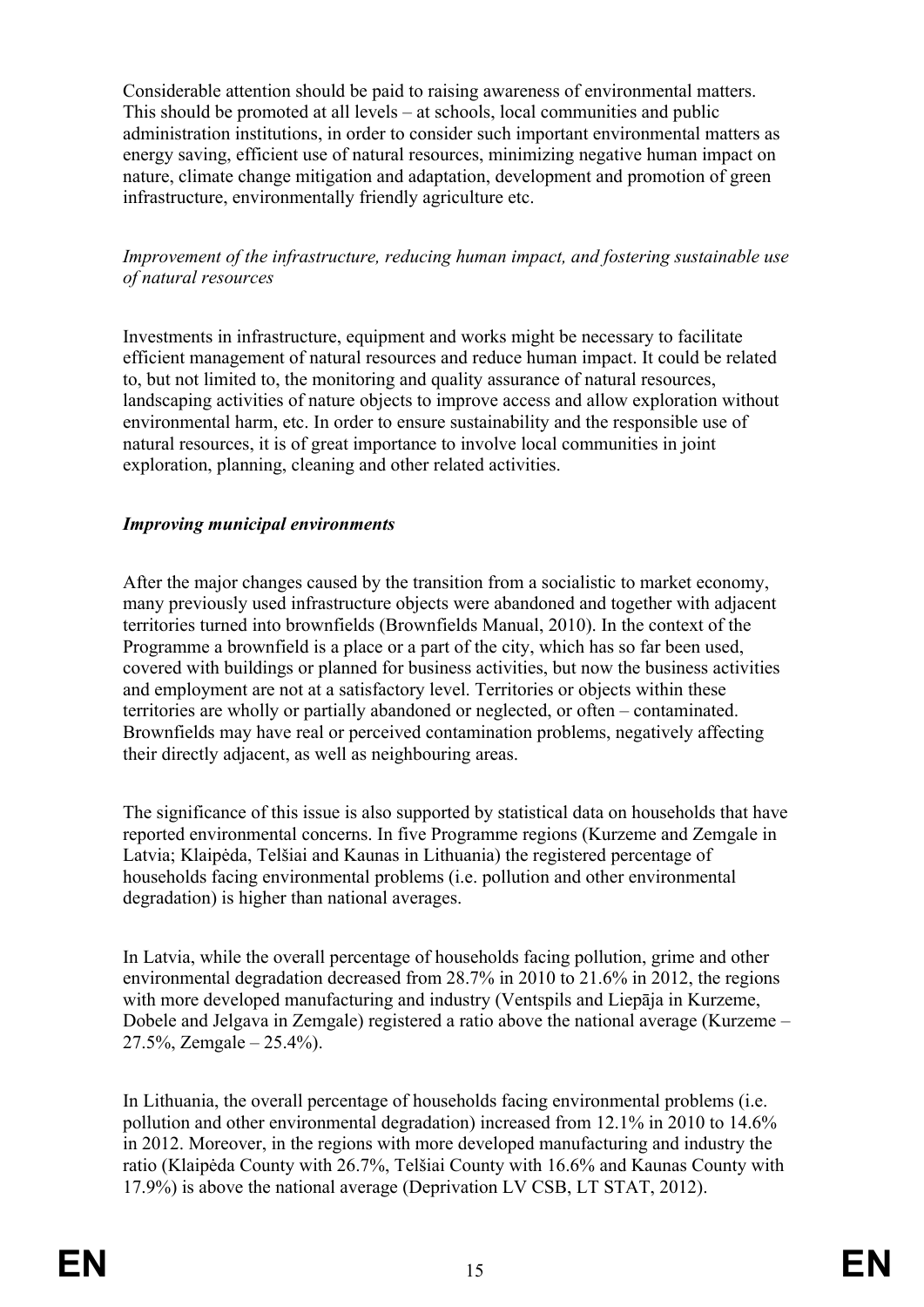Considerable attention should be paid to raising awareness of environmental matters. This should be promoted at all levels – at schools, local communities and public administration institutions, in order to consider such important environmental matters as energy saving, efficient use of natural resources, minimizing negative human impact on nature, climate change mitigation and adaptation, development and promotion of green infrastructure, environmentally friendly agriculture etc.

#### *Improvement of the infrastructure, reducing human impact, and fostering sustainable use of natural resources*

Investments in infrastructure, equipment and works might be necessary to facilitate efficient management of natural resources and reduce human impact. It could be related to, but not limited to, the monitoring and quality assurance of natural resources, landscaping activities of nature objects to improve access and allow exploration without environmental harm, etc. In order to ensure sustainability and the responsible use of natural resources, it is of great importance to involve local communities in joint exploration, planning, cleaning and other related activities.

#### *Improving municipal environments*

After the major changes caused by the transition from a socialistic to market economy, many previously used infrastructure objects were abandoned and together with adjacent territories turned into brownfields (Brownfields Manual, 2010). In the context of the Programme a brownfield is a place or a part of the city, which has so far been used, covered with buildings or planned for business activities, but now the business activities and employment are not at a satisfactory level. Territories or objects within these territories are wholly or partially abandoned or neglected, or often – contaminated. Brownfields may have real or perceived contamination problems, negatively affecting their directly adjacent, as well as neighbouring areas.

The significance of this issue is also supported by statistical data on households that have reported environmental concerns. In five Programme regions (Kurzeme and Zemgale in Latvia; Klaipėda, Telšiai and Kaunas in Lithuania) the registered percentage of households facing environmental problems (i.e. pollution and other environmental degradation) is higher than national averages.

In Latvia, while the overall percentage of households facing pollution, grime and other environmental degradation decreased from 28.7% in 2010 to 21.6% in 2012, the regions with more developed manufacturing and industry (Ventspils and Liepāja in Kurzeme, Dobele and Jelgava in Zemgale) registered a ratio above the national average (Kurzeme –  $27.5\%$ , Zemgale –  $25.4\%$ ).

In Lithuania, the overall percentage of households facing environmental problems (i.e. pollution and other environmental degradation) increased from 12.1% in 2010 to 14.6% in 2012. Moreover, in the regions with more developed manufacturing and industry the ratio (Klaipėda County with 26.7%, Telšiai County with 16.6% and Kaunas County with 17.9%) is above the national average (Deprivation LV CSB, LT STAT, 2012).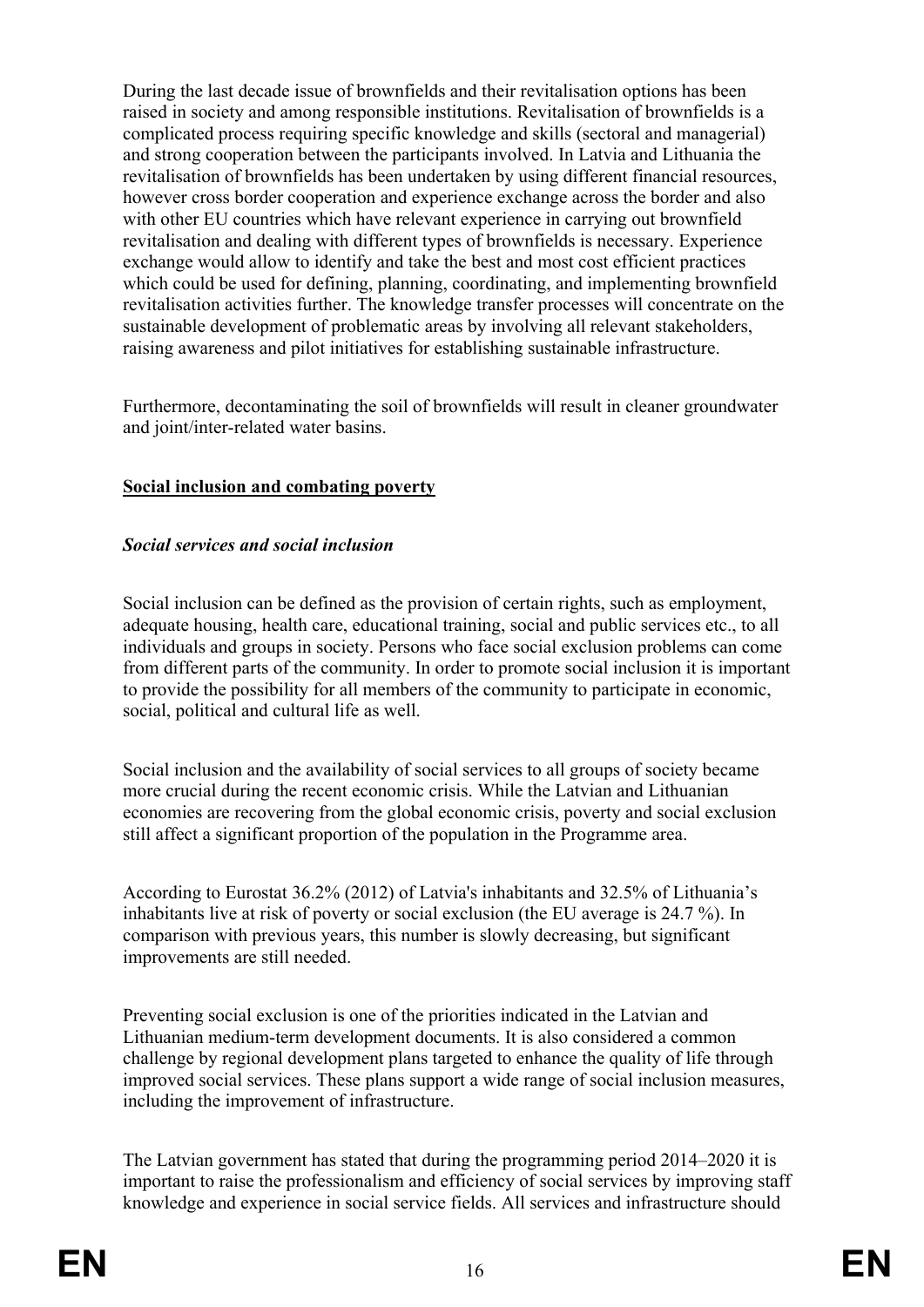During the last decade issue of brownfields and their revitalisation options has been raised in society and among responsible institutions. Revitalisation of brownfields is a complicated process requiring specific knowledge and skills (sectoral and managerial) and strong cooperation between the participants involved. In Latvia and Lithuania the revitalisation of brownfields has been undertaken by using different financial resources, however cross border cooperation and experience exchange across the border and also with other EU countries which have relevant experience in carrying out brownfield revitalisation and dealing with different types of brownfields is necessary. Experience exchange would allow to identify and take the best and most cost efficient practices which could be used for defining, planning, coordinating, and implementing brownfield revitalisation activities further. The knowledge transfer processes will concentrate on the sustainable development of problematic areas by involving all relevant stakeholders, raising awareness and pilot initiatives for establishing sustainable infrastructure.

Furthermore, decontaminating the soil of brownfields will result in cleaner groundwater and joint/inter-related water basins.

# **Social inclusion and combating poverty**

### *Social services and social inclusion*

Social inclusion can be defined as the provision of certain rights, such as employment, adequate housing, health care, educational training, social and public services etc., to all individuals and groups in society. Persons who face social exclusion problems can come from different parts of the community. In order to promote social inclusion it is important to provide the possibility for all members of the community to participate in economic, social, political and cultural life as well.

Social inclusion and the availability of social services to all groups of society became more crucial during the recent economic crisis. While the Latvian and Lithuanian economies are recovering from the global economic crisis, poverty and social exclusion still affect a significant proportion of the population in the Programme area.

According to Eurostat 36.2% (2012) of Latvia's inhabitants and 32.5% of Lithuania's inhabitants live at risk of poverty or social exclusion (the EU average is 24.7 %). In comparison with previous years, this number is slowly decreasing, but significant improvements are still needed.

Preventing social exclusion is one of the priorities indicated in the Latvian and Lithuanian medium-term development documents. It is also considered a common challenge by regional development plans targeted to enhance the quality of life through improved social services. These plans support a wide range of social inclusion measures, including the improvement of infrastructure.

The Latvian government has stated that during the programming period 2014–2020 it is important to raise the professionalism and efficiency of social services by improving staff knowledge and experience in social service fields. All services and infrastructure should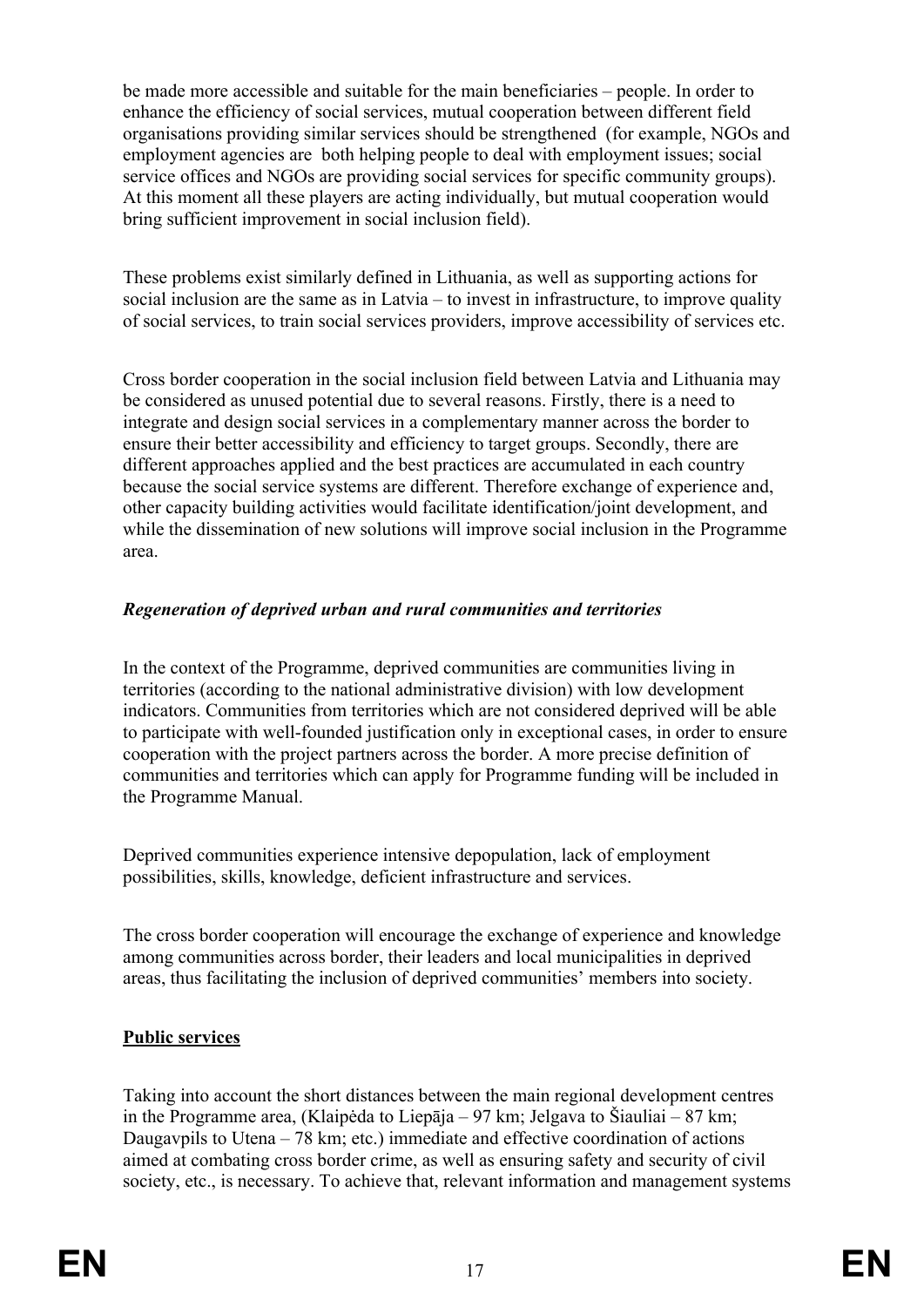be made more accessible and suitable for the main beneficiaries – people. In order to enhance the efficiency of social services, mutual cooperation between different field organisations providing similar services should be strengthened (for example, NGOs and employment agencies are both helping people to deal with employment issues; social service offices and NGOs are providing social services for specific community groups). At this moment all these players are acting individually, but mutual cooperation would bring sufficient improvement in social inclusion field).

These problems exist similarly defined in Lithuania, as well as supporting actions for social inclusion are the same as in Latvia – to invest in infrastructure, to improve quality of social services, to train social services providers, improve accessibility of services etc.

Cross border cooperation in the social inclusion field between Latvia and Lithuania may be considered as unused potential due to several reasons. Firstly, there is a need to integrate and design social services in a complementary manner across the border to ensure their better accessibility and efficiency to target groups. Secondly, there are different approaches applied and the best practices are accumulated in each country because the social service systems are different. Therefore exchange of experience and, other capacity building activities would facilitate identification/joint development, and while the dissemination of new solutions will improve social inclusion in the Programme area.

# *Regeneration of deprived urban and rural communities and territories*

In the context of the Programme, deprived communities are communities living in territories (according to the national administrative division) with low development indicators. Communities from territories which are not considered deprived will be able to participate with well-founded justification only in exceptional cases, in order to ensure cooperation with the project partners across the border. A more precise definition of communities and territories which can apply for Programme funding will be included in the Programme Manual.

Deprived communities experience intensive depopulation, lack of employment possibilities, skills, knowledge, deficient infrastructure and services.

The cross border cooperation will encourage the exchange of experience and knowledge among communities across border, their leaders and local municipalities in deprived areas, thus facilitating the inclusion of deprived communities' members into society.

# **Public services**

Taking into account the short distances between the main regional development centres in the Programme area, (Klaipėda to Liepāja – 97 km; Jelgava to Šiauliai – 87 km; Daugavpils to Utena – 78 km; etc.) immediate and effective coordination of actions aimed at combating cross border crime, as well as ensuring safety and security of civil society, etc., is necessary. To achieve that, relevant information and management systems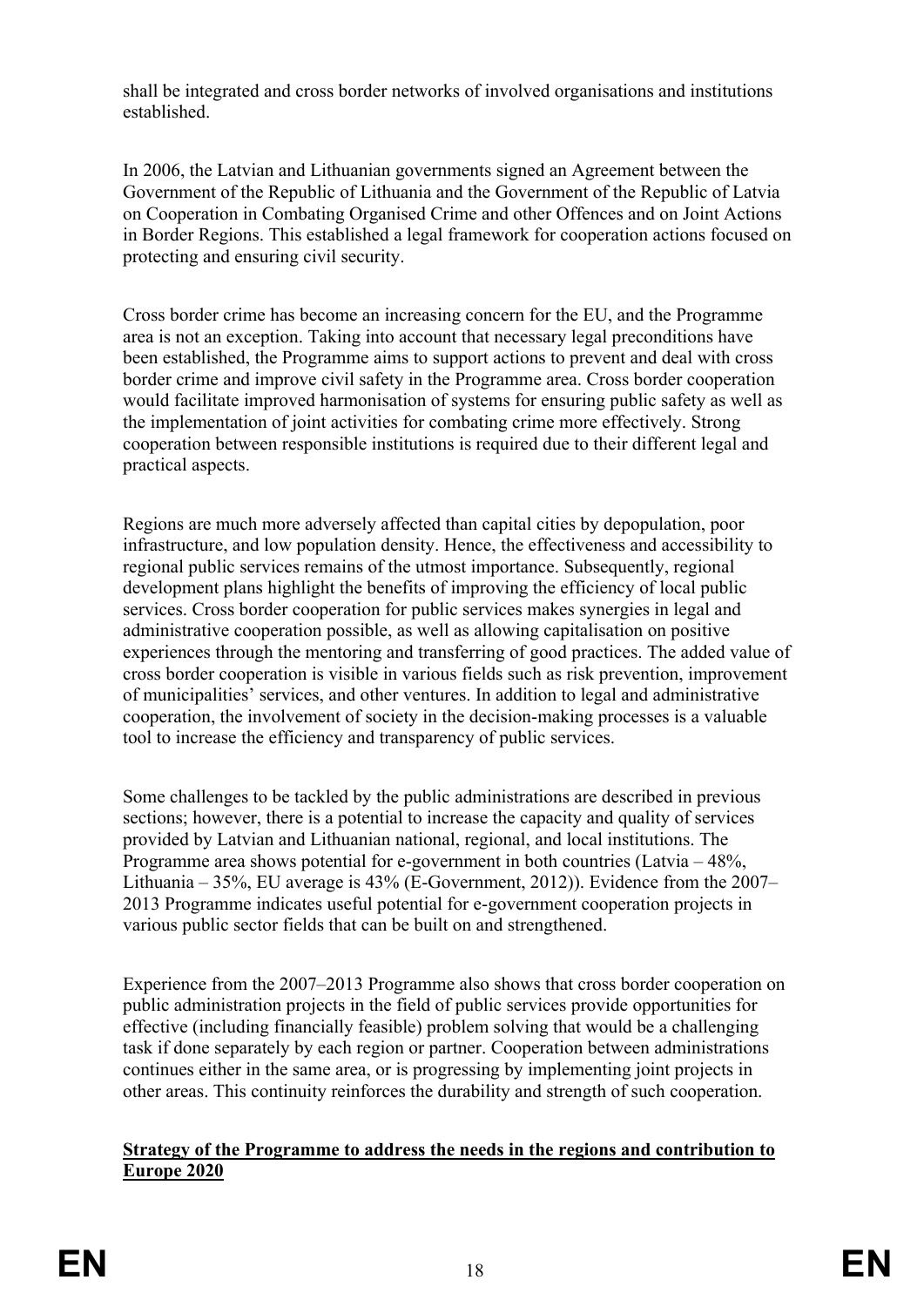shall be integrated and cross border networks of involved organisations and institutions established.

In 2006, the Latvian and Lithuanian governments signed an Agreement between the Government of the Republic of Lithuania and the Government of the Republic of Latvia on Cooperation in Combating Organised Crime and other Offences and on Joint Actions in Border Regions. This established a legal framework for cooperation actions focused on protecting and ensuring civil security.

Cross border crime has become an increasing concern for the EU, and the Programme area is not an exception. Taking into account that necessary legal preconditions have been established, the Programme aims to support actions to prevent and deal with cross border crime and improve civil safety in the Programme area. Cross border cooperation would facilitate improved harmonisation of systems for ensuring public safety as well as the implementation of joint activities for combating crime more effectively. Strong cooperation between responsible institutions is required due to their different legal and practical aspects.

Regions are much more adversely affected than capital cities by depopulation, poor infrastructure, and low population density. Hence, the effectiveness and accessibility to regional public services remains of the utmost importance. Subsequently, regional development plans highlight the benefits of improving the efficiency of local public services. Cross border cooperation for public services makes synergies in legal and administrative cooperation possible, as well as allowing capitalisation on positive experiences through the mentoring and transferring of good practices. The added value of cross border cooperation is visible in various fields such as risk prevention, improvement of municipalities' services, and other ventures. In addition to legal and administrative cooperation, the involvement of society in the decision-making processes is a valuable tool to increase the efficiency and transparency of public services.

Some challenges to be tackled by the public administrations are described in previous sections; however, there is a potential to increase the capacity and quality of services provided by Latvian and Lithuanian national, regional, and local institutions. The Programme area shows potential for e-government in both countries (Latvia – 48%, Lithuania – 35%, EU average is 43% (E-Government, 2012)). Evidence from the 2007– 2013 Programme indicates useful potential for e-government cooperation projects in various public sector fields that can be built on and strengthened.

Experience from the 2007–2013 Programme also shows that cross border cooperation on public administration projects in the field of public services provide opportunities for effective (including financially feasible) problem solving that would be a challenging task if done separately by each region or partner. Cooperation between administrations continues either in the same area, or is progressing by implementing joint projects in other areas. This continuity reinforces the durability and strength of such cooperation.

### **Strategy of the Programme to address the needs in the regions and contribution to Europe 2020**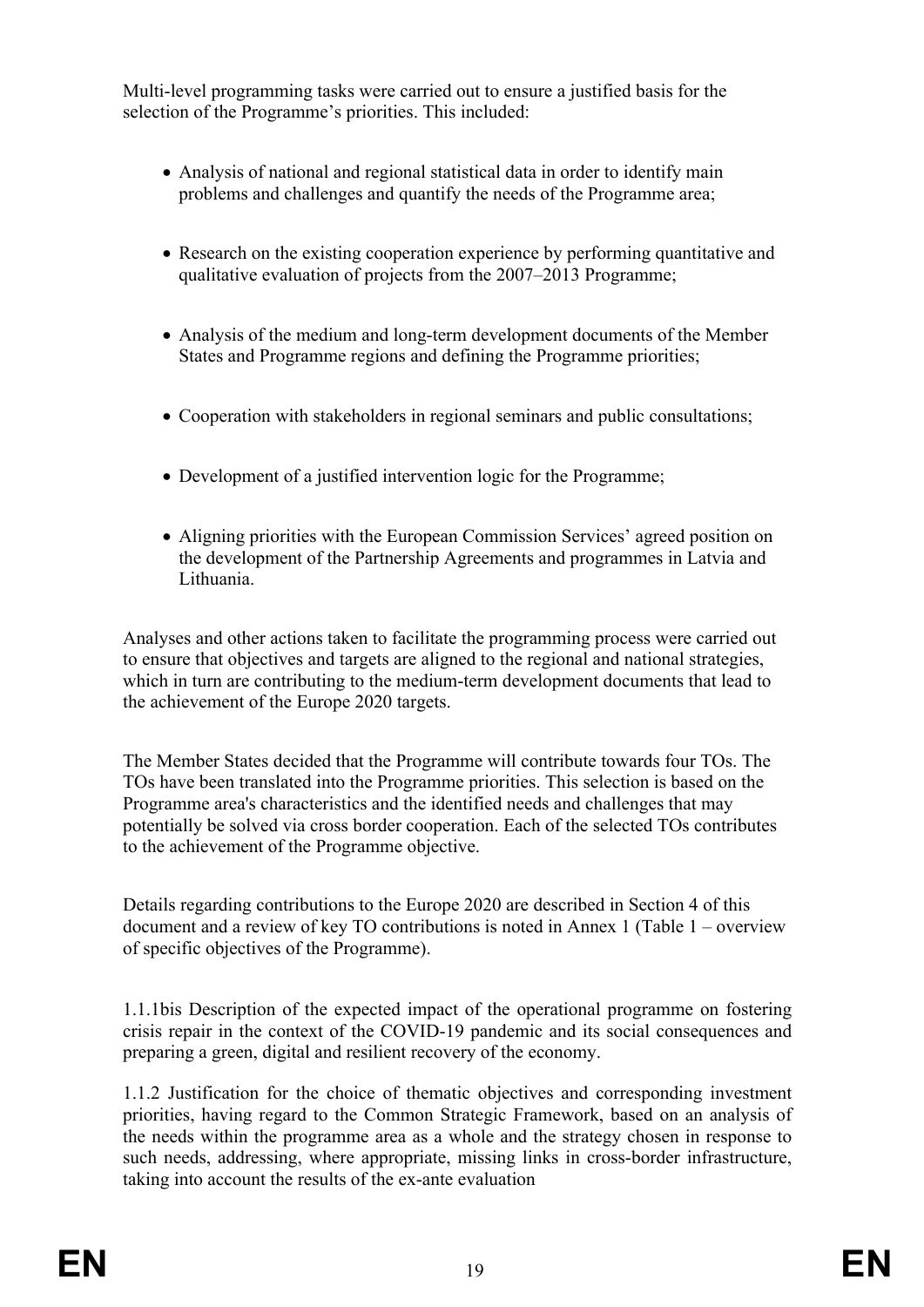Multi-level programming tasks were carried out to ensure a justified basis for the selection of the Programme's priorities. This included:

- Analysis of national and regional statistical data in order to identify main problems and challenges and quantify the needs of the Programme area;
- Research on the existing cooperation experience by performing quantitative and qualitative evaluation of projects from the 2007–2013 Programme;
- Analysis of the medium and long-term development documents of the Member States and Programme regions and defining the Programme priorities;
- Cooperation with stakeholders in regional seminars and public consultations;
- Development of a justified intervention logic for the Programme;
- Aligning priorities with the European Commission Services' agreed position on the development of the Partnership Agreements and programmes in Latvia and Lithuania.

Analyses and other actions taken to facilitate the programming process were carried out to ensure that objectives and targets are aligned to the regional and national strategies, which in turn are contributing to the medium-term development documents that lead to the achievement of the Europe 2020 targets.

The Member States decided that the Programme will contribute towards four TOs. The TOs have been translated into the Programme priorities. This selection is based on the Programme area's characteristics and the identified needs and challenges that may potentially be solved via cross border cooperation. Each of the selected TOs contributes to the achievement of the Programme objective.

Details regarding contributions to the Europe 2020 are described in Section 4 of this document and a review of key TO contributions is noted in Annex 1 (Table 1 – overview of specific objectives of the Programme).

1.1.1bis Description of the expected impact of the operational programme on fostering crisis repair in the context of the COVID-19 pandemic and its social consequences and preparing a green, digital and resilient recovery of the economy.

1.1.2 Justification for the choice of thematic objectives and corresponding investment priorities, having regard to the Common Strategic Framework, based on an analysis of the needs within the programme area as a whole and the strategy chosen in response to such needs, addressing, where appropriate, missing links in cross-border infrastructure, taking into account the results of the ex-ante evaluation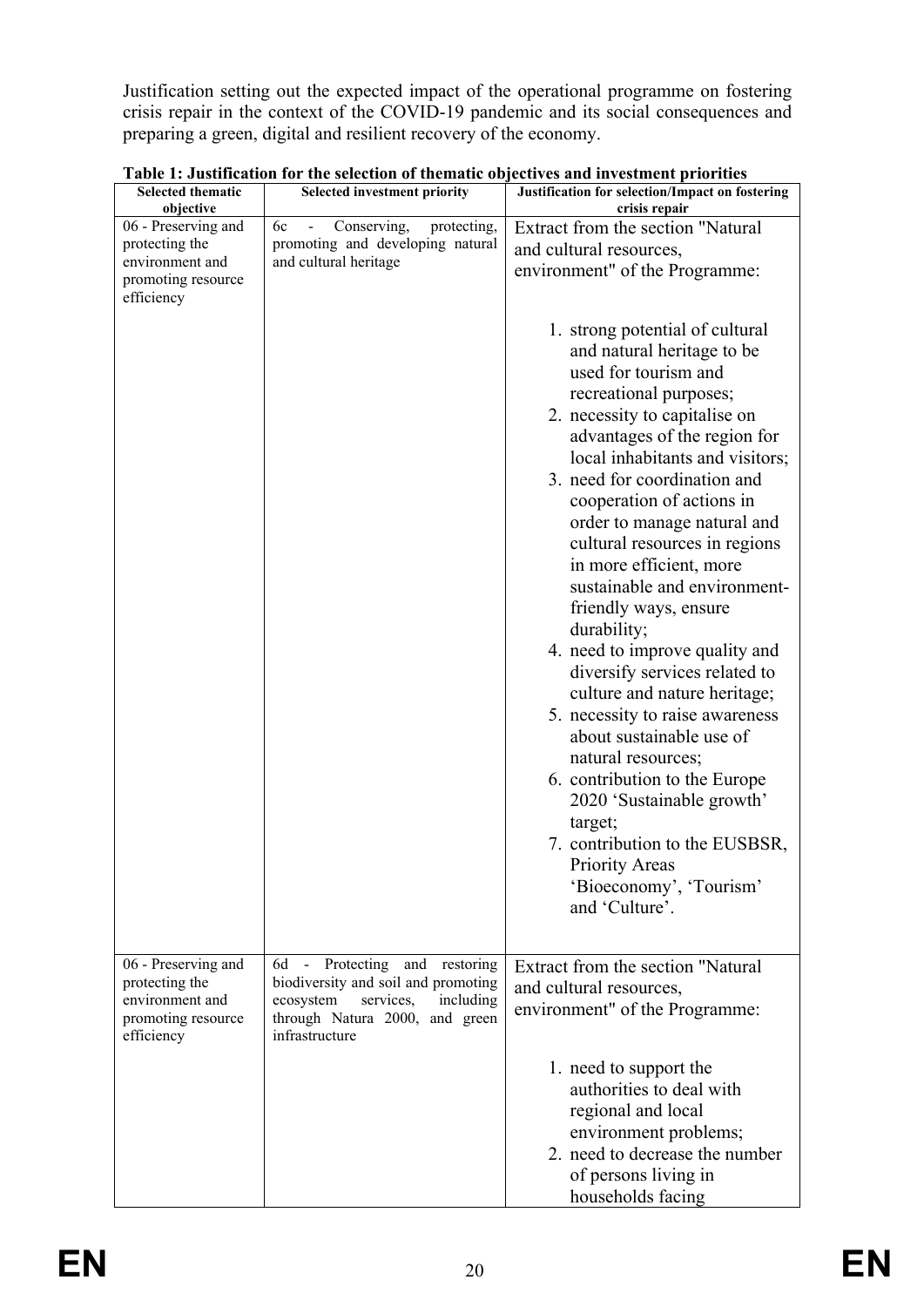Justification setting out the expected impact of the operational programme on fostering crisis repair in the context of the COVID-19 pandemic and its social consequences and preparing a green, digital and resilient recovery of the economy.

| <b>Selected thematic</b><br>objective                                                        | <b>Selected investment priority</b>                                                                                                                                   | Justification for selection/Impact on fostering<br>crisis repair                                                                                                                                                                                                                                                                                                                                                                                                                                                                                                                                                                                                                                                                                                                                                             |
|----------------------------------------------------------------------------------------------|-----------------------------------------------------------------------------------------------------------------------------------------------------------------------|------------------------------------------------------------------------------------------------------------------------------------------------------------------------------------------------------------------------------------------------------------------------------------------------------------------------------------------------------------------------------------------------------------------------------------------------------------------------------------------------------------------------------------------------------------------------------------------------------------------------------------------------------------------------------------------------------------------------------------------------------------------------------------------------------------------------------|
| 06 - Preserving and<br>protecting the                                                        | 6c<br>Conserving,<br>protecting,<br>promoting and developing natural                                                                                                  | Extract from the section "Natural"                                                                                                                                                                                                                                                                                                                                                                                                                                                                                                                                                                                                                                                                                                                                                                                           |
| environment and                                                                              | and cultural heritage                                                                                                                                                 | and cultural resources,                                                                                                                                                                                                                                                                                                                                                                                                                                                                                                                                                                                                                                                                                                                                                                                                      |
| promoting resource<br>efficiency                                                             |                                                                                                                                                                       | environment" of the Programme:                                                                                                                                                                                                                                                                                                                                                                                                                                                                                                                                                                                                                                                                                                                                                                                               |
|                                                                                              |                                                                                                                                                                       | 1. strong potential of cultural<br>and natural heritage to be<br>used for tourism and<br>recreational purposes;<br>2. necessity to capitalise on<br>advantages of the region for<br>local inhabitants and visitors;<br>3. need for coordination and<br>cooperation of actions in<br>order to manage natural and<br>cultural resources in regions<br>in more efficient, more<br>sustainable and environment-<br>friendly ways, ensure<br>durability;<br>4. need to improve quality and<br>diversify services related to<br>culture and nature heritage;<br>5. necessity to raise awareness<br>about sustainable use of<br>natural resources;<br>6. contribution to the Europe<br>2020 'Sustainable growth'<br>target;<br>7. contribution to the EUSBSR,<br><b>Priority Areas</b><br>'Bioeconomy', 'Tourism'<br>and 'Culture'. |
| 06 - Preserving and<br>protecting the<br>environment and<br>promoting resource<br>efficiency | Protecting<br>and restoring<br>6d -<br>biodiversity and soil and promoting<br>ecosystem<br>services,<br>including<br>through Natura 2000, and green<br>infrastructure | Extract from the section "Natural<br>and cultural resources,<br>environment" of the Programme:<br>1. need to support the<br>authorities to deal with<br>regional and local                                                                                                                                                                                                                                                                                                                                                                                                                                                                                                                                                                                                                                                   |
|                                                                                              |                                                                                                                                                                       | environment problems;                                                                                                                                                                                                                                                                                                                                                                                                                                                                                                                                                                                                                                                                                                                                                                                                        |
|                                                                                              |                                                                                                                                                                       | 2. need to decrease the number                                                                                                                                                                                                                                                                                                                                                                                                                                                                                                                                                                                                                                                                                                                                                                                               |
|                                                                                              |                                                                                                                                                                       | of persons living in                                                                                                                                                                                                                                                                                                                                                                                                                                                                                                                                                                                                                                                                                                                                                                                                         |
|                                                                                              |                                                                                                                                                                       | households facing                                                                                                                                                                                                                                                                                                                                                                                                                                                                                                                                                                                                                                                                                                                                                                                                            |

**Table 1: Justification for the selection of thematic objectives and investment priorities**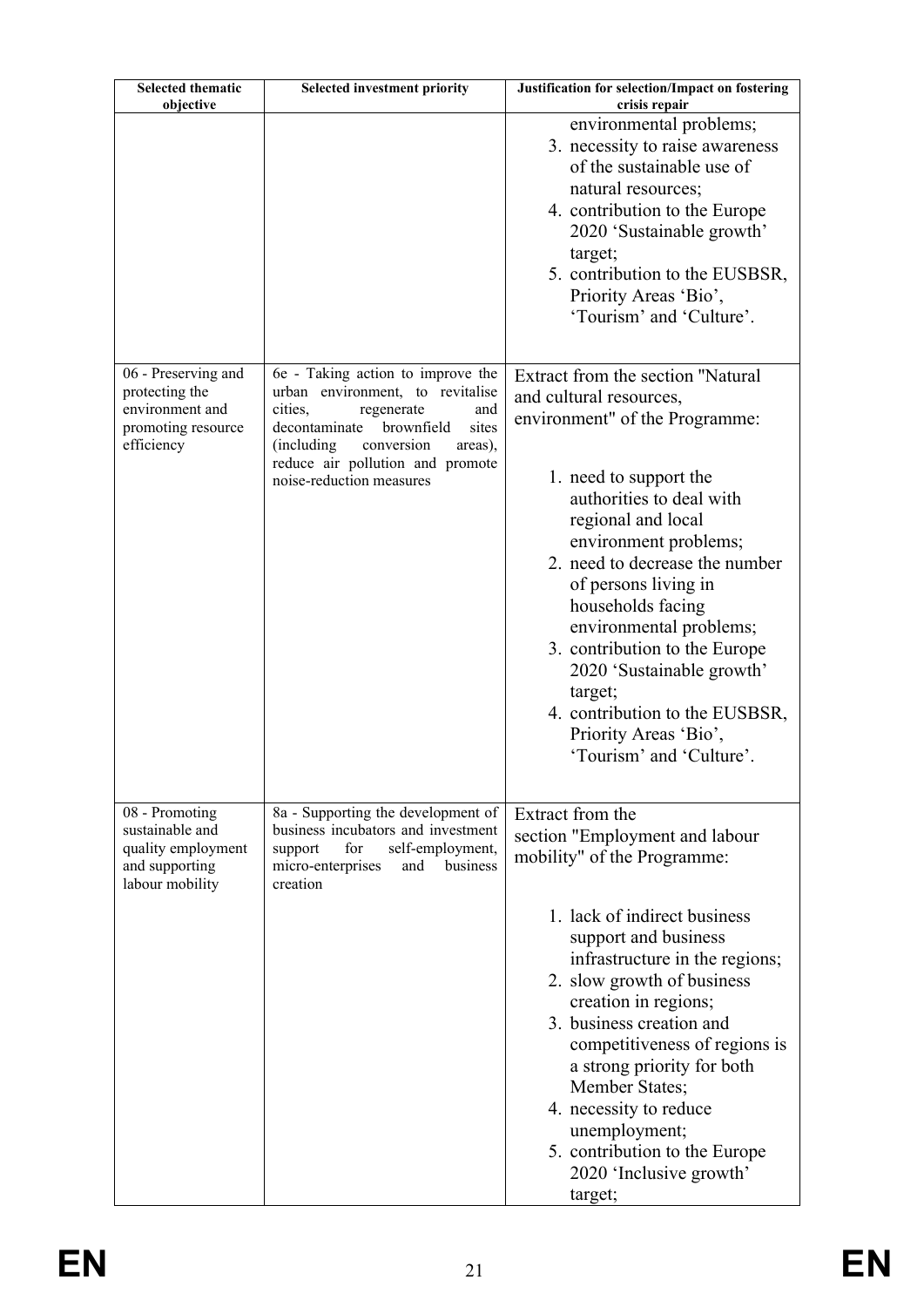| <b>Selected thematic</b><br>objective | <b>Selected investment priority</b>                                          | Justification for selection/Impact on fostering<br>crisis repair |
|---------------------------------------|------------------------------------------------------------------------------|------------------------------------------------------------------|
|                                       |                                                                              | environmental problems;                                          |
|                                       |                                                                              | 3. necessity to raise awareness                                  |
|                                       |                                                                              | of the sustainable use of                                        |
|                                       |                                                                              | natural resources;                                               |
|                                       |                                                                              | 4. contribution to the Europe                                    |
|                                       |                                                                              | 2020 'Sustainable growth'                                        |
|                                       |                                                                              | target;<br>5. contribution to the EUSBSR,                        |
|                                       |                                                                              | Priority Areas 'Bio',                                            |
|                                       |                                                                              | 'Tourism' and 'Culture'.                                         |
|                                       |                                                                              |                                                                  |
| 06 - Preserving and                   | 6e - Taking action to improve the                                            | Extract from the section "Natural                                |
| protecting the<br>environment and     | urban environment, to revitalise<br>cities,<br>regenerate<br>and             | and cultural resources,                                          |
| promoting resource<br>efficiency      | decontaminate<br>brownfield<br>sites<br>(including)<br>conversion<br>areas), | environment" of the Programme:                                   |
|                                       | reduce air pollution and promote<br>noise-reduction measures                 | 1. need to support the                                           |
|                                       |                                                                              | authorities to deal with                                         |
|                                       |                                                                              | regional and local                                               |
|                                       |                                                                              | environment problems;                                            |
|                                       |                                                                              | 2. need to decrease the number                                   |
|                                       |                                                                              | of persons living in<br>households facing                        |
|                                       |                                                                              | environmental problems;                                          |
|                                       |                                                                              | 3. contribution to the Europe                                    |
|                                       |                                                                              | 2020 'Sustainable growth'                                        |
|                                       |                                                                              | target;                                                          |
|                                       |                                                                              | 4. contribution to the EUSBSR,                                   |
|                                       |                                                                              | Priority Areas 'Bio',<br>'Tourism' and 'Culture'.                |
|                                       |                                                                              |                                                                  |
| 08 - Promoting                        | 8a - Supporting the development of                                           | Extract from the                                                 |
| sustainable and<br>quality employment | business incubators and investment<br>for<br>self-employment,<br>support     | section "Employment and labour                                   |
| and supporting                        | business<br>micro-enterprises<br>and                                         | mobility" of the Programme:                                      |
| labour mobility                       | creation                                                                     |                                                                  |
|                                       |                                                                              | 1. lack of indirect business                                     |
|                                       |                                                                              | support and business                                             |
|                                       |                                                                              | infrastructure in the regions;                                   |
|                                       |                                                                              | 2. slow growth of business<br>creation in regions;               |
|                                       |                                                                              | 3. business creation and                                         |
|                                       |                                                                              | competitiveness of regions is                                    |
|                                       |                                                                              | a strong priority for both                                       |
|                                       |                                                                              | Member States;                                                   |
|                                       |                                                                              | 4. necessity to reduce                                           |
|                                       |                                                                              | unemployment;<br>5. contribution to the Europe                   |
|                                       |                                                                              | 2020 'Inclusive growth'                                          |
|                                       |                                                                              | target;                                                          |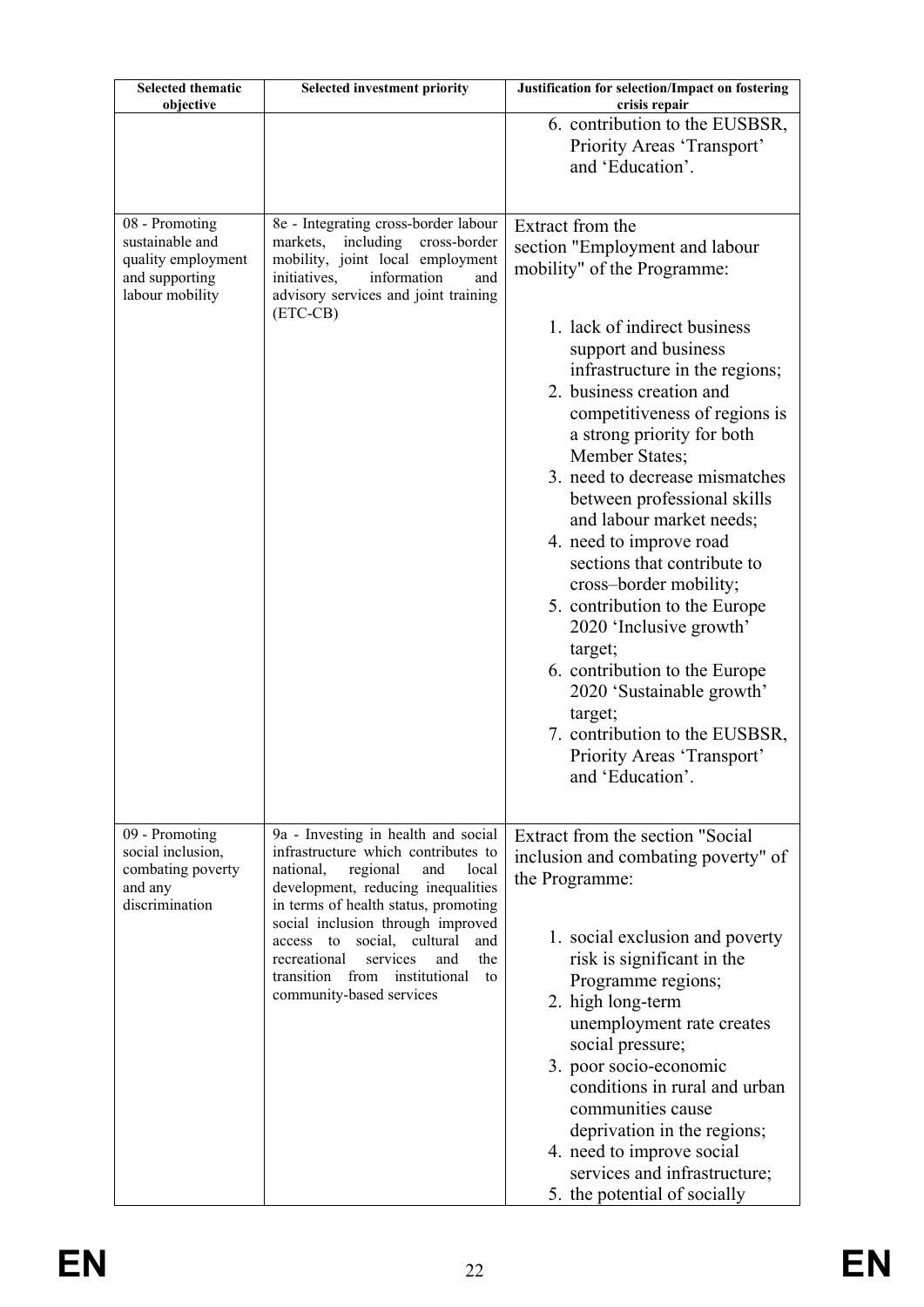| <b>Selected thematic</b><br>objective                                                        | Selected investment priority                                                                                                                                                                                                                                                                                                                                                                | Justification for selection/Impact on fostering<br>crisis repair                                                                                                                                                                                                                                                                                                                                                                                                                                                                                                                                                                                                                                              |
|----------------------------------------------------------------------------------------------|---------------------------------------------------------------------------------------------------------------------------------------------------------------------------------------------------------------------------------------------------------------------------------------------------------------------------------------------------------------------------------------------|---------------------------------------------------------------------------------------------------------------------------------------------------------------------------------------------------------------------------------------------------------------------------------------------------------------------------------------------------------------------------------------------------------------------------------------------------------------------------------------------------------------------------------------------------------------------------------------------------------------------------------------------------------------------------------------------------------------|
|                                                                                              |                                                                                                                                                                                                                                                                                                                                                                                             | 6. contribution to the EUSBSR,<br>Priority Areas 'Transport'<br>and 'Education'.                                                                                                                                                                                                                                                                                                                                                                                                                                                                                                                                                                                                                              |
| 08 - Promoting<br>sustainable and<br>quality employment<br>and supporting<br>labour mobility | 8e - Integrating cross-border labour<br>including<br>markets,<br>cross-border<br>mobility, joint local employment<br>information<br>initiatives,<br>and<br>advisory services and joint training<br>$(ETC-CB)$                                                                                                                                                                               | Extract from the<br>section "Employment and labour<br>mobility" of the Programme:<br>1. lack of indirect business<br>support and business<br>infrastructure in the regions;<br>2. business creation and<br>competitiveness of regions is<br>a strong priority for both<br>Member States;<br>3. need to decrease mismatches<br>between professional skills<br>and labour market needs;<br>4. need to improve road<br>sections that contribute to<br>cross-border mobility;<br>5. contribution to the Europe<br>2020 'Inclusive growth'<br>target;<br>6. contribution to the Europe<br>2020 'Sustainable growth'<br>target;<br>7. contribution to the EUSBSR,<br>Priority Areas 'Transport'<br>and 'Education'. |
| 09 - Promoting<br>social inclusion,<br>combating poverty<br>and any<br>discrimination        | 9a - Investing in health and social<br>infrastructure which contributes to<br>regional<br>national,<br>and<br>local<br>development, reducing inequalities<br>in terms of health status, promoting<br>social inclusion through improved<br>social, cultural<br>access to<br>and<br>recreational<br>and<br>the<br>services<br>transition from institutional<br>to<br>community-based services | Extract from the section "Social<br>inclusion and combating poverty" of<br>the Programme:<br>1. social exclusion and poverty<br>risk is significant in the<br>Programme regions;<br>2. high long-term<br>unemployment rate creates<br>social pressure;<br>3. poor socio-economic<br>conditions in rural and urban<br>communities cause<br>deprivation in the regions;<br>4. need to improve social<br>services and infrastructure;<br>5. the potential of socially                                                                                                                                                                                                                                            |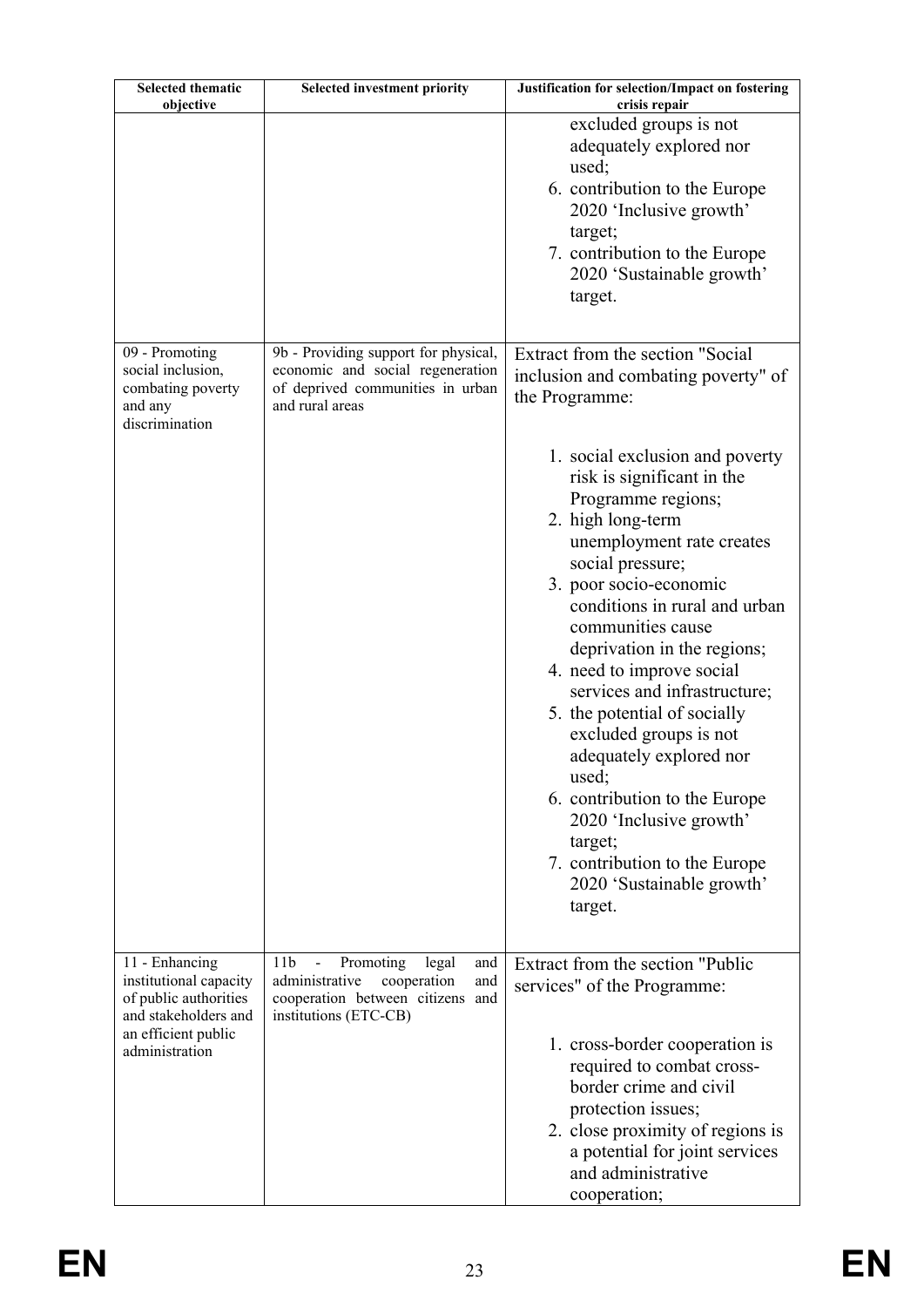| <b>Selected thematic</b><br>objective                                                                                              | <b>Selected investment priority</b>                                                                                                   | Justification for selection/Impact on fostering<br>crisis repair                                                                                                                                                                                                                                                                                                                                                                                                                                                                                                                    |
|------------------------------------------------------------------------------------------------------------------------------------|---------------------------------------------------------------------------------------------------------------------------------------|-------------------------------------------------------------------------------------------------------------------------------------------------------------------------------------------------------------------------------------------------------------------------------------------------------------------------------------------------------------------------------------------------------------------------------------------------------------------------------------------------------------------------------------------------------------------------------------|
|                                                                                                                                    |                                                                                                                                       | excluded groups is not<br>adequately explored nor<br>used;<br>6. contribution to the Europe<br>2020 'Inclusive growth'<br>target;<br>7. contribution to the Europe<br>2020 'Sustainable growth'<br>target.                                                                                                                                                                                                                                                                                                                                                                          |
| 09 - Promoting<br>social inclusion,<br>combating poverty<br>and any<br>discrimination                                              | 9b - Providing support for physical,<br>economic and social regeneration<br>of deprived communities in urban<br>and rural areas       | Extract from the section "Social<br>inclusion and combating poverty" of<br>the Programme:                                                                                                                                                                                                                                                                                                                                                                                                                                                                                           |
|                                                                                                                                    |                                                                                                                                       | 1. social exclusion and poverty<br>risk is significant in the<br>Programme regions;<br>2. high long-term<br>unemployment rate creates<br>social pressure;<br>3. poor socio-economic<br>conditions in rural and urban<br>communities cause<br>deprivation in the regions;<br>4. need to improve social<br>services and infrastructure;<br>5. the potential of socially<br>excluded groups is not<br>adequately explored nor<br>used;<br>6. contribution to the Europe<br>2020 'Inclusive growth'<br>target;<br>7. contribution to the Europe<br>2020 'Sustainable growth'<br>target. |
| 11 - Enhancing<br>institutional capacity<br>of public authorities<br>and stakeholders and<br>an efficient public<br>administration | Promoting<br>11b<br>legal<br>and<br>administrative<br>cooperation<br>and<br>cooperation between citizens and<br>institutions (ETC-CB) | Extract from the section "Public"<br>services" of the Programme:<br>1. cross-border cooperation is<br>required to combat cross-<br>border crime and civil<br>protection issues;<br>2. close proximity of regions is<br>a potential for joint services<br>and administrative<br>cooperation;                                                                                                                                                                                                                                                                                         |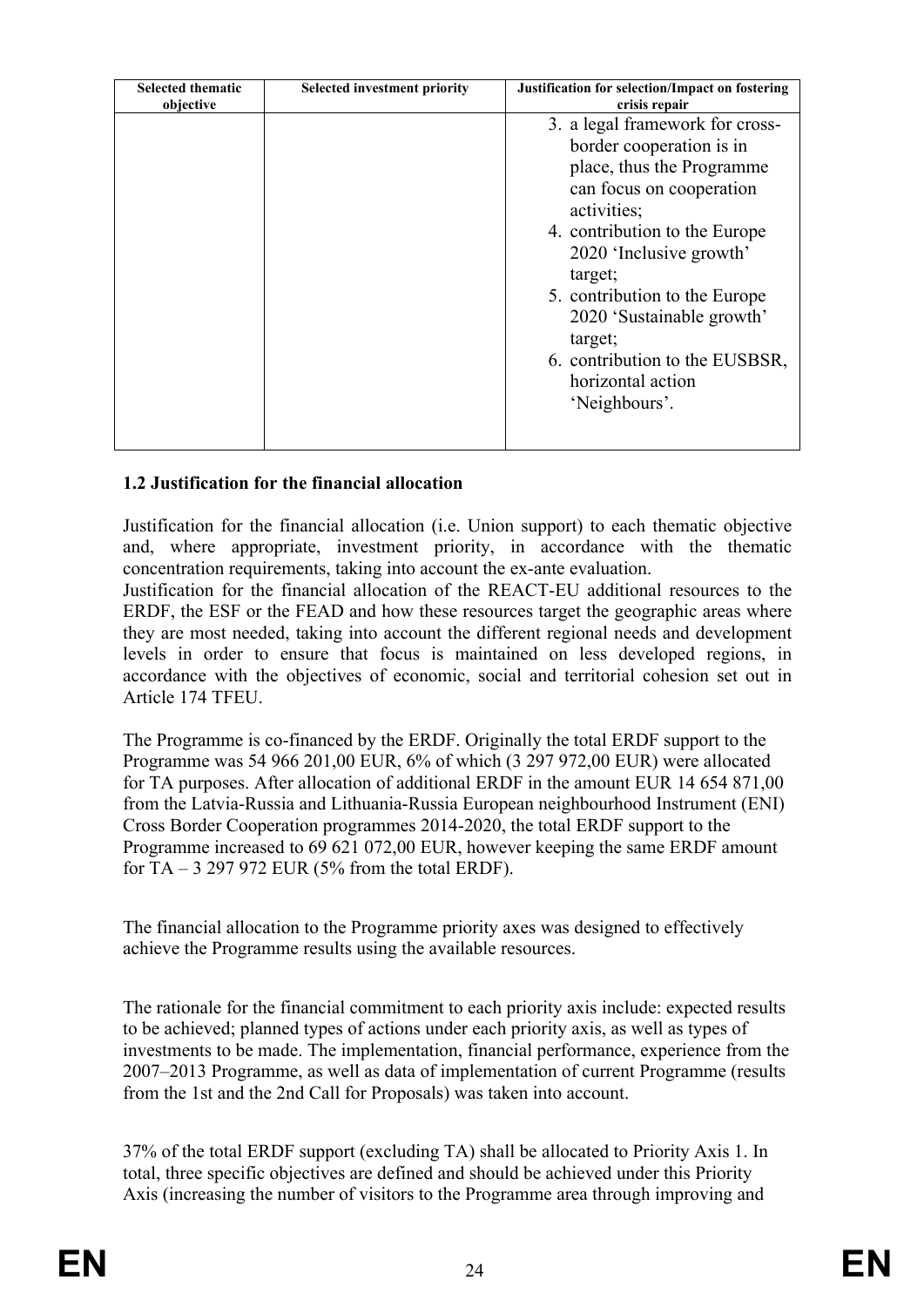| <b>Selected thematic</b><br>objective | <b>Selected investment priority</b> | Justification for selection/Impact on fostering<br>crisis repair |
|---------------------------------------|-------------------------------------|------------------------------------------------------------------|
|                                       |                                     | 3. a legal framework for cross-                                  |
|                                       |                                     | border cooperation is in                                         |
|                                       |                                     | place, thus the Programme                                        |
|                                       |                                     | can focus on cooperation                                         |
|                                       |                                     | activities;                                                      |
|                                       |                                     | 4. contribution to the Europe                                    |
|                                       |                                     | 2020 'Inclusive growth'                                          |
|                                       |                                     | target;                                                          |
|                                       |                                     | 5. contribution to the Europe                                    |
|                                       |                                     | 2020 'Sustainable growth'                                        |
|                                       |                                     | target;                                                          |
|                                       |                                     | 6. contribution to the EUSBSR,                                   |
|                                       |                                     | horizontal action                                                |
|                                       |                                     | 'Neighbours'.                                                    |
|                                       |                                     |                                                                  |
|                                       |                                     |                                                                  |

### <span id="page-23-0"></span>**1.2 Justification for the financial allocation**

Justification for the financial allocation (i.e. Union support) to each thematic objective and, where appropriate, investment priority, in accordance with the thematic concentration requirements, taking into account the ex-ante evaluation.

Justification for the financial allocation of the REACT-EU additional resources to the ERDF, the ESF or the FEAD and how these resources target the geographic areas where they are most needed, taking into account the different regional needs and development levels in order to ensure that focus is maintained on less developed regions, in accordance with the objectives of economic, social and territorial cohesion set out in Article 174 TFEU.

The Programme is co-financed by the ERDF. Originally the total ERDF support to the Programme was 54 966 201,00 EUR, 6% of which (3 297 972,00 EUR) were allocated for TA purposes. After allocation of additional ERDF in the amount EUR 14 654 871,00 from the Latvia-Russia and Lithuania-Russia European neighbourhood Instrument (ENI) Cross Border Cooperation programmes 2014-2020, the total ERDF support to the Programme increased to 69 621 072,00 EUR, however keeping the same ERDF amount for  $TA - 3$  297 972 EUR (5% from the total ERDF).

The financial allocation to the Programme priority axes was designed to effectively achieve the Programme results using the available resources.

The rationale for the financial commitment to each priority axis include: expected results to be achieved; planned types of actions under each priority axis, as well as types of investments to be made. The implementation, financial performance, experience from the 2007–2013 Programme, as well as data of implementation of current Programme (results from the 1st and the 2nd Call for Proposals) was taken into account.

37% of the total ERDF support (excluding TA) shall be allocated to Priority Axis 1. In total, three specific objectives are defined and should be achieved under this Priority Axis (increasing the number of visitors to the Programme area through improving and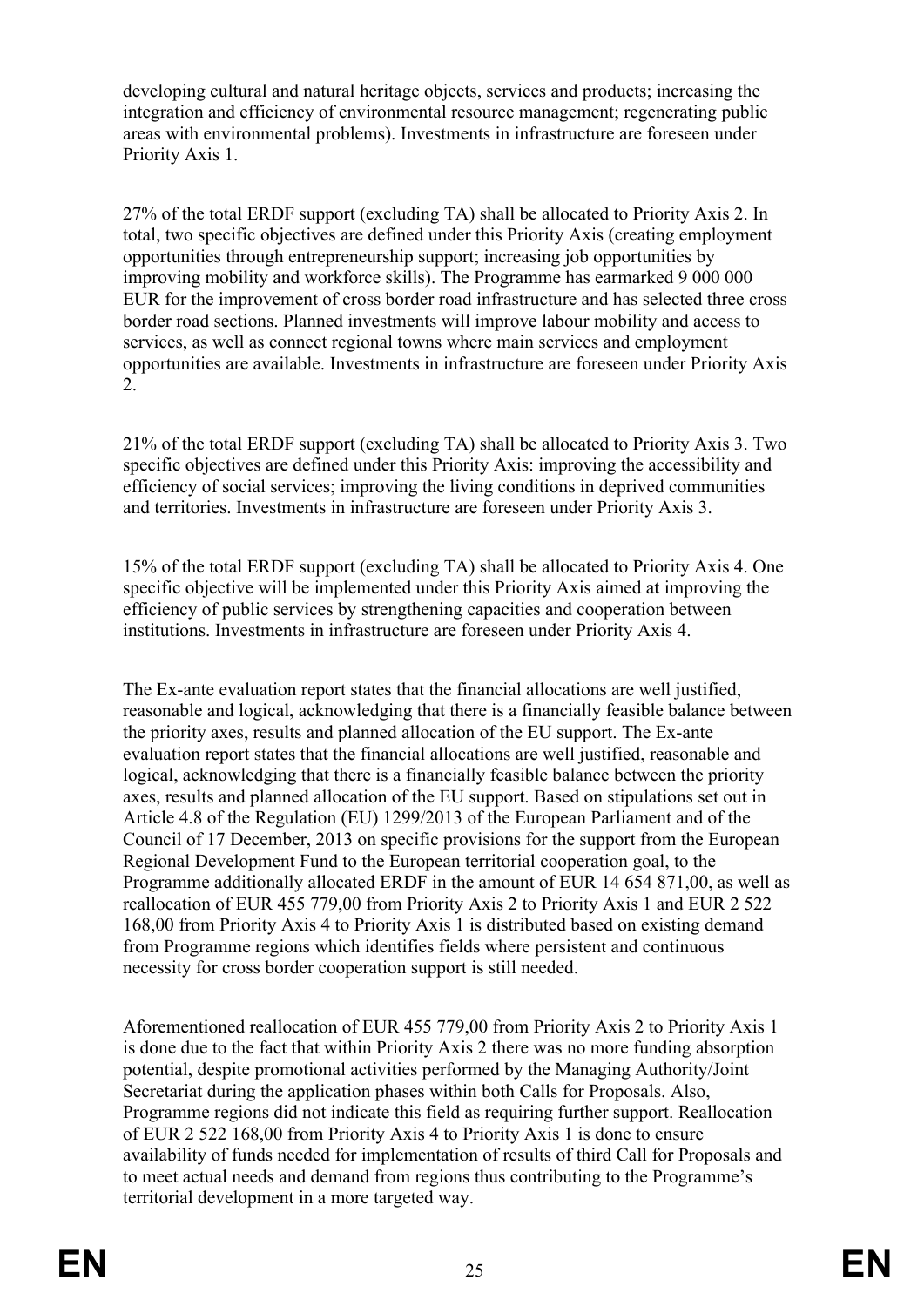developing cultural and natural heritage objects, services and products; increasing the integration and efficiency of environmental resource management; regenerating public areas with environmental problems). Investments in infrastructure are foreseen under Priority Axis 1.

27% of the total ERDF support (excluding TA) shall be allocated to Priority Axis 2. In total, two specific objectives are defined under this Priority Axis (creating employment opportunities through entrepreneurship support; increasing job opportunities by improving mobility and workforce skills). The Programme has earmarked 9 000 000 EUR for the improvement of cross border road infrastructure and has selected three cross border road sections. Planned investments will improve labour mobility and access to services, as well as connect regional towns where main services and employment opportunities are available. Investments in infrastructure are foreseen under Priority Axis 2.

21% of the total ERDF support (excluding TA) shall be allocated to Priority Axis 3. Two specific objectives are defined under this Priority Axis: improving the accessibility and efficiency of social services; improving the living conditions in deprived communities and territories. Investments in infrastructure are foreseen under Priority Axis 3.

15% of the total ERDF support (excluding TA) shall be allocated to Priority Axis 4. One specific objective will be implemented under this Priority Axis aimed at improving the efficiency of public services by strengthening capacities and cooperation between institutions. Investments in infrastructure are foreseen under Priority Axis 4.

The Ex-ante evaluation report states that the financial allocations are well justified, reasonable and logical, acknowledging that there is a financially feasible balance between the priority axes, results and planned allocation of the EU support. The Ex-ante evaluation report states that the financial allocations are well justified, reasonable and logical, acknowledging that there is a financially feasible balance between the priority axes, results and planned allocation of the EU support. Based on stipulations set out in Article 4.8 of the Regulation (EU) 1299/2013 of the European Parliament and of the Council of 17 December, 2013 on specific provisions for the support from the European Regional Development Fund to the European territorial cooperation goal, to the Programme additionally allocated ERDF in the amount of EUR 14 654 871,00, as well as reallocation of EUR 455 779,00 from Priority Axis 2 to Priority Axis 1 and EUR 2 522 168,00 from Priority Axis 4 to Priority Axis 1 is distributed based on existing demand from Programme regions which identifies fields where persistent and continuous necessity for cross border cooperation support is still needed.

Aforementioned reallocation of EUR 455 779,00 from Priority Axis 2 to Priority Axis 1 is done due to the fact that within Priority Axis 2 there was no more funding absorption potential, despite promotional activities performed by the Managing Authority/Joint Secretariat during the application phases within both Calls for Proposals. Also, Programme regions did not indicate this field as requiring further support. Reallocation of EUR 2 522 168,00 from Priority Axis 4 to Priority Axis 1 is done to ensure availability of funds needed for implementation of results of third Call for Proposals and to meet actual needs and demand from regions thus contributing to the Programme's territorial development in a more targeted way.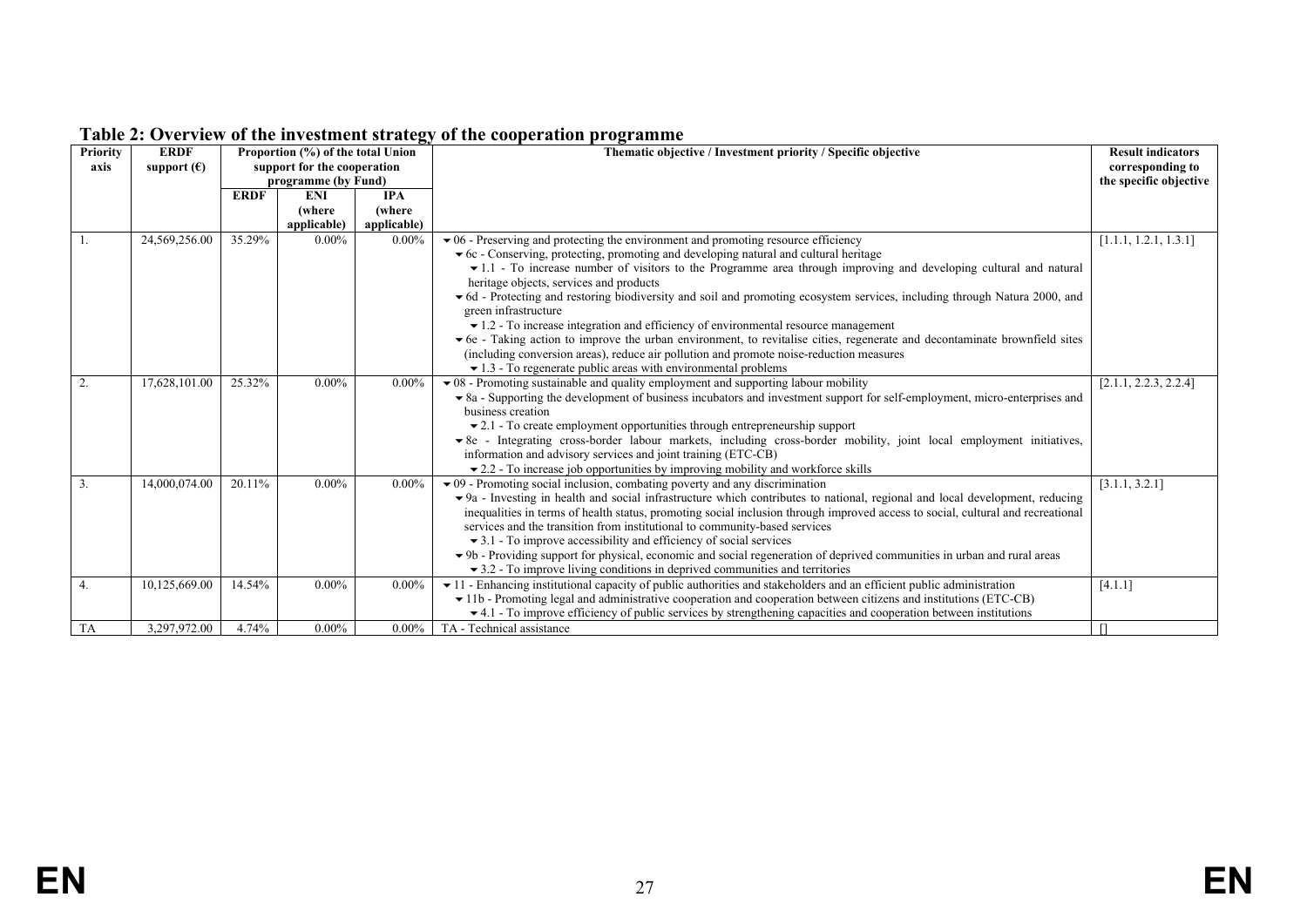| <b>Priority</b> | <b>ERDF</b>          |                             | Proportion (%) of the total Union |                | Thematic objective / Investment priority / Specific objective                                                                                                                                                         | <b>Result indicators</b> |
|-----------------|----------------------|-----------------------------|-----------------------------------|----------------|-----------------------------------------------------------------------------------------------------------------------------------------------------------------------------------------------------------------------|--------------------------|
| axis            | support $(\epsilon)$ | support for the cooperation |                                   |                |                                                                                                                                                                                                                       | corresponding to         |
|                 |                      |                             | programme (by Fund)               |                |                                                                                                                                                                                                                       | the specific objective   |
|                 |                      | <b>ERDF</b>                 | ENI                               | <b>IPA</b>     |                                                                                                                                                                                                                       |                          |
|                 |                      |                             | <i>(where)</i>                    | <i>(where)</i> |                                                                                                                                                                                                                       |                          |
|                 |                      |                             | applicable)                       | applicable)    |                                                                                                                                                                                                                       |                          |
|                 | 24,569,256.00        | 35.29%                      | $0.00\%$                          | $0.00\%$       | $\bullet$ 06 - Preserving and protecting the environment and promoting resource efficiency                                                                                                                            | [1.1.1, 1.2.1, 1.3.1]    |
|                 |                      |                             |                                   |                | ▼ 6c - Conserving, protecting, promoting and developing natural and cultural heritage<br>$\bullet$ 1.1 - To increase number of visitors to the Programme area through improving and developing cultural and natural   |                          |
|                 |                      |                             |                                   |                | heritage objects, services and products                                                                                                                                                                               |                          |
|                 |                      |                             |                                   |                | ▼ 6d - Protecting and restoring biodiversity and soil and promoting ecosystem services, including through Natura 2000, and                                                                                            |                          |
|                 |                      |                             |                                   |                | green infrastructure                                                                                                                                                                                                  |                          |
|                 |                      |                             |                                   |                | $\bullet$ 1.2 - To increase integration and efficiency of environmental resource management                                                                                                                           |                          |
|                 |                      |                             |                                   |                | ▼ 6e - Taking action to improve the urban environment, to revitalise cities, regenerate and decontaminate brownfield sites                                                                                            |                          |
|                 |                      |                             |                                   |                | (including conversion areas), reduce air pollution and promote noise-reduction measures                                                                                                                               |                          |
|                 |                      |                             |                                   |                | $\blacktriangleright$ 1.3 - To regenerate public areas with environmental problems                                                                                                                                    |                          |
| 2.              | 17,628,101.00        | 25.32%                      | $0.00\%$                          | $0.00\%$       | $\blacktriangleright$ 08 - Promoting sustainable and quality employment and supporting labour mobility                                                                                                                | [2.1.1, 2.2.3, 2.2.4]    |
|                 |                      |                             |                                   |                | • 8a - Supporting the development of business incubators and investment support for self-employment, micro-enterprises and                                                                                            |                          |
|                 |                      |                             |                                   |                | business creation                                                                                                                                                                                                     |                          |
|                 |                      |                             |                                   |                | $\blacktriangleright$ 2.1 - To create employment opportunities through entrepreneurship support                                                                                                                       |                          |
|                 |                      |                             |                                   |                | • 8e - Integrating cross-border labour markets, including cross-border mobility, joint local employment initiatives,                                                                                                  |                          |
|                 |                      |                             |                                   |                | information and advisory services and joint training (ETC-CB)                                                                                                                                                         |                          |
|                 |                      |                             |                                   |                | $\blacktriangleright$ 2.2 - To increase job opportunities by improving mobility and workforce skills                                                                                                                  |                          |
| 3.              | 14,000,074.00        | 20.11%                      | $0.00\%$                          | $0.00\%$       | $\blacktriangleright$ 09 - Promoting social inclusion, combating poverty and any discrimination                                                                                                                       | [3.1.1, 3.2.1]           |
|                 |                      |                             |                                   |                | ▼ 9a - Investing in health and social infrastructure which contributes to national, regional and local development, reducing                                                                                          |                          |
|                 |                      |                             |                                   |                | inequalities in terms of health status, promoting social inclusion through improved access to social, cultural and recreational                                                                                       |                          |
|                 |                      |                             |                                   |                | services and the transition from institutional to community-based services                                                                                                                                            |                          |
|                 |                      |                             |                                   |                | $\bullet$ 3.1 - To improve accessibility and efficiency of social services                                                                                                                                            |                          |
|                 |                      |                             |                                   |                | • 9b - Providing support for physical, economic and social regeneration of deprived communities in urban and rural areas                                                                                              |                          |
|                 | 10,125,669.00        | 14.54%                      | $0.00\%$                          |                | $\bullet$ 3.2 - To improve living conditions in deprived communities and territories<br>$\bullet$ 11 - Enhancing institutional capacity of public authorities and stakeholders and an efficient public administration |                          |
| 4.              |                      |                             |                                   | $0.00\%$       | • 11b - Promoting legal and administrative cooperation and cooperation between citizens and institutions (ETC-CB)                                                                                                     | [4.1.1]                  |
|                 |                      |                             |                                   |                | $\blacktriangleright$ 4.1 - To improve efficiency of public services by strengthening capacities and cooperation between institutions                                                                                 |                          |
| TA              | 3,297,972.00         | 4.74%                       | $0.00\%$                          | $0.00\%$       | TA - Technical assistance                                                                                                                                                                                             |                          |
|                 |                      |                             |                                   |                |                                                                                                                                                                                                                       |                          |

#### **Table 2: Overview of the investment strategy of the cooperation programme**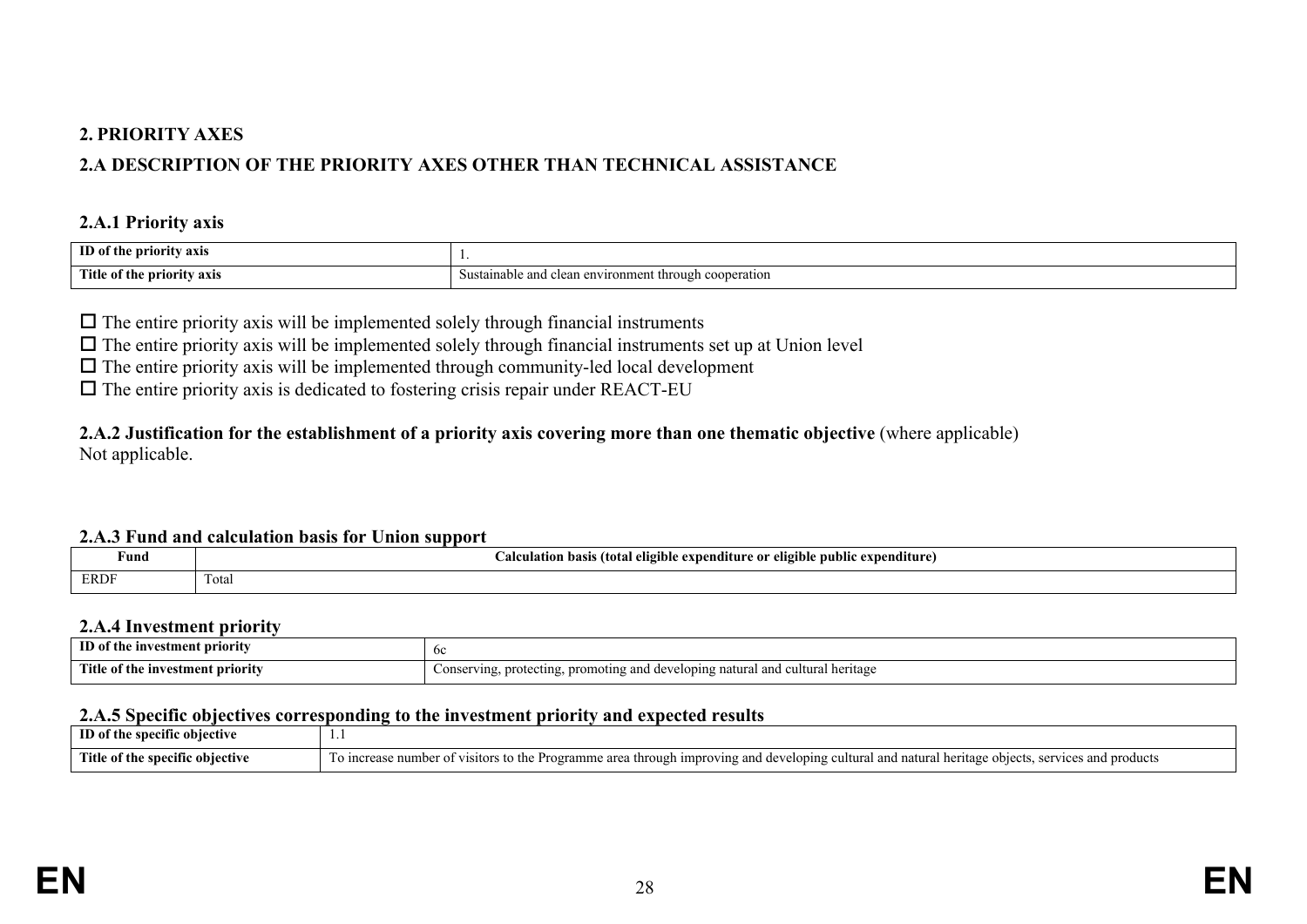### **2. PRIORITY AXES**

# **2.A DESCRIPTION OF THE PRIORITY AXES OTHER THAN TECHNICAL ASSISTANCE**

#### **2.A.1 Priority axis**

| m<br>: priority axis<br>τn      |                                                                                              |
|---------------------------------|----------------------------------------------------------------------------------------------|
| Title of the<br>e priority axis | * thro.<br>nvironment<br>cooperation<br>able<br>clean<br>anc,<br>$\mathbf{m}$<br>Sus.<br>. . |

 $\Box$  The entire priority axis will be implemented solely through financial instruments

 $\Box$  The entire priority axis will be implemented solely through financial instruments set up at Union level

 $\Box$  The entire priority axis will be implemented through community-led local development

 $\Box$  The entire priority axis is dedicated to fostering crisis repair under REACT-EU

#### **2.A.2 Justification for the establishment of a priority axis covering more than one thematic objective** (where applicable) Not applicable.

#### <span id="page-27-1"></span><span id="page-27-0"></span>**2.A.3 Fund and calculation basis for Union support**

| Fund        | - -<br>--<br>isis (total<br>e expenditure or eligible public expenditure<br>ation basis<br>eligible<br>alc |
|-------------|------------------------------------------------------------------------------------------------------------|
| <b>ERDF</b> | --<br>' ota.                                                                                               |

#### <span id="page-27-2"></span>**2.A.4 Investment priority**

| <b>ID</b><br>⊸tme∽<br>10r11<br>01       | v                                                                                               |
|-----------------------------------------|-------------------------------------------------------------------------------------------------|
| Title<br>.stment<br>mv<br>** priority = | heritag<br>omoting and<br>opins<br>culti<br>onserving_<br>ectin<br>ano<br>natur<br>7 V C I VI I |

#### **2.A.5 Specific objectives corresponding to the investment priority and expected results**

<span id="page-27-6"></span><span id="page-27-5"></span><span id="page-27-4"></span><span id="page-27-3"></span>

| ID of<br>objective<br>cıtıc                | .                                                                                                                                                                                     |
|--------------------------------------------|---------------------------------------------------------------------------------------------------------------------------------------------------------------------------------------|
| Title<br>of the sne. '<br>ecific obiective | : cultur<br>, products<br><b>Progr</b><br>and developing<br>anc<br>mumbe<br>ി<br>. heritag<br>servic.<br>natu<br>ramme area<br>. through<br>'S TO<br>hie,<br>71 n o<br>nprov<br>- ine |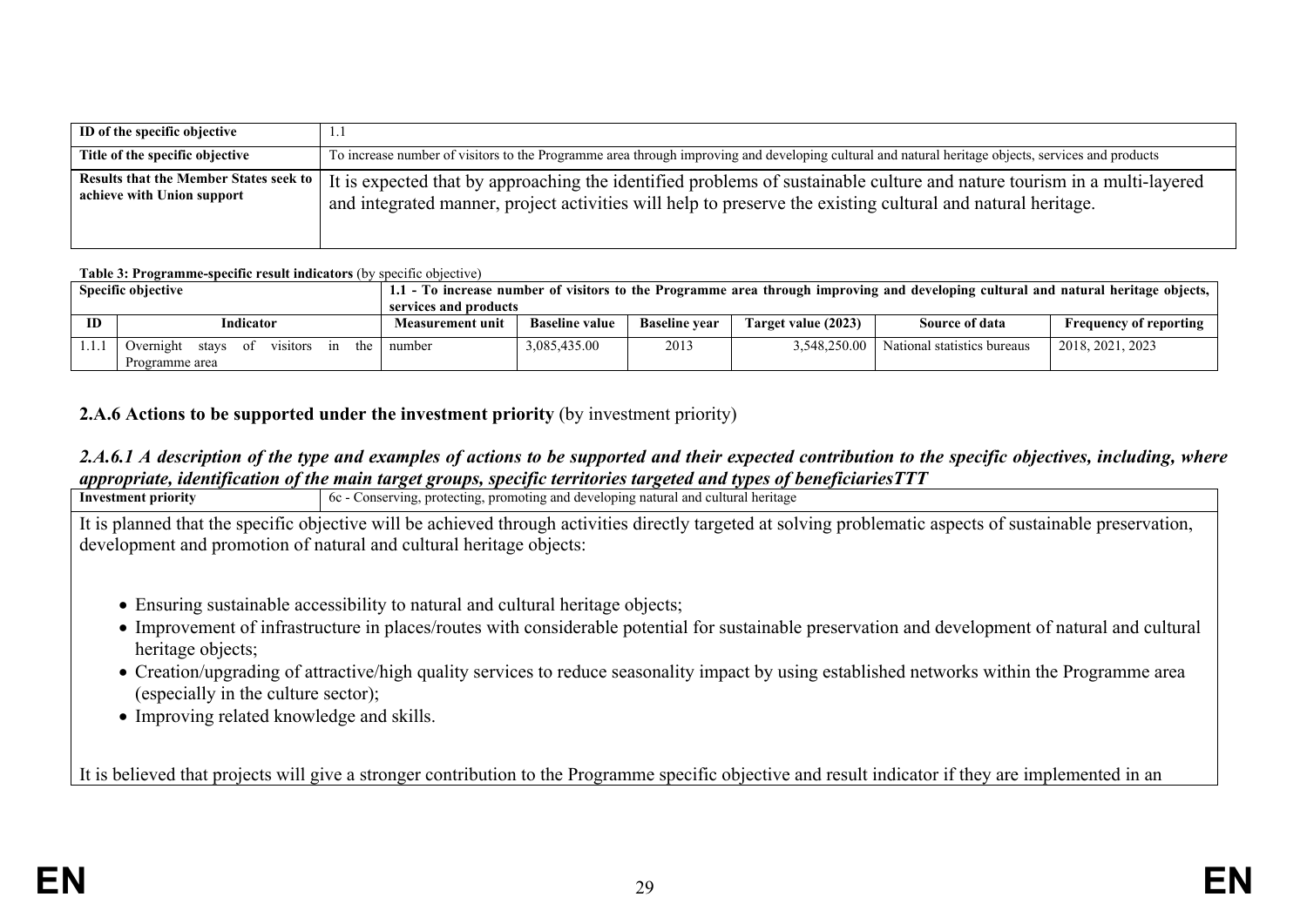| ID of the specific objective                                                | .                                                                                                                                                                                                                                      |
|-----------------------------------------------------------------------------|----------------------------------------------------------------------------------------------------------------------------------------------------------------------------------------------------------------------------------------|
| Title of the specific objective                                             | To increase number of visitors to the Programme area through improving and developing cultural and natural heritage objects, services and products                                                                                     |
| <b>Results that the Member States seek to</b><br>achieve with Union support | It is expected that by approaching the identified problems of sustainable culture and nature tourism in a multi-layered<br>and integrated manner, project activities will help to preserve the existing cultural and natural heritage. |

#### **Table 3: Programme-specific result indicators** (by specific objective)

|    | <b>Specific objective</b>                                                       | services and products   |                       |                      |                     | 1.1 - To increase number of visitors to the Programme area through improving and developing cultural and natural heritage objects, |                               |
|----|---------------------------------------------------------------------------------|-------------------------|-----------------------|----------------------|---------------------|------------------------------------------------------------------------------------------------------------------------------------|-------------------------------|
| ID | Indicator                                                                       | <b>Measurement unit</b> | <b>Baseline value</b> | <b>Baseline vear</b> | Target value (2023) | Source of data                                                                                                                     | <b>Frequency of reporting</b> |
|    | visitors<br>the<br>stays<br>1n<br>Overnight<br>- of<br>number<br>Programme area |                         | 3,085,435.00          | 2013                 | 3.548.250.00        | National statistics bureaus                                                                                                        | 2018, 2021, 2023              |

#### **2.A.6 Actions to be supported under the investment priority** (by investment priority)

#### *2.A.6.1 A description of the type and examples of actions to be supported and their expected contribution to the specific objectives, including, where appropriate, identification of the main target groups, specific territories targeted and types of beneficiariesTTT*

| $\mathbf{11}$ $\mathbf{1}$<br><b>Investment priority</b> | 6c - Conserving, protecting, promoting and developing natural and cultural heritage                                                                                                                                                 |
|----------------------------------------------------------|-------------------------------------------------------------------------------------------------------------------------------------------------------------------------------------------------------------------------------------|
|                                                          | It is planned that the specific objective will be achieved through activities directly targeted at solving problematic aspects of sustainable preservation,                                                                         |
|                                                          | development and promotion of natural and cultural heritage objects:                                                                                                                                                                 |
|                                                          |                                                                                                                                                                                                                                     |
| heritage objects;                                        | • Ensuring sustainable accessibility to natural and cultural heritage objects;<br>• Improvement of infrastructure in places/routes with considerable potential for sustainable preservation and development of natural and cultural |

- Creation/upgrading of attractive/high quality services to reduce seasonality impact by using established networks within the Programme area (especially in the culture sector);
- Improving related knowledge and skills.

<span id="page-28-0"></span>It is believed that projects will give a stronger contribution to the Programme specific objective and result indicator if they are implemented in an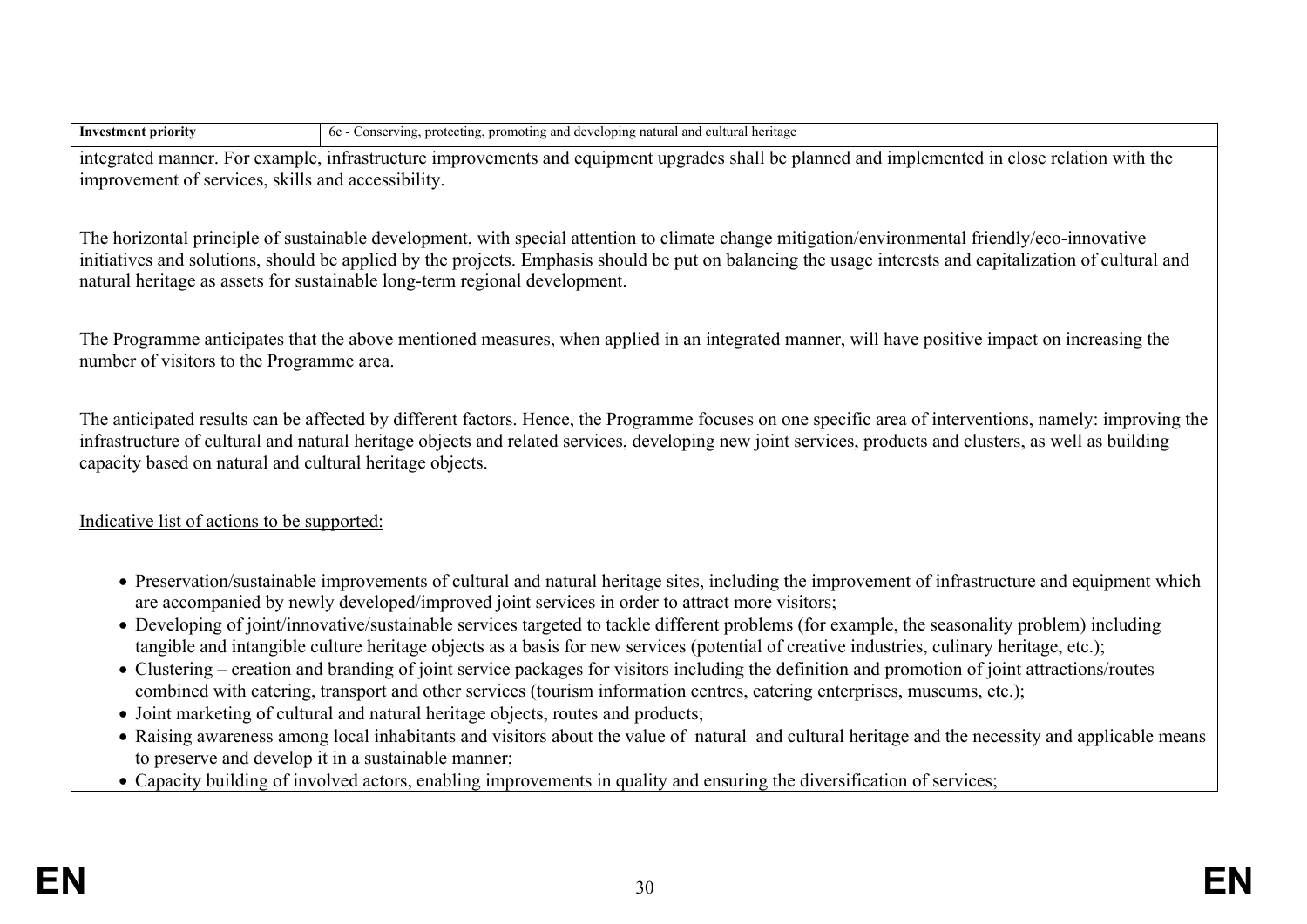| <b>Investment priority</b>                               | 6c - Conserving, protecting, promoting and developing natural and cultural heritage                                                                                                                                                                                                                                                                                                                                                                                                                                                                                                                                                                                                                                                                                                                                                                                                                                                                                                                                                                                                                                                                                                                                                                  |  |  |
|----------------------------------------------------------|------------------------------------------------------------------------------------------------------------------------------------------------------------------------------------------------------------------------------------------------------------------------------------------------------------------------------------------------------------------------------------------------------------------------------------------------------------------------------------------------------------------------------------------------------------------------------------------------------------------------------------------------------------------------------------------------------------------------------------------------------------------------------------------------------------------------------------------------------------------------------------------------------------------------------------------------------------------------------------------------------------------------------------------------------------------------------------------------------------------------------------------------------------------------------------------------------------------------------------------------------|--|--|
|                                                          | integrated manner. For example, infrastructure improvements and equipment upgrades shall be planned and implemented in close relation with the<br>improvement of services, skills and accessibility.                                                                                                                                                                                                                                                                                                                                                                                                                                                                                                                                                                                                                                                                                                                                                                                                                                                                                                                                                                                                                                                 |  |  |
|                                                          | The horizontal principle of sustainable development, with special attention to climate change mitigation/environmental friendly/eco-innovative<br>initiatives and solutions, should be applied by the projects. Emphasis should be put on balancing the usage interests and capitalization of cultural and<br>natural heritage as assets for sustainable long-term regional development.                                                                                                                                                                                                                                                                                                                                                                                                                                                                                                                                                                                                                                                                                                                                                                                                                                                             |  |  |
| number of visitors to the Programme area.                | The Programme anticipates that the above mentioned measures, when applied in an integrated manner, will have positive impact on increasing the                                                                                                                                                                                                                                                                                                                                                                                                                                                                                                                                                                                                                                                                                                                                                                                                                                                                                                                                                                                                                                                                                                       |  |  |
| capacity based on natural and cultural heritage objects. | The anticipated results can be affected by different factors. Hence, the Programme focuses on one specific area of interventions, namely: improving the<br>infrastructure of cultural and natural heritage objects and related services, developing new joint services, products and clusters, as well as building                                                                                                                                                                                                                                                                                                                                                                                                                                                                                                                                                                                                                                                                                                                                                                                                                                                                                                                                   |  |  |
| Indicative list of actions to be supported:              |                                                                                                                                                                                                                                                                                                                                                                                                                                                                                                                                                                                                                                                                                                                                                                                                                                                                                                                                                                                                                                                                                                                                                                                                                                                      |  |  |
|                                                          | • Preservation/sustainable improvements of cultural and natural heritage sites, including the improvement of infrastructure and equipment which<br>are accompanied by newly developed/improved joint services in order to attract more visitors;<br>• Developing of joint/innovative/sustainable services targeted to tackle different problems (for example, the seasonality problem) including<br>tangible and intangible culture heritage objects as a basis for new services (potential of creative industries, culinary heritage, etc.);<br>• Clustering – creation and branding of joint service packages for visitors including the definition and promotion of joint attractions/routes<br>combined with catering, transport and other services (tourism information centres, catering enterprises, museums, etc.);<br>• Joint marketing of cultural and natural heritage objects, routes and products;<br>• Raising awareness among local inhabitants and visitors about the value of natural and cultural heritage and the necessity and applicable means<br>to preserve and develop it in a sustainable manner;<br>• Capacity building of involved actors, enabling improvements in quality and ensuring the diversification of services; |  |  |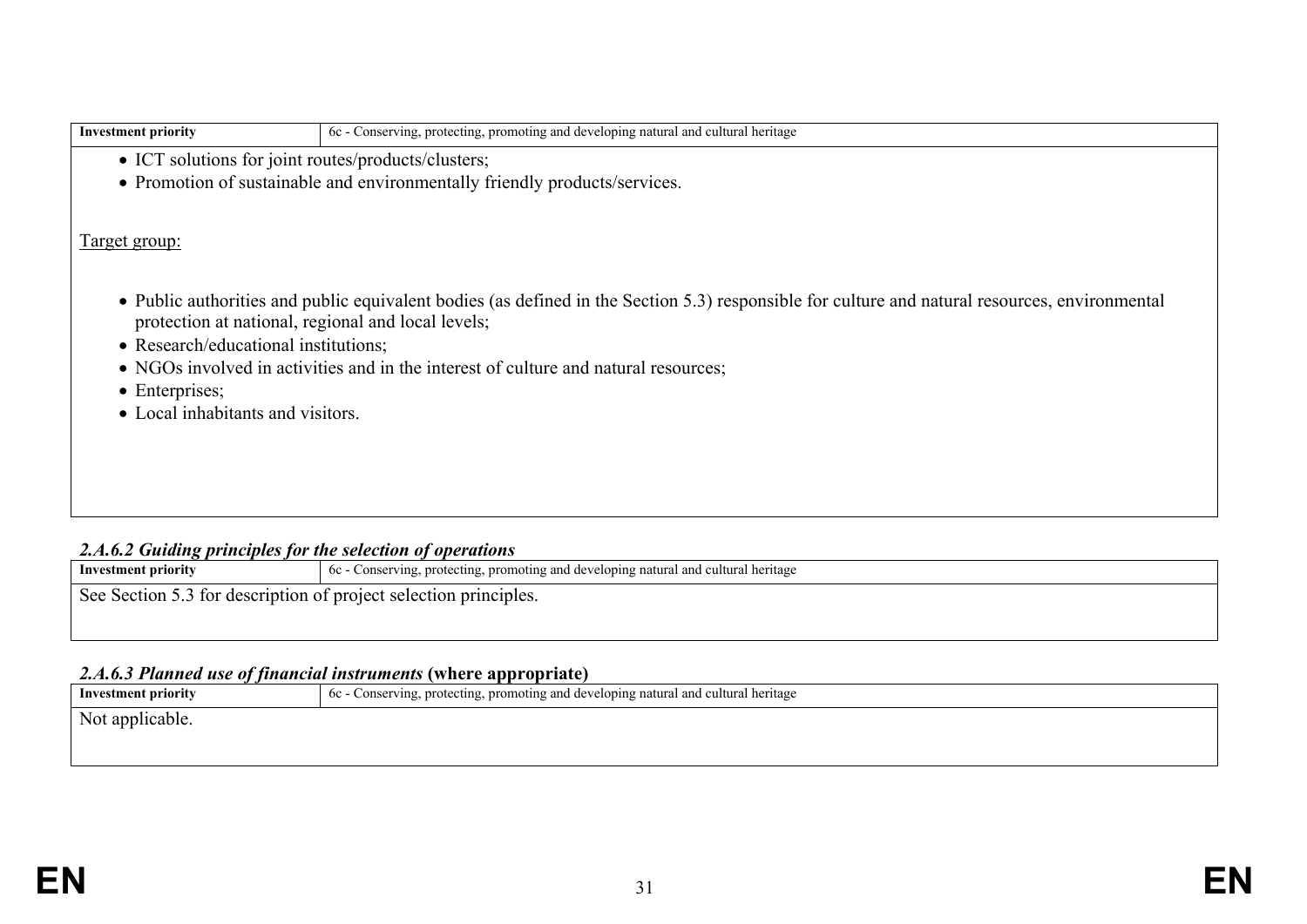| <b>Investment priority</b>                              | 6c - Conserving, protecting, promoting and developing natural and cultural heritage                                                            |
|---------------------------------------------------------|------------------------------------------------------------------------------------------------------------------------------------------------|
| • ICT solutions for joint routes/products/clusters;     |                                                                                                                                                |
|                                                         | • Promotion of sustainable and environmentally friendly products/services.                                                                     |
|                                                         |                                                                                                                                                |
| Target group:                                           |                                                                                                                                                |
|                                                         |                                                                                                                                                |
| protection at national, regional and local levels;      | • Public authorities and public equivalent bodies (as defined in the Section 5.3) responsible for culture and natural resources, environmental |
| • Research/educational institutions;                    |                                                                                                                                                |
|                                                         | • NGOs involved in activities and in the interest of culture and natural resources;                                                            |
| $\bullet$ Enterprises;                                  |                                                                                                                                                |
| • Local inhabitants and visitors.                       |                                                                                                                                                |
|                                                         |                                                                                                                                                |
|                                                         |                                                                                                                                                |
|                                                         |                                                                                                                                                |
|                                                         |                                                                                                                                                |
| 2462 Guiding principles for the selection of operations |                                                                                                                                                |

| 2.71.0.2 Guiding principles for the selection of operations              |                                                                                     |  |
|--------------------------------------------------------------------------|-------------------------------------------------------------------------------------|--|
| Investment priority                                                      | 6c - Conserving, protecting, promoting and developing natural and cultural heritage |  |
| $\beta$ See Section 5.3 for description of project selection principles. |                                                                                     |  |

# *2.A.6.3 Planned use of financial instruments* **(where appropriate)**

| Investment priority     | 1 6c - Conserving, protecting, promoting and developing natural and cultural heritage |
|-------------------------|---------------------------------------------------------------------------------------|
| $\perp$ Not applicable. |                                                                                       |
|                         |                                                                                       |
|                         |                                                                                       |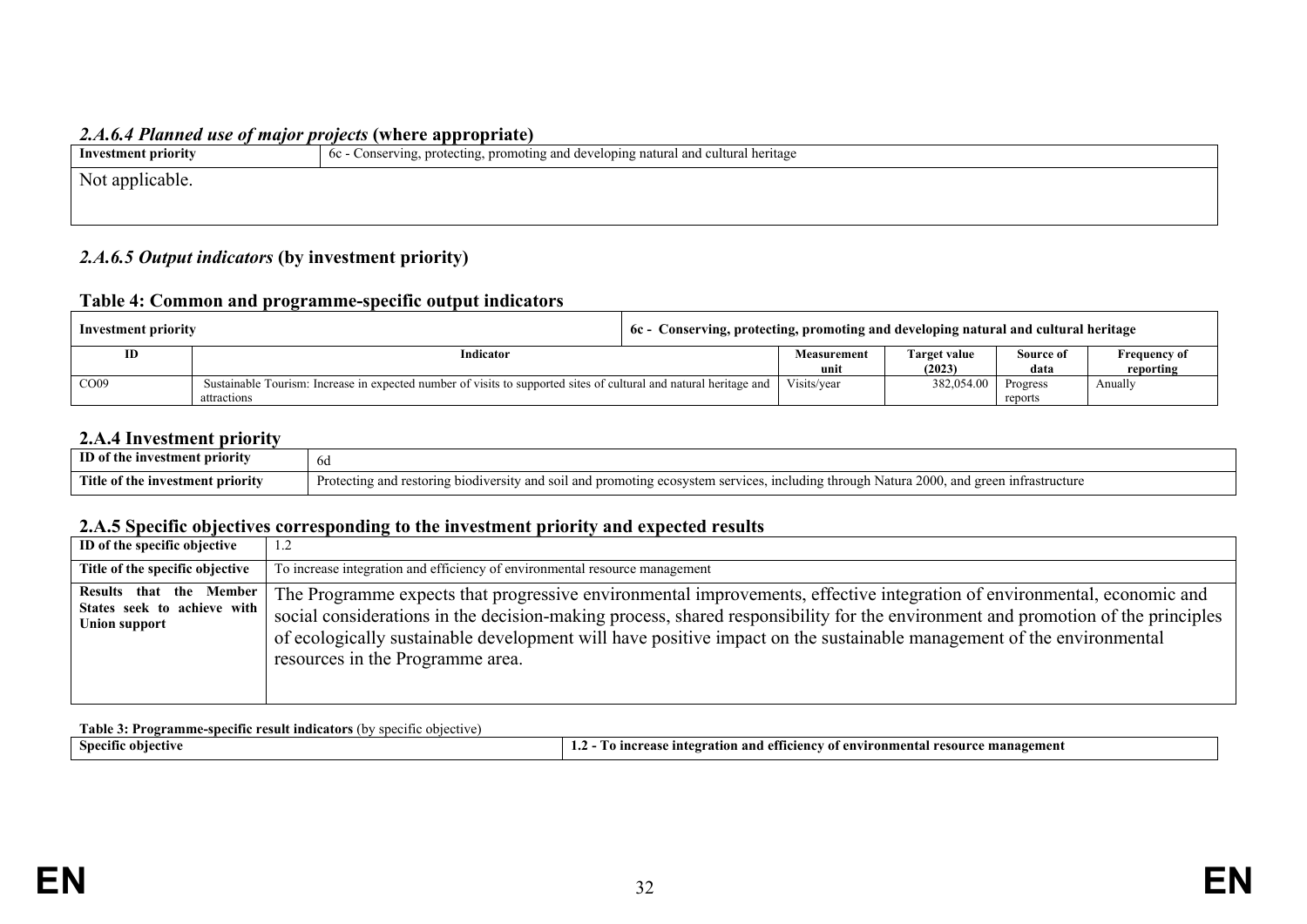#### *2.A.6.4 Planned use of major projects* **(where appropriate)**

| - Investment priority | .1 heritag<br>cultu.<br>lonin.<br>`ctin.<br>promot<br>do<br>ain<br>. |
|-----------------------|----------------------------------------------------------------------|
|                       |                                                                      |

Not applicable.

#### *2.A.6.5 Output indicators* **(by investment priority)**

#### **Table 4: Common and programme-specific output indicators**

| Investment priority |                                                                                                                    | 6c - Conserving, protecting, promoting and developing natural and cultural heritage |              |           |                     |
|---------------------|--------------------------------------------------------------------------------------------------------------------|-------------------------------------------------------------------------------------|--------------|-----------|---------------------|
| ID                  | Indicator                                                                                                          | Measurement                                                                         | Target value | Source of | <b>Frequency of</b> |
|                     |                                                                                                                    | unit                                                                                | (2023)       | data      | reporting           |
| CO <sub>09</sub>    | Sustainable Tourism: Increase in expected number of visits to supported sites of cultural and natural heritage and |                                                                                     | 382,054.00   | Progress  | Anually             |
|                     | attractions                                                                                                        |                                                                                     |              | reports   |                     |

#### **2.A.4 Investment priority**

| ID<br>: priority<br>: investment            | ' 6G                                                                                                                                      |
|---------------------------------------------|-------------------------------------------------------------------------------------------------------------------------------------------|
| - Title<br>of the<br>estment priority<br>nw | 2000<br>Prote<br>astructure<br>throug<br>، cting:<br>nclud<br>.omoting<br>$\sim$ Nature<br>and<br>10A1V<br>ınd<br>an<br>.<br>. se<br>-387 |

#### **2.A.5 Specific objectives corresponding to the investment priority and expected results**

| ID of the specific objective                                                   | 1.2                                                                                                                                                                                                                                                                                                                                                                                                                    |
|--------------------------------------------------------------------------------|------------------------------------------------------------------------------------------------------------------------------------------------------------------------------------------------------------------------------------------------------------------------------------------------------------------------------------------------------------------------------------------------------------------------|
| Title of the specific objective                                                | To increase integration and efficiency of environmental resource management                                                                                                                                                                                                                                                                                                                                            |
| Results that the Member<br>States seek to achieve with<br><b>Union support</b> | The Programme expects that progressive environmental improvements, effective integration of environmental, economic and<br>social considerations in the decision-making process, shared responsibility for the environment and promotion of the principles<br>of ecologically sustainable development will have positive impact on the sustainable management of the environmental<br>resources in the Programme area. |

#### **Table 3: Programme-specific result indicators** (by specific objective)

<span id="page-31-1"></span><span id="page-31-0"></span>

| . .<br>. .<br><b>Ahiastiv</b><br>ertic | gement<br>$-1$<br>ratı<br>etti<br>nto<br>- inte<br>manag<br>ıronn<br>ли<br>0T<br>ша<br>. .<br>. |
|----------------------------------------|-------------------------------------------------------------------------------------------------|
|----------------------------------------|-------------------------------------------------------------------------------------------------|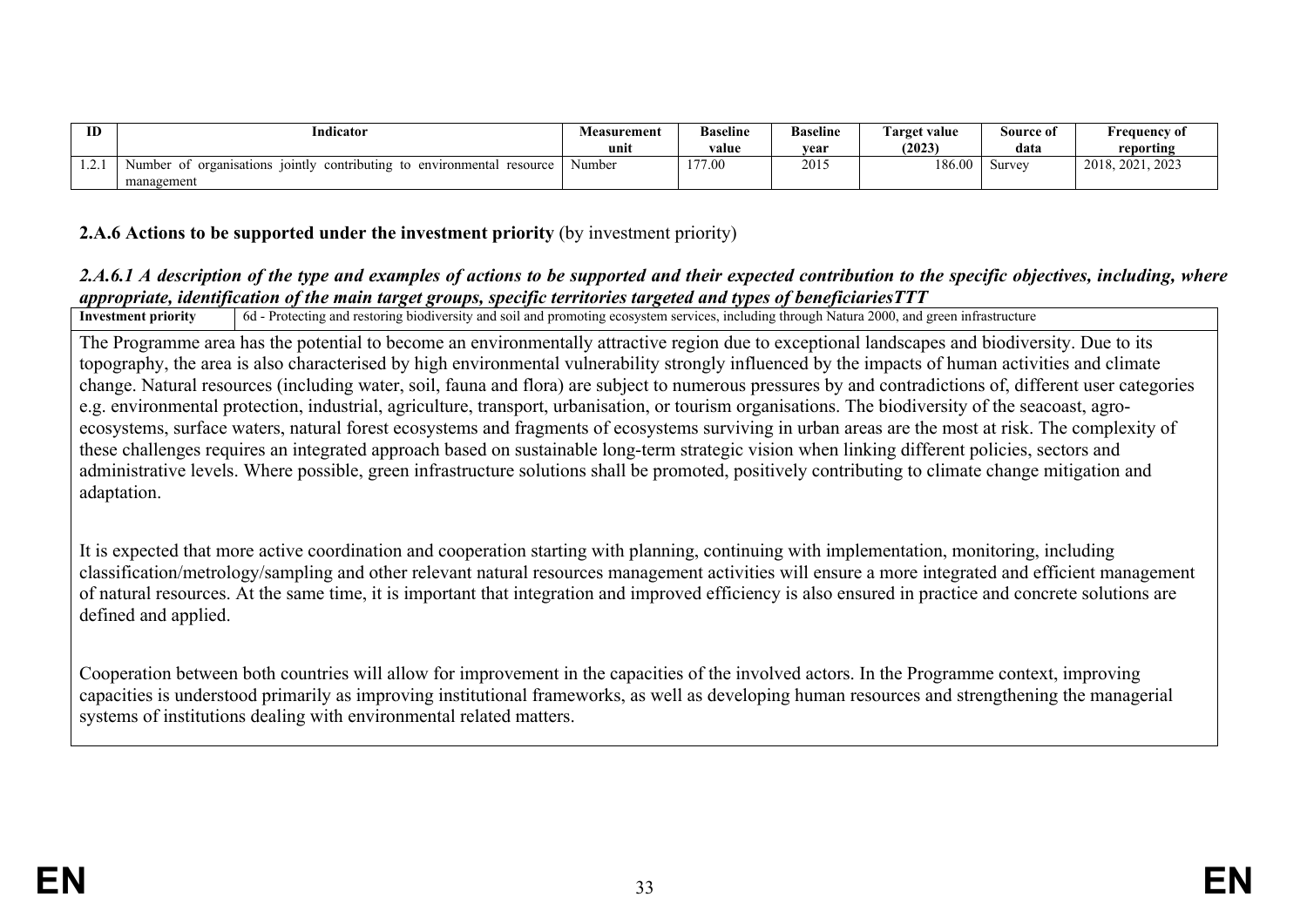| ID       | Indicator                                                                                                       | <b>Measurement</b><br>unit | <b>Baseline</b><br>value | <b>Baseline</b><br>vear | <b>THE</b><br>l'arget value<br>(2023) | Source of<br>data | <b>Frequency of</b><br>reporting |
|----------|-----------------------------------------------------------------------------------------------------------------|----------------------------|--------------------------|-------------------------|---------------------------------------|-------------------|----------------------------------|
| $\cdots$ | Number<br>contributing to<br>environmental<br>resource<br>of organisations<br>101 <sub>ntly</sub><br>management | Numbe <sup>,</sup>         | 177.00                   | 2015                    | 186.00                                | Survey            | 2021.<br>2018.<br>.2023          |

## **2.A.6 Actions to be supported under the investment priority** (by investment priority)

# *2.A.6.1 A description of the type and examples of actions to be supported and their expected contribution to the specific objectives, including, where appropriate, identification of the main target groups, specific territories targeted and types of beneficiariesTTT*<br>Investment priority  $\frac{1}{6}$  6d - Protecting and restoring biodiversity and soil and promoting ecosystem

**International Federal Protecting and restoring biodiversity and soil and promoting ecosystem services, including through Natura 2000, and green infrastructure** 

The Programme area has the potential to become an environmentally attractive region due to exceptional landscapes and biodiversity. Due to its topography, the area is also characterised by high environmental vulnerability strongly influenced by the impacts of human activities and climate change. Natural resources (including water, soil, fauna and flora) are subject to numerous pressures by and contradictions of, different user categories e.g. environmental protection, industrial, agriculture, transport, urbanisation, or tourism organisations. The biodiversity of the seacoast, agroecosystems, surface waters, natural forest ecosystems and fragments of ecosystems surviving in urban areas are the most at risk. The complexity of these challenges requires an integrated approach based on sustainable long-term strategic vision when linking different policies, sectors and administrative levels. Where possible, green infrastructure solutions shall be promoted, positively contributing to climate change mitigation and adaptation.

It is expected that more active coordination and cooperation starting with planning, continuing with implementation, monitoring, including classification/metrology/sampling and other relevant natural resources management activities will ensure a more integrated and efficient management of natural resources. At the same time, it is important that integration and improved efficiency is also ensured in practice and concrete solutions are defined and applied.

<span id="page-32-0"></span>Cooperation between both countries will allow for improvement in the capacities of the involved actors. In the Programme context, improving capacities is understood primarily as improving institutional frameworks, as well as developing human resources and strengthening the managerial systems of institutions dealing with environmental related matters.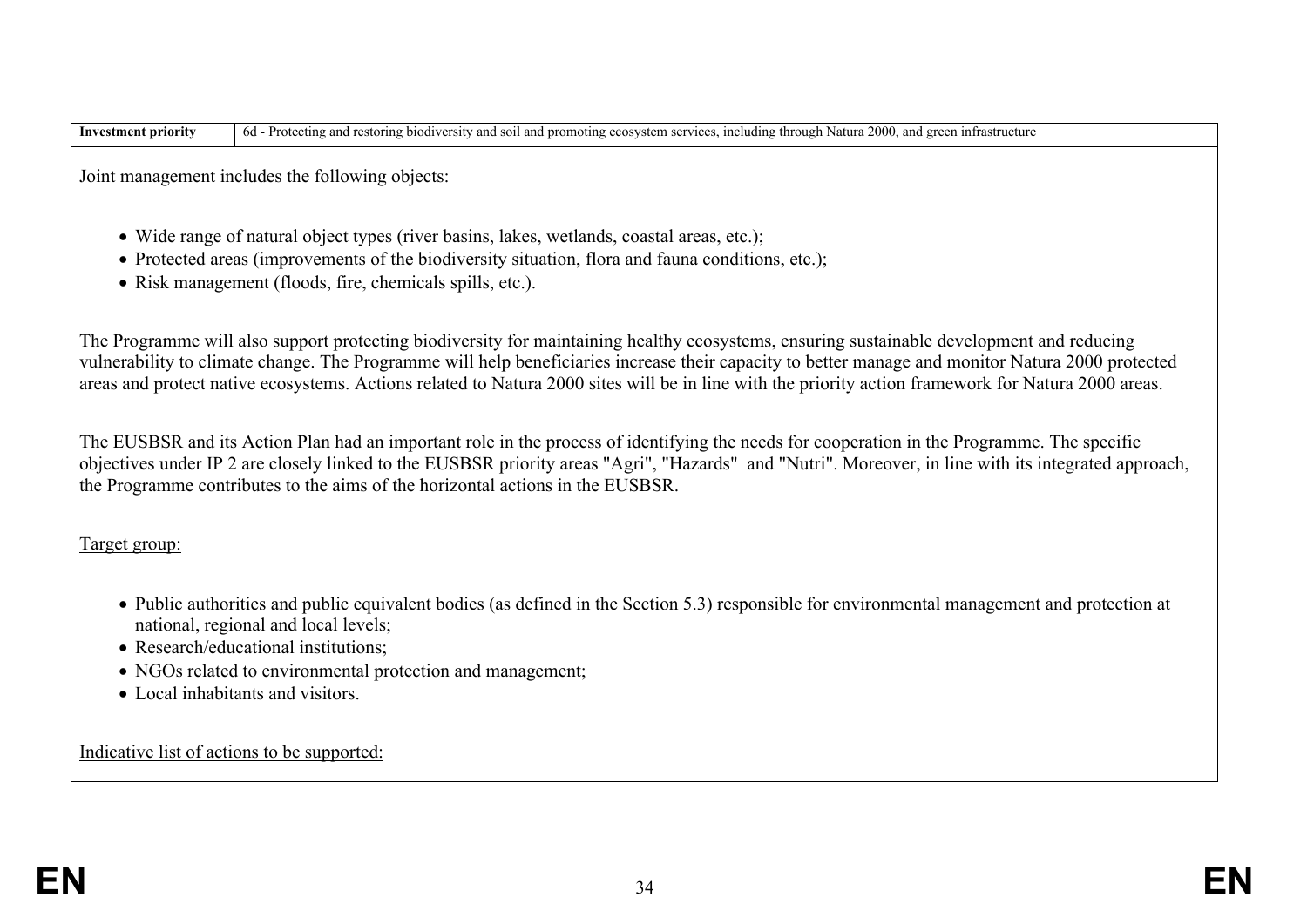|  | Investment priority   6d - Protecting and restoring biodiversity and soil and promoting ecosystem services, including through Natura 2000, and green infrastructure |
|--|---------------------------------------------------------------------------------------------------------------------------------------------------------------------|
|--|---------------------------------------------------------------------------------------------------------------------------------------------------------------------|

Joint management includes the following objects:

- Wide range of natural object types (river basins, lakes, wetlands, coastal areas, etc.);
- Protected areas (improvements of the biodiversity situation, flora and fauna conditions, etc.);
- Risk management (floods, fire, chemicals spills, etc.).

The Programme will also support protecting biodiversity for maintaining healthy ecosystems, ensuring sustainable development and reducing vulnerability to climate change. The Programme will help beneficiaries increase their capacity to better manage and monitor Natura 2000 protected areas and protect native ecosystems. Actions related to Natura 2000 sites will be in line with the priority action framework for Natura 2000 areas.

The EUSBSR and its Action Plan had an important role in the process of identifying the needs for cooperation in the Programme. The specific objectives under IP 2 are closely linked to the EUSBSR priority areas "Agri", "Hazards" and "Nutri". Moreover, in line with its integrated approach, the Programme contributes to the aims of the horizontal actions in the EUSBSR.

Target group:

- Public authorities and public equivalent bodies (as defined in the Section 5.3) responsible for environmental management and protection at national, regional and local levels;
- Research/educational institutions;
- NGOs related to environmental protection and management;
- Local inhabitants and visitors.

Indicative list of actions to be supported: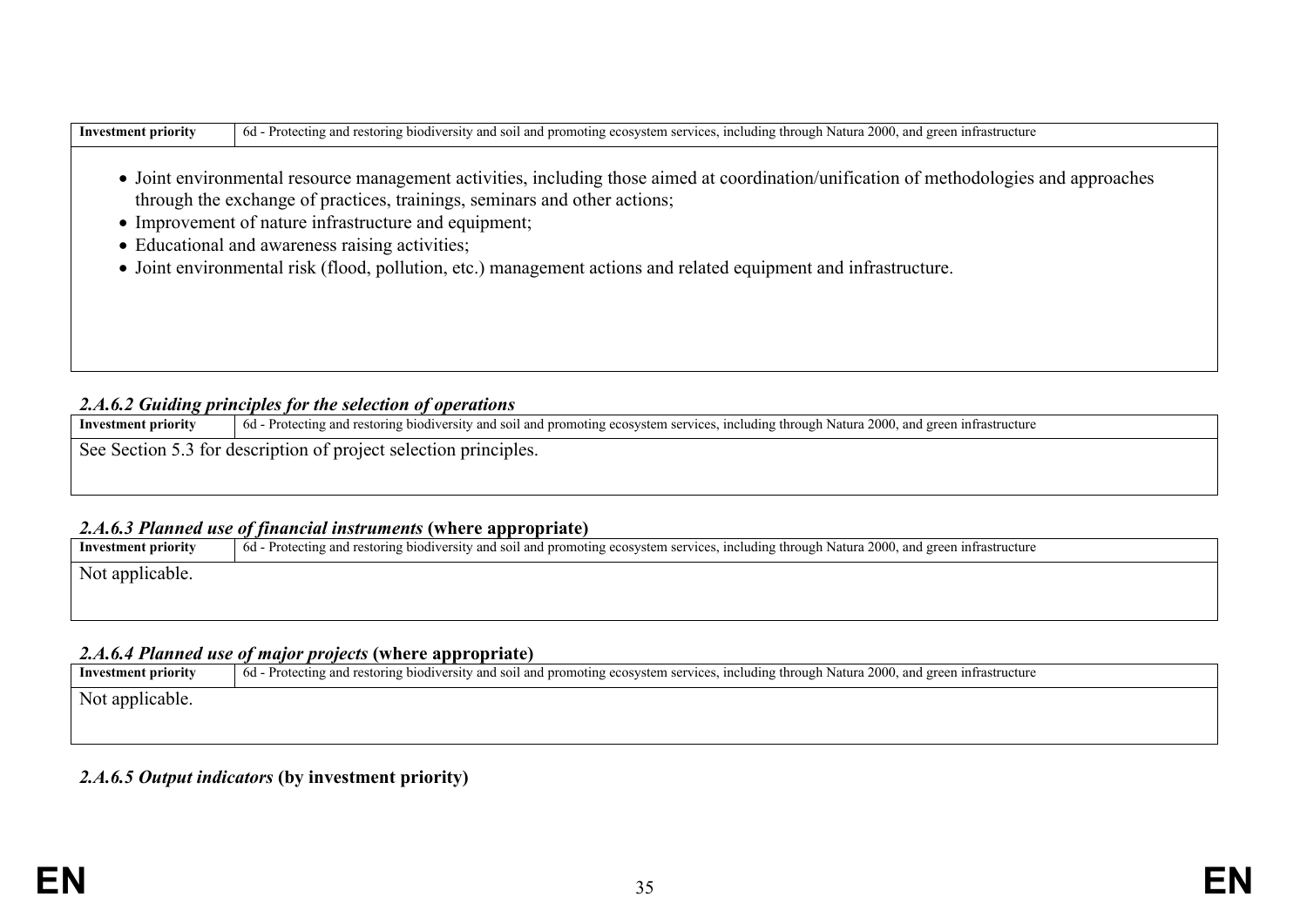| • Joint environmental resource management activities, including those aimed at coordination/unification of methodologies and approaches<br>through the exchange of practices, trainings, seminars and other actions;<br>• Improvement of nature infrastructure and equipment; |
|-------------------------------------------------------------------------------------------------------------------------------------------------------------------------------------------------------------------------------------------------------------------------------|
| • Educational and awareness raising activities;                                                                                                                                                                                                                               |
| • Joint environmental risk (flood, pollution, etc.) management actions and related equipment and infrastructure.                                                                                                                                                              |
|                                                                                                                                                                                                                                                                               |
|                                                                                                                                                                                                                                                                               |
|                                                                                                                                                                                                                                                                               |
|                                                                                                                                                                                                                                                                               |

**Investment priority** 6d - Protecting and restoring biodiversity and soil and promoting ecosystem services, including through Natura 2000, and green infrastructure

# **2.A.6.2 Guiding principles for the selection of operations**<br>Investment priority  $\begin{bmatrix} 6d \end{bmatrix}$  - Protecting and restoring biodiversity and soi

**Intervelopment priority** 6d - Protecting and restoring biodiversity and soil and promoting ecosystem services, including through Natura 2000, and green infrastructure See Section 5.3 for description of project selection principles.

# **2.A.6.3 Planned use of financial instruments (where appropriate)**<br>Investment priority  $\begin{bmatrix} 6d \end{bmatrix}$  - Protecting and restoring biodiversity and soil and promotic

**Investment priority** 6d - Protecting and restoring biodiversity and soil and promoting ecosystem services, including through Natura 2000, and green infrastructure Not applicable.

#### *2.A.6.4 Planned use of major projects* **(where appropriate)**

| Investment priority | 6.4 6 of - Protecting and restoring biodiversity and soil and promoting ecosystem services, including through Natura 2000, and green infrastructure |  |  |  |  |
|---------------------|-----------------------------------------------------------------------------------------------------------------------------------------------------|--|--|--|--|
| Not applicable.     |                                                                                                                                                     |  |  |  |  |

#### *2.A.6.5 Output indicators* **(by investment priority)**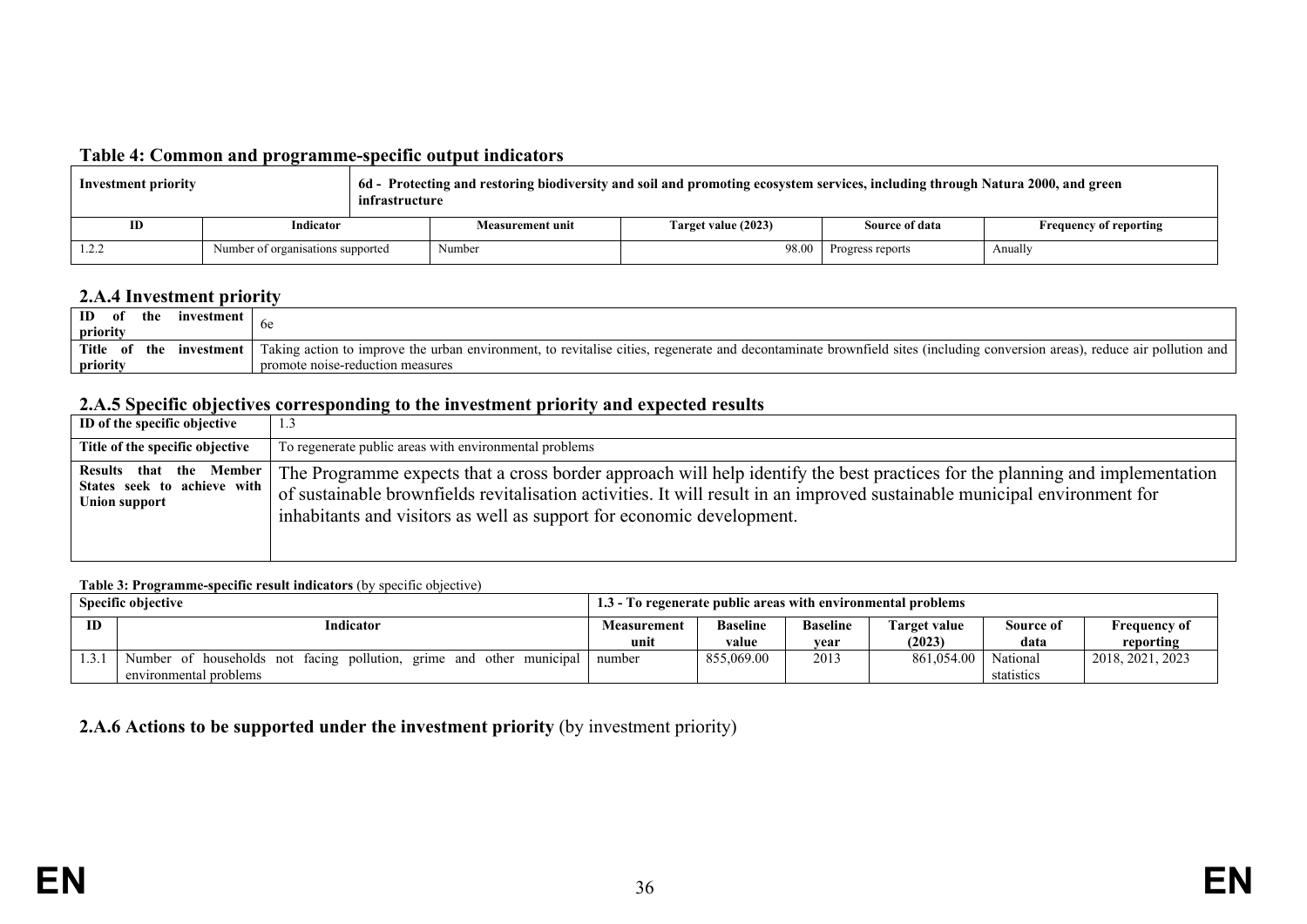#### **Table 4: Common and programme-specific output indicators**

| Investment priority |                                   | 6d - Protecting and restoring biodiversity and soil and promoting ecosystem services, including through Natura 2000, and green<br>infrastructure |                         |                     |                        |                               |  |  |
|---------------------|-----------------------------------|--------------------------------------------------------------------------------------------------------------------------------------------------|-------------------------|---------------------|------------------------|-------------------------------|--|--|
| ID                  | Indicator                         |                                                                                                                                                  | <b>Measurement unit</b> | Target value (2023) | Source of data         | <b>Frequency of reporting</b> |  |  |
| 1.4.4               | Number of organisations supported |                                                                                                                                                  | Number                  |                     | 98.00 Progress reports | Anually                       |  |  |

#### **2.A.4 Investment priority**

| ID<br>the<br>nt<br>priority | investment | ₩                                                                                                                                                                          |
|-----------------------------|------------|----------------------------------------------------------------------------------------------------------------------------------------------------------------------------|
| Title<br>the<br>- of        | investment | Taking action to improve the urban environment, to revitalise cities, regenerate and decontaminate brownfield sites (including conversion areas), reduce air pollution and |
| priority                    |            | promote noise-reduction measures                                                                                                                                           |

### **2.A.5 Specific objectives corresponding to the investment priority and expected results**

| ID of the specific objective    | 1.3                                                                                                                                                                                                                                                                                                                                                            |
|---------------------------------|----------------------------------------------------------------------------------------------------------------------------------------------------------------------------------------------------------------------------------------------------------------------------------------------------------------------------------------------------------------|
| Title of the specific objective | To regenerate public areas with environmental problems                                                                                                                                                                                                                                                                                                         |
| Results that the Member         | The Programme expects that a cross border approach will help identify the best practices for the planning and implementation<br>States seek to achieve with of sustainable brownfields revitalisation activities. It will result in an improved sustainable municipal environment for<br>inhabitants and visitors as well as support for economic development. |

#### **Table 3: Programme-specific result indicators** (by specific objective)

|    | <b>Specific objective</b>                                                  | 1.3 - To regenerate public areas with environmental problems |            |                 |               |            |                  |
|----|----------------------------------------------------------------------------|--------------------------------------------------------------|------------|-----------------|---------------|------------|------------------|
| ID | Indicator                                                                  | Measurement                                                  | Baseline   | <b>Baseline</b> | l'arget value | Source of  | Frequency of     |
|    |                                                                            | unit                                                         | value      | vear            | (2023)        | data       | reporting        |
|    | Number of households not facing pollution,<br>erime and other<br>municipal | number                                                       | 855,069.00 | 2013            | 861.054.00    | National   | 2018, 2021, 2023 |
|    | environmental problems                                                     |                                                              |            |                 |               | statistics |                  |

#### <span id="page-35-2"></span><span id="page-35-1"></span><span id="page-35-0"></span>**2.A.6 Actions to be supported under the investment priority** (by investment priority)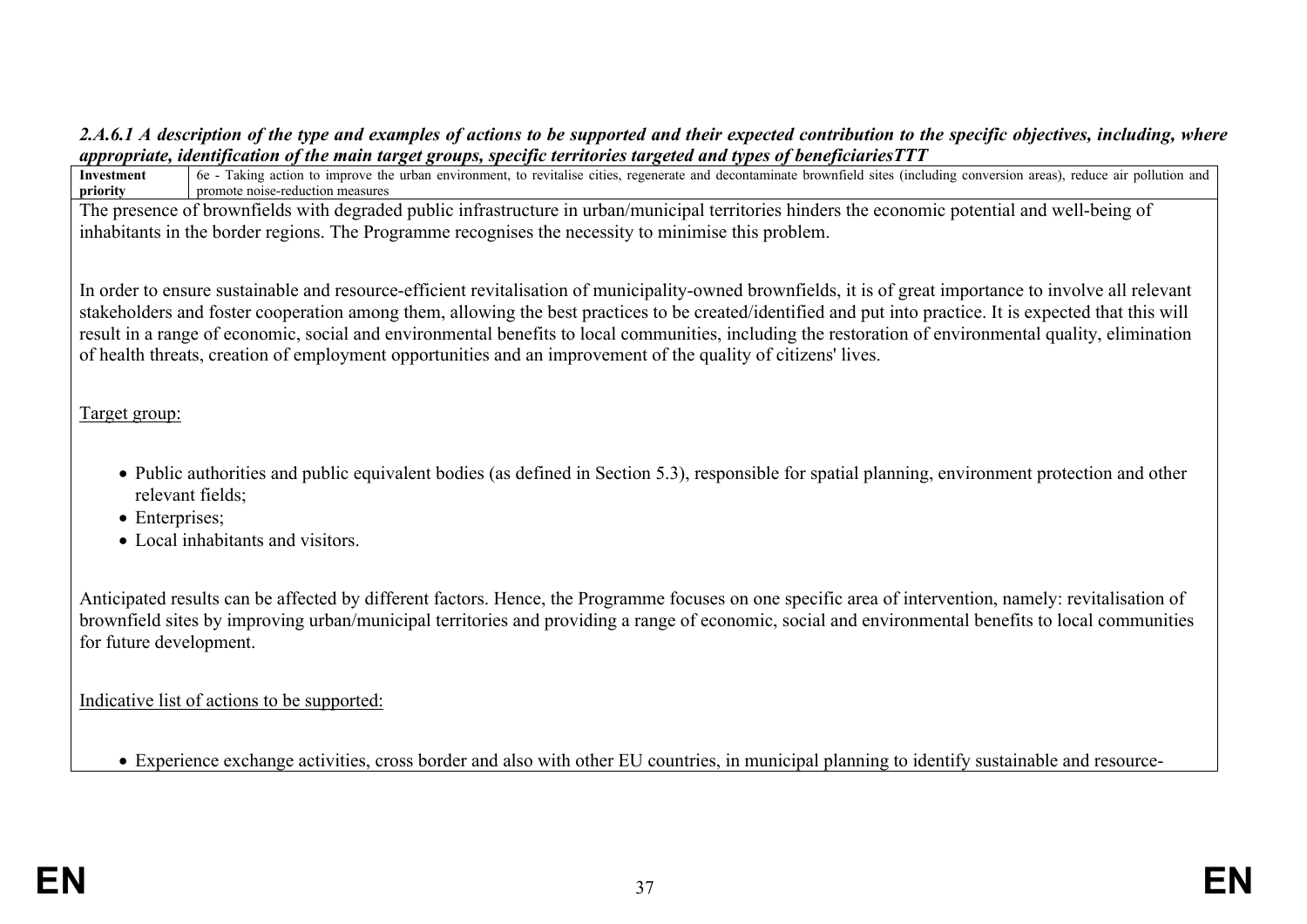## *2.A.6.1 A description of the type and examples of actions to be supported and their expected contribution to the specific objectives, including, where appropriate, identification of the main target groups, specific territories targeted and types of beneficiariesTTT*

| appropriate, taentification of the main target groups, specific territories targeted and types of beneficiaries I I I                                                                           |  |
|-------------------------------------------------------------------------------------------------------------------------------------------------------------------------------------------------|--|
| 6e - Taking action to improve the urban environment, to revitalise cities, regenerate and decontaminate brownfield sites (including conversion areas), reduce air pollution and<br>Investment   |  |
| promote noise-reduction measures<br>priority<br>The presence of brownfields with degraded public infrastructure in urban/municipal territories hinders the economic potential and well-being of |  |
| inhabitants in the border regions. The Programme recognises the necessity to minimise this problem.                                                                                             |  |
| In order to ensure sustainable and resource-efficient revitalisation of municipality-owned brownfields, it is of great importance to involve all relevant                                       |  |
| stakeholders and foster cooperation among them, allowing the best practices to be created/identified and put into practice. It is expected that this will                                       |  |
| result in a range of economic, social and environmental benefits to local communities, including the restoration of environmental quality, elimination                                          |  |
| of health threats, creation of employment opportunities and an improvement of the quality of citizens' lives.                                                                                   |  |
|                                                                                                                                                                                                 |  |
| Target group:                                                                                                                                                                                   |  |
|                                                                                                                                                                                                 |  |
| • Public authorities and public equivalent bodies (as defined in Section 5.3), responsible for spatial planning, environment protection and other                                               |  |
| relevant fields;                                                                                                                                                                                |  |
| $\bullet$ Enterprises;<br>• Local inhabitants and visitors.                                                                                                                                     |  |
|                                                                                                                                                                                                 |  |
| Anticipated results can be affected by different factors. Hence, the Programme focuses on one specific area of intervention, namely: revitalisation of                                          |  |
| brownfield sites by improving urban/municipal territories and providing a range of economic, social and environmental benefits to local communities                                             |  |
| for future development.                                                                                                                                                                         |  |
|                                                                                                                                                                                                 |  |
| Indicative list of actions to be supported:                                                                                                                                                     |  |
|                                                                                                                                                                                                 |  |

Experience exchange activities, cross border and also with other EU countries, in municipal planning to identify sustainable and resource-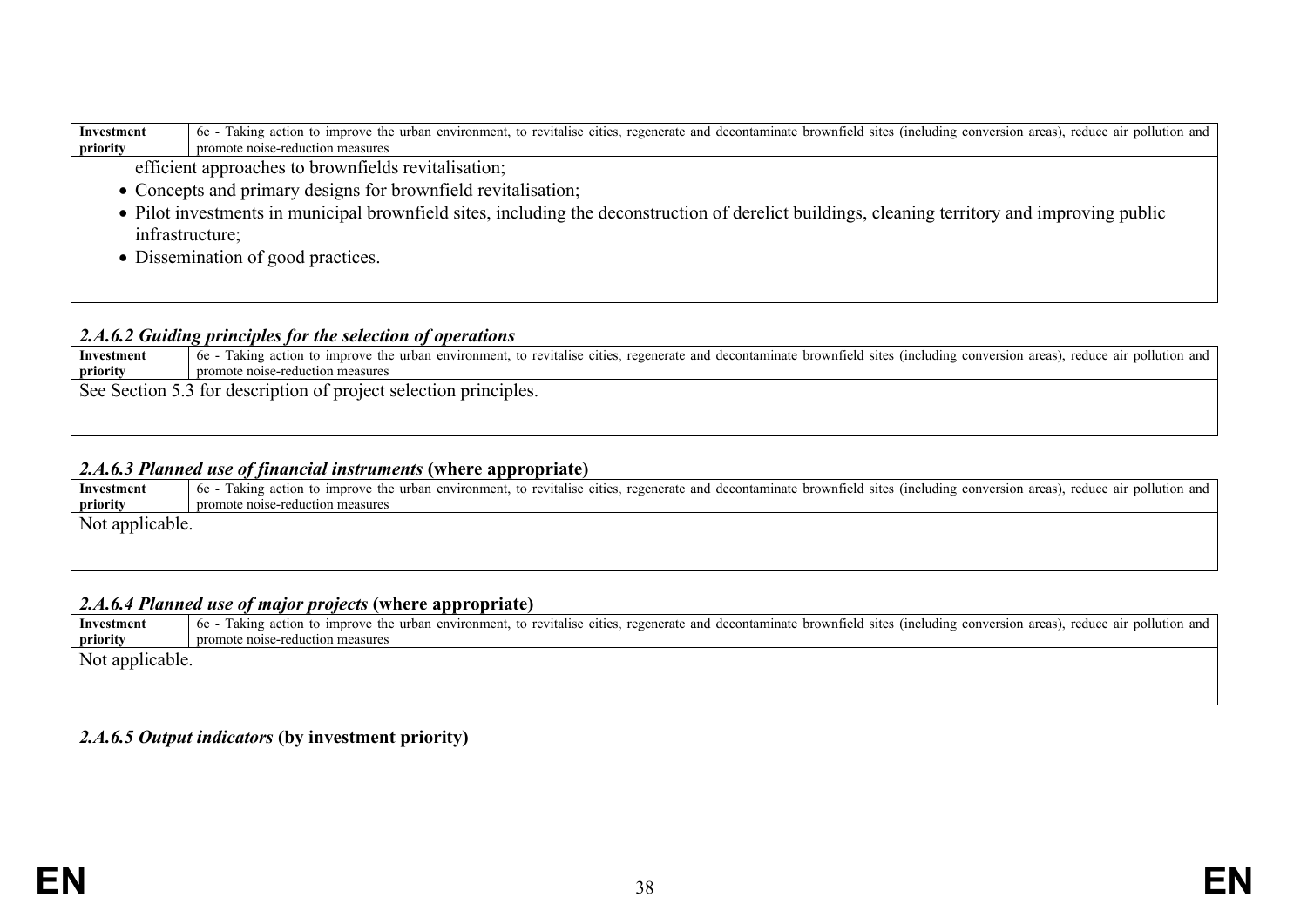| Investment                                                    | 6e - Taking action to improve the urban environment, to revitalise cities, regenerate and decontaminate brownfield sites (including conversion areas), reduce air pollution and |  |  |  |
|---------------------------------------------------------------|---------------------------------------------------------------------------------------------------------------------------------------------------------------------------------|--|--|--|
| priority                                                      | promote noise-reduction measures                                                                                                                                                |  |  |  |
|                                                               | efficient approaches to brownfields revitalization;                                                                                                                             |  |  |  |
| • Concepts and primary designs for brownfield revitalisation; |                                                                                                                                                                                 |  |  |  |
|                                                               | • Pilot investments in municipal brownfield sites, including the deconstruction of derelict buildings, cleaning territory and improving public                                  |  |  |  |
|                                                               | infrastructure;                                                                                                                                                                 |  |  |  |

• Dissemination of good practices.

# *2.A.6.2 Guiding principles for the selection of operations*

| Investment | 6e - Taking action to improve the urban environment, to revitalise cities, regenerate and decontaminate brownfield sites (including conversion areas), reduce air pollution and |
|------------|---------------------------------------------------------------------------------------------------------------------------------------------------------------------------------|
| priority   | promote noise-reduction measures                                                                                                                                                |
|            | See Section 5.3 for description of project selection principles.                                                                                                                |
|            |                                                                                                                                                                                 |

## *2.A.6.3 Planned use of financial instruments* **(where appropriate)**

| Investment              | 6e - Taking action to improve the urban environment, to revitalise cities, regenerate and decontaminate brownfield sites (including conversion areas), reduce air pollution and |
|-------------------------|---------------------------------------------------------------------------------------------------------------------------------------------------------------------------------|
| priority                | promote noise-reduction measures                                                                                                                                                |
| $\perp$ Not applicable. |                                                                                                                                                                                 |
|                         |                                                                                                                                                                                 |
|                         |                                                                                                                                                                                 |

# *2.A.6.4 Planned use of major projects* **(where appropriate)**

| Investment      | 6e - Taking action to improve the urban environment, to revitalise cities, regenerate and decontaminate brownfield sites (including conversion areas), reduce air pollution and |
|-----------------|---------------------------------------------------------------------------------------------------------------------------------------------------------------------------------|
| priority        | promote noise-reduction measures                                                                                                                                                |
| Not applicable. |                                                                                                                                                                                 |
|                 |                                                                                                                                                                                 |

# *2.A.6.5 Output indicators* **(by investment priority)**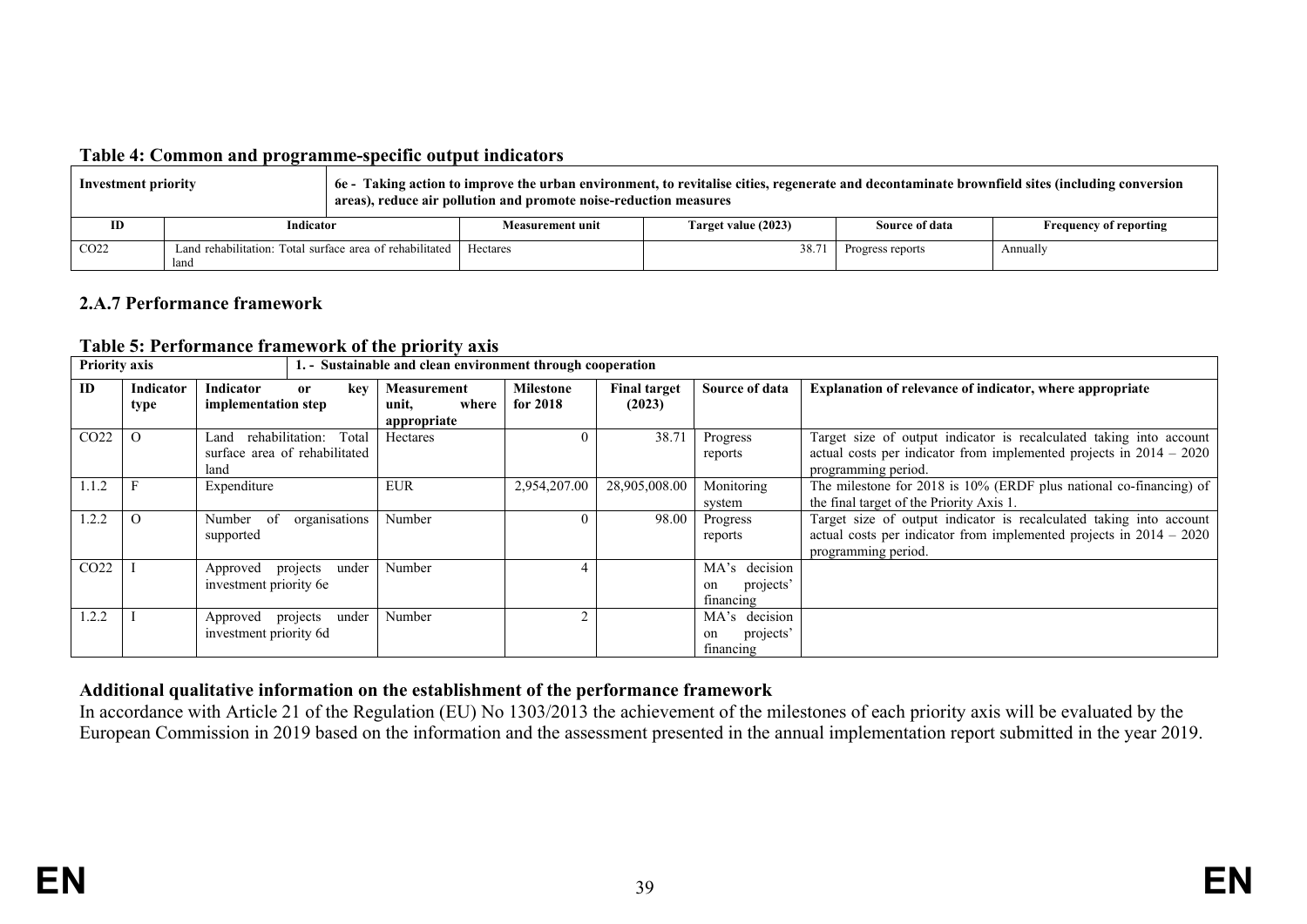#### **Table 4: Common and programme-specific output indicators**

| Investment priority |                                                                     | 6e - Taking action to improve the urban environment, to revitalise cities, regenerate and decontaminate brownfield sites (including conversion<br>areas), reduce air pollution and promote noise-reduction measures |                         |                     |                  |                               |  |
|---------------------|---------------------------------------------------------------------|---------------------------------------------------------------------------------------------------------------------------------------------------------------------------------------------------------------------|-------------------------|---------------------|------------------|-------------------------------|--|
| ID                  | Indicator                                                           |                                                                                                                                                                                                                     | <b>Measurement unit</b> | Target value (2023) | Source of data   | <b>Frequency of reporting</b> |  |
| CO <sub>22</sub>    | Land rehabilitation: Total surface area of rehabilitated   Hectares |                                                                                                                                                                                                                     |                         | 38.71               | Progress reports | Annually                      |  |
|                     | land                                                                |                                                                                                                                                                                                                     |                         |                     |                  |                               |  |

#### **2.A.7 Performance framework**

#### **Table 5: Performance framework of the priority axis**

| <b>Priority axis</b> |                          |                                                                  |                      | 1. - Sustainable and clean environment through cooperation |                              |                               |                                               |                                                                                                                                                                     |
|----------------------|--------------------------|------------------------------------------------------------------|----------------------|------------------------------------------------------------|------------------------------|-------------------------------|-----------------------------------------------|---------------------------------------------------------------------------------------------------------------------------------------------------------------------|
| ID                   | <b>Indicator</b><br>type | <b>Indicator</b><br>implementation step                          | kev<br><sub>or</sub> | <b>Measurement</b><br>unit,<br>where<br>appropriate        | <b>Milestone</b><br>for 2018 | <b>Final target</b><br>(2023) | Source of data                                | Explanation of relevance of indicator, where appropriate                                                                                                            |
| CO <sub>22</sub>     | $\Omega$                 | rehabilitation:<br>Land<br>surface area of rehabilitated<br>land | Total                | <b>Hectares</b>                                            |                              | 38.71                         | Progress<br>reports                           | Target size of output indicator is recalculated taking into account<br>actual costs per indicator from implemented projects in $2014 - 2020$<br>programming period. |
| 1.1.2                |                          | Expenditure                                                      |                      | <b>EUR</b>                                                 | 2,954,207.00                 | 28,905,008.00                 | Monitoring<br>system                          | The milestone for 2018 is 10% (ERDF plus national co-financing) of<br>the final target of the Priority Axis 1.                                                      |
| 1.2.2                | $\Omega$                 | <sub>of</sub><br>Number<br>supported                             | organisations        | Number                                                     |                              | 98.00                         | Progress<br>reports                           | Target size of output indicator is recalculated taking into account<br>actual costs per indicator from implemented projects in $2014 - 2020$<br>programming period. |
| CO <sub>22</sub>     |                          | Approved projects under<br>investment priority 6e                |                      | Number                                                     |                              |                               | MA's decision<br>projects'<br>on<br>financing |                                                                                                                                                                     |
| 1.2.2                |                          | Approved projects under<br>investment priority 6d                |                      | Number                                                     |                              |                               | MA's decision<br>projects'<br>on<br>financing |                                                                                                                                                                     |

# **Additional qualitative information on the establishment of the performance framework**

In accordance with Article 21 of the Regulation (EU) No 1303/2013 the achievement of the milestones of each priority axis will be evaluated by the European Commission in 2019 based on the information and the assessment presented in the annual implementation report submitted in the year 2019.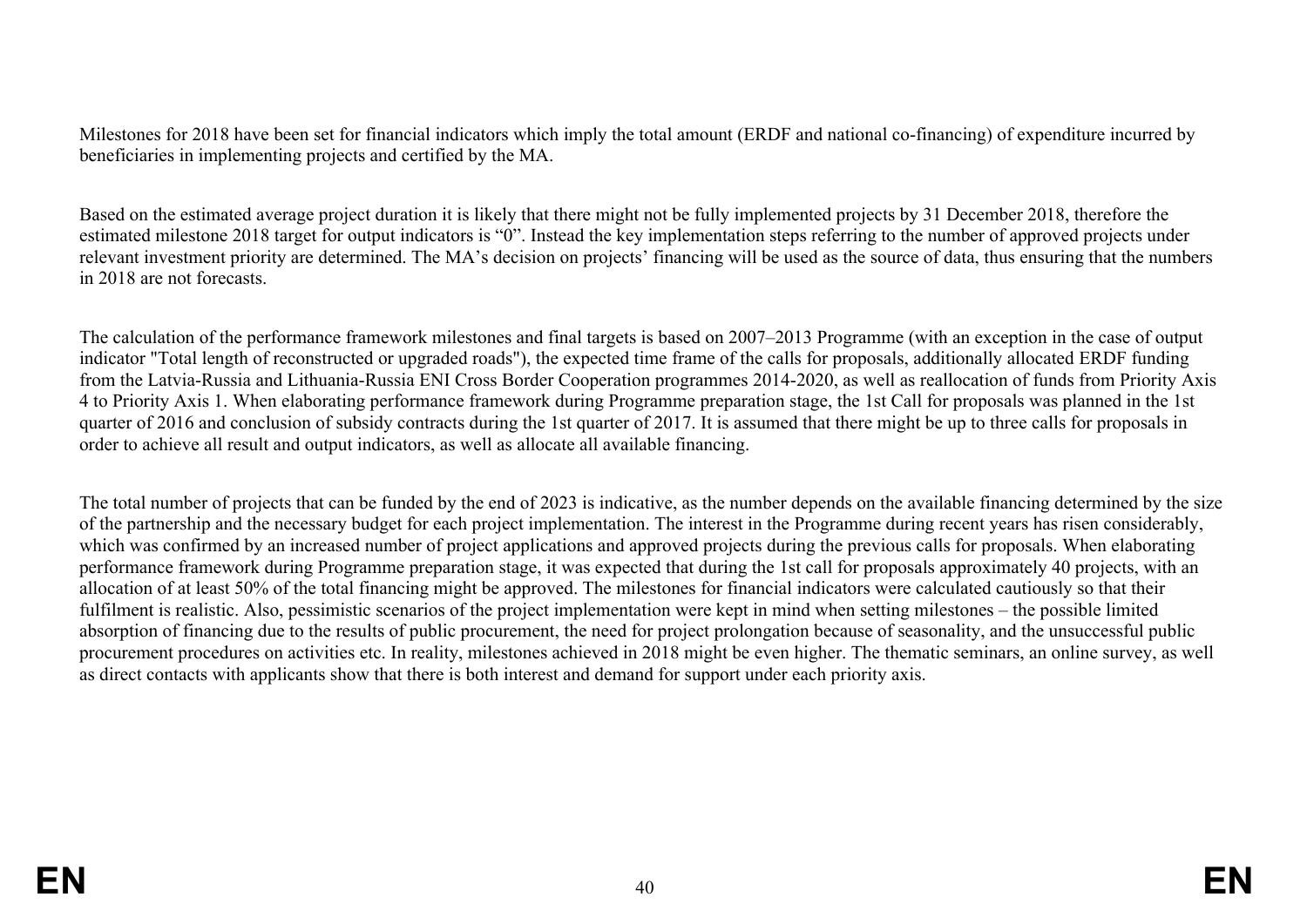Milestones for 2018 have been set for financial indicators which imply the total amount (ERDF and national co-financing) of expenditure incurred by beneficiaries in implementing projects and certified by the MA.

Based on the estimated average project duration it is likely that there might not be fully implemented projects by 31 December 2018, therefore the estimated milestone 2018 target for output indicators is "0". Instead the key implementation steps referring to the number of approved projects under relevant investment priority are determined. The MA's decision on projects' financing will be used as the source of data, thus ensuring that the numbers in 2018 are not forecasts.

The calculation of the performance framework milestones and final targets is based on 2007–2013 Programme (with an exception in the case of output indicator "Total length of reconstructed or upgraded roads"), the expected time frame of the calls for proposals, additionally allocated ERDF funding from the Latvia-Russia and Lithuania-Russia ENI Cross Border Cooperation programmes 2014-2020, as well as reallocation of funds from Priority Axis 4 to Priority Axis 1. When elaborating performance framework during Programme preparation stage, the 1st Call for proposals was planned in the 1st quarter of 2016 and conclusion of subsidy contracts during the 1st quarter of 2017. It is assumed that there might be up to three calls for proposals in order to achieve all result and output indicators, as well as allocate all available financing.

The total number of projects that can be funded by the end of 2023 is indicative, as the number depends on the available financing determined by the size of the partnership and the necessary budget for each project implementation. The interest in the Programme during recent years has risen considerably, which was confirmed by an increased number of project applications and approved projects during the previous calls for proposals. When elaborating performance framework during Programme preparation stage, it was expected that during the 1st call for proposals approximately 40 projects, with an allocation of at least 50% of the total financing might be approved. The milestones for financial indicators were calculated cautiously so that their fulfilment is realistic. Also, pessimistic scenarios of the project implementation were kept in mind when setting milestones – the possible limited absorption of financing due to the results of public procurement, the need for project prolongation because of seasonality, and the unsuccessful public procurement procedures on activities etc. In reality, milestones achieved in 2018 might be even higher. The thematic seminars, an online survey, as well as direct contacts with applicants show that there is both interest and demand for support under each priority axis.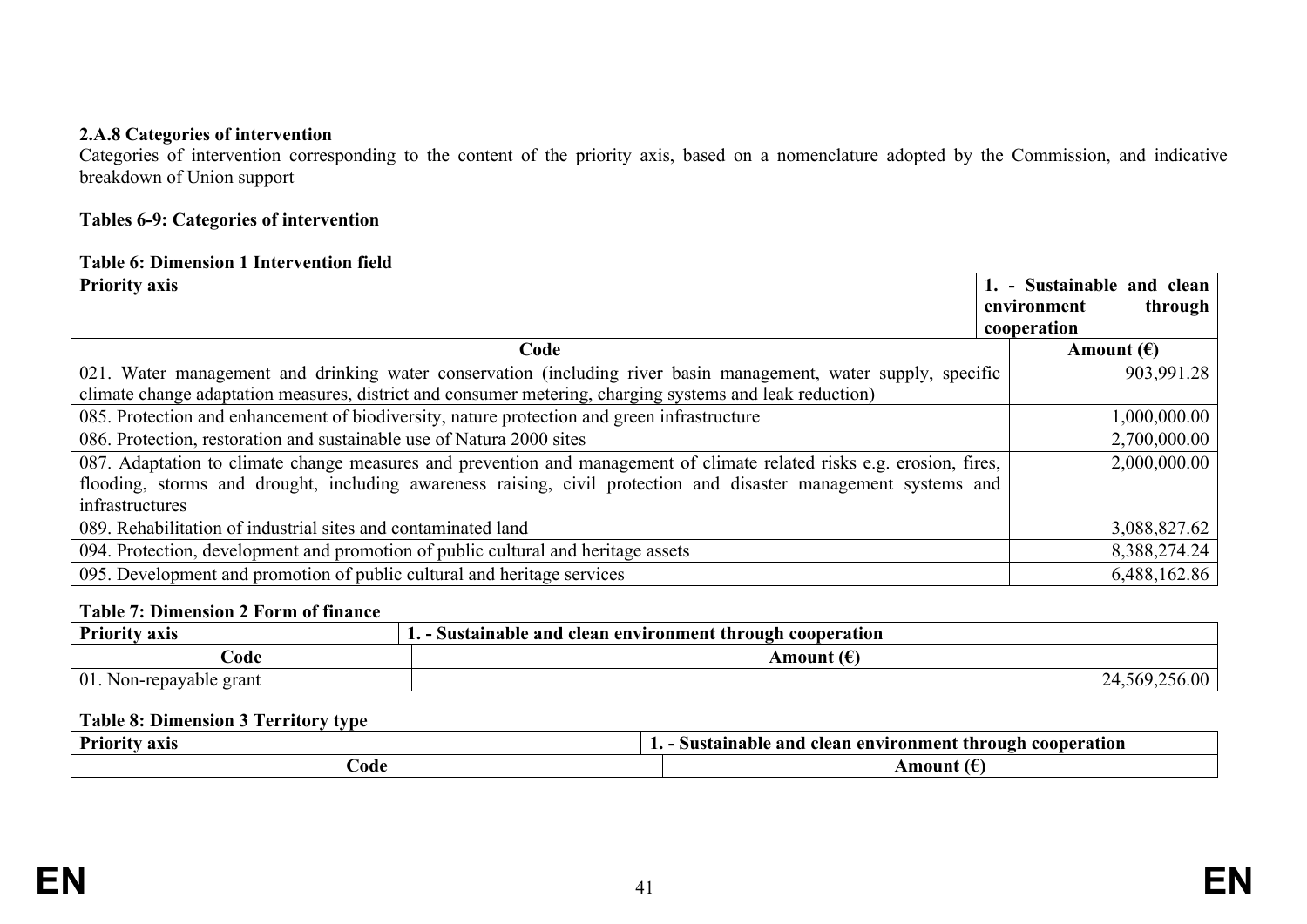## **2.A.8 Categories of intervention**

Categories of intervention corresponding to the content of the priority axis, based on a nomenclature adopted by the Commission, and indicative breakdown of Union support

# **Tables 6-9: Categories of intervention**

### **Table 6: Dimension 1 Intervention field**

| <b>Priority axis</b>                                                                                                   | 1. - Sustainable and clean |              |
|------------------------------------------------------------------------------------------------------------------------|----------------------------|--------------|
|                                                                                                                        | environment                | through      |
|                                                                                                                        | cooperation                |              |
| Code                                                                                                                   | Amount $(\epsilon)$        |              |
| 021. Water management and drinking water conservation (including river basin management, water supply, specific        |                            | 903,991.28   |
| climate change adaptation measures, district and consumer metering, charging systems and leak reduction)               |                            |              |
| 085. Protection and enhancement of biodiversity, nature protection and green infrastructure                            |                            | 1,000,000.00 |
| 086. Protection, restoration and sustainable use of Natura 2000 sites                                                  |                            | 2,700,000.00 |
| 087. Adaptation to climate change measures and prevention and management of climate related risks e.g. erosion, fires, |                            | 2,000,000.00 |
| flooding, storms and drought, including awareness raising, civil protection and disaster management systems and        |                            |              |
| infrastructures                                                                                                        |                            |              |
| 089. Rehabilitation of industrial sites and contaminated land                                                          |                            | 3,088,827.62 |
| 094. Protection, development and promotion of public cultural and heritage assets                                      |                            | 8,388,274.24 |
| 095. Development and promotion of public cultural and heritage services                                                |                            | 6,488,162.86 |

#### **Table 7: Dimension 2 Form of finance**

| <b>Priority axis</b>       | - Sustainable and clean environment through cooperation |
|----------------------------|---------------------------------------------------------|
| `ode                       | \moun!                                                  |
| 01.<br>Non-repayable grant | .00<br>. 569                                            |

#### **Table 8: Dimension 3 Territory type**

| _____<br>$D_{\text{min}}$<br>axıs | environmen<br>cooperation<br>and<br>Sustainable<br>clean<br>roug<br>τn<br>. |
|-----------------------------------|-----------------------------------------------------------------------------|
| bode                              | mour                                                                        |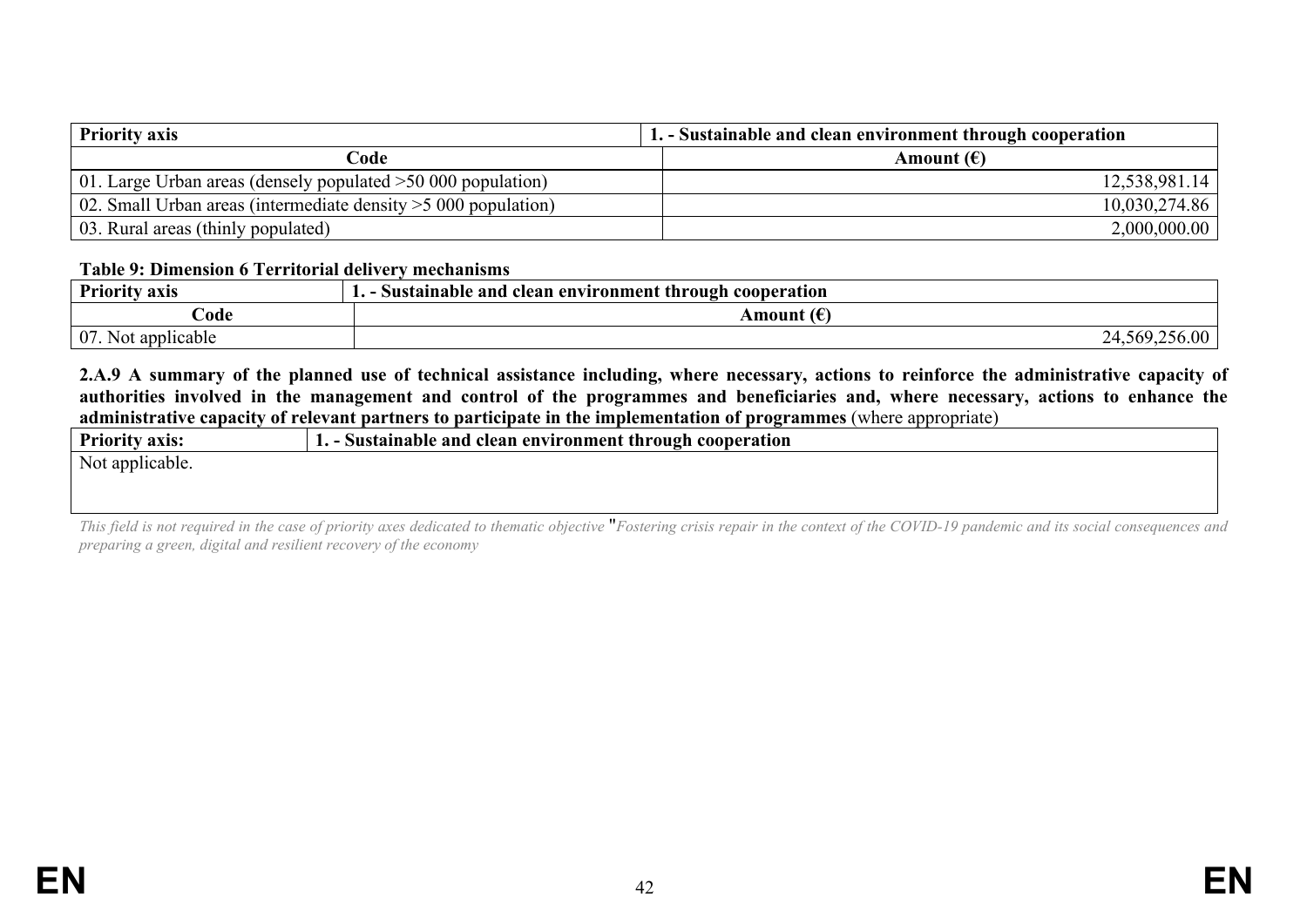| <b>Priority axis</b>                                              | 1. - Sustainable and clean environment through cooperation |
|-------------------------------------------------------------------|------------------------------------------------------------|
| Code                                                              | Amount $(\epsilon)$                                        |
| 01. Large Urban areas (densely populated $>50,000$ population)    | 12,538,981.14                                              |
| 02. Small Urban areas (intermediate density $>$ 5 000 population) | 10,030,274.86                                              |
| 03. Rural areas (thinly populated)                                | 2,000,000.00                                               |

#### **Table 9: Dimension 6 Territorial delivery mechanisms**

| <b>Priority</b><br>axis | Sustainable and clean environment through cooperation |                      |
|-------------------------|-------------------------------------------------------|----------------------|
| `ode                    | Amount                                                |                      |
| 07.<br>Not applicable   |                                                       | $\Omega$<br>าคฯ<br>∼ |

**2.A.9 A summary of the planned use of technical assistance including, where necessary, actions to reinforce the administrative capacity of authorities involved in the management and control of the programmes and beneficiaries and, where necessary, actions to enhance the administrative capacity of relevant partners to participate in the implementation of programmes** (where appropriate)

| <b>Priority axis:</b> | . - Sustainable and clean environment through cooperation |  |
|-----------------------|-----------------------------------------------------------|--|
| Not applicable.       |                                                           |  |
|                       |                                                           |  |
|                       |                                                           |  |

This field is not required in the case of priority axes dedicated to thematic objective "Fostering crisis repair in the context of the COVID-19 pandemic and its social consequences and *preparing a green, digital and resilient recovery of the economy*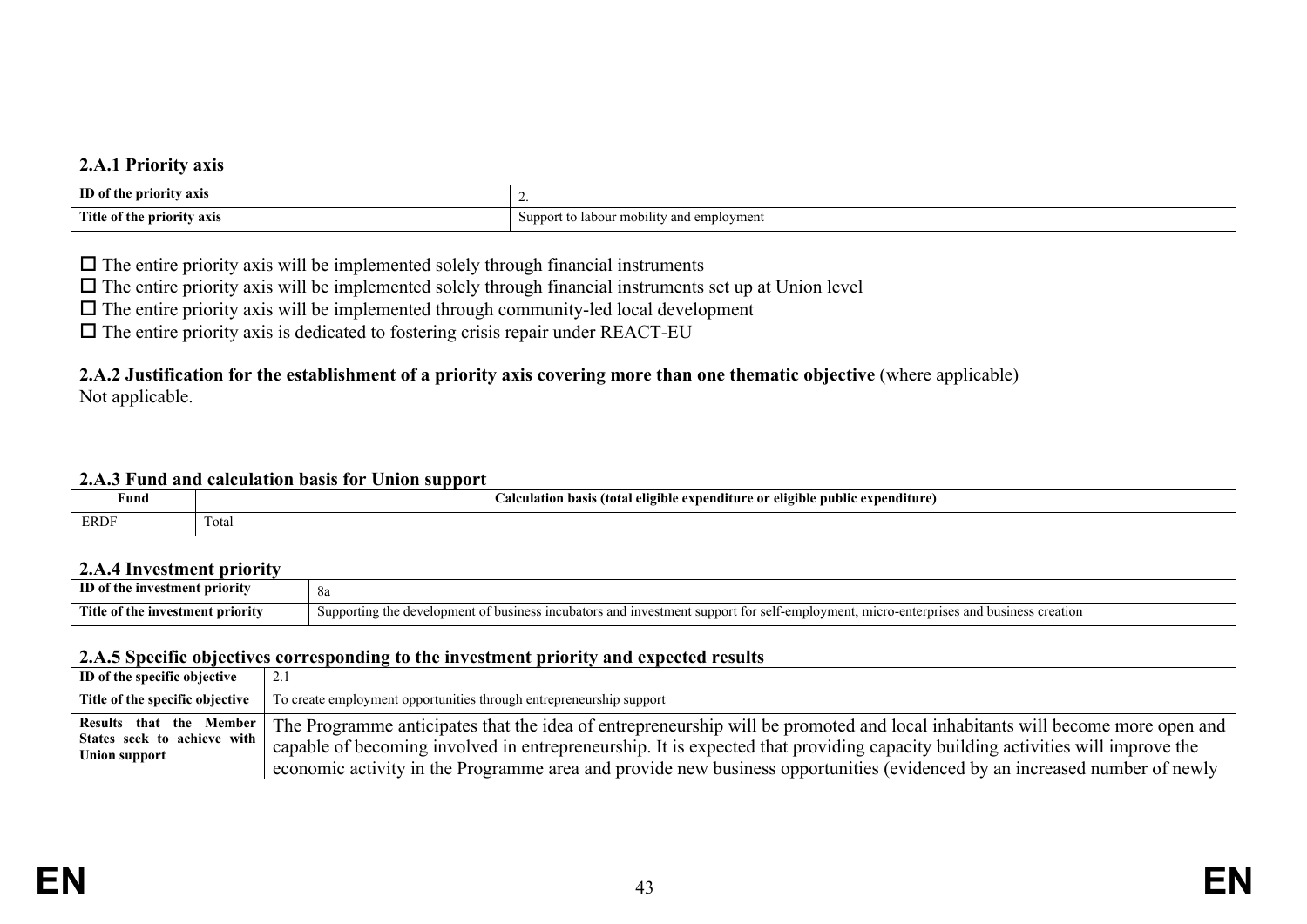# **2.A.1 Priority axis**

| ID of<br>priority axis<br>the      | --                                        |
|------------------------------------|-------------------------------------------|
| -Title<br><b>TOPITY AXIS</b><br>0Ť | ാbility and e.<br>ilovment<br>. nour<br>ັ |

 $\Box$  The entire priority axis will be implemented solely through financial instruments

 $\Box$  The entire priority axis will be implemented solely through financial instruments set up at Union level

 $\Box$  The entire priority axis will be implemented through community-led local development

 $\Box$  The entire priority axis is dedicated to fostering crisis repair under REACT-EU

#### **2.A.2 Justification for the establishment of a priority axis covering more than one thematic objective** (where applicable) Not applicable.

#### **2.A.3 Fund and calculation basis for Union support**

| $\sim$<br>Fund | __<br>ıdıture<br>eligible nublic-<br>expen.<br>enditure<br>t total<br>$\sim$ $\blacksquare$<br>elic<br>evn<br>NB.<br>$\overline{\phantom{a}}$ |  |
|----------------|-----------------------------------------------------------------------------------------------------------------------------------------------|--|
| 98 D.I         | $\sim$<br>Total                                                                                                                               |  |

## **2.A.4 Investment priority**

| m<br>stment nrv<br>°10111<br>1nv<br>TD. | vu                                                                                                                                                           |
|-----------------------------------------|--------------------------------------------------------------------------------------------------------------------------------------------------------------|
| Title of the<br>t priority<br>…stmer    | self-<br>Suppor<br>micro<br>suppor<br>$\gamma$ vmen<br>a investment<br>.em<br>1ne<br>busines<br>ากาเรา<br>creation<br>atıng -<br>pators<br>- for<br>$-0.02C$ |

#### **2.A.5 Specific objectives corresponding to the investment priority and expected results**

| ID of the specific objective                                            | 4.1                                                                                                                                                                                                                                                                                                                                                                                        |
|-------------------------------------------------------------------------|--------------------------------------------------------------------------------------------------------------------------------------------------------------------------------------------------------------------------------------------------------------------------------------------------------------------------------------------------------------------------------------------|
| Title of the specific objective                                         | To create employment opportunities through entrepreneurship support                                                                                                                                                                                                                                                                                                                        |
| Results that the Member<br>States seek to achieve with<br>Union support | The Programme anticipates that the idea of entrepreneurship will be promoted and local inhabitants will become more open and<br>capable of becoming involved in entrepreneurship. It is expected that providing capacity building activities will improve the<br>economic activity in the Programme area and provide new business opportunities (evidenced by an increased number of newly |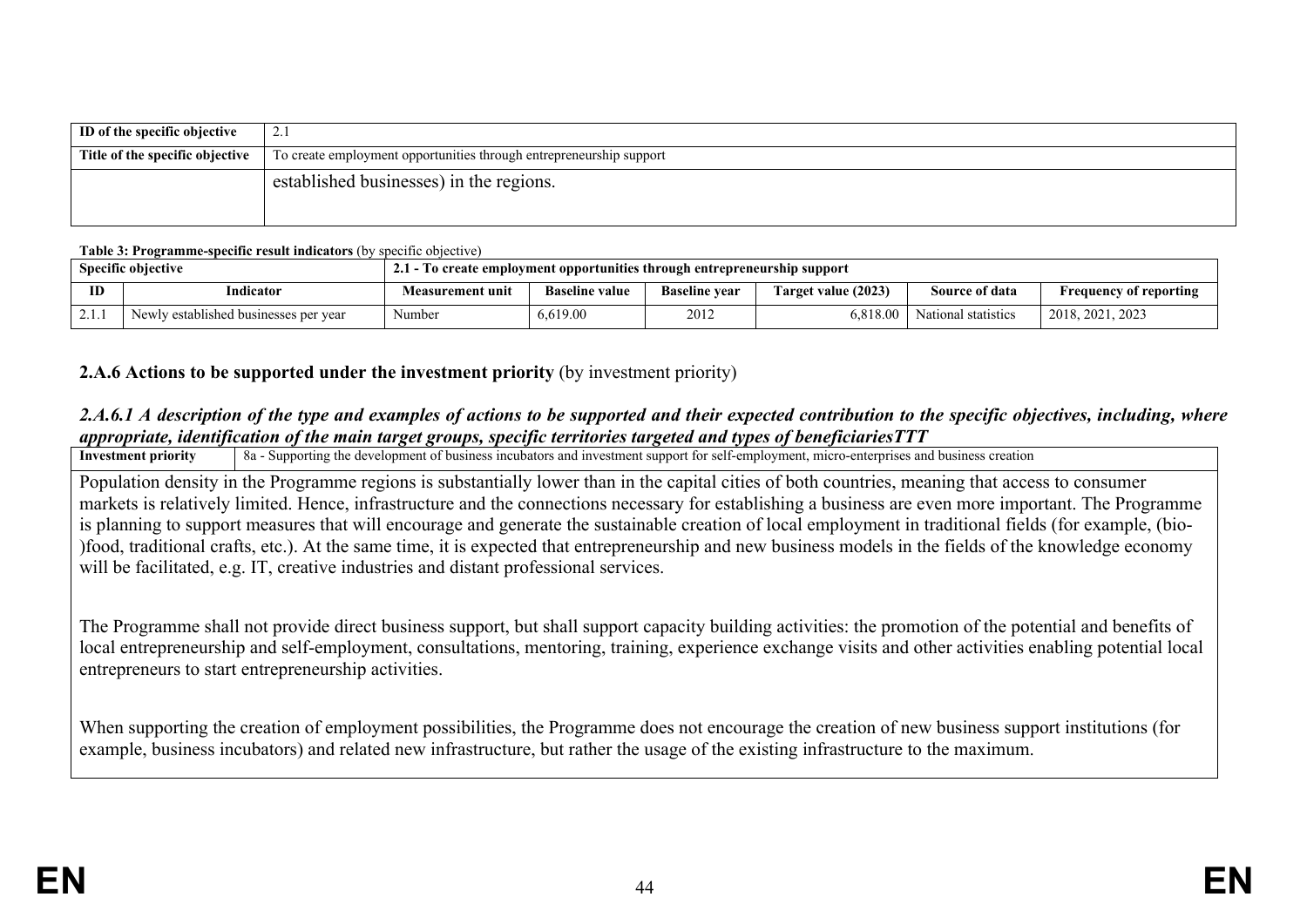| ID of the specific objective    |                                                                     |  |
|---------------------------------|---------------------------------------------------------------------|--|
| Title of the specific objective | To create employment opportunities through entrepreneurship support |  |
|                                 | established businesses) in the regions.                             |  |

#### **Table 3: Programme-specific result indicators** (by specific objective)

| <b>Specific objective</b> |                                                         | To create employment opportunities through entrepreneurship support |                       |                      |                     |                     |                        |
|---------------------------|---------------------------------------------------------|---------------------------------------------------------------------|-----------------------|----------------------|---------------------|---------------------|------------------------|
| ID                        | Indicator                                               | Measurement unit                                                    | <b>Baseline value</b> | <b>Baseline</b> vear | Target value (2023) | Source of data      | Frequency of reporting |
| $-1.1.1$                  | New <sub>1</sub><br>vly established businesses per year | Number                                                              | 6,619.00              | 2012                 | 6,818.00            | National statistics | 2018, 2021, 2023       |

#### **2.A.6 Actions to be supported under the investment priority** (by investment priority)

# *2.A.6.1 A description of the type and examples of actions to be supported and their expected contribution to the specific objectives, including, where appropriate, identification of the main target groups, specific territories targeted and types of beneficiariesTTT*<br>Investment priority 3a - Supporting the development of business incubators and investment support for sel

**Investment priority** 8a - Supporting the development of business incubators and investment support for self-employment, micro-enterprises and business creation

Population density in the Programme regions is substantially lower than in the capital cities of both countries, meaning that access to consumer markets is relatively limited. Hence, infrastructure and the connections necessary for establishing a business are even more important. The Programme is planning to support measures that will encourage and generate the sustainable creation of local employment in traditional fields (for example, (bio- )food, traditional crafts, etc.). At the same time, it is expected that entrepreneurship and new business models in the fields of the knowledge economy will be facilitated, e.g. IT, creative industries and distant professional services.

The Programme shall not provide direct business support, but shall support capacity building activities: the promotion of the potential and benefits of local entrepreneurship and self-employment, consultations, mentoring, training, experience exchange visits and other activities enabling potential local entrepreneurs to start entrepreneurship activities.

When supporting the creation of employment possibilities, the Programme does not encourage the creation of new business support institutions (for example, business incubators) and related new infrastructure, but rather the usage of the existing infrastructure to the maximum.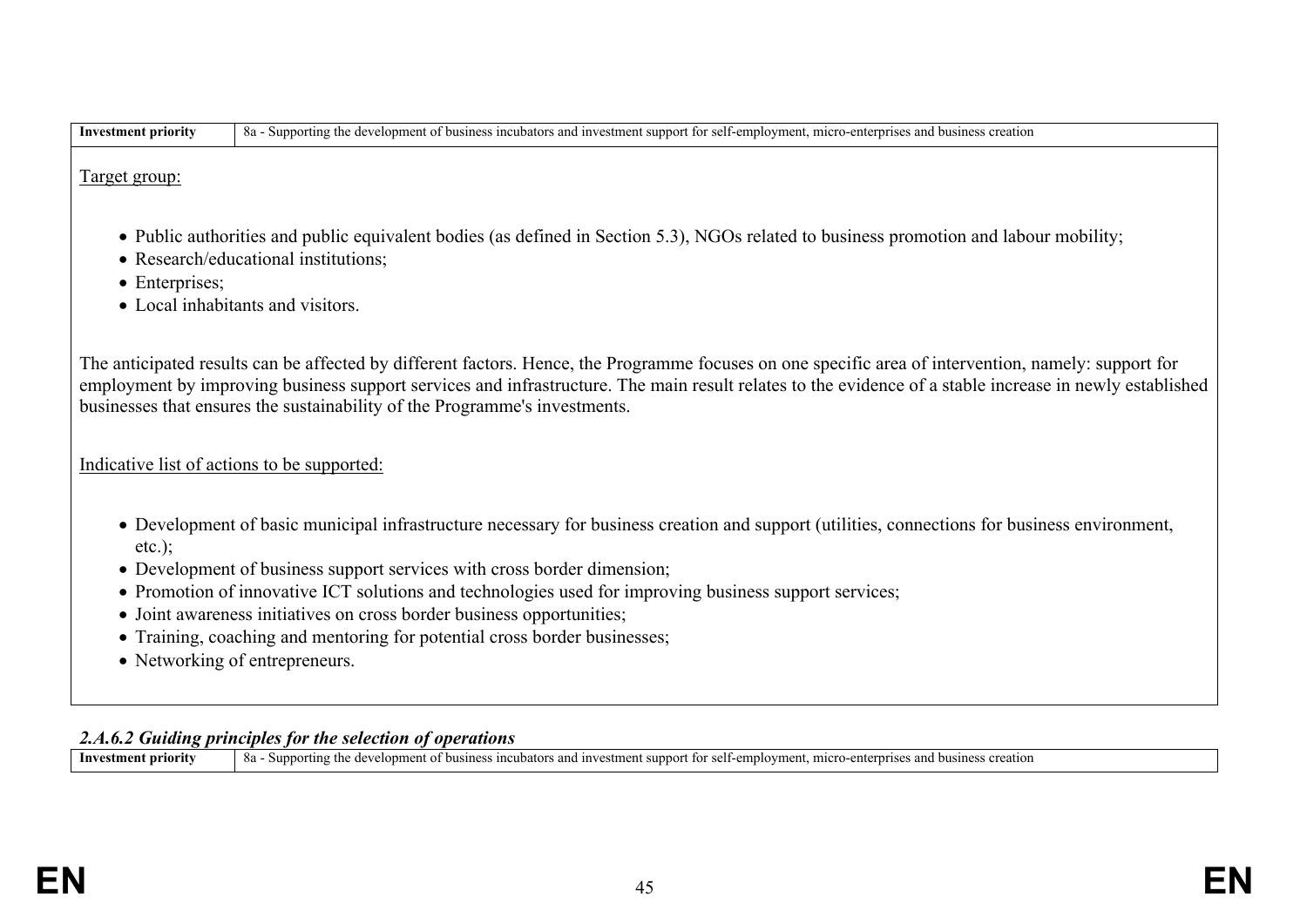| <b>Investment priority</b> | 8a - Supporting the development of business incubators and investment support for self-employment, micro-enterprises and business creation                                                                                                                                                                                                                                                    |
|----------------------------|-----------------------------------------------------------------------------------------------------------------------------------------------------------------------------------------------------------------------------------------------------------------------------------------------------------------------------------------------------------------------------------------------|
| Target group:              |                                                                                                                                                                                                                                                                                                                                                                                               |
| $\bullet$ Enterprises;     | • Public authorities and public equivalent bodies (as defined in Section 5.3), NGOs related to business promotion and labour mobility;<br>• Research/educational institutions;<br>• Local inhabitants and visitors.                                                                                                                                                                           |
|                            | The anticipated results can be affected by different factors. Hence, the Programme focuses on one specific area of intervention, namely: support for<br>employment by improving business support services and infrastructure. The main result relates to the evidence of a stable increase in newly established<br>businesses that ensures the sustainability of the Programme's investments. |
|                            | Indicative list of actions to be supported:                                                                                                                                                                                                                                                                                                                                                   |
| $etc.$ ;                   | • Development of basic municipal infrastructure necessary for business creation and support (utilities, connections for business environment,                                                                                                                                                                                                                                                 |

- Development of business support services with cross border dimension;
- Promotion of innovative ICT solutions and technologies used for improving business support services;
- Joint awareness initiatives on cross border business opportunities;
- Training, coaching and mentoring for potential cross border businesses;
- Networking of entrepreneurs.

# 2.*A.6.2 Guiding principles for the selection of operations*<br>Investment priority 3a - Supporting the development of business incu

**Interviewer 8a - Supporting the development of business incubators and investment support for self-employment, micro-enterprises and business creation**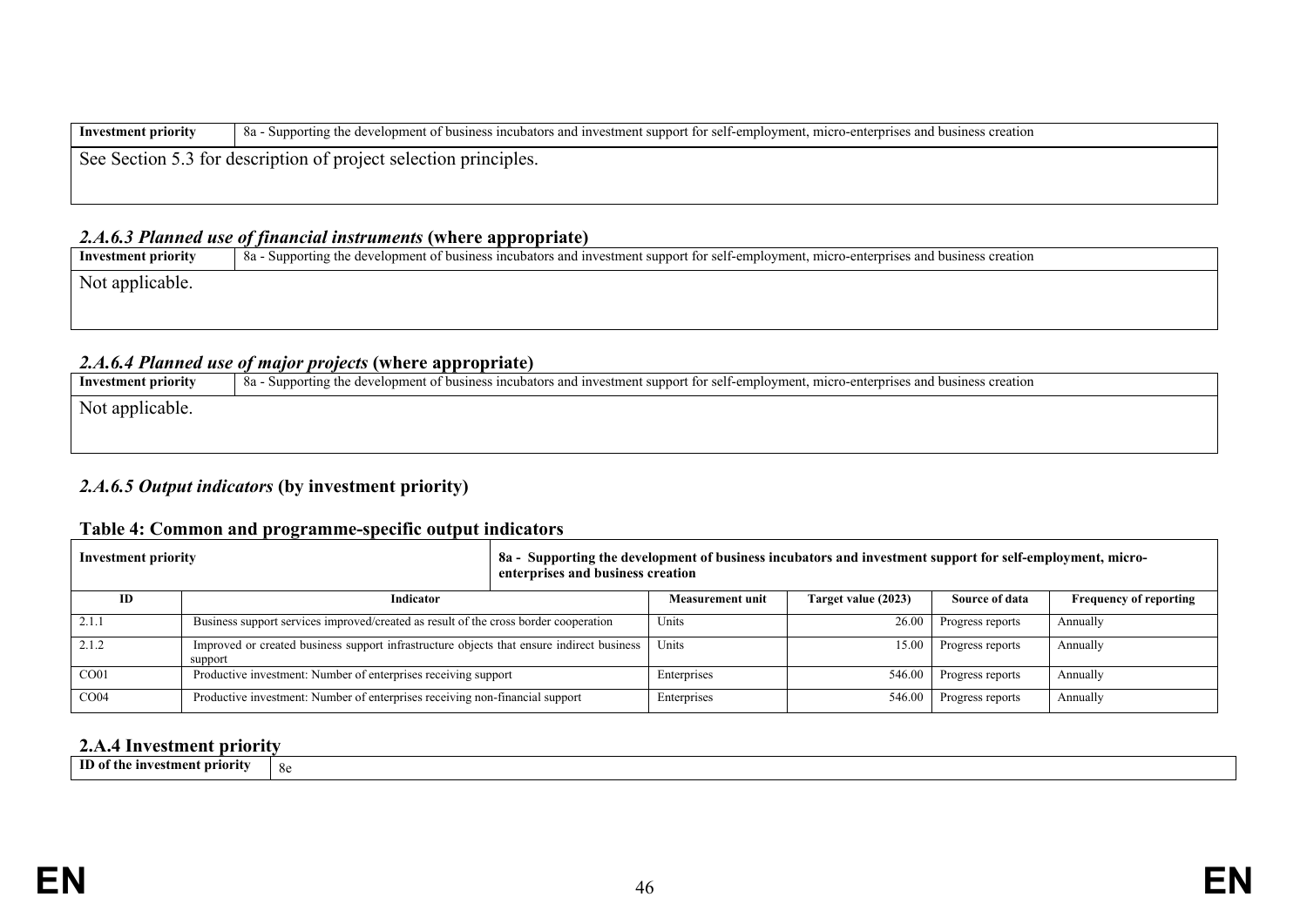| <b>Investment priority</b>                                       | 8 8a - Supporting the development of business incubators and investment support for self-employment, micro-enterprises and business creation |  |  |  |  |
|------------------------------------------------------------------|----------------------------------------------------------------------------------------------------------------------------------------------|--|--|--|--|
| See Section 5.3 for description of project selection principles. |                                                                                                                                              |  |  |  |  |
|                                                                  |                                                                                                                                              |  |  |  |  |

# *2.A.6.3 Planned use of financial instruments* **(where appropriate)**

| Investment priority | 8a - Supporting the development of business incubators and investment support for self-employment, micro-enterprises and business creation |
|---------------------|--------------------------------------------------------------------------------------------------------------------------------------------|
| Not applicable.     |                                                                                                                                            |
|                     |                                                                                                                                            |

#### *2.A.6.4 Planned use of major projects* **(where appropriate)**

| Investment priority | 8a - Supporting the development of business incubators and investment support for self-employment, micro-enterprises and business creation |  |  |  |  |  |
|---------------------|--------------------------------------------------------------------------------------------------------------------------------------------|--|--|--|--|--|
| Not applicable.     |                                                                                                                                            |  |  |  |  |  |
|                     |                                                                                                                                            |  |  |  |  |  |
|                     |                                                                                                                                            |  |  |  |  |  |

# *2.A.6.5 Output indicators* **(by investment priority)**

# **Table 4: Common and programme-specific output indicators**

| <b>Investment priority</b> |                                                                                                      | 8a - Supporting the development of business incubators and investment support for self-employment, micro-<br>enterprises and business creation |                     |                  |                               |  |
|----------------------------|------------------------------------------------------------------------------------------------------|------------------------------------------------------------------------------------------------------------------------------------------------|---------------------|------------------|-------------------------------|--|
| ID                         | Indicator                                                                                            |                                                                                                                                                | Target value (2023) | Source of data   | <b>Frequency of reporting</b> |  |
| 2.1.1                      | Business support services improved/created as result of the cross border cooperation                 | Units                                                                                                                                          | 26.00               | Progress reports | Annually                      |  |
| 2.1.2                      | Improved or created business support infrastructure objects that ensure indirect business<br>support | Units                                                                                                                                          | 15.00               | Progress reports | Annually                      |  |
| CO <sub>01</sub>           | Productive investment: Number of enterprises receiving support                                       | Enterprises                                                                                                                                    | 546.00              | Progress reports | Annually                      |  |
| CO <sub>04</sub>           | Productive investment: Number of enterprises receiving non-financial support                         | Enterprises                                                                                                                                    | 546.00              | Progress reports | Annually                      |  |

## **2.A.4 Investment priority**

**ID of the investment priority** 8e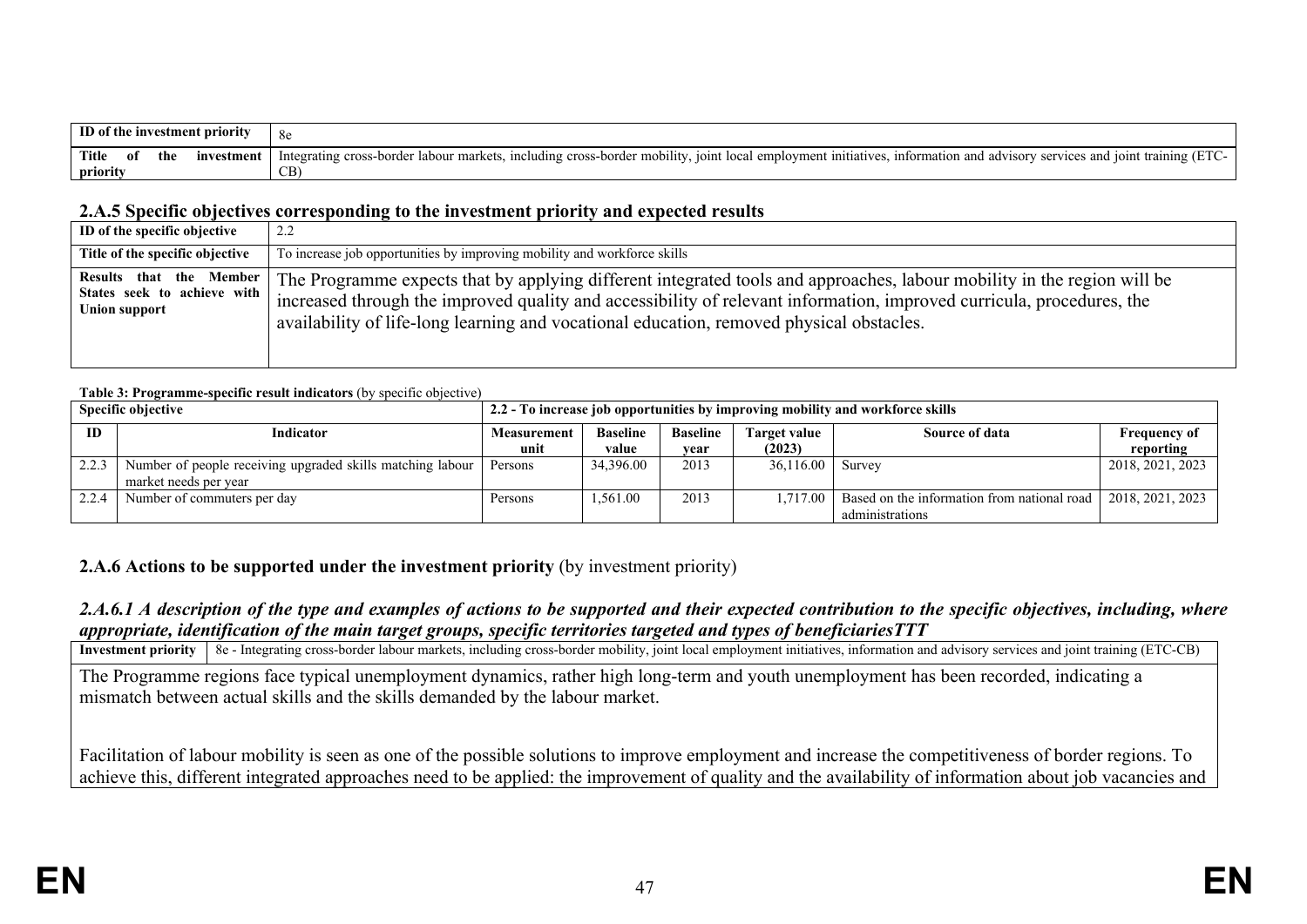| ID of the investment priority |        | 8e                                                                                                                                                                                                                          |
|-------------------------------|--------|-----------------------------------------------------------------------------------------------------------------------------------------------------------------------------------------------------------------------------|
| <b>Title</b><br>the<br>ОĪ     | estmen | .<br>training<br>∵mark⊧.<br>Integrating cross-border<br>labour<br><sup>.</sup> mot<br>meluding cross-c<br>-informa<br>oint local<br>-initiative<br>411tv<br>border<br>employ<br>c <sub>ATU</sub><br>$\alpha$<br>ano<br>1en1 |
| priority                      |        | $\sim$<br>◡                                                                                                                                                                                                                 |

#### **2.A.5 Specific objectives corresponding to the investment priority and expected results**

| ID of the specific objective                                            | 2.2                                                                                                                                                                                                                                                                                                                                          |
|-------------------------------------------------------------------------|----------------------------------------------------------------------------------------------------------------------------------------------------------------------------------------------------------------------------------------------------------------------------------------------------------------------------------------------|
| Title of the specific objective                                         | To increase job opportunities by improving mobility and workforce skills                                                                                                                                                                                                                                                                     |
| Results that the Member<br>States seek to achieve with<br>Union support | The Programme expects that by applying different integrated tools and approaches, labour mobility in the region will be<br>increased through the improved quality and accessibility of relevant information, improved curricula, procedures, the<br>availability of life-long learning and vocational education, removed physical obstacles. |

#### **Table 3: Programme-specific result indicators** (by specific objective)

|           | <b>Specific objective</b>                                  | 2.2 - To increase job opportunities by improving mobility and workforce skills |                 |                 |              |                                             |                     |
|-----------|------------------------------------------------------------|--------------------------------------------------------------------------------|-----------------|-----------------|--------------|---------------------------------------------|---------------------|
| <b>ID</b> | Indicator                                                  | <b>Measurement</b>                                                             | <b>Baseline</b> | <b>Baseline</b> | Target value | Source of data                              | <b>Frequency of</b> |
|           |                                                            | unit                                                                           | value           | vear            | (2023)       |                                             | reporting           |
|           | Number of people receiving upgraded skills matching labour | Persons                                                                        | 34,396.00       | 2013            | 36,116.00    | Survey                                      | 2018, 2021, 2023    |
|           | market needs per year                                      |                                                                                |                 |                 |              |                                             |                     |
| 2.2.4     | Number of commuters per day                                | Persons                                                                        | ,561.00         | 2013            | .717.00      | Based on the information from national road | 2018, 2021, 2023    |
|           |                                                            |                                                                                |                 |                 |              | administrations                             |                     |

## **2.A.6 Actions to be supported under the investment priority** (by investment priority)

*2.A.6.1 A description of the type and examples of actions to be supported and their expected contribution to the specific objectives, including, where appropriate, identification of the main target groups, specific territories targeted and types of beneficiariesTTT*

**Investment priority** 8e - Integrating cross-border labour markets, including cross-border mobility, joint local employment initiatives, information and advisory services and joint training (ETC-CB)

The Programme regions face typical unemployment dynamics, rather high long-term and youth unemployment has been recorded, indicating a mismatch between actual skills and the skills demanded by the labour market.

Facilitation of labour mobility is seen as one of the possible solutions to improve employment and increase the competitiveness of border regions. To achieve this, different integrated approaches need to be applied: the improvement of quality and the availability of information about job vacancies and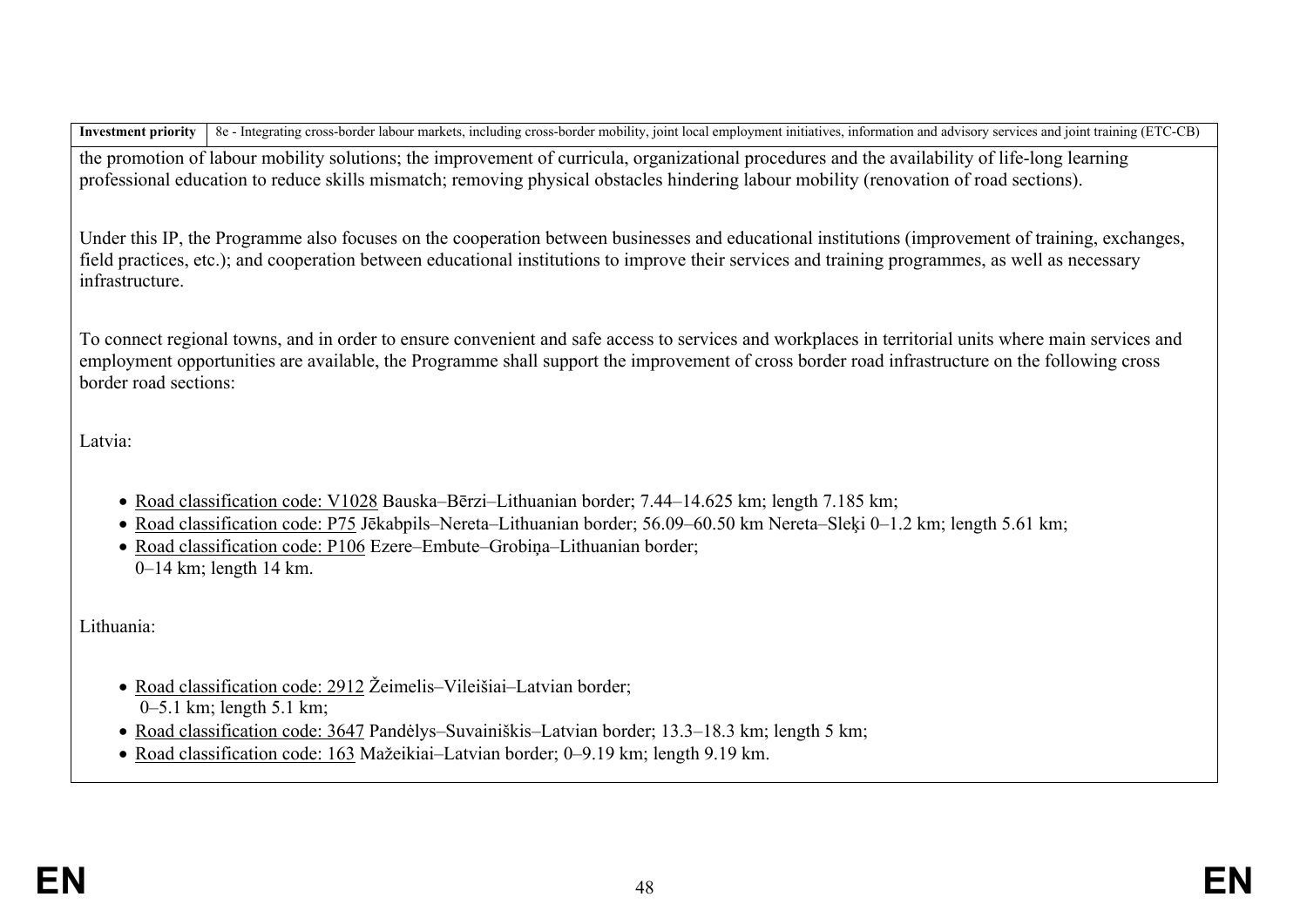Investment priority 8e - Integrating cross-border labour markets, including cross-border mobility, joint local employment initiatives, information and advisory services and joint training (ETC-CB) the promotion of labour mobility solutions; the improvement of curricula, organizational procedures and the availability of life-long learning

professional education to reduce skills mismatch; removing physical obstacles hindering labour mobility (renovation of road sections).

Under this IP, the Programme also focuses on the cooperation between businesses and educational institutions (improvement of training, exchanges, field practices, etc.); and cooperation between educational institutions to improve their services and training programmes, as well as necessary infrastructure.

To connect regional towns, and in order to ensure convenient and safe access to services and workplaces in territorial units where main services and employment opportunities are available, the Programme shall support the improvement of cross border road infrastructure on the following cross border road sections:

Latvia:

- Road classification code: V1028 Bauska–Bērzi–Lithuanian border; 7.44–14.625 km; length 7.185 km;
- Road classification code: P75 Jēkabpils–Nereta–Lithuanian border; 56.09–60.50 km Nereta–Sleķi 0–1.2 km; length 5.61 km;
- Road classification code: P106 Ezere–Embute–Grobiņa–Lithuanian border; 0–14 km; length 14 km.

Lithuania:

- Road classification code: 2912 Žeimelis–Vileišiai–Latvian border: 0–5.1 km; length 5.1 km;
- Road classification code: 3647 Pandėlys–Suvainiškis–Latvian border; 13.3–18.3 km; length 5 km;
- Road classification code: 163 Mažeikiai–Latvian border; 0–9.19 km; length 9.19 km.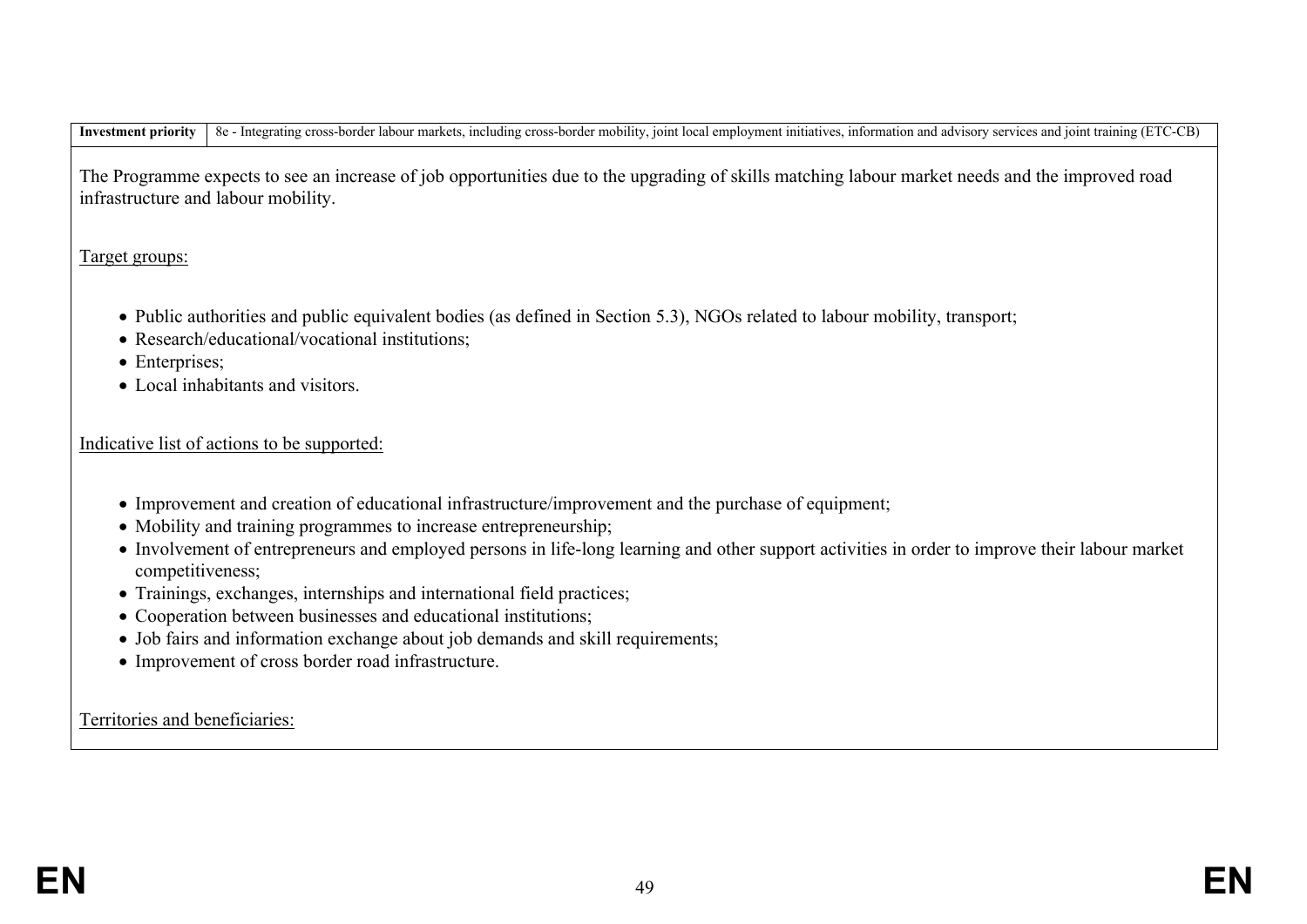| Investment priority   8e - Integrating cross-border labour markets, including cross-border mobility, joint local employment initiatives, information and advisory services and joint training (ETC-CB) |  |
|--------------------------------------------------------------------------------------------------------------------------------------------------------------------------------------------------------|--|
|--------------------------------------------------------------------------------------------------------------------------------------------------------------------------------------------------------|--|

The Programme expects to see an increase of job opportunities due to the upgrading of skills matching labour market needs and the improved road infrastructure and labour mobility.

Target groups:

- Public authorities and public equivalent bodies (as defined in Section 5.3), NGOs related to labour mobility, transport;
- Research/educational/vocational institutions;
- Enterprises;
- Local inhabitants and visitors.

Indicative list of actions to be supported:

- Improvement and creation of educational infrastructure/improvement and the purchase of equipment;
- Mobility and training programmes to increase entrepreneurship;
- Involvement of entrepreneurs and employed persons in life-long learning and other support activities in order to improve their labour market competitiveness;
- Trainings, exchanges, internships and international field practices;
- Cooperation between businesses and educational institutions;
- Job fairs and information exchange about job demands and skill requirements;
- Improvement of cross border road infrastructure.

Territories and beneficiaries: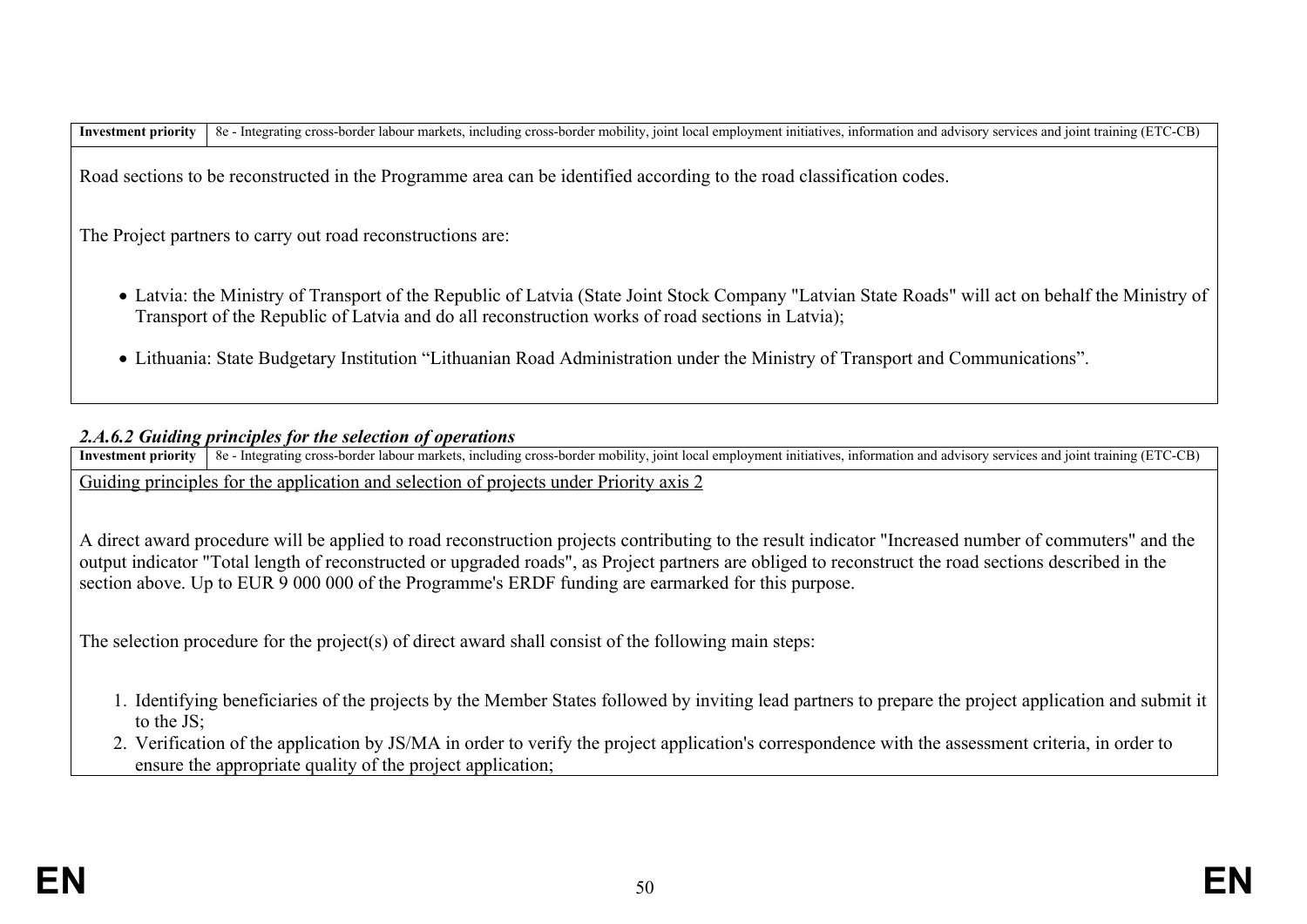| Investment priority   8e - Integrating cross-border labour markets, including cross-border mobility, joint local employment initiatives, information and advisory services and joint training (ETC-CB) |
|--------------------------------------------------------------------------------------------------------------------------------------------------------------------------------------------------------|
|--------------------------------------------------------------------------------------------------------------------------------------------------------------------------------------------------------|

Road sections to be reconstructed in the Programme area can be identified according to the road classification codes.

The Project partners to carry out road reconstructions are:

- Latvia: the Ministry of Transport of the Republic of Latvia (State Joint Stock Company "Latvian State Roads" will act on behalf the Ministry of Transport of the Republic of Latvia and do all reconstruction works of road sections in Latvia);
- Lithuania: State Budgetary Institution "Lithuanian Road Administration under the Ministry of Transport and Communications".

## *2.A.6.2 Guiding principles for the selection of operations*

**Investment priority** 8e - Integrating cross-border labour markets, including cross-border mobility, joint local employment initiatives, information and advisory services and joint training (ETC-CB) Guiding principles for the application and selection of projects under Priority axis 2

A direct award procedure will be applied to road reconstruction projects contributing to the result indicator "Increased number of commuters" and the output indicator "Total length of reconstructed or upgraded roads", as Project partners are obliged to reconstruct the road sections described in the section above. Up to EUR 9 000 000 of the Programme's ERDF funding are earmarked for this purpose.

The selection procedure for the project(s) of direct award shall consist of the following main steps:

- 1. Identifying beneficiaries of the projects by the Member States followed by inviting lead partners to prepare the project application and submit it to the JS;
- 2. Verification of the application by JS/MA in order to verify the project application's correspondence with the assessment criteria, in order to ensure the appropriate quality of the project application;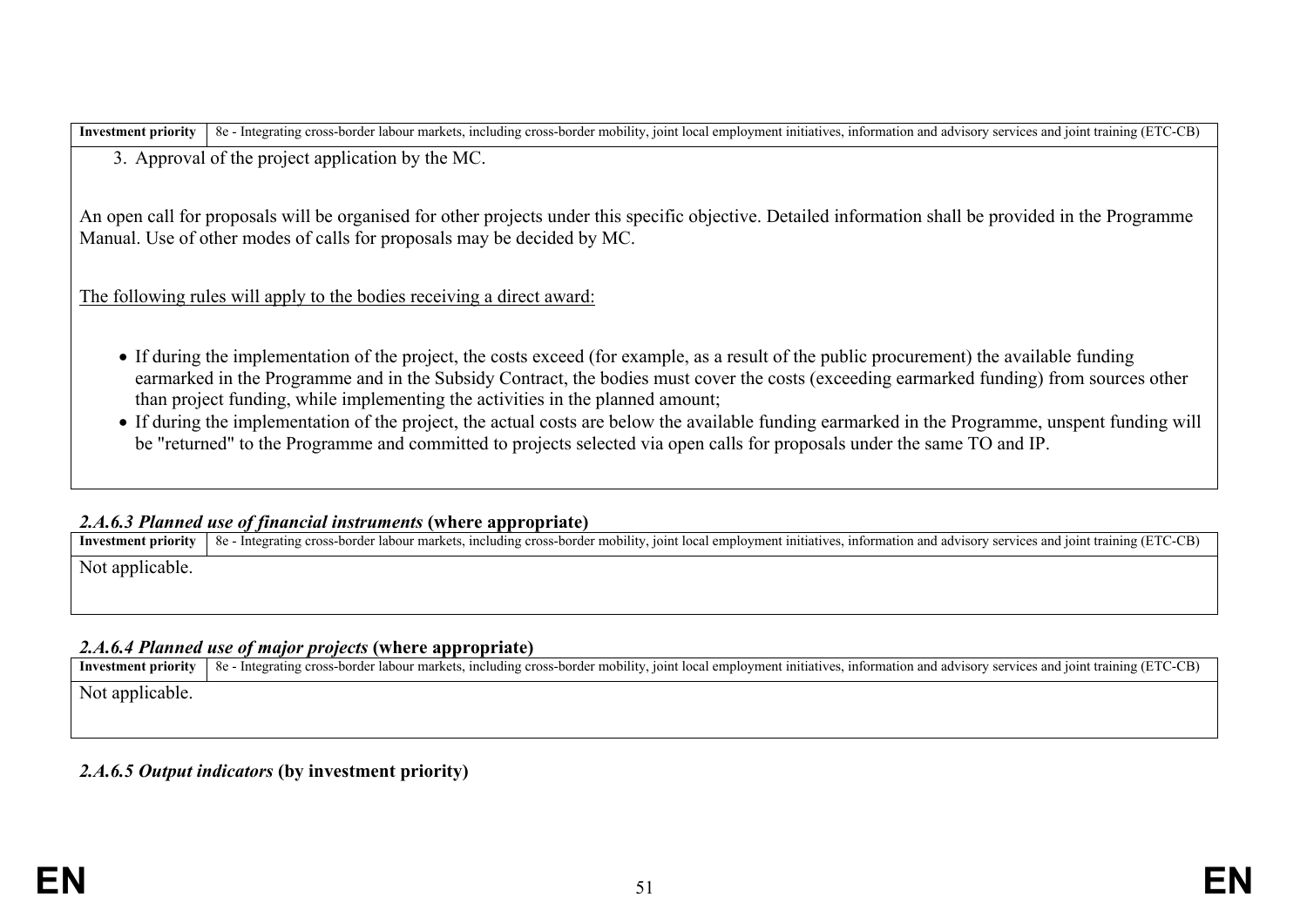| -Investment<br>rıorıt | CB)<br>cross.<br>r mobility<br>$"$ "cluding"<br>101P<br>aining<br>Xρ<br>1nitia<br>101 n<br>$\mathcal{L}$ al employm<br>-inform<br>abour mark<br>- Integra<br>.-norder<br>ition<br>≏r∩s<br>·norde<br>and<br>ano<br>AVISC |
|-----------------------|-------------------------------------------------------------------------------------------------------------------------------------------------------------------------------------------------------------------------|
| ۱nnr<br>$\cdots$      | - MU<br>application<br>project<br>тn<br>nv<br>tne                                                                                                                                                                       |

An open call for proposals will be organised for other projects under this specific objective. Detailed information shall be provided in the Programme Manual. Use of other modes of calls for proposals may be decided by MC.

The following rules will apply to the bodies receiving a direct award:

- If during the implementation of the project, the costs exceed (for example, as a result of the public procurement) the available funding earmarked in the Programme and in the Subsidy Contract, the bodies must cover the costs (exceeding earmarked funding) from sources other than project funding, while implementing the activities in the planned amount;
- If during the implementation of the project, the actual costs are below the available funding earmarked in the Programme, unspent funding will be "returned" to the Programme and committed to projects selected via open calls for proposals under the same TO and IP.

## *2.A.6.3 Planned use of financial instruments* **(where appropriate)**

**Investment priority** 8e - Integrating cross-border labour markets, including cross-border mobility, joint local employment initiatives, information and advisory services and joint training (ETC-CB) Not applicable.

# *2.A.6.4 Planned use of major projects* **(where appropriate)**

| Investment priority | . including cross-bord<br>. training<br>CВ<br>' employment<br>ler mobility, ioint local<br>. mitiativ<br>' labour mar<br>-information<br>anc<br>services and<br>advisory<br>- Integrating cross-border |
|---------------------|--------------------------------------------------------------------------------------------------------------------------------------------------------------------------------------------------------|
| Not applicable.     |                                                                                                                                                                                                        |

# *2.A.6.5 Output indicators* **(by investment priority)**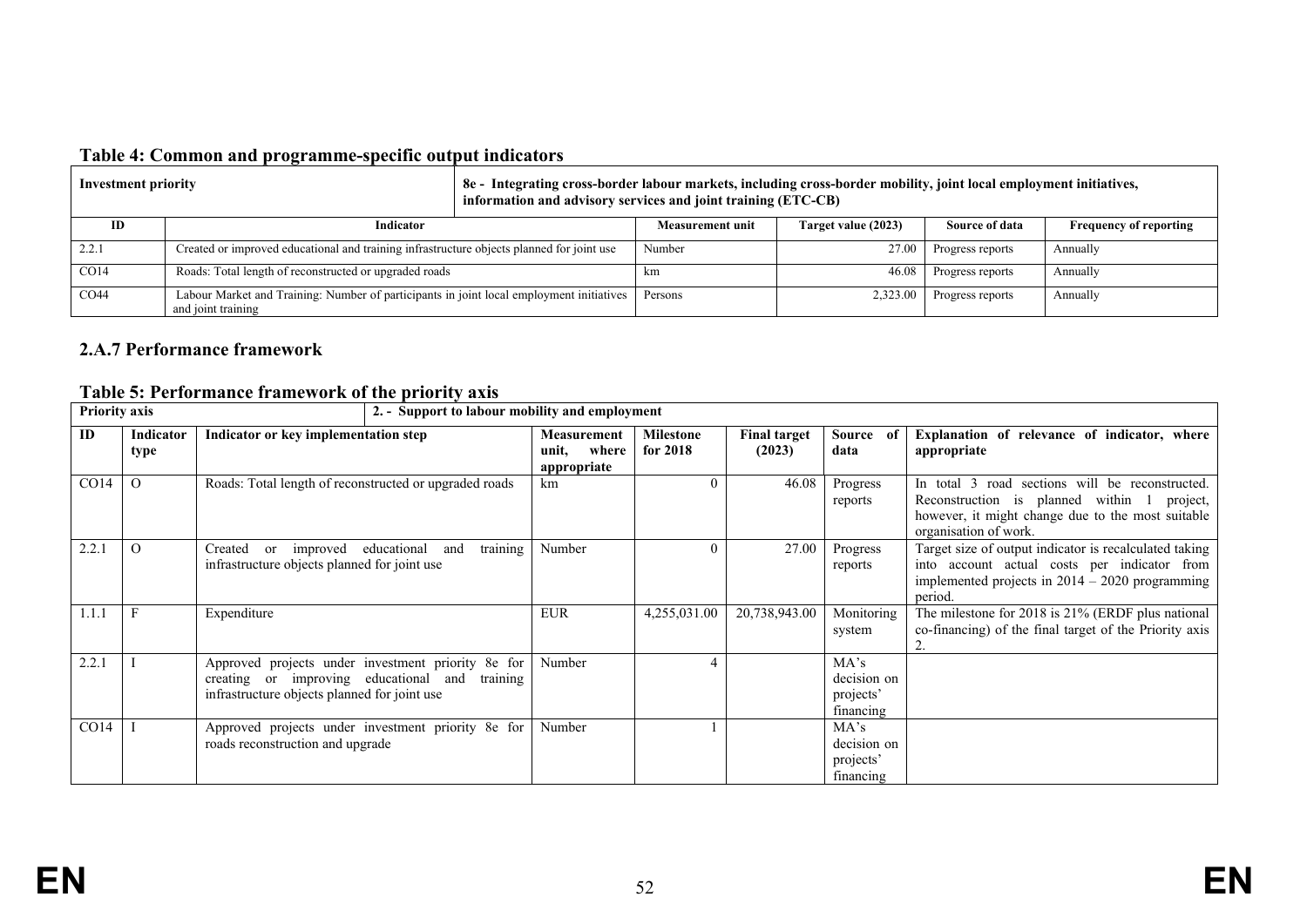# **Table 4: Common and programme-specific output indicators**

| <b>Investment priority</b> | 8e - Integrating cross-border labour markets, including cross-border mobility, joint local employment initiatives,<br>information and advisory services and joint training (ETC-CB) |                         |                     |                  |                               |
|----------------------------|-------------------------------------------------------------------------------------------------------------------------------------------------------------------------------------|-------------------------|---------------------|------------------|-------------------------------|
| ID                         | <b>Indicator</b>                                                                                                                                                                    | <b>Measurement unit</b> | Target value (2023) | Source of data   | <b>Frequency of reporting</b> |
| 2.2.1                      | Created or improved educational and training infrastructure objects planned for joint use                                                                                           | Number                  | 27.00               | Progress reports | Annually                      |
| CO14                       | Roads: Total length of reconstructed or upgraded roads                                                                                                                              | km                      | 46.08               | Progress reports | Annually                      |
| CO44                       | Labour Market and Training: Number of participants in joint local employment initiatives<br>and joint training                                                                      | Persons                 | 2.323.00            | Progress reports | Annually                      |

# **2.A.7 Performance framework**

# **Table 5: Performance framework of the priority axis**

|       | <b>Priority axis</b><br>2. - Support to labour mobility and employment |                                                                                                                                                         |                                                     |                              |                               |                                               |                                                                                                                                                                                 |
|-------|------------------------------------------------------------------------|---------------------------------------------------------------------------------------------------------------------------------------------------------|-----------------------------------------------------|------------------------------|-------------------------------|-----------------------------------------------|---------------------------------------------------------------------------------------------------------------------------------------------------------------------------------|
| ID    | Indicator<br>type                                                      | Indicator or key implementation step                                                                                                                    | <b>Measurement</b><br>where<br>unit,<br>appropriate | <b>Milestone</b><br>for 2018 | <b>Final target</b><br>(2023) | Source of<br>data                             | Explanation of relevance of indicator, where<br>appropriate                                                                                                                     |
| CO14  | $\Omega$                                                               | Roads: Total length of reconstructed or upgraded roads                                                                                                  | km                                                  | 0                            | 46.08                         | Progress<br>reports                           | In total 3 road sections will be reconstructed.<br>Reconstruction is planned within<br>1 project,<br>however, it might change due to the most suitable<br>organisation of work. |
| 2.2.1 | $\Omega$                                                               | training<br>educational<br>improved<br>and<br>Created<br><sub>or</sub><br>infrastructure objects planned for joint use                                  | Number                                              | 0                            | 27.00                         | Progress<br>reports                           | Target size of output indicator is recalculated taking<br>into account actual costs per indicator from<br>implemented projects in $2014 - 2020$ programming<br>period.          |
| 1.1.1 |                                                                        | Expenditure                                                                                                                                             | <b>EUR</b>                                          | 4,255,031.00                 | 20,738,943.00                 | Monitoring<br>system                          | The milestone for 2018 is 21% (ERDF plus national<br>co-financing) of the final target of the Priority axis<br>2.                                                               |
| 2.2.1 |                                                                        | Approved projects under investment priority 8e for<br>creating or improving educational and<br>training<br>infrastructure objects planned for joint use | Number                                              |                              |                               | MA's<br>decision on<br>projects'<br>financing |                                                                                                                                                                                 |
| CO14  |                                                                        | Approved projects under investment priority 8e for<br>roads reconstruction and upgrade                                                                  | Number                                              |                              |                               | MA's<br>decision on<br>projects'<br>financing |                                                                                                                                                                                 |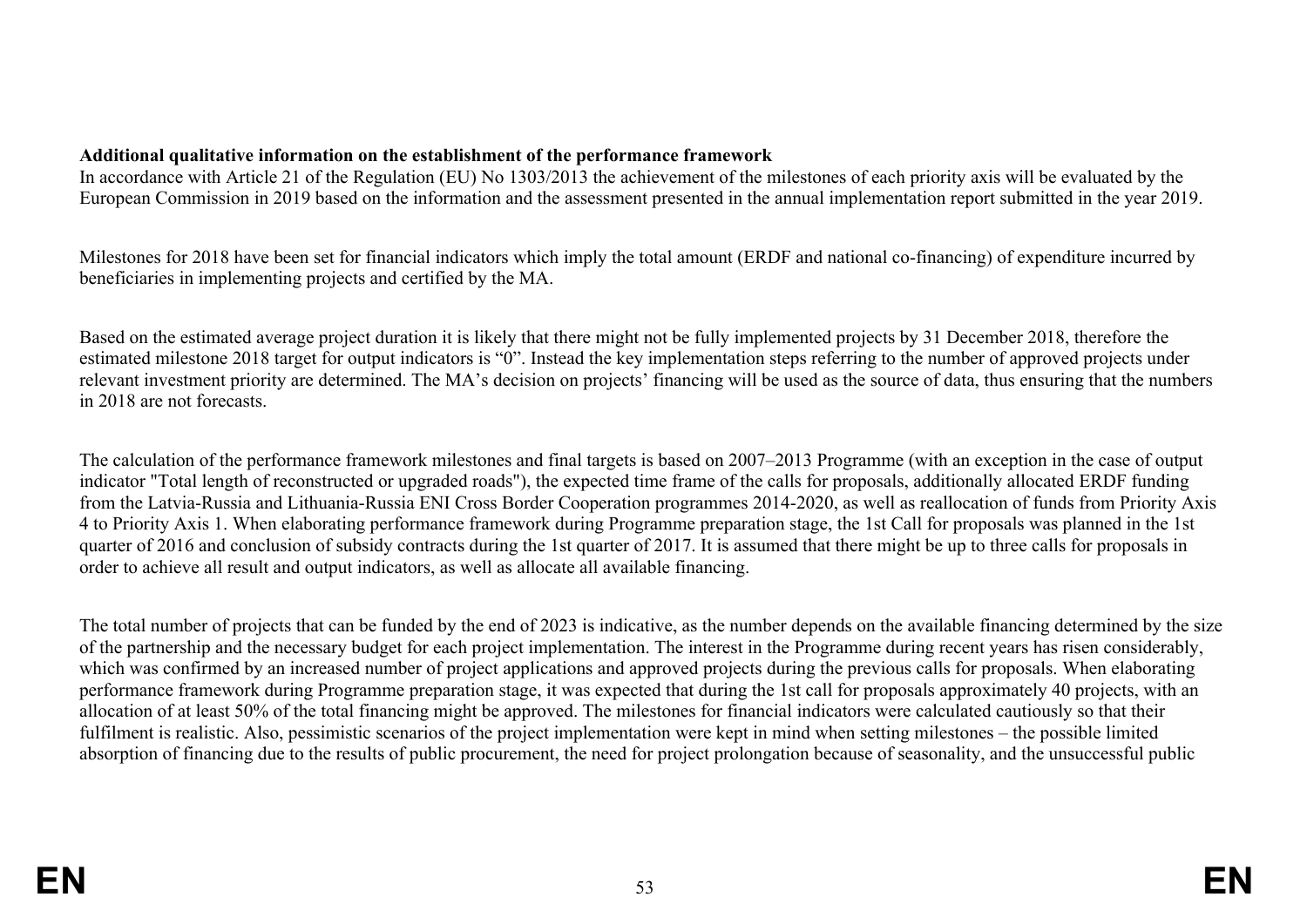# **Additional qualitative information on the establishment of the performance framework**

In accordance with Article 21 of the Regulation (EU) No 1303/2013 the achievement of the milestones of each priority axis will be evaluated by the European Commission in 2019 based on the information and the assessment presented in the annual implementation report submitted in the year 2019.

Milestones for 2018 have been set for financial indicators which imply the total amount (ERDF and national co-financing) of expenditure incurred by beneficiaries in implementing projects and certified by the MA.

Based on the estimated average project duration it is likely that there might not be fully implemented projects by 31 December 2018, therefore the estimated milestone 2018 target for output indicators is "0". Instead the key implementation steps referring to the number of approved projects under relevant investment priority are determined. The MA's decision on projects' financing will be used as the source of data, thus ensuring that the numbers in 2018 are not forecasts.

The calculation of the performance framework milestones and final targets is based on 2007–2013 Programme (with an exception in the case of output indicator "Total length of reconstructed or upgraded roads"), the expected time frame of the calls for proposals, additionally allocated ERDF funding from the Latvia-Russia and Lithuania-Russia ENI Cross Border Cooperation programmes 2014-2020, as well as reallocation of funds from Priority Axis 4 to Priority Axis 1. When elaborating performance framework during Programme preparation stage, the 1st Call for proposals was planned in the 1st quarter of 2016 and conclusion of subsidy contracts during the 1st quarter of 2017. It is assumed that there might be up to three calls for proposals in order to achieve all result and output indicators, as well as allocate all available financing.

The total number of projects that can be funded by the end of 2023 is indicative, as the number depends on the available financing determined by the size of the partnership and the necessary budget for each project implementation. The interest in the Programme during recent years has risen considerably, which was confirmed by an increased number of project applications and approved projects during the previous calls for proposals. When elaborating performance framework during Programme preparation stage, it was expected that during the 1st call for proposals approximately 40 projects, with an allocation of at least 50% of the total financing might be approved. The milestones for financial indicators were calculated cautiously so that their fulfilment is realistic. Also, pessimistic scenarios of the project implementation were kept in mind when setting milestones – the possible limited absorption of financing due to the results of public procurement, the need for project prolongation because of seasonality, and the unsuccessful public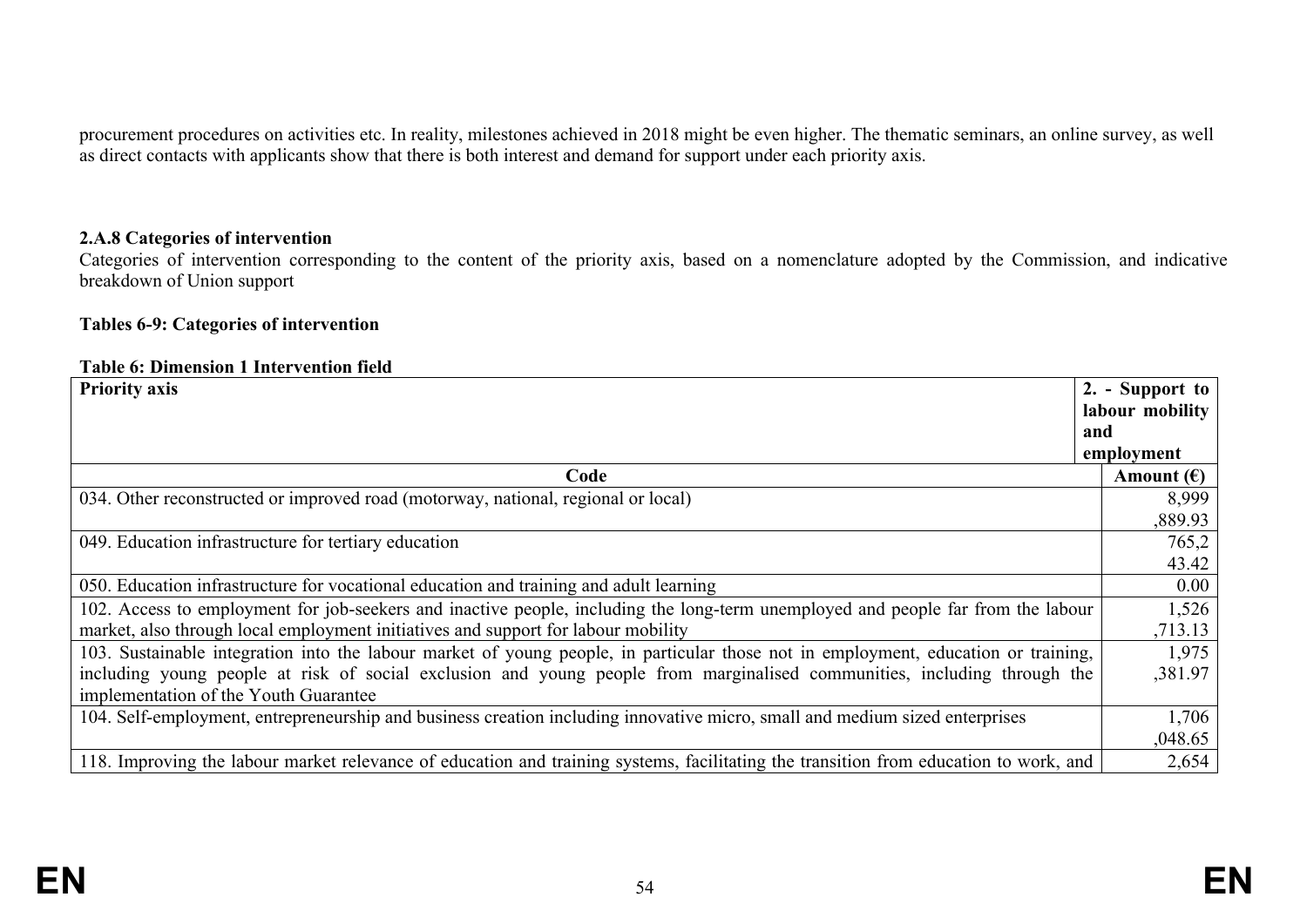procurement procedures on activities etc. In reality, milestones achieved in 2018 might be even higher. The thematic seminars, an online survey, as well as direct contacts with applicants show that there is both interest and demand for support under each priority axis.

#### **2.A.8 Categories of intervention**

Categories of intervention corresponding to the content of the priority axis, based on a nomenclature adopted by the Commission, and indicative breakdown of Union support

#### **Tables 6-9: Categories of intervention**

#### **Table 6: Dimension 1 Intervention field**

| <b>Priority axis</b>                                                                                                                  | 2. - Support to<br>labour mobility |  |
|---------------------------------------------------------------------------------------------------------------------------------------|------------------------------------|--|
|                                                                                                                                       | and<br>employment                  |  |
| Code                                                                                                                                  | Amount $(\epsilon)$                |  |
| 034. Other reconstructed or improved road (motorway, national, regional or local)                                                     | 8,999                              |  |
|                                                                                                                                       | ,889.93                            |  |
| 049. Education infrastructure for tertiary education                                                                                  | 765,2                              |  |
|                                                                                                                                       | 43.42                              |  |
| 050. Education infrastructure for vocational education and training and adult learning                                                | 0.00                               |  |
| 102. Access to employment for job-seekers and inactive people, including the long-term unemployed and people far from the labour      | 1,526                              |  |
| market, also through local employment initiatives and support for labour mobility                                                     | ,713.13                            |  |
| 103. Sustainable integration into the labour market of young people, in particular those not in employment, education or training,    | 1,975                              |  |
| including young people at risk of social exclusion and young people from marginalised communities, including through the              |                                    |  |
| implementation of the Youth Guarantee                                                                                                 |                                    |  |
| 104. Self-employment, entrepreneurship and business creation including innovative micro, small and medium sized enterprises           | 1,706                              |  |
|                                                                                                                                       | ,048.65                            |  |
| 118. Improving the labour market relevance of education and training systems, facilitating the transition from education to work, and | 2,654                              |  |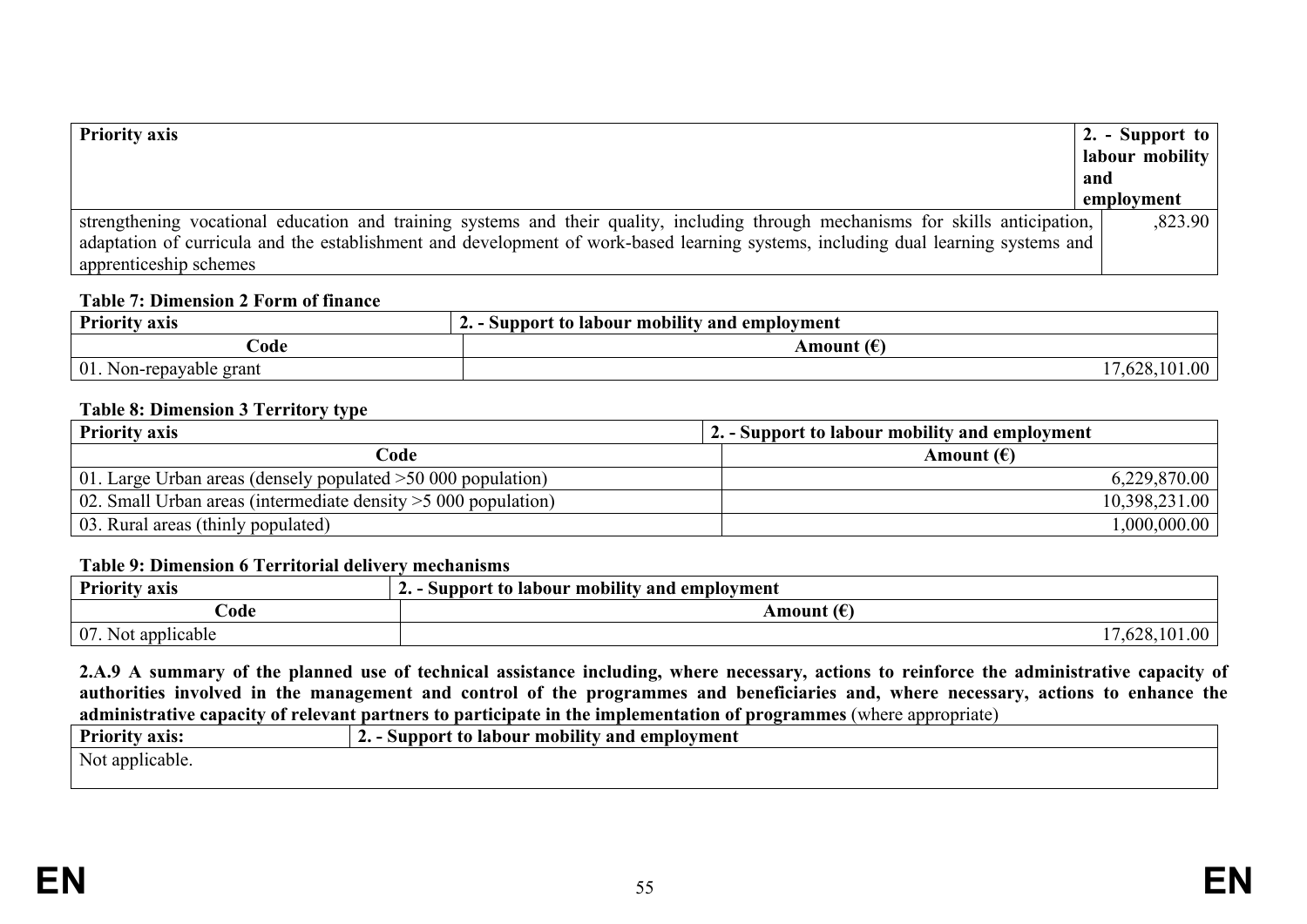| <b>Priority axis</b>                                                                                                              | 2. - Support to $ $ |
|-----------------------------------------------------------------------------------------------------------------------------------|---------------------|
|                                                                                                                                   | labour mobility     |
|                                                                                                                                   | and                 |
|                                                                                                                                   | employment          |
| strengthening vocational education and training systems and their quality, including through mechanisms for skills anticipation,  | .823.90             |
| adaptation of curricula and the establishment and development of work-based learning systems, including dual learning systems and |                     |
| apprenticeship schemes                                                                                                            |                     |

#### **Table 7: Dimension 2 Form of finance**

| <b>Priority</b><br>7 axıs      | $\bullet$ , $\bullet$<br>Support to labour mobility and employment<br>ہ سم |
|--------------------------------|----------------------------------------------------------------------------|
| bode.                          | $\epsilon$<br>Amount                                                       |
| $\mid$ 01. Non-repayable grant | 00.1<br>.020.                                                              |

#### **Table 8: Dimension 3 Territory type**

| <b>Priority axis</b>                                              | 2. - Support to labour mobility and employment |  |  |
|-------------------------------------------------------------------|------------------------------------------------|--|--|
| Code                                                              | Amount $(\epsilon)$                            |  |  |
| 01. Large Urban areas (densely populated $>50,000$ population)    | 6,229,870.00                                   |  |  |
| 02. Small Urban areas (intermediate density $>$ 5 000 population) | 10,398,231.00                                  |  |  |
| 03. Rural areas (thinly populated)                                | 1,000,000.00                                   |  |  |

#### **Table 9: Dimension 6 Territorial delivery mechanisms**

| Priorit<br><i>A</i> axis | $\cdots$<br>) labour mobility and<br>l emplovment<br>support<br>t0<br>≁. |  |
|--------------------------|--------------------------------------------------------------------------|--|
| €ode                     | \mount                                                                   |  |
| 07.<br>applicable<br>Not | .00<br>ı<br>v                                                            |  |

**2.A.9 A summary of the planned use of technical assistance including, where necessary, actions to reinforce the administrative capacity of authorities involved in the management and control of the programmes and beneficiaries and, where necessary, actions to enhance the administrative capacity of relevant partners to participate in the implementation of programmes** (where appropriate)

| $Drionit$<br>' axıs:      | ______<br>$\bullet$ $\bullet$<br>' employment<br><sup>,</sup> mobility<br>and<br>Tabour<br>'Sur<br>∸∙ |
|---------------------------|-------------------------------------------------------------------------------------------------------|
| <b>Not</b><br>applicable. |                                                                                                       |
|                           |                                                                                                       |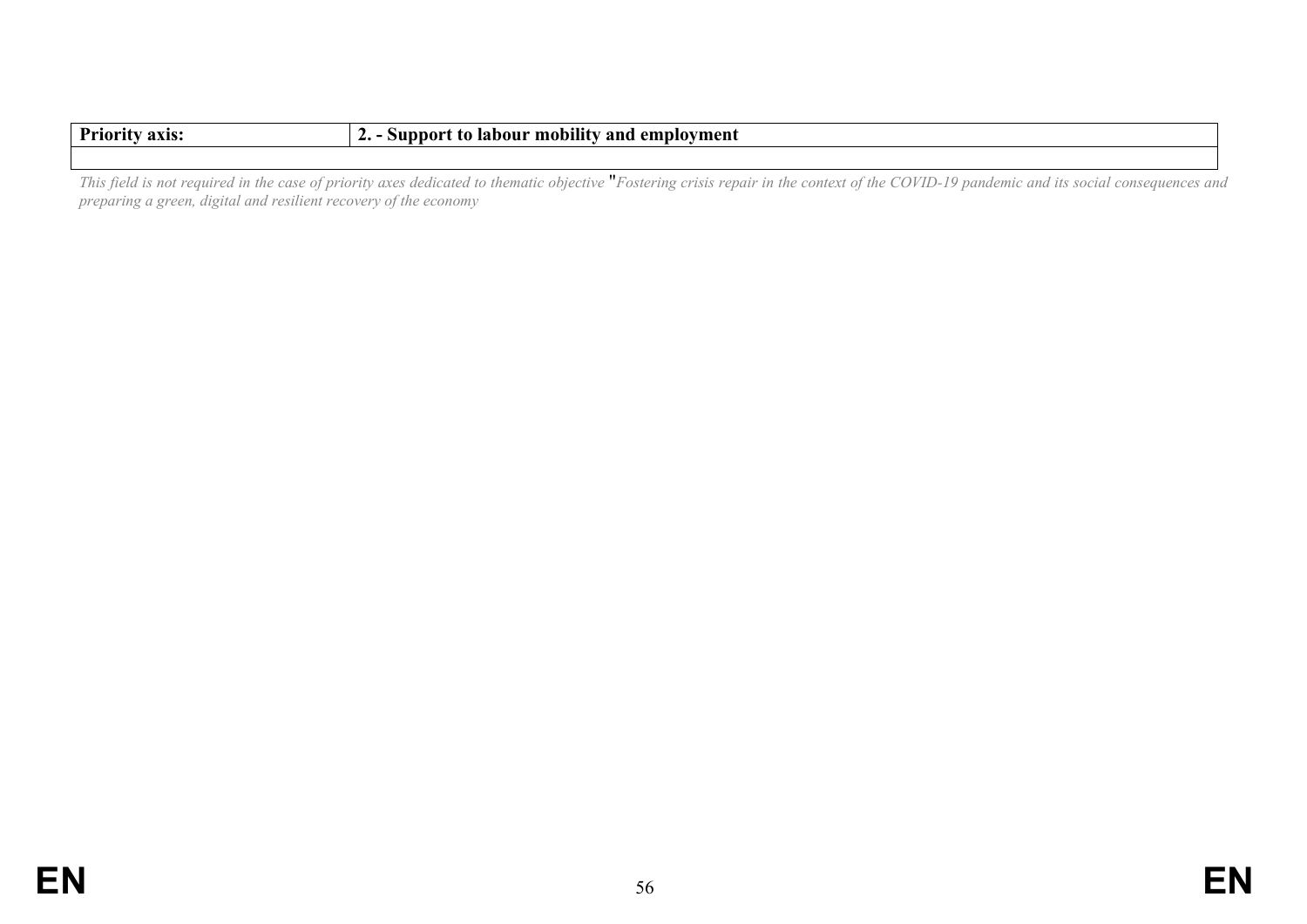| <br>9 V I C<br>-riorit<br>аліз. | $\cdots$<br>employment<br>יידי.<br>and<br>TADOV<br>mophity<br>,,,<br>$\sim$ |
|---------------------------------|-----------------------------------------------------------------------------|
|                                 |                                                                             |

This field is not required in the case of priority axes dedicated to thematic objective "Fostering crisis repair in the context of the COVID-19 pandemic and its social consequences and *preparing a green, digital and resilient recovery of the economy*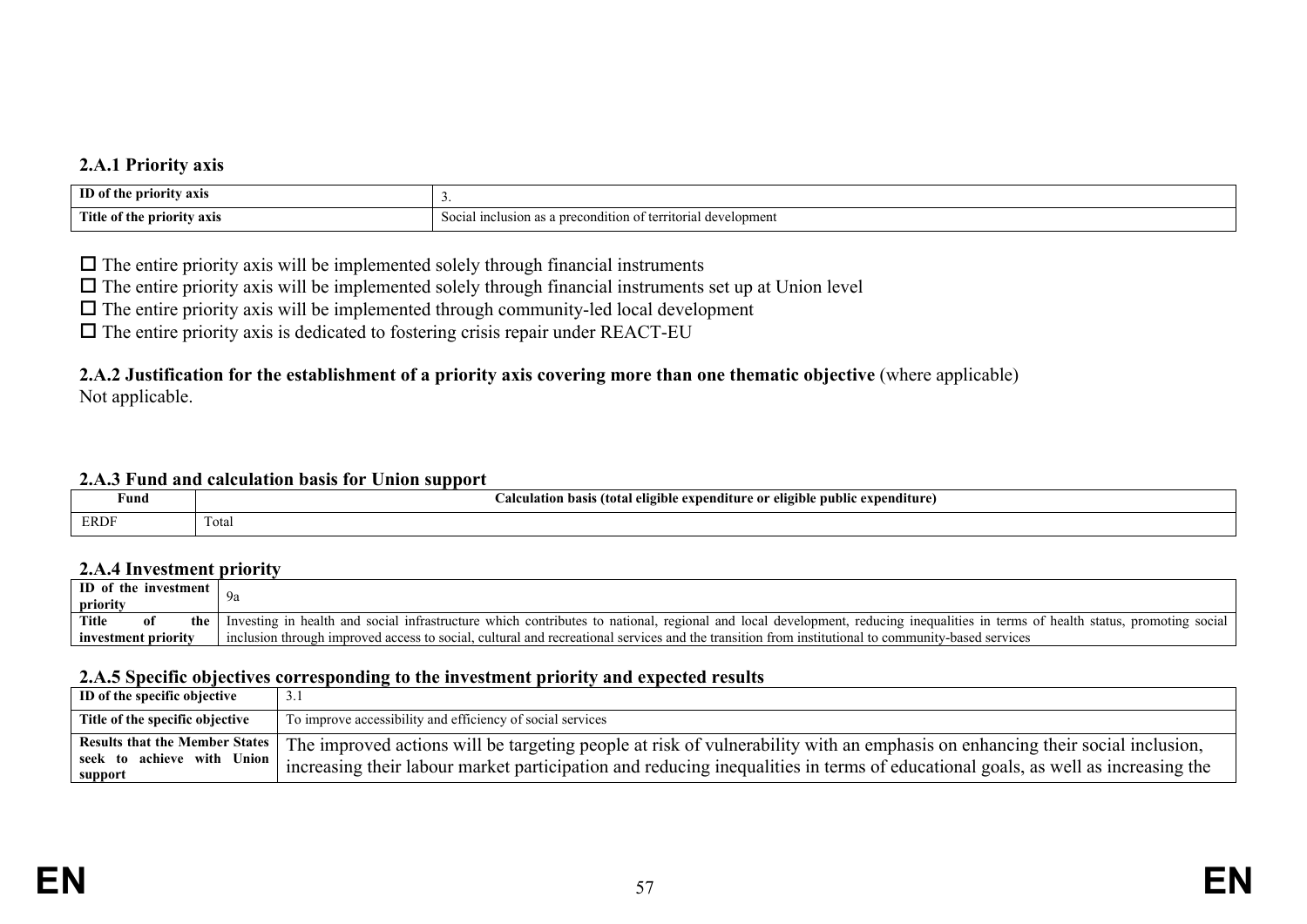# **2.A.1 Priority axis**

| ID of the<br>: priority axis |                                                                                            |
|------------------------------|--------------------------------------------------------------------------------------------|
| Title of the priority axis   | <b>Pevelopmen</b><br>ı of territorial<br>condition<br><b>prec</b><br><b>SO</b><br>nclusion |

 $\Box$  The entire priority axis will be implemented solely through financial instruments

 $\Box$  The entire priority axis will be implemented solely through financial instruments set up at Union level

 $\Box$  The entire priority axis will be implemented through community-led local development

 $\Box$  The entire priority axis is dedicated to fostering crisis repair under REACT-EU

#### **2.A.2 Justification for the establishment of a priority axis covering more than one thematic objective** (where applicable) Not applicable.

#### **2.A.3 Fund and calculation basis for Union support**

| Fund        | --<br>\ditur\<br>: nublic<br>exper<br>Alculation<br>0r<br>eligible<br>enditur<br>evn<br>zınıe<br>тогя<br>- |  |
|-------------|------------------------------------------------------------------------------------------------------------|--|
| <b>EDDI</b> | Fotal                                                                                                      |  |

#### **2.A.4 Investment priority**

| ID of the investment  <br>priority                                                                                                                                         |                                                                                                                                                                                    |
|----------------------------------------------------------------------------------------------------------------------------------------------------------------------------|------------------------------------------------------------------------------------------------------------------------------------------------------------------------------------|
| ' Title                                                                                                                                                                    | the Investing in health and social infrastructure which contributes to national, regional and local development, reducing inequalities in terms of health status, promoting social |
| inclusion through improved access to social, cultural and recreational services and the transition from institutional to community-based services<br>  investment priority |                                                                                                                                                                                    |

#### **2.A.5 Specific objectives corresponding to the investment priority and expected results**

| ID of the specific objective                                                   | 3.1                                                                                                                                                                                                                                                             |
|--------------------------------------------------------------------------------|-----------------------------------------------------------------------------------------------------------------------------------------------------------------------------------------------------------------------------------------------------------------|
| Title of the specific objective                                                | To improve accessibility and efficiency of social services                                                                                                                                                                                                      |
| <b>Results that the Member States</b><br>seek to achieve with Union<br>support | The improved actions will be targeting people at risk of vulnerability with an emphasis on enhancing their social inclusion,<br>increasing their labour market participation and reducing inequalities in terms of educational goals, as well as increasing the |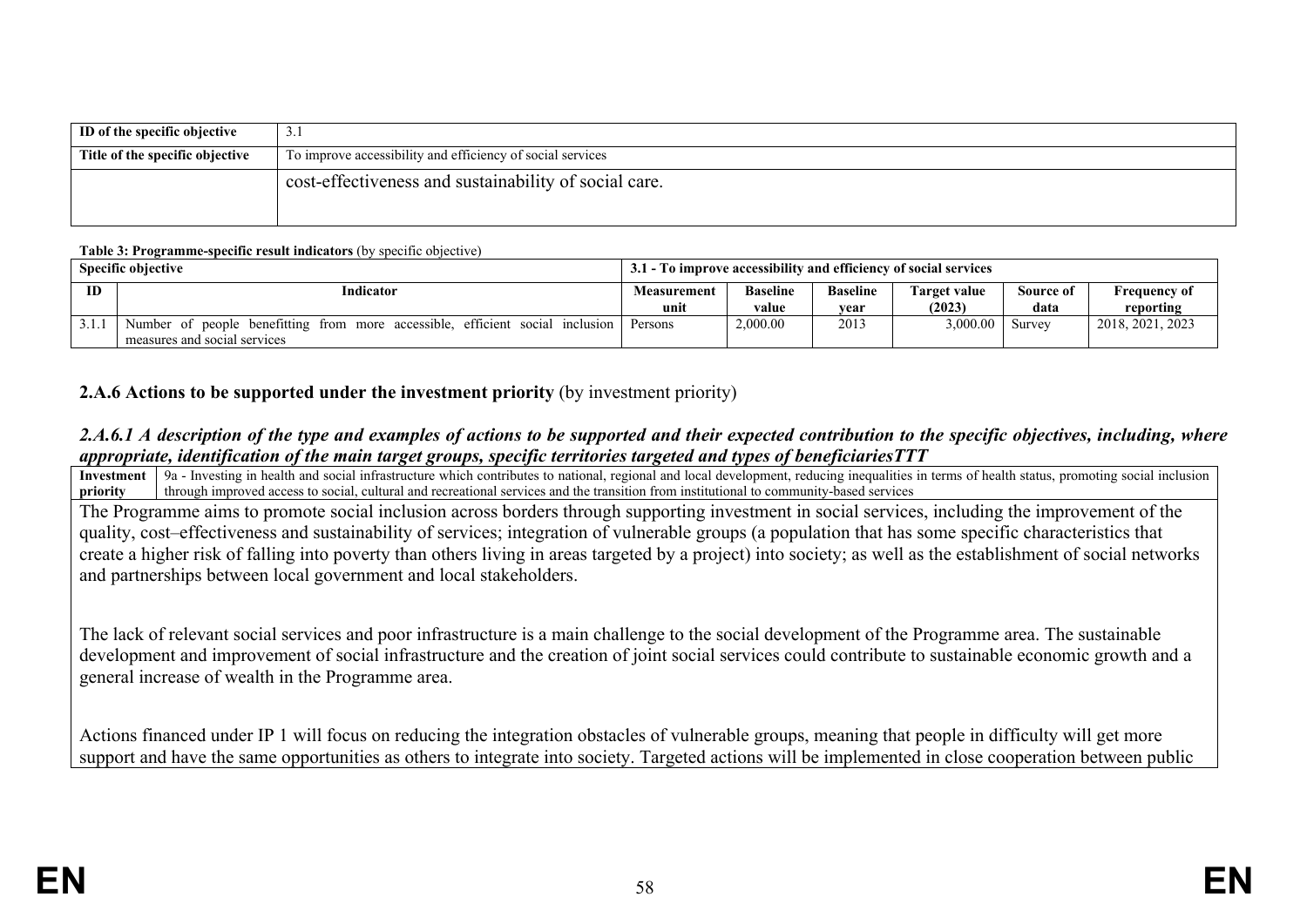| ID of the specific objective    | 3.1                                                        |
|---------------------------------|------------------------------------------------------------|
| Title of the specific objective | To improve accessibility and efficiency of social services |
|                                 | cost-effectiveness and sustainability of social care.      |

#### **Table 3: Programme-specific result indicators** (by specific objective)

|       | <b>Specific objective</b>                                                     | 3.1 - To improve accessibility and efficiency of social services |                 |                 |              |           |                  |
|-------|-------------------------------------------------------------------------------|------------------------------------------------------------------|-----------------|-----------------|--------------|-----------|------------------|
| ID    | Indicator                                                                     | Measurement                                                      | <b>Baseline</b> | <b>Baseline</b> | Target value | Source of | Frequency of     |
|       |                                                                               | unit                                                             | value           | vear            | (2023)       | data      | reporting        |
| 3.I.I | Number of people benefitting from more accessible, efficient social inclusion | Persons                                                          | 2,000.00        | 2013            | 3,000.00     | Survey    | 2018, 2021, 2023 |
|       | measures and social services                                                  |                                                                  |                 |                 |              |           |                  |

#### **2.A.6 Actions to be supported under the investment priority** (by investment priority)

## *2.A.6.1 A description of the type and examples of actions to be supported and their expected contribution to the specific objectives, including, where appropriate, identification of the main target groups, specific territories targeted and types of beneficiariesTTT*

Investment | 9a - Investing in health and social infrastructure which contributes to national, regional and local development, reducing inequalities in terms of health status, promoting social inclusion **priority** through improved access to social, cultural and recreational services and the transition from institutional to community-based services

The Programme aims to promote social inclusion across borders through supporting investment in social services, including the improvement of the quality, cost–effectiveness and sustainability of services; integration of vulnerable groups (a population that has some specific characteristics that create a higher risk of falling into poverty than others living in areas targeted by a project) into society; as well as the establishment of social networks and partnerships between local government and local stakeholders.

The lack of relevant social services and poor infrastructure is a main challenge to the social development of the Programme area. The sustainable development and improvement of social infrastructure and the creation of joint social services could contribute to sustainable economic growth and a general increase of wealth in the Programme area.

Actions financed under IP 1 will focus on reducing the integration obstacles of vulnerable groups, meaning that people in difficulty will get more support and have the same opportunities as others to integrate into society. Targeted actions will be implemented in close cooperation between public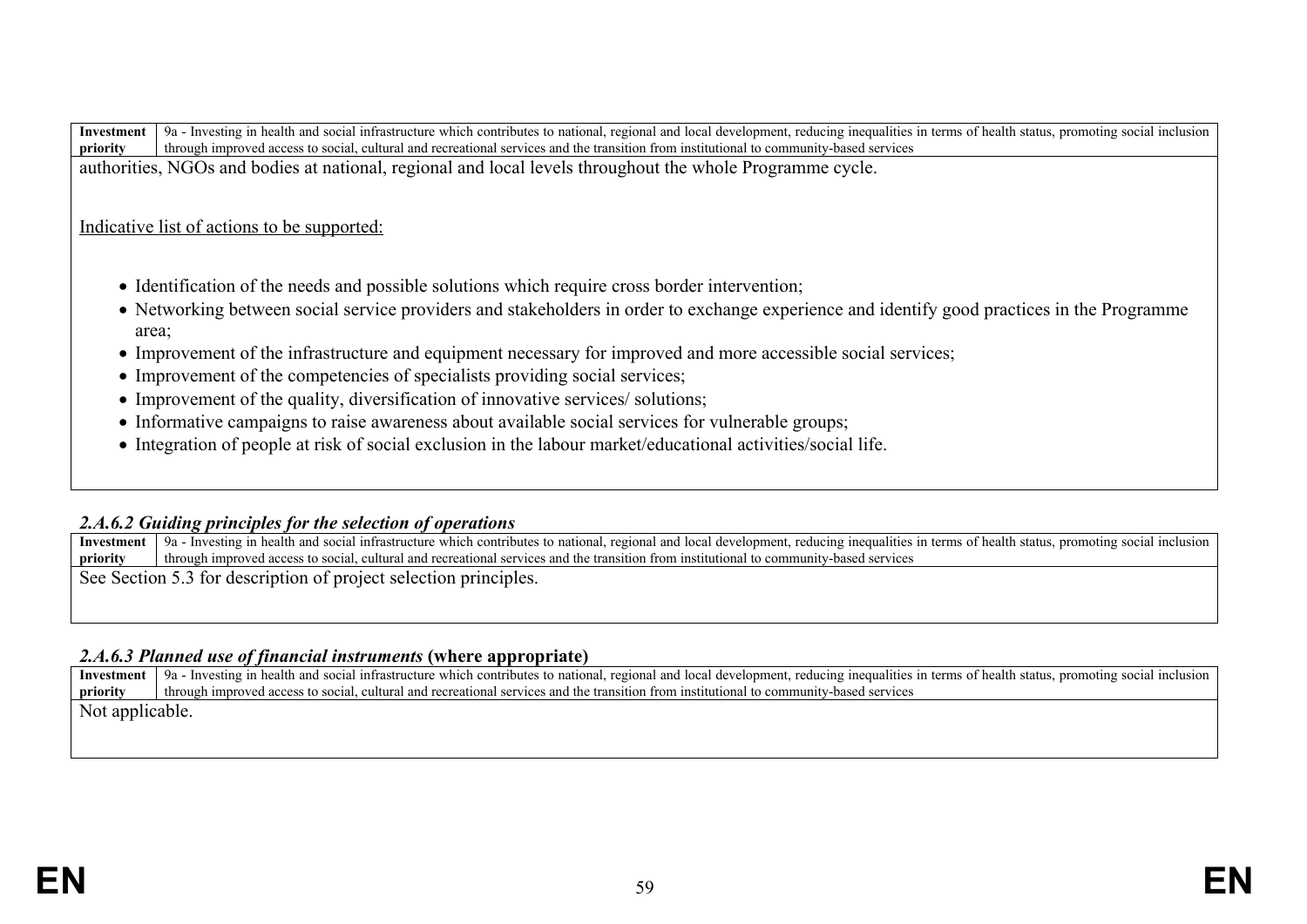**Investment priority** 9a - Investing in health and social infrastructure which contributes to national, regional and local development, reducing inequalities in terms of health status, promoting social inclusion through improved access to social, cultural and recreational services and the transition from institutional to community-based services

authorities, NGOs and bodies at national, regional and local levels throughout the whole Programme cycle.

Indicative list of actions to be supported:

- Identification of the needs and possible solutions which require cross border intervention;
- Networking between social service providers and stakeholders in order to exchange experience and identify good practices in the Programme area;
- Improvement of the infrastructure and equipment necessary for improved and more accessible social services;
- Improvement of the competencies of specialists providing social services;
- Improvement of the quality, diversification of innovative services/ solutions;
- Informative campaigns to raise awareness about available social services for vulnerable groups;
- Integration of people at risk of social exclusion in the labour market/educational activities/social life.

# *2.A.6.2 Guiding principles for the selection of operations*

**Investment priority** 9a - Investing in health and social infrastructure which contributes to national, regional and local development, reducing inequalities in terms of health status, promoting social inclusion through improved access to social, cultural and recreational services and the transition from institutional to community-based services See Section 5.3 for description of project selection principles.

# *2.A.6.3 Planned use of financial instruments* **(where appropriate)**

**Investment priority**  $\sqrt{9a}$  - Investing in health and social infrastructure which contributes to national, regional and local development, reducing inequalities in terms of health status, promoting social inclusion through improved access to social, cultural and recreational services and the transition from institutional to community-based services Not applicable.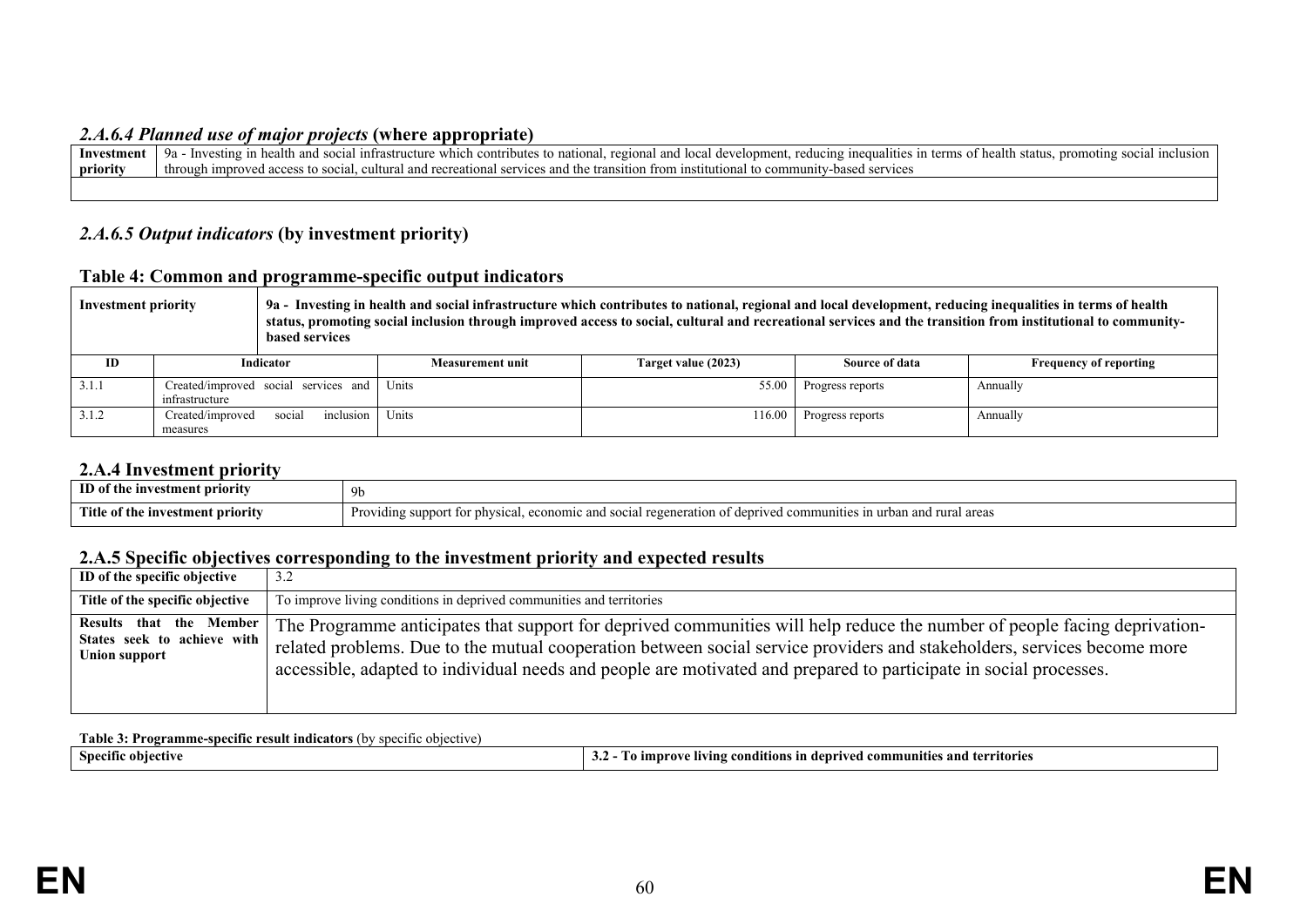#### *2.A.6.4 Planned use of major projects* **(where appropriate)**

| Investment | റം<br>- Investing in health and social infrastructure which contributes to national, regional a<br>l and local development, reducing inequalities in terms of health status, promoting social inclusion |
|------------|---------------------------------------------------------------------------------------------------------------------------------------------------------------------------------------------------------|
| priority   | through improved access to social, cultural<br>I and recreational services and the transition from institutional to community-based services                                                            |
|            |                                                                                                                                                                                                         |

# *2.A.6.5 Output indicators* **(by investment priority)**

# **Table 4: Common and programme-specific output indicators**

| 9a - Investing in health and social infrastructure which contributes to national, regional and local development, reducing inequalities in terms of health<br>Investment priority<br>status, promoting social inclusion through improved access to social, cultural and recreational services and the transition from institutional to community-<br><b>based services</b> |                                                                       |                       |                  |                     |                  |                               |
|----------------------------------------------------------------------------------------------------------------------------------------------------------------------------------------------------------------------------------------------------------------------------------------------------------------------------------------------------------------------------|-----------------------------------------------------------------------|-----------------------|------------------|---------------------|------------------|-------------------------------|
| ID                                                                                                                                                                                                                                                                                                                                                                         | Indicator                                                             |                       | Measurement unit | Target value (2023) | Source of data   | <b>Frequency of reporting</b> |
| 3.1.1                                                                                                                                                                                                                                                                                                                                                                      | Created/improved social services and Units<br>55.00<br>infrastructure |                       | Progress reports | Annually            |                  |                               |
| 3.1.2                                                                                                                                                                                                                                                                                                                                                                      | Created/improved<br>measures                                          | inclusion 1<br>social | <b>Units</b>     | 116.00              | Progress reports | Annually                      |

## **2.A.4 Investment priority**

| ------                                           |                                                                                                                                          |
|--------------------------------------------------|------------------------------------------------------------------------------------------------------------------------------------------|
| <b>ID</b><br>estment priority<br>-INVG           | 9 <sub>b</sub>                                                                                                                           |
| $\sim$<br>Title of the investme<br>ıent prıorıty | Prc<br>areas<br>'enriv<br>nhv:<br>munitie<br>uding suppor<br>econo<br>and socu<br>۳۵ σε<br>$\mathbf{r}$<br>ി വ<br>1 urban-<br>ano<br>ากท |

# **2.A.5 Specific objectives corresponding to the investment priority and expected results**

| ID of the specific objective                                                   | 3.2                                                                                                                                                                                                                                                                                                                                                                       |
|--------------------------------------------------------------------------------|---------------------------------------------------------------------------------------------------------------------------------------------------------------------------------------------------------------------------------------------------------------------------------------------------------------------------------------------------------------------------|
| Title of the specific objective                                                | To improve living conditions in deprived communities and territories                                                                                                                                                                                                                                                                                                      |
| Results that the Member<br>States seek to achieve with<br><b>Union support</b> | The Programme anticipates that support for deprived communities will help reduce the number of people facing deprivation-<br>related problems. Due to the mutual cooperation between social service providers and stakeholders, services become more<br>accessible, adapted to individual needs and people are motivated and prepared to participate in social processes. |

#### **Table 3: Programme-specific result indicators** (by specific objective)

| $\bullet$<br>ommunitie<br>. der<br>conditions<br>. livir<br>.sne<br>m<br>Almnrov<br>etiv.<br>л ге<br>тть.<br>. |
|----------------------------------------------------------------------------------------------------------------|
|----------------------------------------------------------------------------------------------------------------|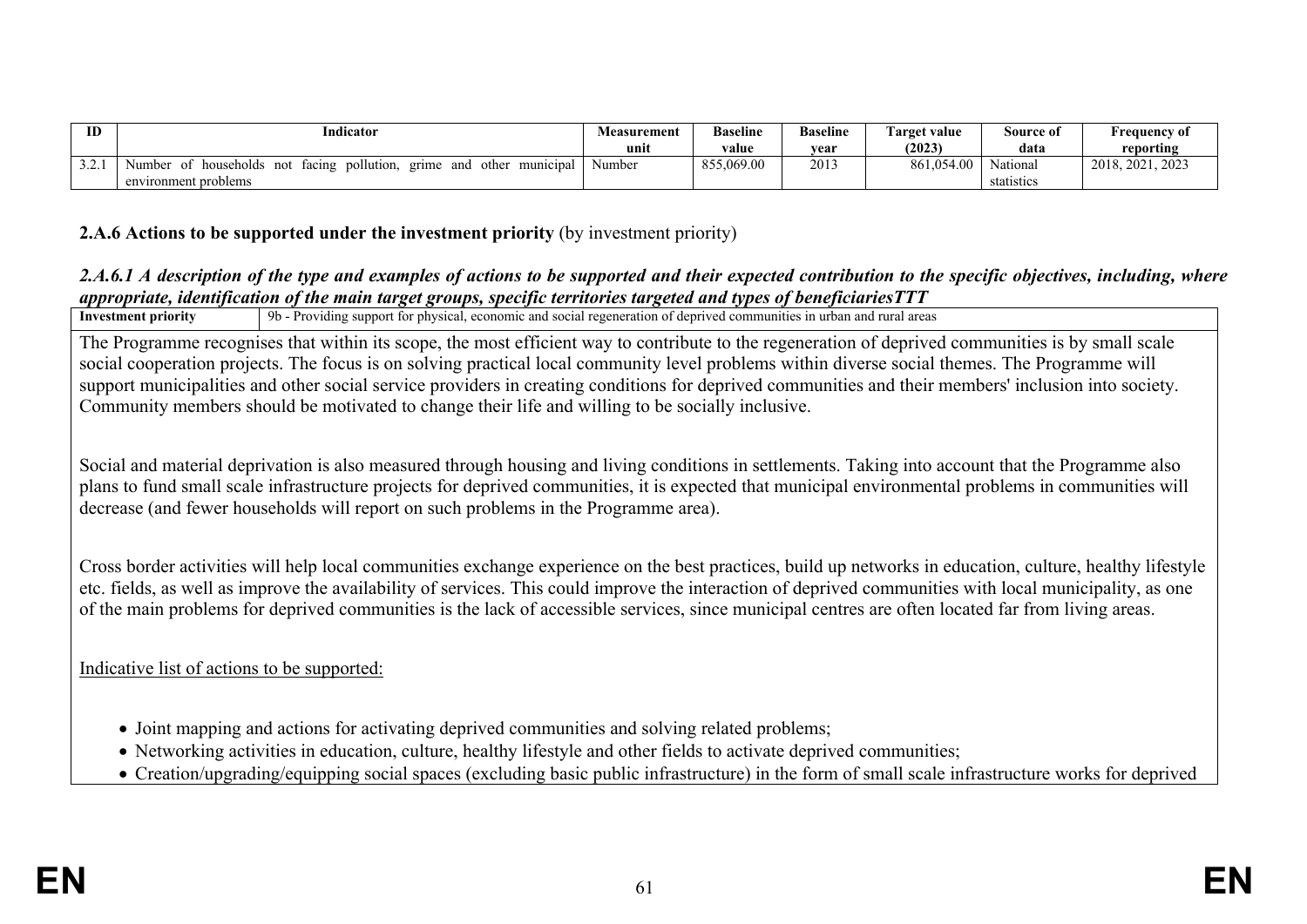| ID | Indicator                                                                                                                | Measurement<br>unit | <b>Baseline</b><br>value | <b>Baseline</b><br>vear | l'arget value<br>(2023) | Source of<br>data      | Frequency of<br>reporting |
|----|--------------------------------------------------------------------------------------------------------------------------|---------------------|--------------------------|-------------------------|-------------------------|------------------------|---------------------------|
| .  | pollution,<br>other<br>households<br>facing<br>grime and<br>not<br>municipal<br>. Number<br>- ot<br>environment problems | Number              | 855,069.00               | 2013                    | 861,054.00              | National<br>statistics | 2018, 2021, 2023          |

# **2.A.6 Actions to be supported under the investment priority** (by investment priority)

# *2.A.6.1 A description of the type and examples of actions to be supported and their expected contribution to the specific objectives, including, where appropriate, identification of the main target groups, specific territories targeted and types of beneficiariesTTT*<br>Investment priority  $\frac{9}{9}$ -Providing support for physical, economic and social regeneration of deprive

**Investment priority** 9b - Providing support for physical, economic and social regeneration of deprived communities in urban and rural areas

The Programme recognises that within its scope, the most efficient way to contribute to the regeneration of deprived communities is by small scale social cooperation projects. The focus is on solving practical local community level problems within diverse social themes. The Programme will support municipalities and other social service providers in creating conditions for deprived communities and their members' inclusion into society. Community members should be motivated to change their life and willing to be socially inclusive.

Social and material deprivation is also measured through housing and living conditions in settlements. Taking into account that the Programme also plans to fund small scale infrastructure projects for deprived communities, it is expected that municipal environmental problems in communities will decrease (and fewer households will report on such problems in the Programme area).

Cross border activities will help local communities exchange experience on the best practices, build up networks in education, culture, healthy lifestyle etc. fields, as well as improve the availability of services. This could improve the interaction of deprived communities with local municipality, as one of the main problems for deprived communities is the lack of accessible services, since municipal centres are often located far from living areas.

Indicative list of actions to be supported:

- Joint mapping and actions for activating deprived communities and solving related problems;
- Networking activities in education, culture, healthy lifestyle and other fields to activate deprived communities;
- Creation/upgrading/equipping social spaces (excluding basic public infrastructure) in the form of small scale infrastructure works for deprived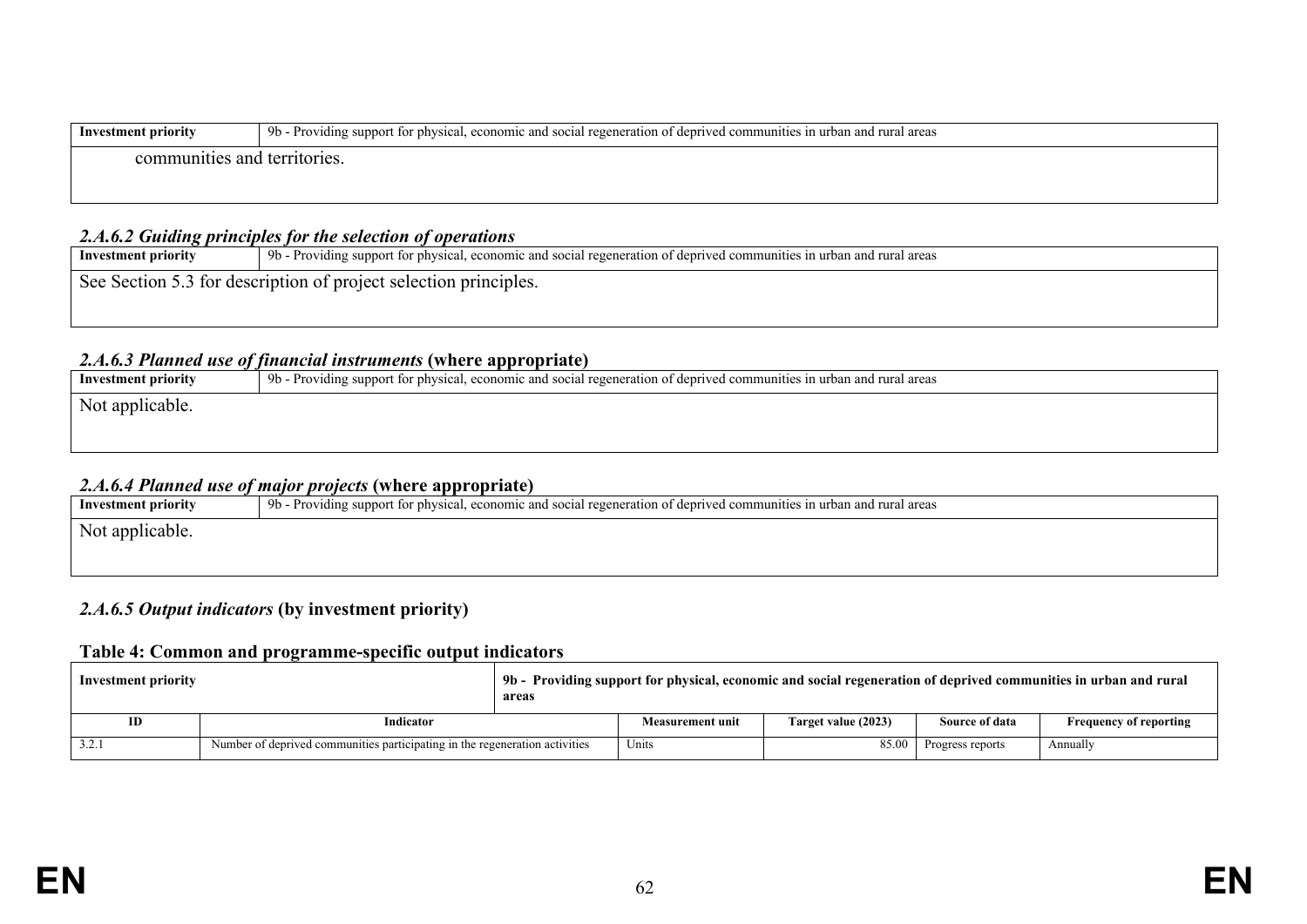| Investment priority          | 9b - Providing support for physical, economic and social regeneration of deprived communities in urban and rural areas |  |  |  |  |
|------------------------------|------------------------------------------------------------------------------------------------------------------------|--|--|--|--|
| communities and territories. |                                                                                                                        |  |  |  |  |
|                              |                                                                                                                        |  |  |  |  |

#### *2.A.6.2 Guiding principles for the selection of operations*

| Investment priority                                              | 9b - Providing support for physical, economic and social regeneration of deprived communities in urban and rural areas |  |  |  |  |
|------------------------------------------------------------------|------------------------------------------------------------------------------------------------------------------------|--|--|--|--|
| See Section 5.3 for description of project selection principles. |                                                                                                                        |  |  |  |  |
|                                                                  |                                                                                                                        |  |  |  |  |

## *2.A.6.3 Planned use of financial instruments* **(where appropriate)**

| Investment priority | 1908 - Providing support for physical, economic and social regeneration of deprived communities in urban and rural areas |  |  |  |
|---------------------|--------------------------------------------------------------------------------------------------------------------------|--|--|--|
| Not applicable.     |                                                                                                                          |  |  |  |
|                     |                                                                                                                          |  |  |  |
|                     |                                                                                                                          |  |  |  |

# *2.A.6.4 Planned use of major projects* **(where appropriate)**

| Investment priority | 190 - Providing support for physical, economic and social regeneration of deprived communities in urban and rural areas |  |  |  |
|---------------------|-------------------------------------------------------------------------------------------------------------------------|--|--|--|
| Not applicable.     |                                                                                                                         |  |  |  |
|                     |                                                                                                                         |  |  |  |
|                     |                                                                                                                         |  |  |  |

# *2.A.6.5 Output indicators* **(by investment priority)**

### **Table 4: Common and programme-specific output indicators**

| Investment priority                                                                 |  | 9b - Providing support for physical, economic and social regeneration of deprived communities in urban and rural<br>areas |                  |                     |                  |                               |
|-------------------------------------------------------------------------------------|--|---------------------------------------------------------------------------------------------------------------------------|------------------|---------------------|------------------|-------------------------------|
| ID<br>Indicator                                                                     |  |                                                                                                                           | Measurement unit | Target value (2023) | Source of data   | <b>Frequency of reporting</b> |
| Number of deprived communities participating in the regeneration activities<br>3.2. |  |                                                                                                                           | Units            | 85.00               | Progress reports | Annually                      |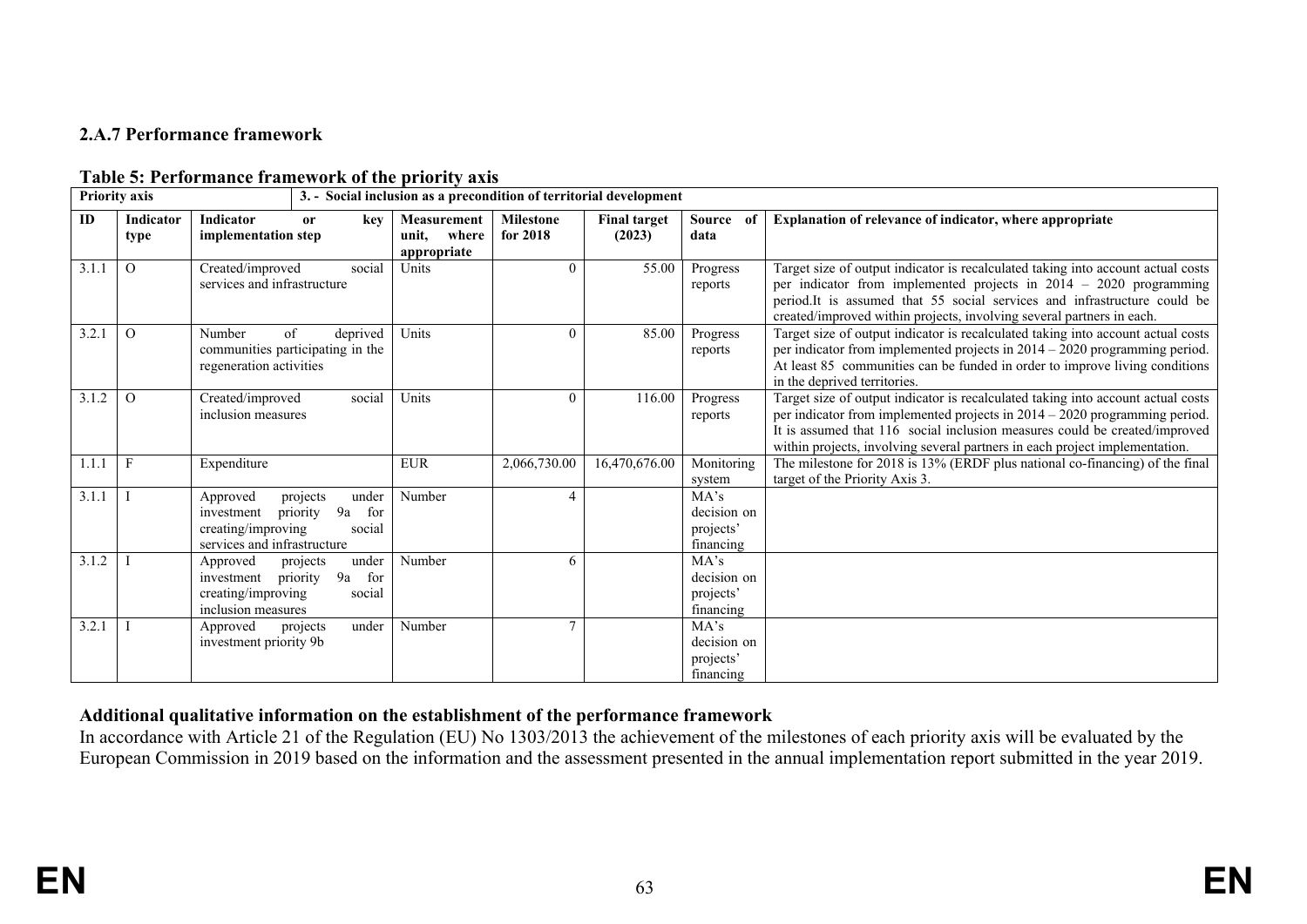# **2.A.7 Performance framework**

|       | <b>Priority axis</b> |                                                                                                                                     | 3. - Social inclusion as a precondition of territorial development |                              |                               |                                               |                                                                                                                                                                                                                                                                                                                               |
|-------|----------------------|-------------------------------------------------------------------------------------------------------------------------------------|--------------------------------------------------------------------|------------------------------|-------------------------------|-----------------------------------------------|-------------------------------------------------------------------------------------------------------------------------------------------------------------------------------------------------------------------------------------------------------------------------------------------------------------------------------|
| ID    | Indicator<br>type    | Indicator<br>kev<br><sub>or</sub><br>implementation step                                                                            | <b>Measurement</b><br>unit.<br>where<br>appropriate                | <b>Milestone</b><br>for 2018 | <b>Final target</b><br>(2023) | Source of<br>data                             | Explanation of relevance of indicator, where appropriate                                                                                                                                                                                                                                                                      |
| 3.1.1 | $\Omega$             | Created/improved<br>social<br>services and infrastructure                                                                           | Units                                                              | $\theta$                     | 55.00                         | Progress<br>reports                           | Target size of output indicator is recalculated taking into account actual costs<br>per indicator from implemented projects in $2014 - 2020$ programming<br>period.It is assumed that 55 social services and infrastructure could be<br>created/improved within projects, involving several partners in each.                 |
| 3.2.1 | $\Omega$             | Number<br>of<br>deprived<br>communities participating in the<br>regeneration activities                                             | Units                                                              | $\theta$                     | 85.00                         | Progress<br>reports                           | Target size of output indicator is recalculated taking into account actual costs<br>per indicator from implemented projects in $2014 - 2020$ programming period.<br>At least 85 communities can be funded in order to improve living conditions<br>in the deprived territories.                                               |
| 3.1.2 | $\Omega$             | Created/improved<br>social<br>inclusion measures                                                                                    | Units                                                              | $\theta$                     | 116.00                        | Progress<br>reports                           | Target size of output indicator is recalculated taking into account actual costs<br>per indicator from implemented projects in $2014 - 2020$ programming period.<br>It is assumed that 116 social inclusion measures could be created/improved<br>within projects, involving several partners in each project implementation. |
| 1.1.1 | $\mathbf{F}$         | Expenditure                                                                                                                         | <b>EUR</b>                                                         | 2,066,730.00                 | 16,470,676.00                 | Monitoring<br>system                          | The milestone for 2018 is 13% (ERDF plus national co-financing) of the final<br>target of the Priority Axis 3.                                                                                                                                                                                                                |
| 3.1.1 |                      | projects<br>under<br>Approved<br>priority<br>9a<br>for<br>investment<br>creating/improving<br>social<br>services and infrastructure | Number                                                             | $\overline{4}$               |                               | MA's<br>decision on<br>projects'<br>financing |                                                                                                                                                                                                                                                                                                                               |
| 3.1.2 |                      | under<br>Approved<br>projects<br>9a<br>for<br>priority<br>investment<br>creating/improving<br>social<br>inclusion measures          | Number                                                             | 6                            |                               | MA's<br>decision on<br>projects'<br>financing |                                                                                                                                                                                                                                                                                                                               |
| 3.2.1 |                      | under<br>Approved<br>projects<br>investment priority 9b                                                                             | Number                                                             | $\mathbf{r}$                 |                               | MA's<br>decision on<br>projects'<br>financing |                                                                                                                                                                                                                                                                                                                               |

# **Additional qualitative information on the establishment of the performance framework**

In accordance with Article 21 of the Regulation (EU) No 1303/2013 the achievement of the milestones of each priority axis will be evaluated by the European Commission in 2019 based on the information and the assessment presented in the annual implementation report submitted in the year 2019.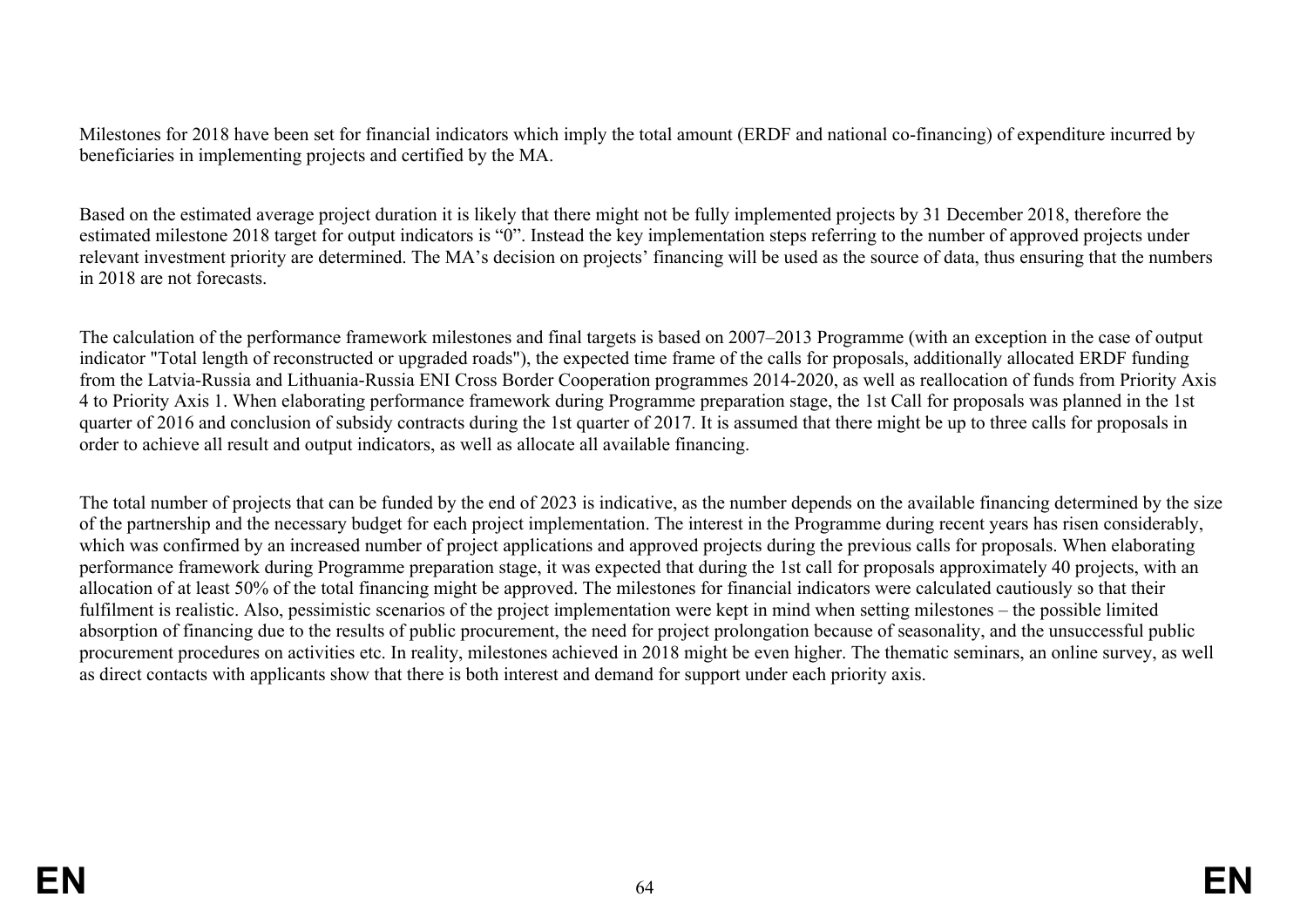Milestones for 2018 have been set for financial indicators which imply the total amount (ERDF and national co-financing) of expenditure incurred by beneficiaries in implementing projects and certified by the MA.

Based on the estimated average project duration it is likely that there might not be fully implemented projects by 31 December 2018, therefore the estimated milestone 2018 target for output indicators is "0". Instead the key implementation steps referring to the number of approved projects under relevant investment priority are determined. The MA's decision on projects' financing will be used as the source of data, thus ensuring that the numbers in 2018 are not forecasts.

The calculation of the performance framework milestones and final targets is based on 2007–2013 Programme (with an exception in the case of output indicator "Total length of reconstructed or upgraded roads"), the expected time frame of the calls for proposals, additionally allocated ERDF funding from the Latvia-Russia and Lithuania-Russia ENI Cross Border Cooperation programmes 2014-2020, as well as reallocation of funds from Priority Axis 4 to Priority Axis 1. When elaborating performance framework during Programme preparation stage, the 1st Call for proposals was planned in the 1st quarter of 2016 and conclusion of subsidy contracts during the 1st quarter of 2017. It is assumed that there might be up to three calls for proposals in order to achieve all result and output indicators, as well as allocate all available financing.

The total number of projects that can be funded by the end of 2023 is indicative, as the number depends on the available financing determined by the size of the partnership and the necessary budget for each project implementation. The interest in the Programme during recent years has risen considerably, which was confirmed by an increased number of project applications and approved projects during the previous calls for proposals. When elaborating performance framework during Programme preparation stage, it was expected that during the 1st call for proposals approximately 40 projects, with an allocation of at least 50% of the total financing might be approved. The milestones for financial indicators were calculated cautiously so that their fulfilment is realistic. Also, pessimistic scenarios of the project implementation were kept in mind when setting milestones – the possible limited absorption of financing due to the results of public procurement, the need for project prolongation because of seasonality, and the unsuccessful public procurement procedures on activities etc. In reality, milestones achieved in 2018 might be even higher. The thematic seminars, an online survey, as well as direct contacts with applicants show that there is both interest and demand for support under each priority axis.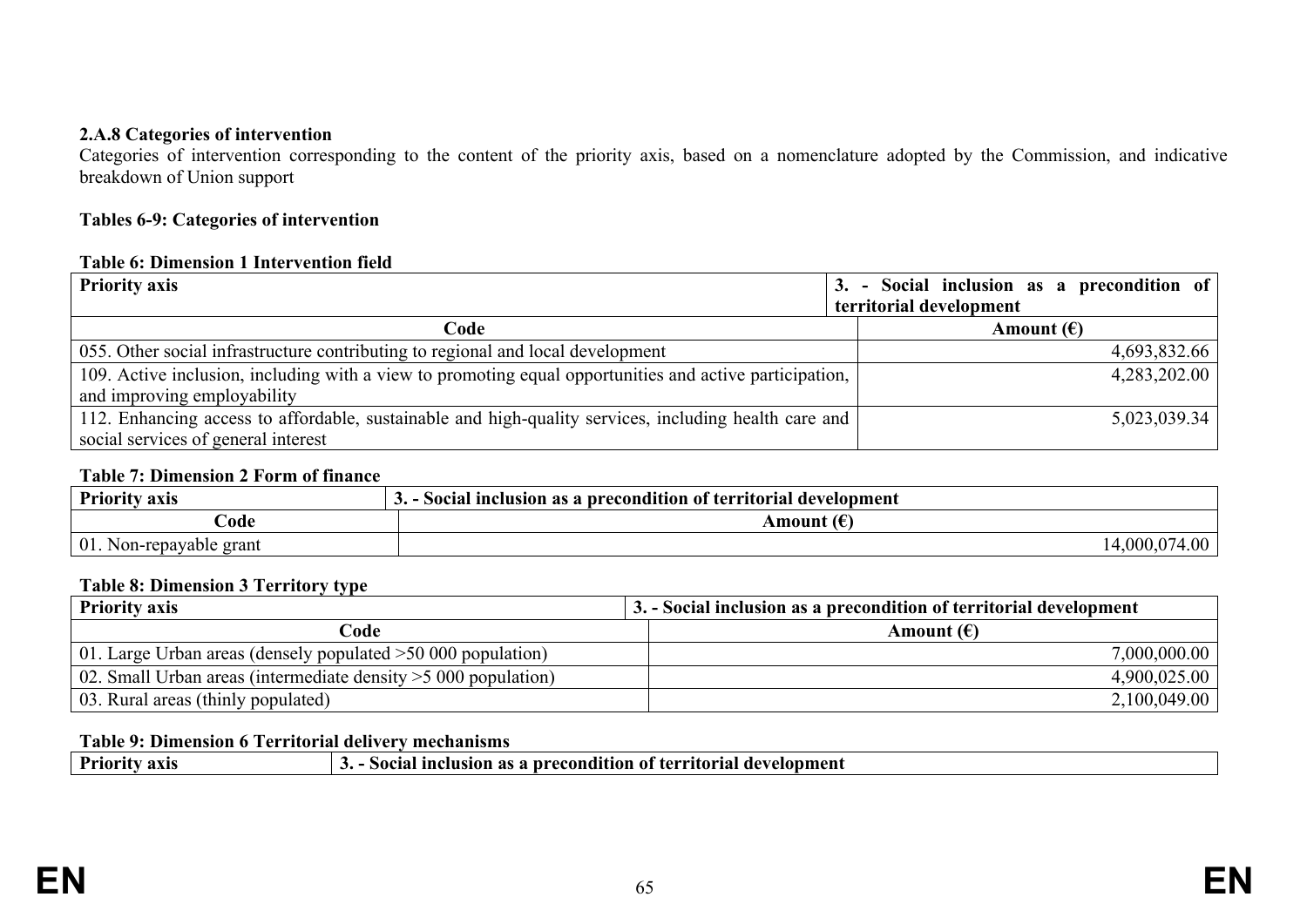# **2.A.8 Categories of intervention**

Categories of intervention corresponding to the content of the priority axis, based on a nomenclature adopted by the Commission, and indicative breakdown of Union support

# **Tables 6-9: Categories of intervention**

## **Table 6: Dimension 1 Intervention field**

| <b>Priority axis</b>                                                                                    | 3. - Social inclusion as a precondition of |
|---------------------------------------------------------------------------------------------------------|--------------------------------------------|
|                                                                                                         | territorial development                    |
| Code                                                                                                    | Amount $(\epsilon)$                        |
| 055. Other social infrastructure contributing to regional and local development                         | 4,693,832.66                               |
| 109. Active inclusion, including with a view to promoting equal opportunities and active participation, | 4,283,202.00                               |
| and improving employability                                                                             |                                            |
| 112. Enhancing access to affordable, sustainable and high-quality services, including health care and   | 5,023,039.34                               |
| social services of general interest                                                                     |                                            |

## **Table 7: Dimension 2 Form of finance**

| <b>Priority axis</b>            | Social inclusion as a precondition of territorial development |
|---------------------------------|---------------------------------------------------------------|
| Code:                           | Amount                                                        |
| $^+$ 01.<br>Non-repayable grant | .00.<br>.000                                                  |

#### **Table 8: Dimension 3 Territory type**

| <b>Priority axis</b>                                              | 3. - Social inclusion as a precondition of territorial development |
|-------------------------------------------------------------------|--------------------------------------------------------------------|
| Code                                                              | Amount $(\epsilon)$                                                |
| 01. Large Urban areas (densely populated $>50,000$ population)    | 7,000,000.00                                                       |
| 02. Small Urban areas (intermediate density $>$ 5 000 population) | 4,900,025.00                                                       |
| 03. Rural areas (thinly populated)                                | 2,100,049.00                                                       |

# **Table 9: Dimension 6 Territorial delivery mechanisms**

| $^{\circ}$ Prion.<br>9 V I (<br><b>AAR</b> | l development<br>territorial<br>$.50 \mathrm{C}$<br>≏ nreconu…<br>AON -<br>. G Q<br>-Inclusion-<br>.<br><b>A</b> 3<br>◡ |
|--------------------------------------------|-------------------------------------------------------------------------------------------------------------------------|
|                                            |                                                                                                                         |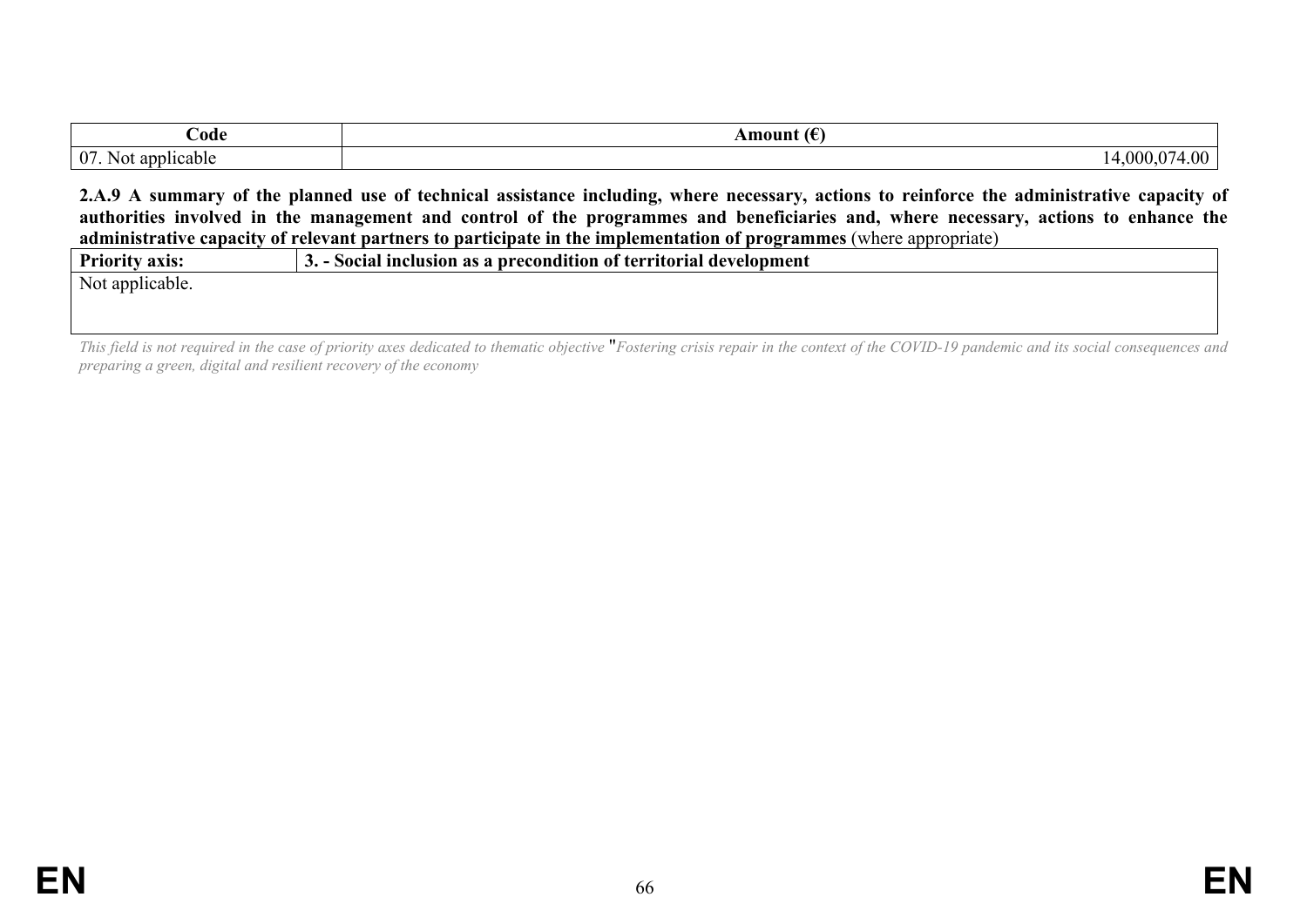| ode                          | ∽<br>\mount                                   |
|------------------------------|-----------------------------------------------|
| 07<br>ำกก<br>licablé<br>Not. | ഹ<br><u>∩∩∩</u><br>$\sim$ UU $\sim$<br>,,,,,, |

**2.A.9 A summary of the planned use of technical assistance including, where necessary, actions to reinforce the administrative capacity of authorities involved in the management and control of the programmes and beneficiaries and, where necessary, actions to enhance the administrative capacity of relevant partners to participate in the implementation of programmes** (where appropriate)

| $\mathbf{r}$<br>axis:<br>Имъо ин | ____<br>i of territorial development<br>ı precondition-<br><b>Inclusion</b><br>50C12<br>-as<br>◡. |
|----------------------------------|---------------------------------------------------------------------------------------------------|
| Not applicable.                  |                                                                                                   |

*This field is not required in the case of priority axes dedicated to thematic objective* "*Fostering crisis repair in the context of the COVID-19 pandemic and its social consequences and preparing a green, digital and resilient recovery of the economy*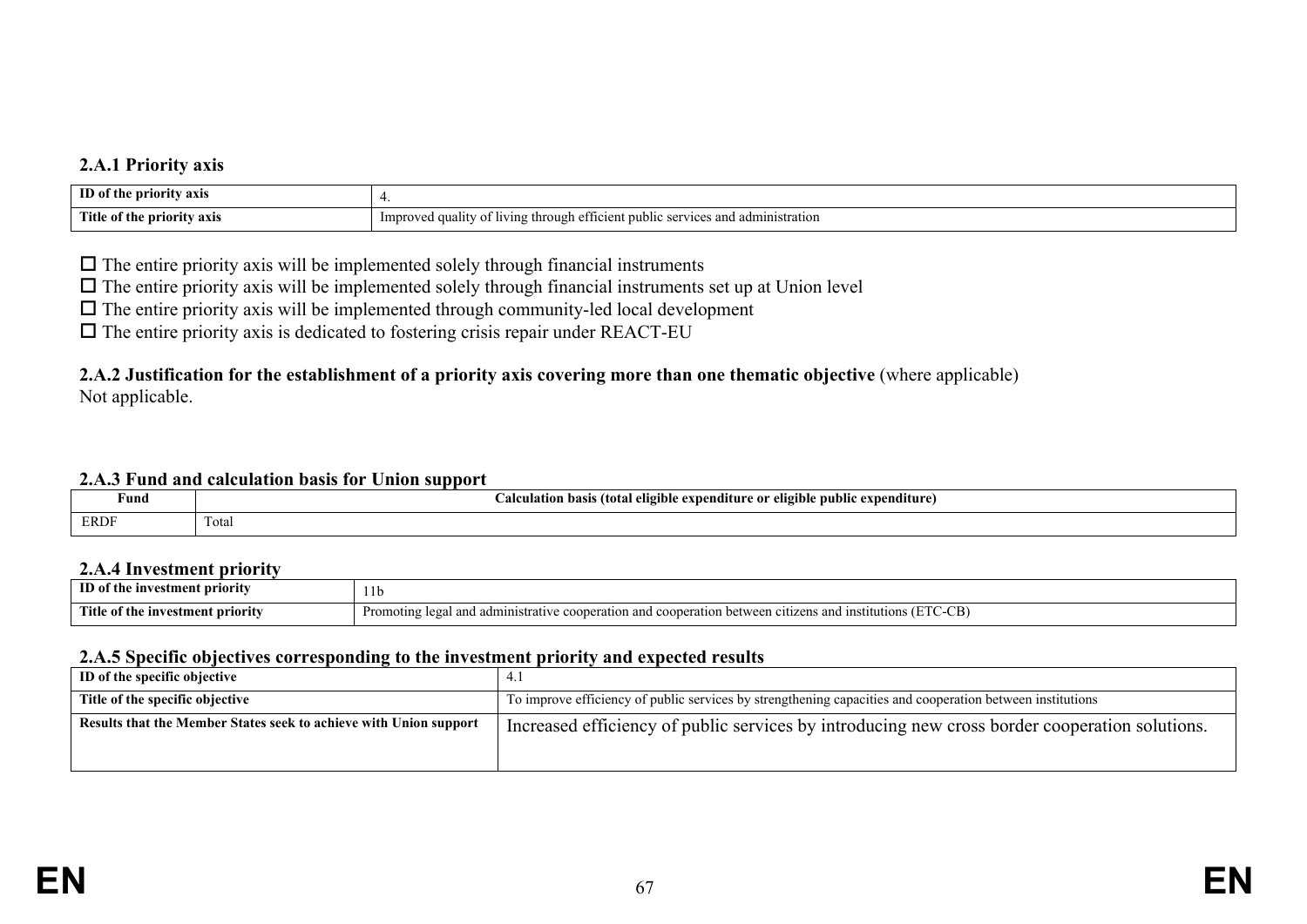# **2.A.1 Priority axis**

| ID<br>nrior<br>axı:                    | .                                                                                                                           |
|----------------------------------------|-----------------------------------------------------------------------------------------------------------------------------|
| and the state<br>™itle<br>axis<br>TOMI | $\sim$ $\sim$ $\sim$<br>admu<br>، quality<br>'istration<br>† livin⊊<br>.<br>and<br>ervice<br>$n_{\rm H}$<br>throug<br>7 O I |

 $\Box$  The entire priority axis will be implemented solely through financial instruments

 $\Box$  The entire priority axis will be implemented solely through financial instruments set up at Union level

 $\Box$  The entire priority axis will be implemented through community-led local development

 $\Box$  The entire priority axis is dedicated to fostering crisis repair under REACT-EU

#### **2.A.2 Justification for the establishment of a priority axis covering more than one thematic objective** (where applicable) Not applicable.

#### **2.A.3 Fund and calculation basis for Union support**

| $\sim$<br>Fund | __<br>--<br>$\bullet$ .<br>e expenditure or eligible public expenditure)<br>alculation basis (total)<br>eligibl |
|----------------|-----------------------------------------------------------------------------------------------------------------|
| <b>PD DI</b>   | $\sim$                                                                                                          |
| ekdf           | lota.                                                                                                           |
|                |                                                                                                                 |

#### **2.A.4 Investment priority**

| ID of the                                      | 110                                                                                                                                          |
|------------------------------------------------|----------------------------------------------------------------------------------------------------------------------------------------------|
| e investment prioritv                          |                                                                                                                                              |
| rane.<br>Fitle<br>e of the investment priority | $.C-B$<br>Promoting<br>eration and cooperation between<br>and administrative <b>v</b><br>≏σα<br>: cooper<br>nstituti<br>s and-<br>citizens a |

#### **2.A.5 Specific objectives corresponding to the investment priority and expected results**

| ID of the specific objective                                      | 4.1                                                                                                       |
|-------------------------------------------------------------------|-----------------------------------------------------------------------------------------------------------|
| Title of the specific objective                                   | To improve efficiency of public services by strengthening capacities and cooperation between institutions |
| Results that the Member States seek to achieve with Union support | Increased efficiency of public services by introducing new cross border cooperation solutions.            |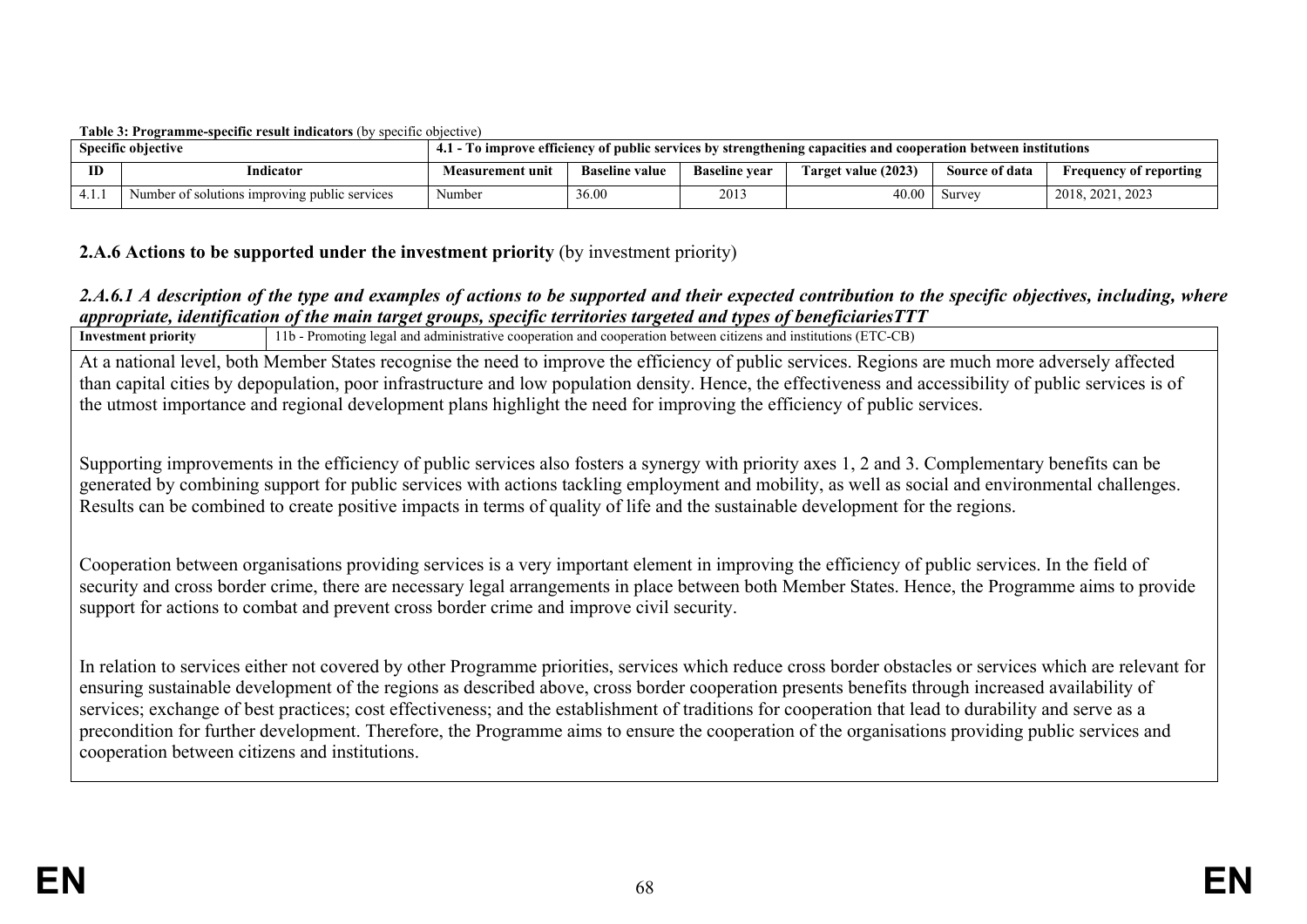#### **Table 3: Programme-specific result indicators** (by specific objective)

|    | <b>Specific objective</b>                     | 4.1 - To improve efficiency of public services by strengthening capacities and cooperation between institutions |                       |                      |                     |                       |                               |
|----|-----------------------------------------------|-----------------------------------------------------------------------------------------------------------------|-----------------------|----------------------|---------------------|-----------------------|-------------------------------|
| ID | Indicator                                     | <b>Measurement unit</b>                                                                                         | <b>Baseline value</b> | <b>Baseline vear</b> | Target value (2023) | <b>Source of data</b> | <b>Frequency of reporting</b> |
|    | Number of solutions improving public services | Number                                                                                                          | 36.00                 | 2013                 | 40.00               | Survey                | 2018, 2021, 2023              |

# **2.A.6 Actions to be supported under the investment priority** (by investment priority)

# *2.A.6.1 A description of the type and examples of actions to be supported and their expected contribution to the specific objectives, including, where appropriate, identification of the main target groups, specific territories targeted and types of beneficiariesTTT*

| <b>Investment priority</b>                     | 11b - Promoting legal and administrative cooperation and cooperation between citizens and institutions (ETC-CB)                                                                                                                                                                                                                                                                                                                                                                                                                                                                                                           |
|------------------------------------------------|---------------------------------------------------------------------------------------------------------------------------------------------------------------------------------------------------------------------------------------------------------------------------------------------------------------------------------------------------------------------------------------------------------------------------------------------------------------------------------------------------------------------------------------------------------------------------------------------------------------------------|
|                                                | At a national level, both Member States recognise the need to improve the efficiency of public services. Regions are much more adversely affected<br>than capital cities by depopulation, poor infrastructure and low population density. Hence, the effectiveness and accessibility of public services is of<br>the utmost importance and regional development plans highlight the need for improving the efficiency of public services.                                                                                                                                                                                 |
|                                                | Supporting improvements in the efficiency of public services also fosters a synergy with priority axes 1, 2 and 3. Complementary benefits can be<br>generated by combining support for public services with actions tackling employment and mobility, as well as social and environmental challenges.<br>Results can be combined to create positive impacts in terms of quality of life and the sustainable development for the regions.                                                                                                                                                                                  |
|                                                | Cooperation between organisations providing services is a very important element in improving the efficiency of public services. In the field of<br>security and cross border crime, there are necessary legal arrangements in place between both Member States. Hence, the Programme aims to provide<br>support for actions to combat and prevent cross border crime and improve civil security.                                                                                                                                                                                                                         |
| cooperation between citizens and institutions. | In relation to services either not covered by other Programme priorities, services which reduce cross border obstacles or services which are relevant for<br>ensuring sustainable development of the regions as described above, cross border cooperation presents benefits through increased availability of<br>services; exchange of best practices; cost effectiveness; and the establishment of traditions for cooperation that lead to durability and serve as a<br>precondition for further development. Therefore, the Programme aims to ensure the cooperation of the organisations providing public services and |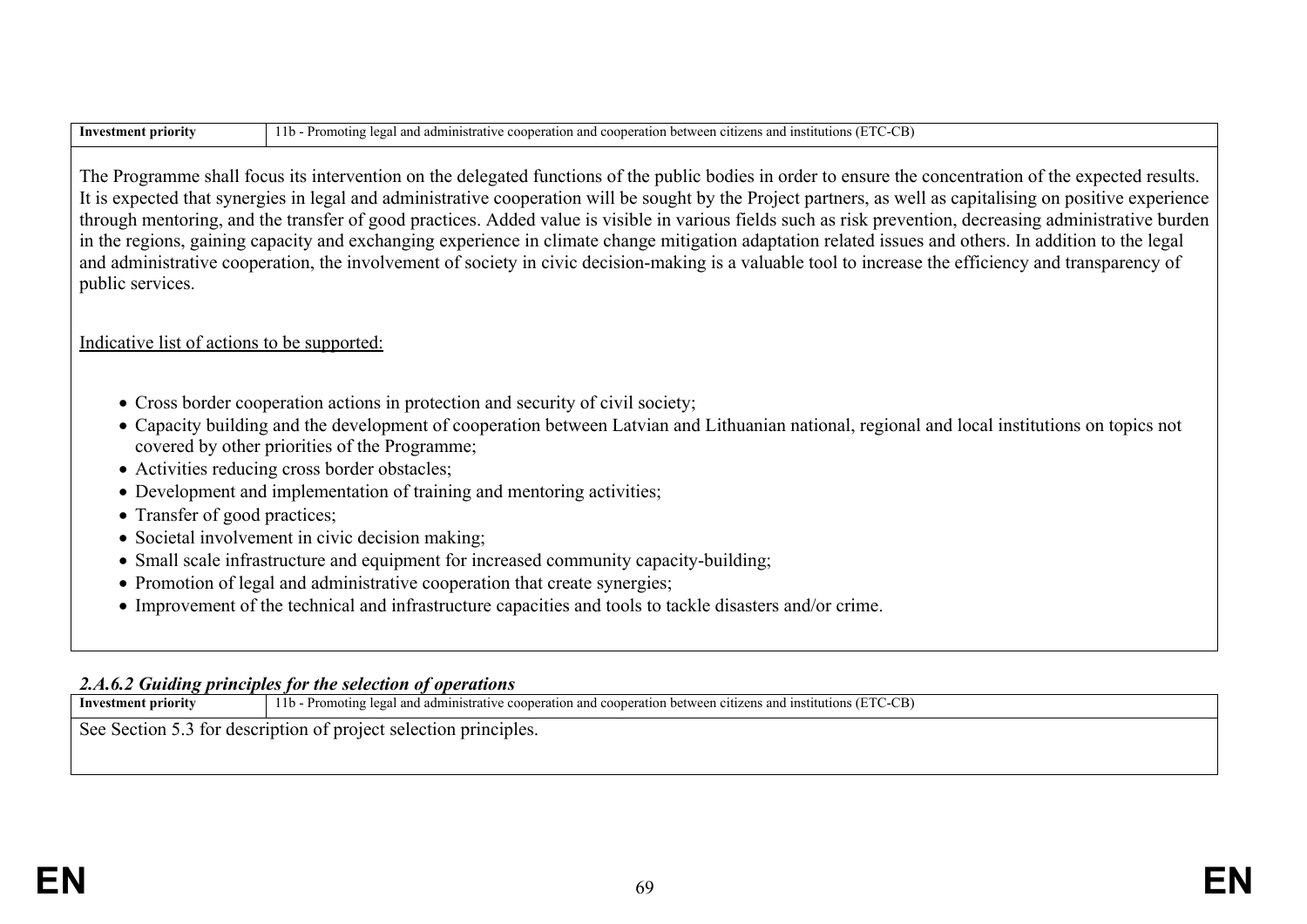| <b>Investment priority</b> | - Promoting legal and administrative cooperation and cooperation between citizens and institutions (ETC-CB)<br>$11b -$ |
|----------------------------|------------------------------------------------------------------------------------------------------------------------|
|                            |                                                                                                                        |

The Programme shall focus its intervention on the delegated functions of the public bodies in order to ensure the concentration of the expected results. It is expected that synergies in legal and administrative cooperation will be sought by the Project partners, as well as capitalising on positive experience through mentoring, and the transfer of good practices. Added value is visible in various fields such as risk prevention, decreasing administrative burden in the regions, gaining capacity and exchanging experience in climate change mitigation adaptation related issues and others. In addition to the legal and administrative cooperation, the involvement of society in civic decision-making is a valuable tool to increase the efficiency and transparency of public services.

# Indicative list of actions to be supported:

- Cross border cooperation actions in protection and security of civil society;
- Capacity building and the development of cooperation between Latvian and Lithuanian national, regional and local institutions on topics not covered by other priorities of the Programme;
- Activities reducing cross border obstacles;
- Development and implementation of training and mentoring activities;
- Transfer of good practices;
- Societal involvement in civic decision making:
- Small scale infrastructure and equipment for increased community capacity-building;
- Promotion of legal and administrative cooperation that create synergies:
- Improvement of the technical and infrastructure capacities and tools to tackle disasters and/or crime.

# *2.A.6.2 Guiding principles for the selection of operations*

| Investment priority | 11b - Promoting legal and administrative cooperation and cooperation between citizens and institutions (ETC-CB) |  |  |  |  |
|---------------------|-----------------------------------------------------------------------------------------------------------------|--|--|--|--|
|                     | See Section 5.3 for description of project selection principles.                                                |  |  |  |  |
|                     |                                                                                                                 |  |  |  |  |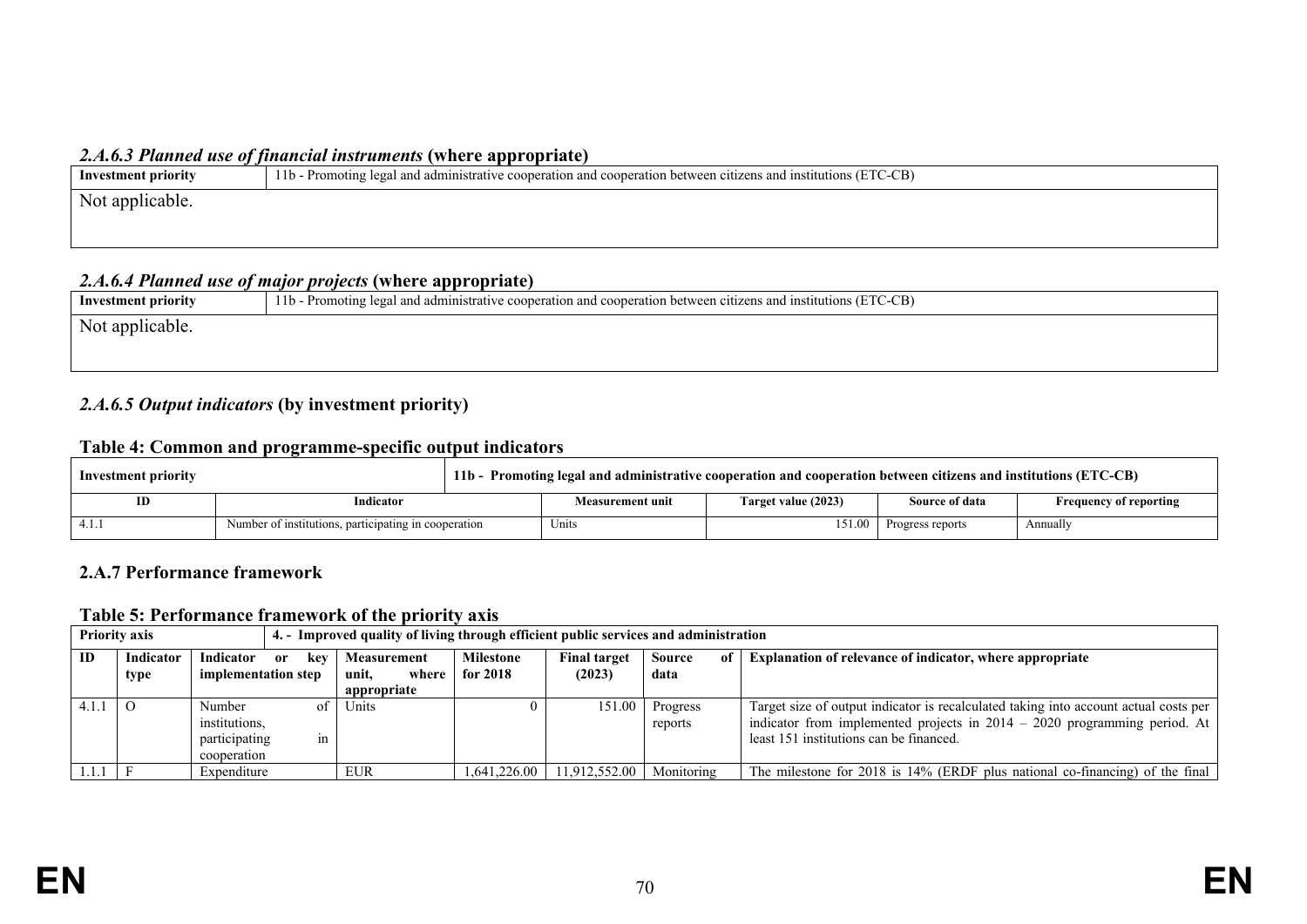#### *2.A.6.3 Planned use of financial instruments* **(where appropriate)**

| Investment priority | 11b - Promoting legal and administrative cooperation and cooperation between citizens and institutions (ETC-CB) |
|---------------------|-----------------------------------------------------------------------------------------------------------------|
| Not applicable.     |                                                                                                                 |
|                     |                                                                                                                 |

# *2.A.6.4 Planned use of major projects* **(where appropriate)**

| Investment priority | 11b - Promoting legal and administrative cooperation and cooperation between citizens and institutions (ETC-CB) |  |  |  |
|---------------------|-----------------------------------------------------------------------------------------------------------------|--|--|--|
| Not applicable.     |                                                                                                                 |  |  |  |
|                     |                                                                                                                 |  |  |  |
|                     |                                                                                                                 |  |  |  |

# *2.A.6.5 Output indicators* **(by investment priority)**

# **Table 4: Common and programme-specific output indicators**

| Investment priority |                                                      | 11b - Promoting legal and administrative cooperation and cooperation between citizens and institutions (ETC-CB) |                     |                  |                               |  |  |
|---------------------|------------------------------------------------------|-----------------------------------------------------------------------------------------------------------------|---------------------|------------------|-------------------------------|--|--|
| ID                  | Indicator                                            | Measurement unit                                                                                                | Target value (2023) | Source of data   | <b>Frequency of reporting</b> |  |  |
|                     | Number of institutions, participating in cooperation | Units                                                                                                           | 151.00              | Progress reports | Annually                      |  |  |

## **2.A.7 Performance framework**

### **Table 5: Performance framework of the priority axis**

|       | <b>Priority axis</b><br>4. Improved quality of living through efficient public services and administration |                        |                |              |                     |                     |                                                                                      |
|-------|------------------------------------------------------------------------------------------------------------|------------------------|----------------|--------------|---------------------|---------------------|--------------------------------------------------------------------------------------|
| ID    | Indicator                                                                                                  | Indicator<br>kev<br>or | Measurement    |              | <b>Final target</b> | <b>Source</b><br>of | Explanation of relevance of indicator, where appropriate                             |
|       | type                                                                                                       | implementation step    | where<br>unit. | for $2018$   | (2023)              | data                |                                                                                      |
|       |                                                                                                            |                        | appropriate    |              |                     |                     |                                                                                      |
| 4.1.1 | $\Omega$                                                                                                   | Number<br>οf           | Units          |              | 151.00              | Progress            | Target size of output indicator is recalculated taking into account actual costs per |
|       |                                                                                                            | institutions.          |                |              |                     | reports             | indicator from implemented projects in $2014 - 2020$ programming period. At          |
|       |                                                                                                            | participating<br>1n    |                |              |                     |                     | least 151 institutions can be financed.                                              |
|       |                                                                                                            | cooperation            |                |              |                     |                     |                                                                                      |
|       |                                                                                                            | Expenditure            | EUR            | 1.641.226.00 | 11,912,552.00       | Monitoring          | The milestone for 2018 is 14% (ERDF plus national co-financing) of the final         |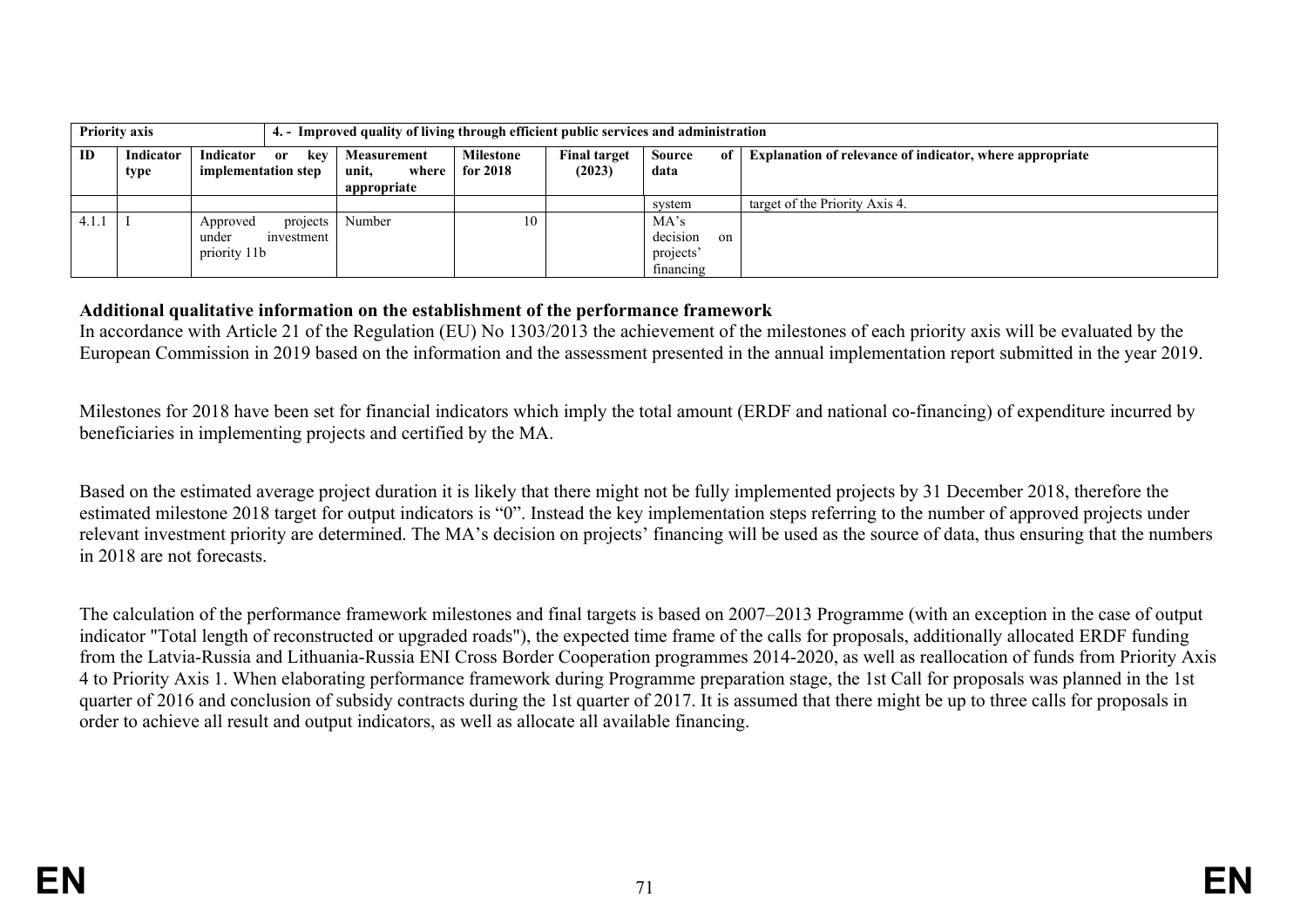|       | <b>Priority axis</b><br>4. Improved quality of living through efficient public services and administration |                                                             |                               |                       |                               |                                            |     |                                                                 |
|-------|------------------------------------------------------------------------------------------------------------|-------------------------------------------------------------|-------------------------------|-----------------------|-------------------------------|--------------------------------------------|-----|-----------------------------------------------------------------|
| ID    | Indicator<br>type                                                                                          | Indicator<br>kev<br><b>or</b><br>implementation step        | Measurement<br>unit,<br>where | Milestone<br>for 2018 | <b>Final target</b><br>(2023) | Source<br>data                             | 0f  | <b>Explanation of relevance of indicator, where appropriate</b> |
|       |                                                                                                            |                                                             | appropriate                   |                       |                               |                                            |     |                                                                 |
|       |                                                                                                            |                                                             |                               |                       |                               | system                                     |     | target of the Priority Axis 4.                                  |
| 4.1.1 |                                                                                                            | projects<br>Approved<br>investment<br>under<br>priority 11b | Number                        | 10                    |                               | MA's<br>decision<br>projects'<br>financing | -on |                                                                 |

#### **Additional qualitative information on the establishment of the performance framework**

In accordance with Article 21 of the Regulation (EU) No 1303/2013 the achievement of the milestones of each priority axis will be evaluated by the European Commission in 2019 based on the information and the assessment presented in the annual implementation report submitted in the year 2019.

Milestones for 2018 have been set for financial indicators which imply the total amount (ERDF and national co-financing) of expenditure incurred by beneficiaries in implementing projects and certified by the MA.

Based on the estimated average project duration it is likely that there might not be fully implemented projects by 31 December 2018, therefore the estimated milestone 2018 target for output indicators is "0". Instead the key implementation steps referring to the number of approved projects under relevant investment priority are determined. The MA's decision on projects' financing will be used as the source of data, thus ensuring that the numbers in 2018 are not forecasts.

The calculation of the performance framework milestones and final targets is based on 2007–2013 Programme (with an exception in the case of output indicator "Total length of reconstructed or upgraded roads"), the expected time frame of the calls for proposals, additionally allocated ERDF funding from the Latvia-Russia and Lithuania-Russia ENI Cross Border Cooperation programmes 2014-2020, as well as reallocation of funds from Priority Axis 4 to Priority Axis 1. When elaborating performance framework during Programme preparation stage, the 1st Call for proposals was planned in the 1st quarter of 2016 and conclusion of subsidy contracts during the 1st quarter of 2017. It is assumed that there might be up to three calls for proposals in order to achieve all result and output indicators, as well as allocate all available financing.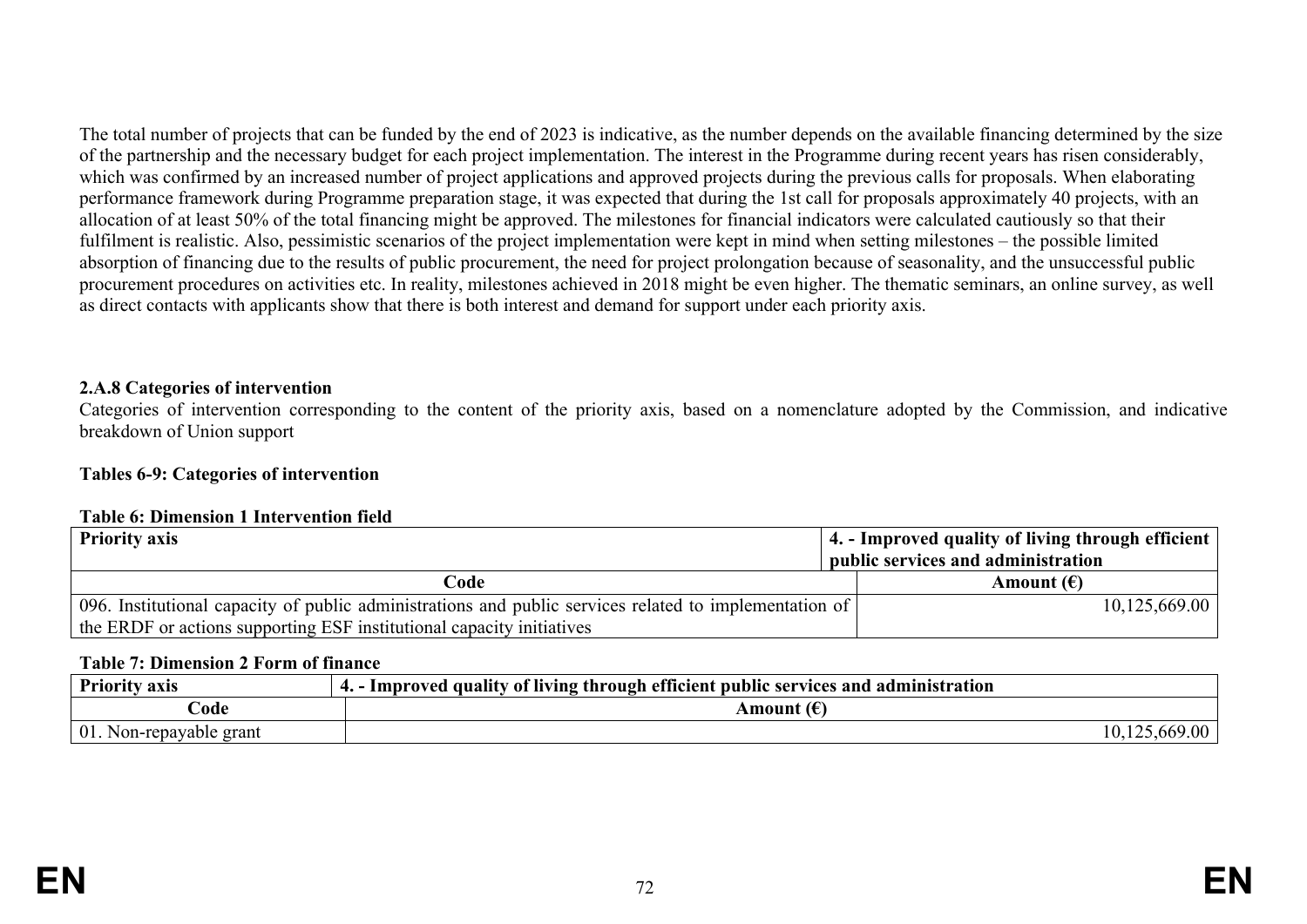The total number of projects that can be funded by the end of 2023 is indicative, as the number depends on the available financing determined by the size of the partnership and the necessary budget for each project implementation. The interest in the Programme during recent years has risen considerably, which was confirmed by an increased number of project applications and approved projects during the previous calls for proposals. When elaborating performance framework during Programme preparation stage, it was expected that during the 1st call for proposals approximately 40 projects, with an allocation of at least 50% of the total financing might be approved. The milestones for financial indicators were calculated cautiously so that their fulfilment is realistic. Also, pessimistic scenarios of the project implementation were kept in mind when setting milestones – the possible limited absorption of financing due to the results of public procurement, the need for project prolongation because of seasonality, and the unsuccessful public procurement procedures on activities etc. In reality, milestones achieved in 2018 might be even higher. The thematic seminars, an online survey, as well as direct contacts with applicants show that there is both interest and demand for support under each priority axis.

# **2.A.8 Categories of intervention**

Categories of intervention corresponding to the content of the priority axis, based on a nomenclature adopted by the Commission, and indicative breakdown of Union support

## **Tables 6-9: Categories of intervention**

#### **Table 6: Dimension 1 Intervention field**

| <b>Priority axis</b>                                                                                   | 4. - Improved quality of living through efficient |
|--------------------------------------------------------------------------------------------------------|---------------------------------------------------|
|                                                                                                        | $\frac{1}{2}$ public services and administration  |
| Code                                                                                                   | Amount $(\epsilon)$                               |
| 096. Institutional capacity of public administrations and public services related to implementation of | 10,125,669.00                                     |
| the ERDF or actions supporting ESF institutional capacity initiatives                                  |                                                   |

#### **Table 7: Dimension 2 Form of finance**

| <b>Priority axis</b>                 | <b>OD</b><br>t quality of living through efficient public services and administration<br>-Improved<br>4. |
|--------------------------------------|----------------------------------------------------------------------------------------------------------|
| `ode                                 | Amount                                                                                                   |
| $\degree$ 01.<br>Non-repayable grant | .00.<br>.669                                                                                             |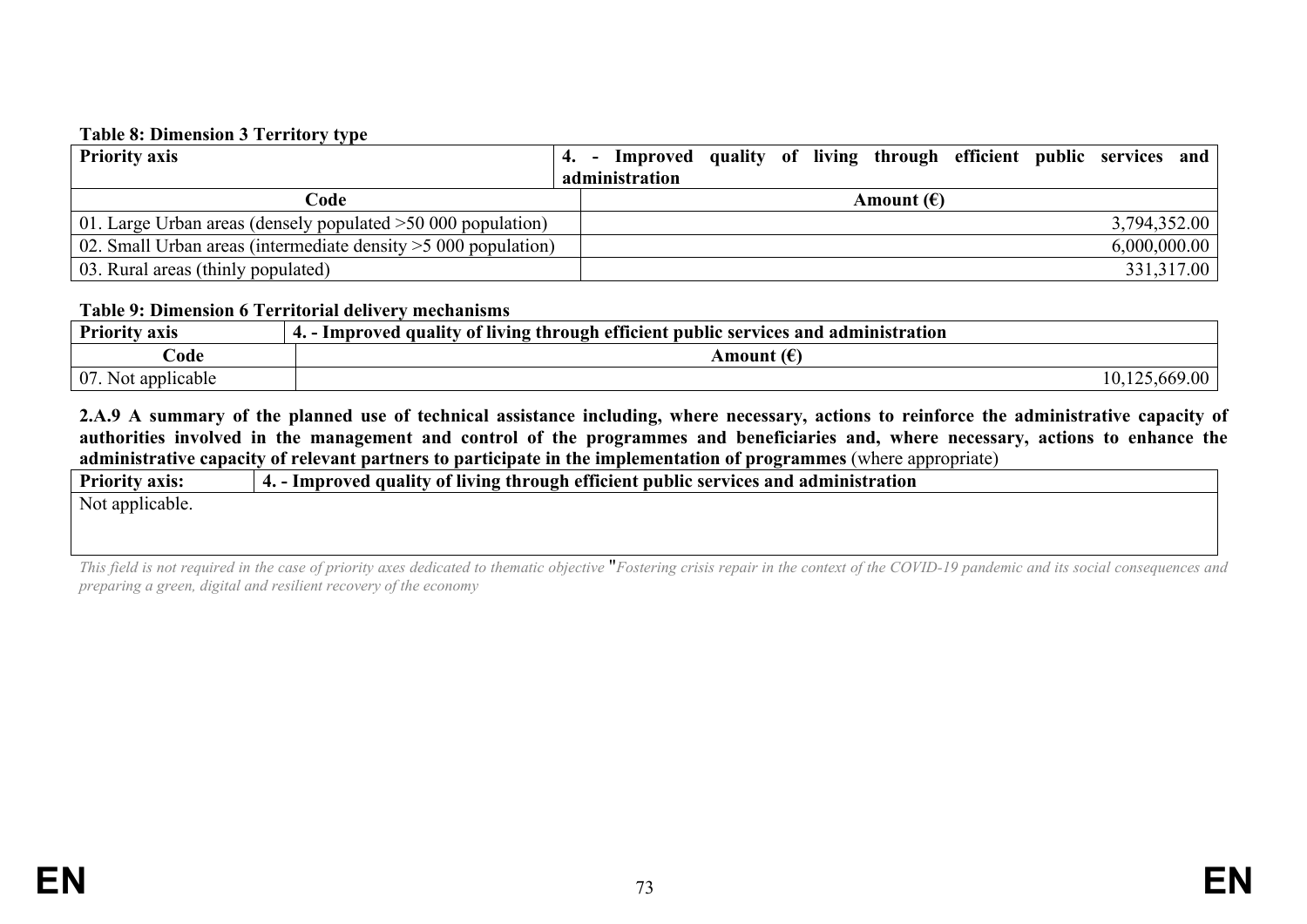#### **Table 8: Dimension 3 Territory type**

| <b>Priority axis</b>                                            | 4. - Improved quality of living through efficient public services and |  |                     |  |              |            |
|-----------------------------------------------------------------|-----------------------------------------------------------------------|--|---------------------|--|--------------|------------|
|                                                                 | administration                                                        |  |                     |  |              |            |
| Code                                                            |                                                                       |  | Amount $(\epsilon)$ |  |              |            |
| 01. Large Urban areas (densely populated $>50,000$ population)  |                                                                       |  |                     |  | 3,794,352.00 |            |
| 02. Small Urban areas (intermediate density $>5000$ population) |                                                                       |  |                     |  | 6,000,000.00 |            |
| 03. Rural areas (thinly populated)                              |                                                                       |  |                     |  |              | 331,317.00 |

#### **Table 9: Dimension 6 Territorial delivery mechanisms**

| $\mathbf{D}$ <sub>riorit</sub><br>axis | administration<br>anc<br>Improved<br>t <b>public service</b> s<br>through efficient<br>quality<br>. lıvıng<br>⊺0 I<br>н. |
|----------------------------------------|--------------------------------------------------------------------------------------------------------------------------|
| `ode                                   | $\sim$<br>moun                                                                                                           |
| 07<br>: applicable<br>NOt              | .00.                                                                                                                     |

**2.A.9 A summary of the planned use of technical assistance including, where necessary, actions to reinforce the administrative capacity of authorities involved in the management and control of the programmes and beneficiaries and, where necessary, actions to enhance the administrative capacity of relevant partners to participate in the implementation of programmes** (where appropriate)

| Priorit<br>axıs: | t quality of living through efficient public services and :<br>  administration<br>. Im*<br>proved |  |  |  |  |  |  |  |  |  |
|------------------|----------------------------------------------------------------------------------------------------|--|--|--|--|--|--|--|--|--|
| Not applicable.  |                                                                                                    |  |  |  |  |  |  |  |  |  |

This field is not required in the case of priority axes dedicated to thematic objective "Fostering crisis repair in the context of the COVID-19 pandemic and its social consequences and *preparing a green, digital and resilient recovery of the economy*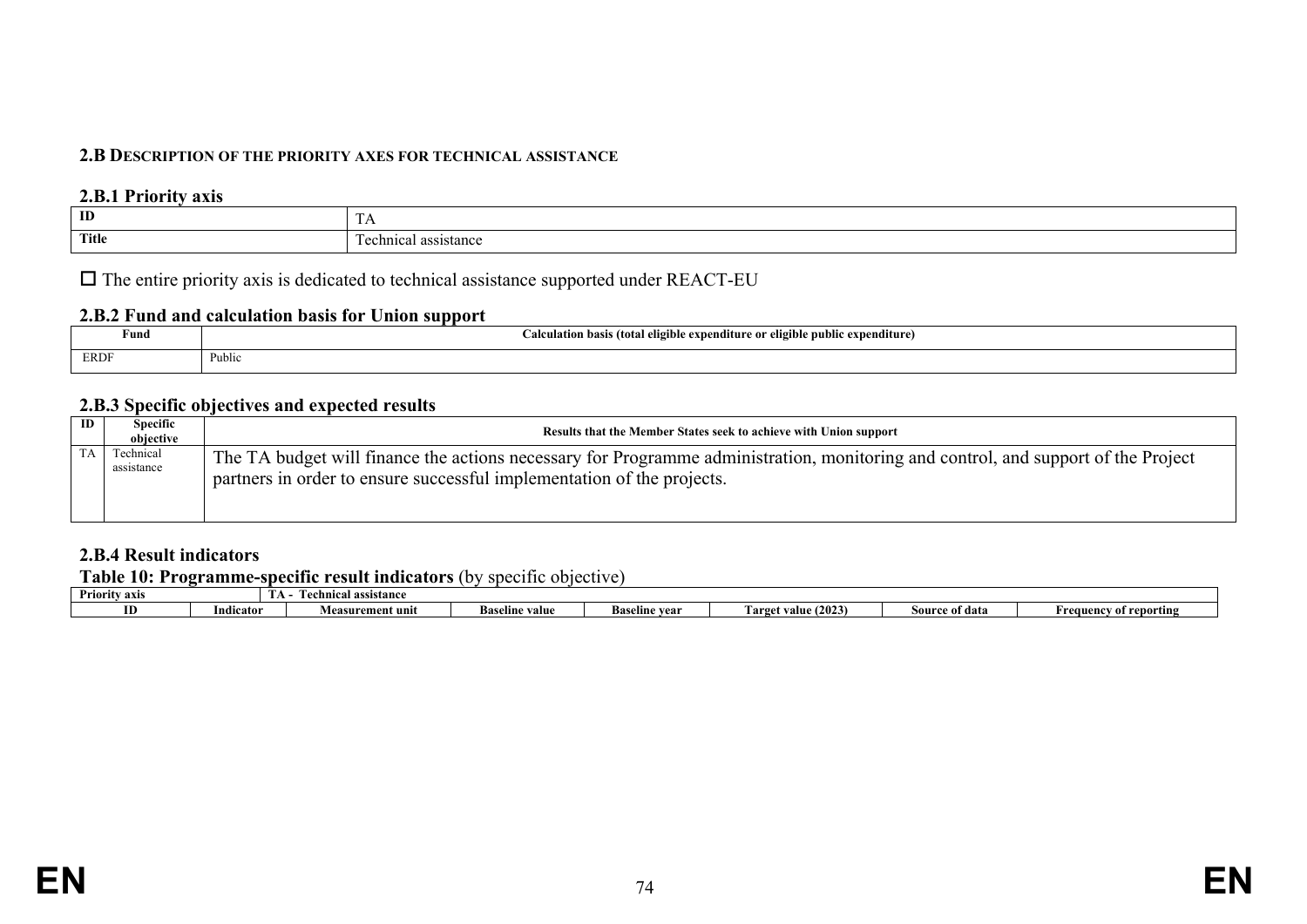#### **2.B DESCRIPTION OF THE PRIORITY AXES FOR TECHNICAL ASSISTANCE**

#### **2.B.1 Priority axis**

| ID           | .      |
|--------------|--------|
| <b>Title</b> | $\sim$ |

 $\Box$  The entire priority axis is dedicated to technical assistance supported under REACT-EU

#### **2.B.2 Fund and calculation basis for Union support**

| Fund        | _<br>.<br>iditure or eligible public expenditure)<br>s (total eligible-<br>hasis<br>-exne.<br>culatio<br>. . |
|-------------|--------------------------------------------------------------------------------------------------------------|
| <b>ERDF</b> | Public                                                                                                       |

#### **2.B.3 Specific objectives and expected results**

| ID | Specific<br>objective   | Results that the Member States seek to achieve with Union support                                                                                                                                           |
|----|-------------------------|-------------------------------------------------------------------------------------------------------------------------------------------------------------------------------------------------------------|
| TА | Technical<br>assistance | The TA budget will finance the actions necessary for Programme administration, monitoring and control, and support of the Project<br>partners in order to ensure successful implementation of the projects. |

# **2.B.4 Result indicators**

# **Table 10: Programme-specific result indicators** (by specific objective)

| Priority axis |           | nical assistance |                       |                      |                            |                    |                                 |
|---------------|-----------|------------------|-----------------------|----------------------|----------------------------|--------------------|---------------------------------|
| ID            | Indicator | Measurement unit | <b>Baseline value</b> | <b>Baseline</b> vear | (2023)<br>Tar<br>vet value | sourc<br>e of data | v of reporting<br>Frea<br>ıencv |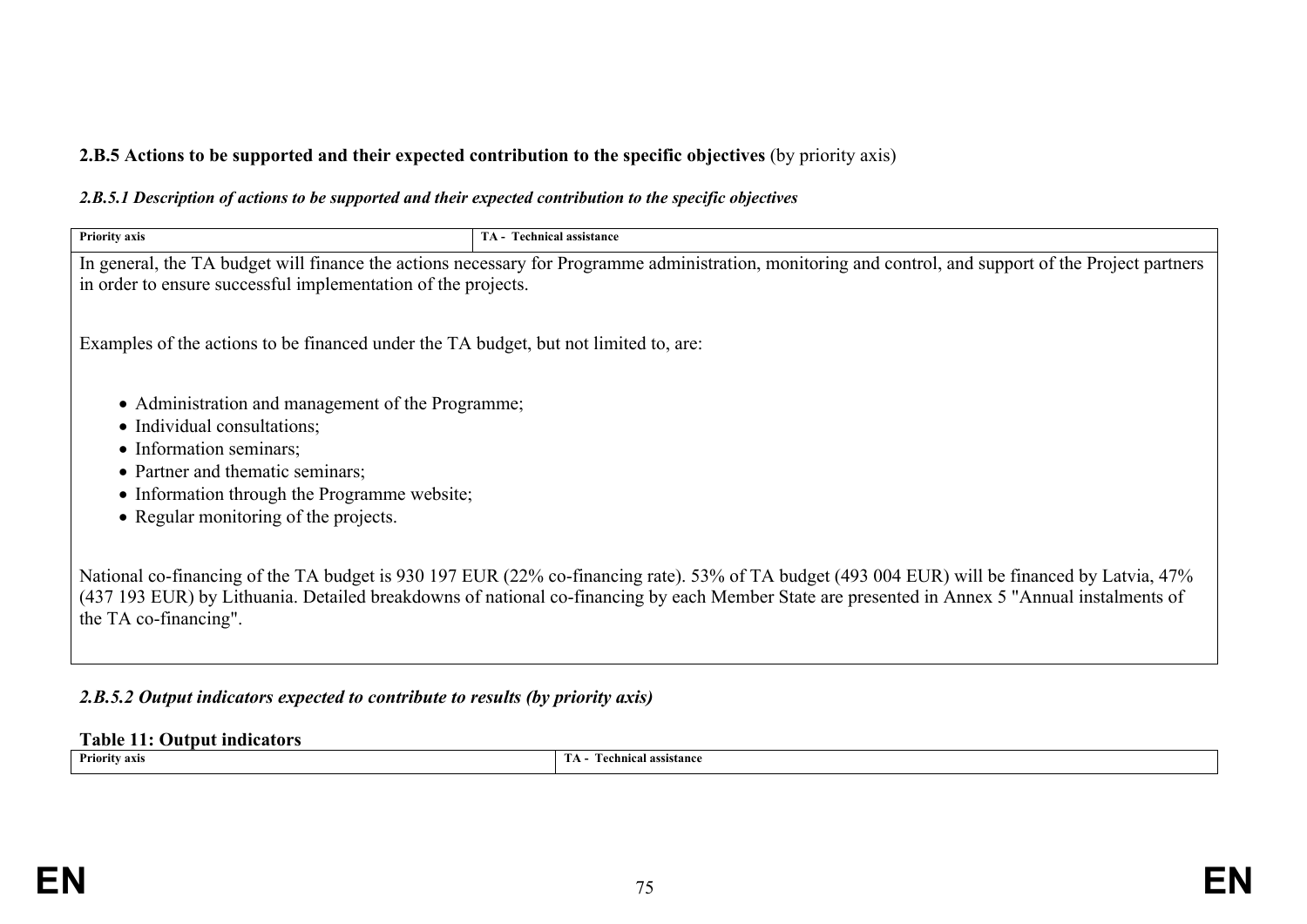# **2.B.5 Actions to be supported and their expected contribution to the specific objectives (by priority axis)**

#### *2.B.5.1 Description of actions to be supported and their expected contribution to the specific objectives*

| <b>Priority axis</b>                                                                 | <b>TA</b> - Technical assistance                                                                                                                                                                                                                                                               |
|--------------------------------------------------------------------------------------|------------------------------------------------------------------------------------------------------------------------------------------------------------------------------------------------------------------------------------------------------------------------------------------------|
| in order to ensure successful implementation of the projects.                        | In general, the TA budget will finance the actions necessary for Programme administration, monitoring and control, and support of the Project partners                                                                                                                                         |
|                                                                                      |                                                                                                                                                                                                                                                                                                |
| Examples of the actions to be financed under the TA budget, but not limited to, are: |                                                                                                                                                                                                                                                                                                |
| • Administration and management of the Programme;                                    |                                                                                                                                                                                                                                                                                                |
| • Individual consultations;                                                          |                                                                                                                                                                                                                                                                                                |
| • Information seminars;                                                              |                                                                                                                                                                                                                                                                                                |
| • Partner and thematic seminars;<br>• Information through the Programme website;     |                                                                                                                                                                                                                                                                                                |
| • Regular monitoring of the projects.                                                |                                                                                                                                                                                                                                                                                                |
|                                                                                      |                                                                                                                                                                                                                                                                                                |
| the TA co-financing".                                                                | National co-financing of the TA budget is 930 197 EUR (22% co-financing rate). 53% of TA budget (493 004 EUR) will be financed by Latvia, 47%<br>(437 193 EUR) by Lithuania. Detailed breakdowns of national co-financing by each Member State are presented in Annex 5 "Annual instalments of |

## *2.B.5.2 Output indicators expected to contribute to results (by priority axis)*

# **Table 11: Output indicators**

**Priority axis TA - Technical assistance**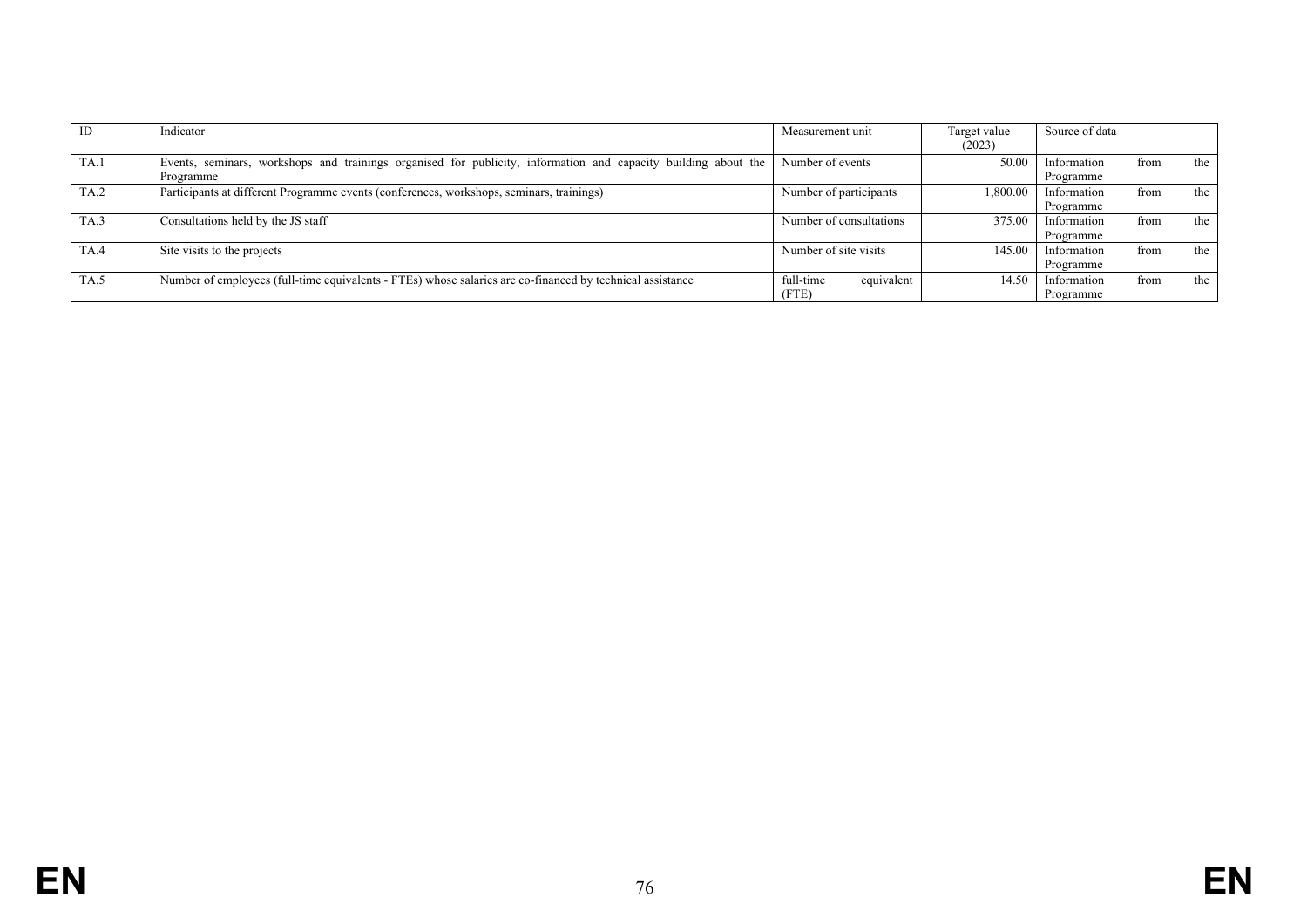| <b>ID</b> | Indicator                                                                                                                   | Measurement unit                 | Target value<br>(2023) | Source of data           |      |     |
|-----------|-----------------------------------------------------------------------------------------------------------------------------|----------------------------------|------------------------|--------------------------|------|-----|
| TA.1      | Events, seminars, workshops and trainings organised for publicity, information and capacity building about the<br>Programme | Number of events                 | 50.00                  | Information<br>Programme | from | the |
| TA.2      | Participants at different Programme events (conferences, workshops, seminars, trainings)                                    | Number of participants           | 1,800.00               | Information<br>Programme | from | the |
| TA.3      | Consultations held by the JS staff                                                                                          | Number of consultations          | 375.00                 | Information<br>Programme | from | the |
| TA.4      | Site visits to the projects                                                                                                 | Number of site visits            | 145.00                 | Information<br>Programme | from | the |
| TA.5      | Number of employees (full-time equivalents - FTEs) whose salaries are co-financed by technical assistance                   | full-time<br>equivalent<br>(FTE) | 14.50                  | Information<br>Programme | from | the |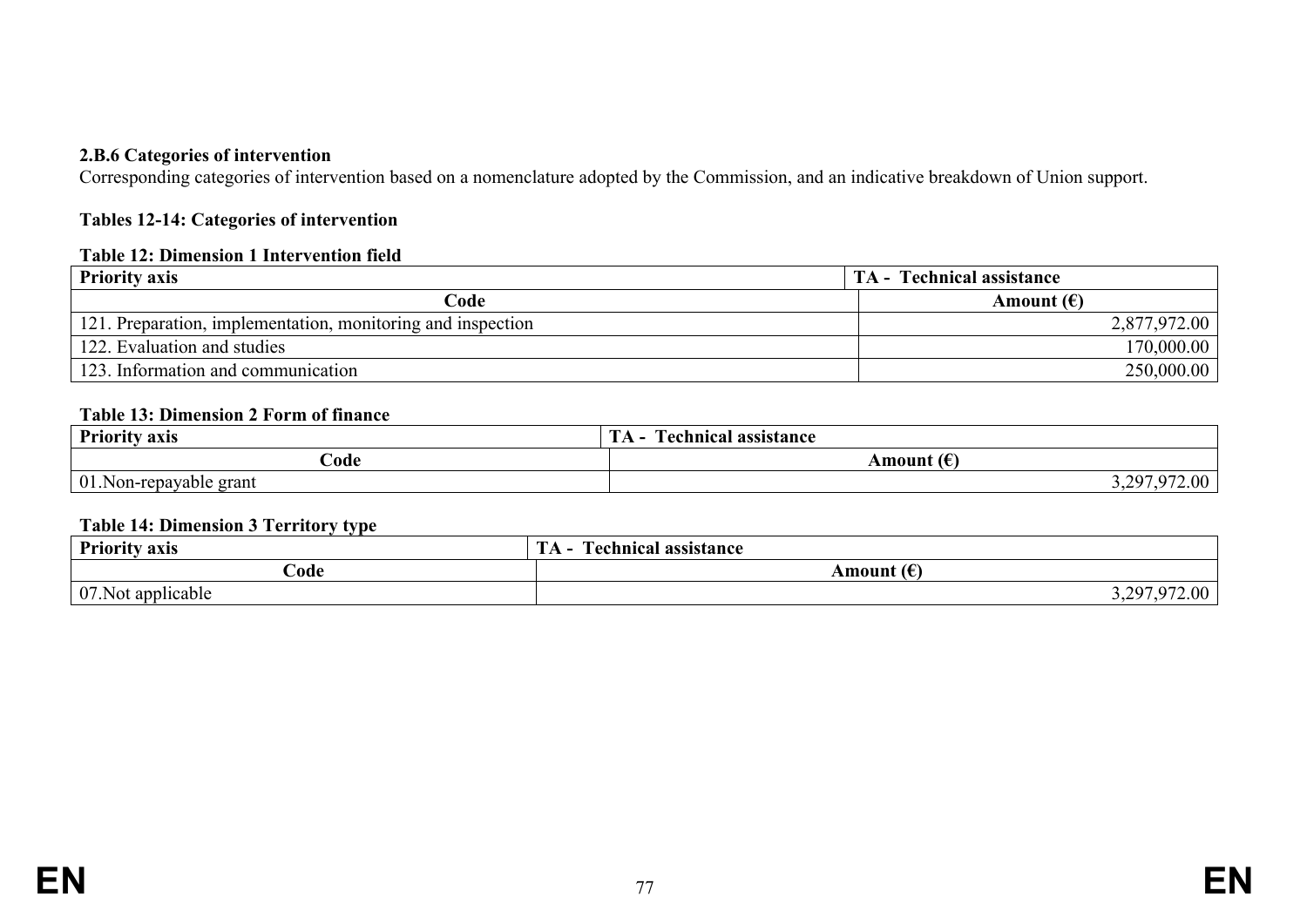#### **2.B.6 Categories of intervention**

Corresponding categories of intervention based on a nomenclature adopted by the Commission, and an indicative breakdown of Union support.

# **Tables 12-14: Categories of intervention**

#### **Table 12: Dimension 1 Intervention field**

| <b>Priority axis</b>                                        | <b>TA</b> - Technical assistance |
|-------------------------------------------------------------|----------------------------------|
| Code                                                        | Amount $(\epsilon)$              |
| 121. Preparation, implementation, monitoring and inspection | 2,877,972.00                     |
| 122. Evaluation and studies                                 | 170,000.00                       |
| 123. Information and communication                          | 250,000.00                       |

#### **Table 13: Dimension 2 Form of finance**

| $\mathbf{r}$<br><b>Priority axis</b> | l'echnical assistance   |
|--------------------------------------|-------------------------|
| Code                                 | ⊾moun†                  |
| 01. Non-repayable<br>`grant          | $\Delta$<br>.00.<br>- - |

#### **Table 14: Dimension 3 Territory type**

| <u>. </u><br>Priority.<br>axis         | m<br>œ<br><b>Technical</b><br>l assistance |
|----------------------------------------|--------------------------------------------|
| bode                                   | ⊾moun                                      |
| 07.<br>. .<br>appli<br>licable<br>.N0t | 207<br>$\Omega$<br>້.∸<br>- -              |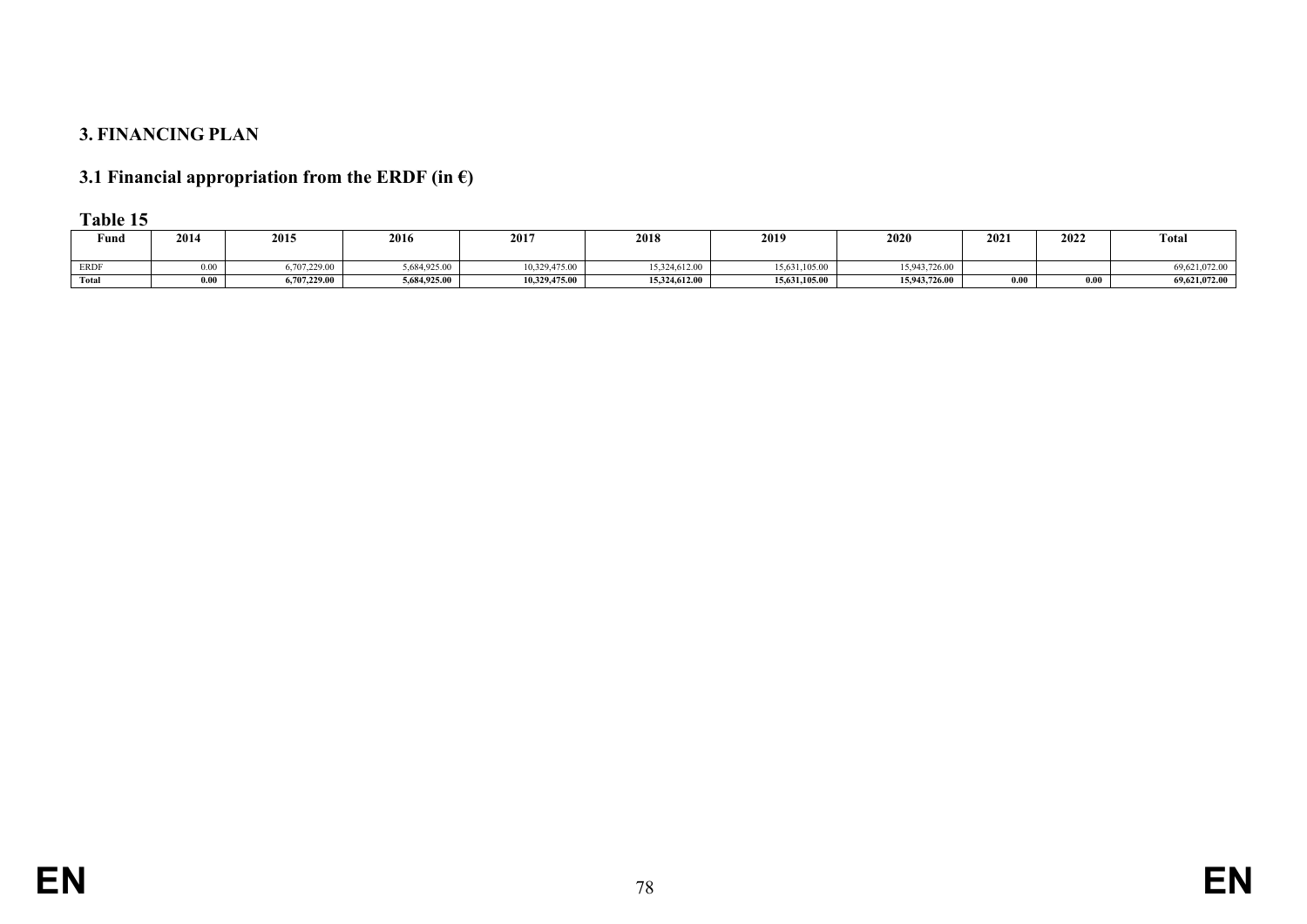# **3. FINANCING PLAN**

# **3.1 Financial appropriation from the ERDF (in €)**

# **Table 15**

| Fund        | 2014 | 2015         | 2016         | 2017          | 2018          | 2019          | 2020          | 2021 | 2022<br>404A | Total         |
|-------------|------|--------------|--------------|---------------|---------------|---------------|---------------|------|--------------|---------------|
| <b>ERDF</b> |      | 0.7073200    | ,684,925.0   | 10 329 475 00 | 15,324,612.00 | 15,631,105.00 | 15.943.726.00 |      |              | 69,621,072.00 |
| Total       |      | 5,707,229.00 | 5,684,925.00 | 10,329,475.00 | 15,324,612.00 | 15.631.105.00 | 15,943,726.00 | 0.00 | 0.00         | 69,621,072.00 |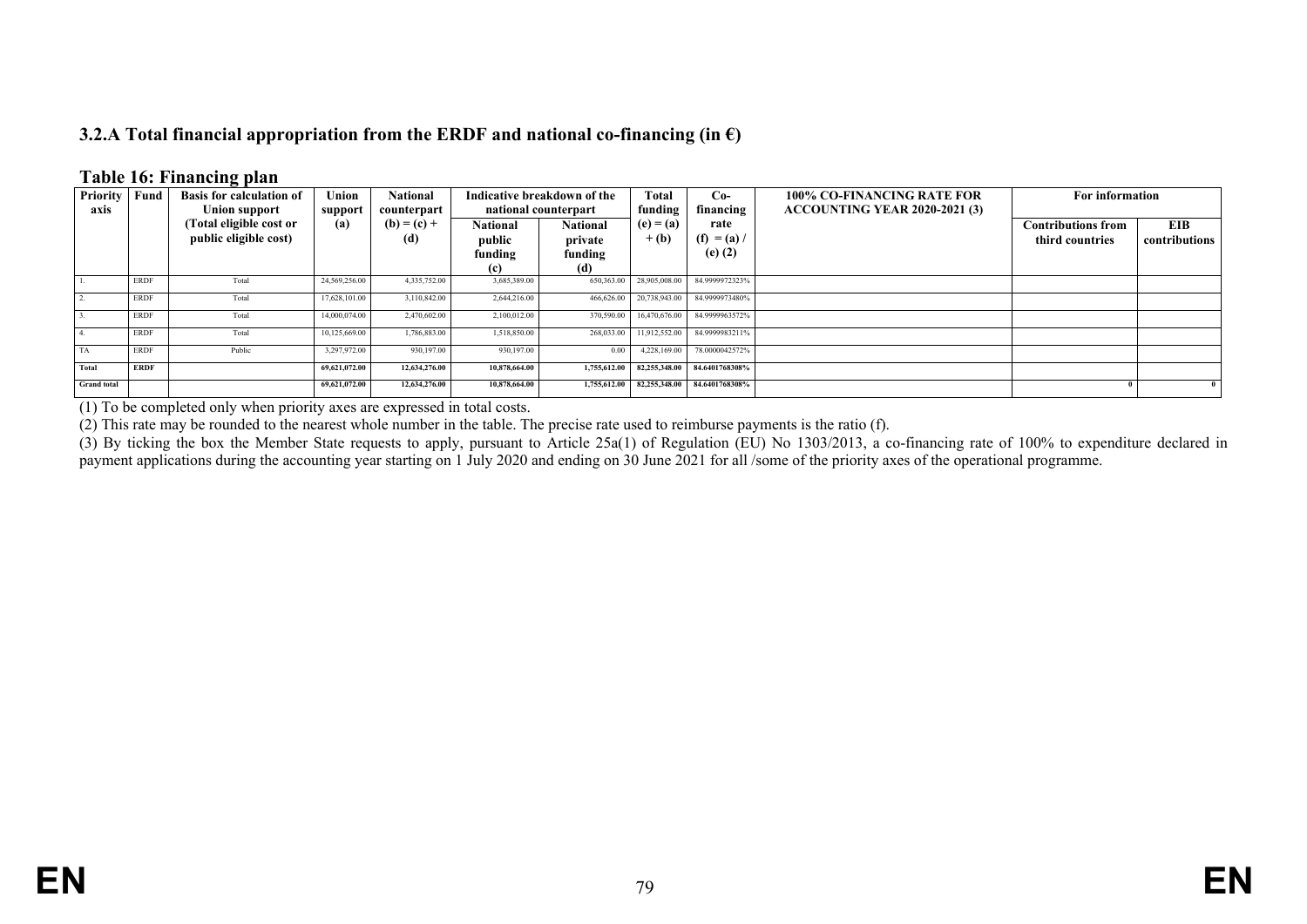### **3.2.A Total financial appropriation from the ERDF and national co-financing (in €)**

#### **Table 16: Financing plan**

| Priority<br>axis   | Fund        | .<br><b>Basis for calculation of</b><br><b>Union support</b> | Union<br>support | <b>National</b><br>counterpart | Indicative breakdown of the<br>national counterpart |                                              |                       |                                      | <b>Total</b><br>funding | $Co-$<br>financing                           | <b>100% CO-FINANCING RATE FOR</b><br><b>ACCOUNTING YEAR 2020-2021 (3)</b> | For information |  |
|--------------------|-------------|--------------------------------------------------------------|------------------|--------------------------------|-----------------------------------------------------|----------------------------------------------|-----------------------|--------------------------------------|-------------------------|----------------------------------------------|---------------------------------------------------------------------------|-----------------|--|
|                    |             | (Total eligible cost or<br>public eligible cost)             | (a)              | $(b) = (c) +$<br>(d)           | <b>National</b><br>public<br>funding                | <b>National</b><br>private<br>funding<br>(d) | $(e) = (a)$<br>$+(b)$ | rate<br>$(f) = (a) /$<br>$(e)$ $(2)$ |                         | <b>Contributions from</b><br>third countries | EIB<br>contributions                                                      |                 |  |
|                    | <b>ERDF</b> | Total                                                        | 24,569,256.00    | 4,335,752.00                   | (c)<br>3,685,389.00                                 | 650,363.00                                   | 28,905,008.00         | 84.9999972323%                       |                         |                                              |                                                                           |                 |  |
|                    | ERDF        | Total                                                        | 17,628,101.00    | 3,110,842.00                   | 2,644,216.00                                        | 466.626.00                                   | 20,738,943.00         | 84.9999973480%                       |                         |                                              |                                                                           |                 |  |
|                    | ERDF        | Total                                                        | 14,000,074.00    | 2,470,602.00                   | 2,100,012.00                                        | 370,590.00                                   | 16,470,676.00         | 84.9999963572%                       |                         |                                              |                                                                           |                 |  |
| 4.                 | ERDF        | Total                                                        | 10,125,669.00    | 1,786,883.00                   | 1,518,850.00                                        | 268,033.00                                   | 11,912,552.00         | 84.9999983211%                       |                         |                                              |                                                                           |                 |  |
| <b>TA</b>          | ERDF        | Public                                                       | 3,297,972.00     | 930,197.00                     | 930,197.00                                          | 0.00                                         | 4,228,169.00          | 78.0000042572%                       |                         |                                              |                                                                           |                 |  |
| Total              | <b>ERDF</b> |                                                              | 69.621.072.00    | 12.634.276.00                  | 10.878.664.00                                       | 1,755,612.00                                 | 82,255,348.00         | 84.6401768308%                       |                         |                                              |                                                                           |                 |  |
| <b>Grand</b> total |             |                                                              | 69,621,072.00    | 12,634,276.00                  | 10,878,664.00                                       | 1,755,612.00                                 | 82,255,348.00         | 84.6401768308%                       |                         |                                              |                                                                           |                 |  |

(1) To be completed only when priority axes are expressed in total costs.

(2) This rate may be rounded to the nearest whole number in the table. The precise rate used to reimburse payments is the ratio (f).

(3) By ticking the box the Member State requests to apply, pursuant to Article 25a(1) of Regulation (EU) No 1303/2013, a co-financing rate of 100% to expenditure declared in payment applications during the accounting year starting on 1 July 2020 and ending on 30 June 2021 for all /some of the priority axes of the operational programme.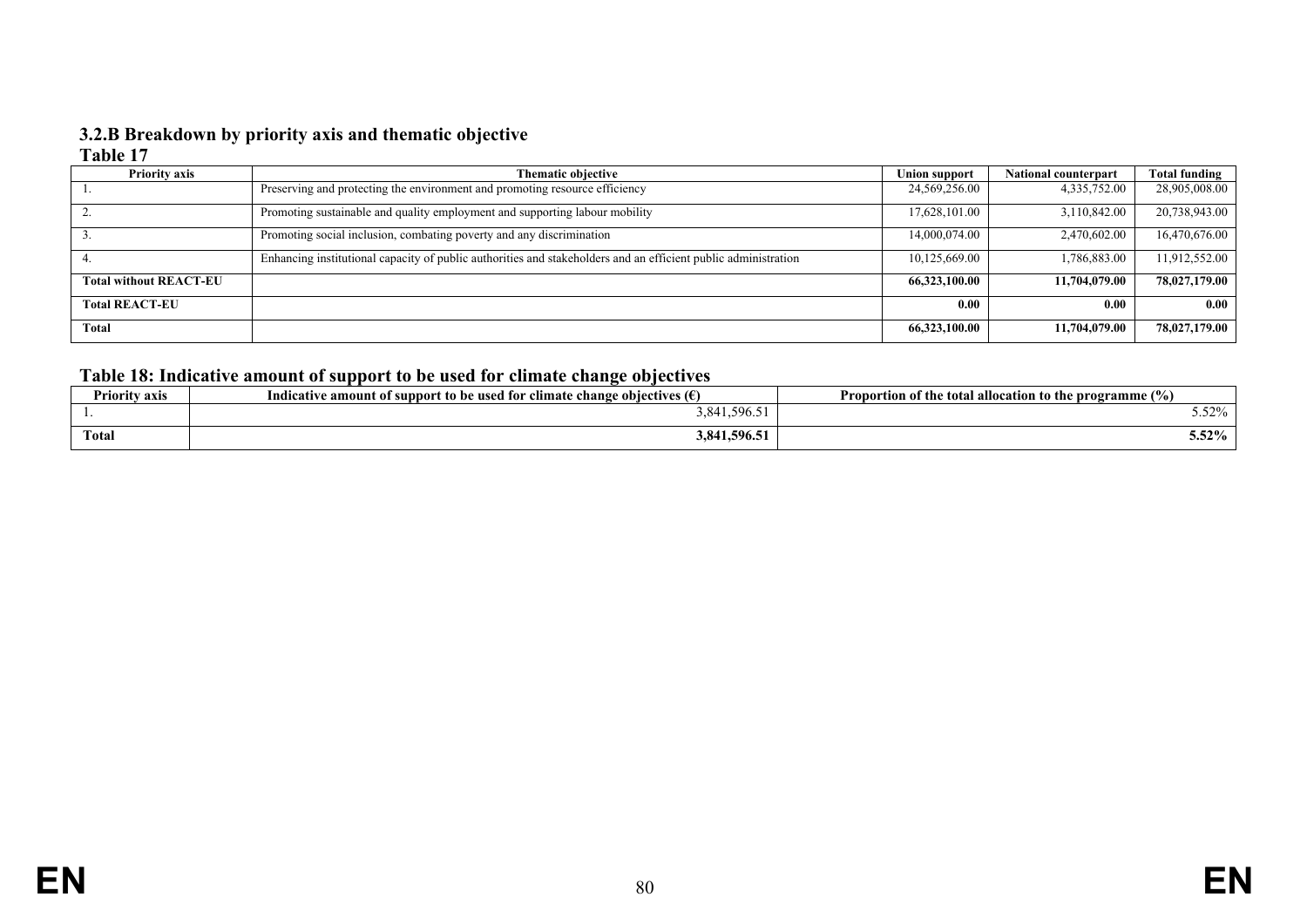# **3.2.B Breakdown by priority axis and thematic objective**

#### **Table 17**

| <b>Priority axis</b>          | Thematic objective                                                                                             | <b>Union support</b> | <b>National counterpart</b> | <b>Total funding</b> |
|-------------------------------|----------------------------------------------------------------------------------------------------------------|----------------------|-----------------------------|----------------------|
|                               | Preserving and protecting the environment and promoting resource efficiency                                    | 24,569,256.00        | 4,335,752.00                | 28,905,008.00        |
|                               | Promoting sustainable and quality employment and supporting labour mobility                                    | 17,628,101.00        | 3,110,842.00                | 20,738,943.00        |
|                               | Promoting social inclusion, combating poverty and any discrimination                                           | 14,000,074.00        | 2,470,602.00                | 16,470,676.00        |
|                               | Enhancing institutional capacity of public authorities and stakeholders and an efficient public administration | 10,125,669.00        | 1,786,883.00                | 11,912,552.00        |
| <b>Total without REACT-EU</b> |                                                                                                                | 66,323,100.00        | 11,704,079.00               | 78,027,179.00        |
| <b>Total REACT-EU</b>         |                                                                                                                | 0.00 <sub>1</sub>    | 0.00                        | 0.00                 |
| Total                         |                                                                                                                | 66,323,100.00        | 11,704,079.00               | 78,027,179.00        |

#### **Table 18: Indicative amount of support to be used for climate change objectives**

| $\mathbf{r}$ .<br>Priority axis | $-$<br>.<br>e amount of support to be used for climate change objectives ( $\epsilon$ )<br>Indicative | Proportion of the total allocation to the programme "<br>"∕o |
|---------------------------------|-------------------------------------------------------------------------------------------------------|--------------------------------------------------------------|
|                                 | 841596<br>.<br>71.JYO.J.                                                                              | $\sim$ 0.0 $\prime$                                          |
| <b>Total</b>                    | 2 0 <i>1</i> 1 506 51                                                                                 | - - - -<br>5.52                                              |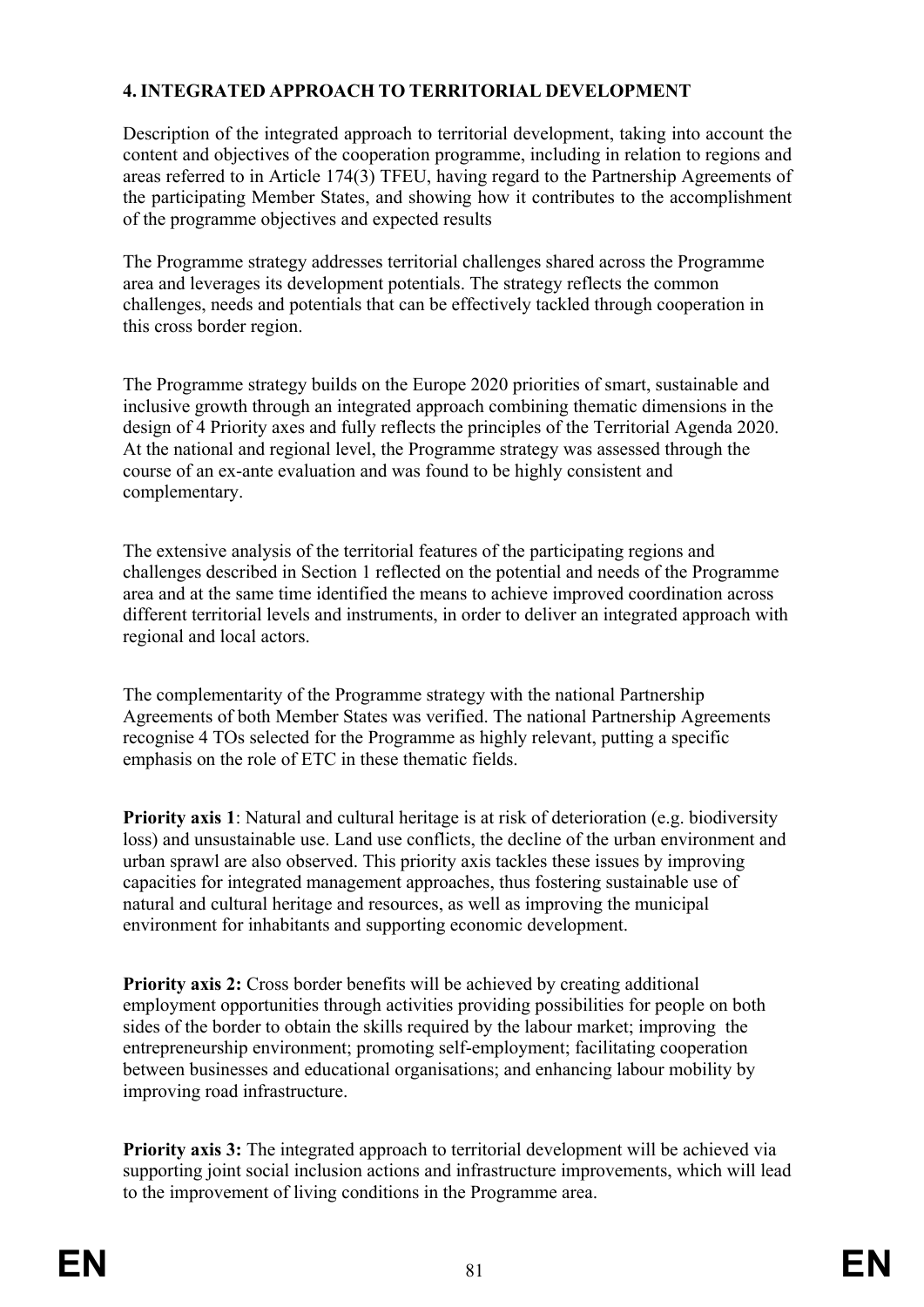# **4. INTEGRATED APPROACH TO TERRITORIAL DEVELOPMENT**

Description of the integrated approach to territorial development, taking into account the content and objectives of the cooperation programme, including in relation to regions and areas referred to in Article 174(3) TFEU, having regard to the Partnership Agreements of the participating Member States, and showing how it contributes to the accomplishment of the programme objectives and expected results

The Programme strategy addresses territorial challenges shared across the Programme area and leverages its development potentials. The strategy reflects the common challenges, needs and potentials that can be effectively tackled through cooperation in this cross border region.

The Programme strategy builds on the Europe 2020 priorities of smart, sustainable and inclusive growth through an integrated approach combining thematic dimensions in the design of 4 Priority axes and fully reflects the principles of the Territorial Agenda 2020. At the national and regional level, the Programme strategy was assessed through the course of an ex-ante evaluation and was found to be highly consistent and complementary.

The extensive analysis of the territorial features of the participating regions and challenges described in Section 1 reflected on the potential and needs of the Programme area and at the same time identified the means to achieve improved coordination across different territorial levels and instruments, in order to deliver an integrated approach with regional and local actors.

The complementarity of the Programme strategy with the national Partnership Agreements of both Member States was verified. The national Partnership Agreements recognise 4 TOs selected for the Programme as highly relevant, putting a specific emphasis on the role of ETC in these thematic fields.

**Priority axis 1**: Natural and cultural heritage is at risk of deterioration (e.g. biodiversity loss) and unsustainable use. Land use conflicts, the decline of the urban environment and urban sprawl are also observed. This priority axis tackles these issues by improving capacities for integrated management approaches, thus fostering sustainable use of natural and cultural heritage and resources, as well as improving the municipal environment for inhabitants and supporting economic development.

**Priority axis 2:** Cross border benefits will be achieved by creating additional employment opportunities through activities providing possibilities for people on both sides of the border to obtain the skills required by the labour market; improving the entrepreneurship environment; promoting self-employment; facilitating cooperation between businesses and educational organisations; and enhancing labour mobility by improving road infrastructure.

**Priority axis 3:** The integrated approach to territorial development will be achieved via supporting joint social inclusion actions and infrastructure improvements, which will lead to the improvement of living conditions in the Programme area.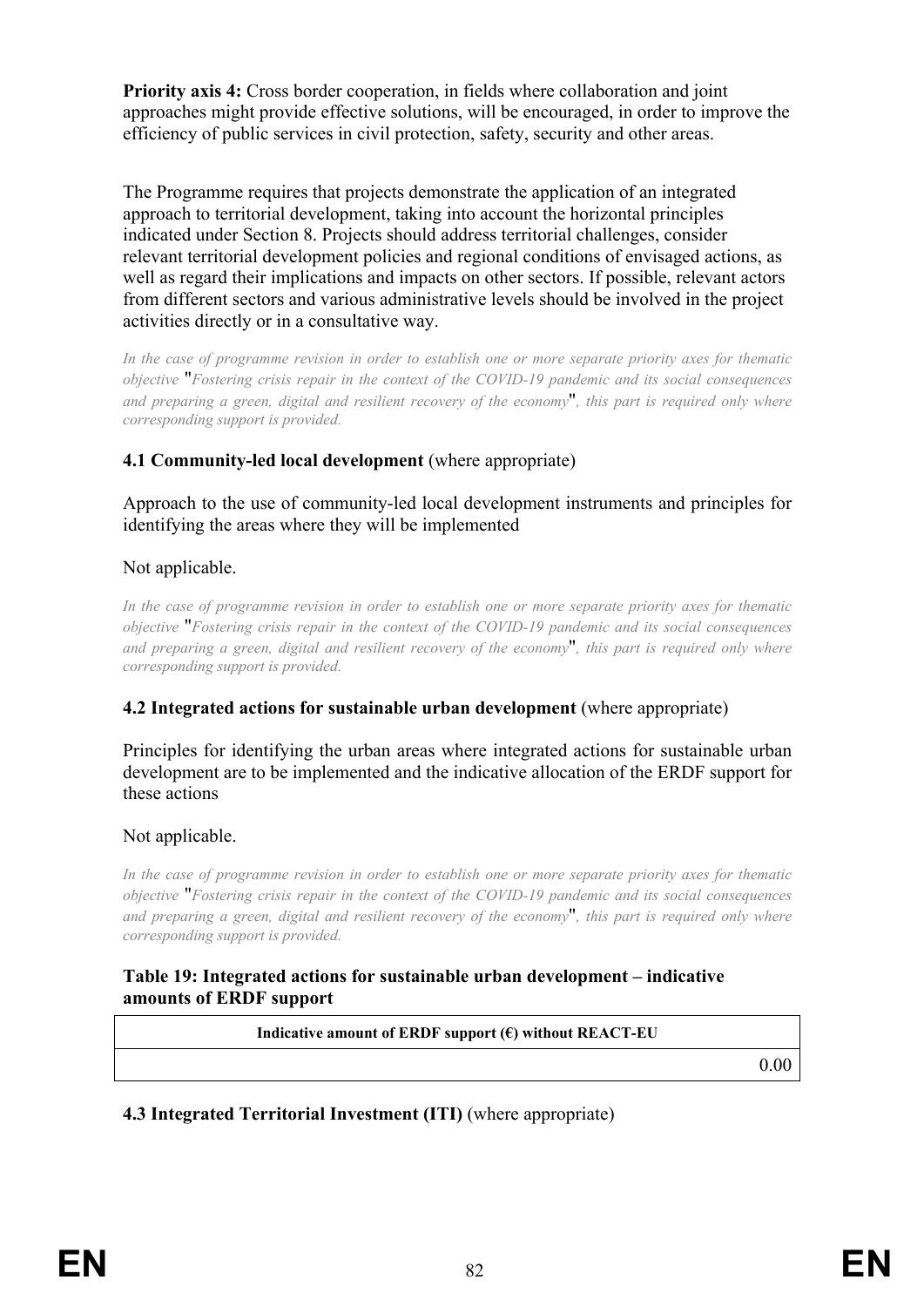**Priority axis 4:** Cross border cooperation, in fields where collaboration and joint approaches might provide effective solutions, will be encouraged, in order to improve the efficiency of public services in civil protection, safety, security and other areas.

The Programme requires that projects demonstrate the application of an integrated approach to territorial development, taking into account the horizontal principles indicated under Section 8. Projects should address territorial challenges, consider relevant territorial development policies and regional conditions of envisaged actions, as well as regard their implications and impacts on other sectors. If possible, relevant actors from different sectors and various administrative levels should be involved in the project activities directly or in a consultative way.

*In the case of programme revision in order to establish one or more separate priority axes for thematic objective* "*Fostering crisis repair in the context of the COVID-19 pandemic and its social consequences and preparing a green, digital and resilient recovery of the economy*"*, this part is required only where corresponding support is provided.*

### **4.1 Community-led local development** (where appropriate)

Approach to the use of community-led local development instruments and principles for identifying the areas where they will be implemented

#### Not applicable.

*In the case of programme revision in order to establish one or more separate priority axes for thematic objective* "*Fostering crisis repair in the context of the COVID-19 pandemic and its social consequences and preparing a green, digital and resilient recovery of the economy*"*, this part is required only where corresponding support is provided.*

#### **4.2 Integrated actions for sustainable urban development** (where appropriate)

Principles for identifying the urban areas where integrated actions for sustainable urban development are to be implemented and the indicative allocation of the ERDF support for these actions

#### Not applicable.

*In the case of programme revision in order to establish one or more separate priority axes for thematic objective* "*Fostering crisis repair in the context of the COVID-19 pandemic and its social consequences and preparing a green, digital and resilient recovery of the economy*"*, this part is required only where corresponding support is provided.*

### **Table 19: Integrated actions for sustainable urban development – indicative amounts of ERDF support**

**Indicative amount of ERDF support (€) without REACT-EU**

0.00

**4.3 Integrated Territorial Investment (ITI)** (where appropriate)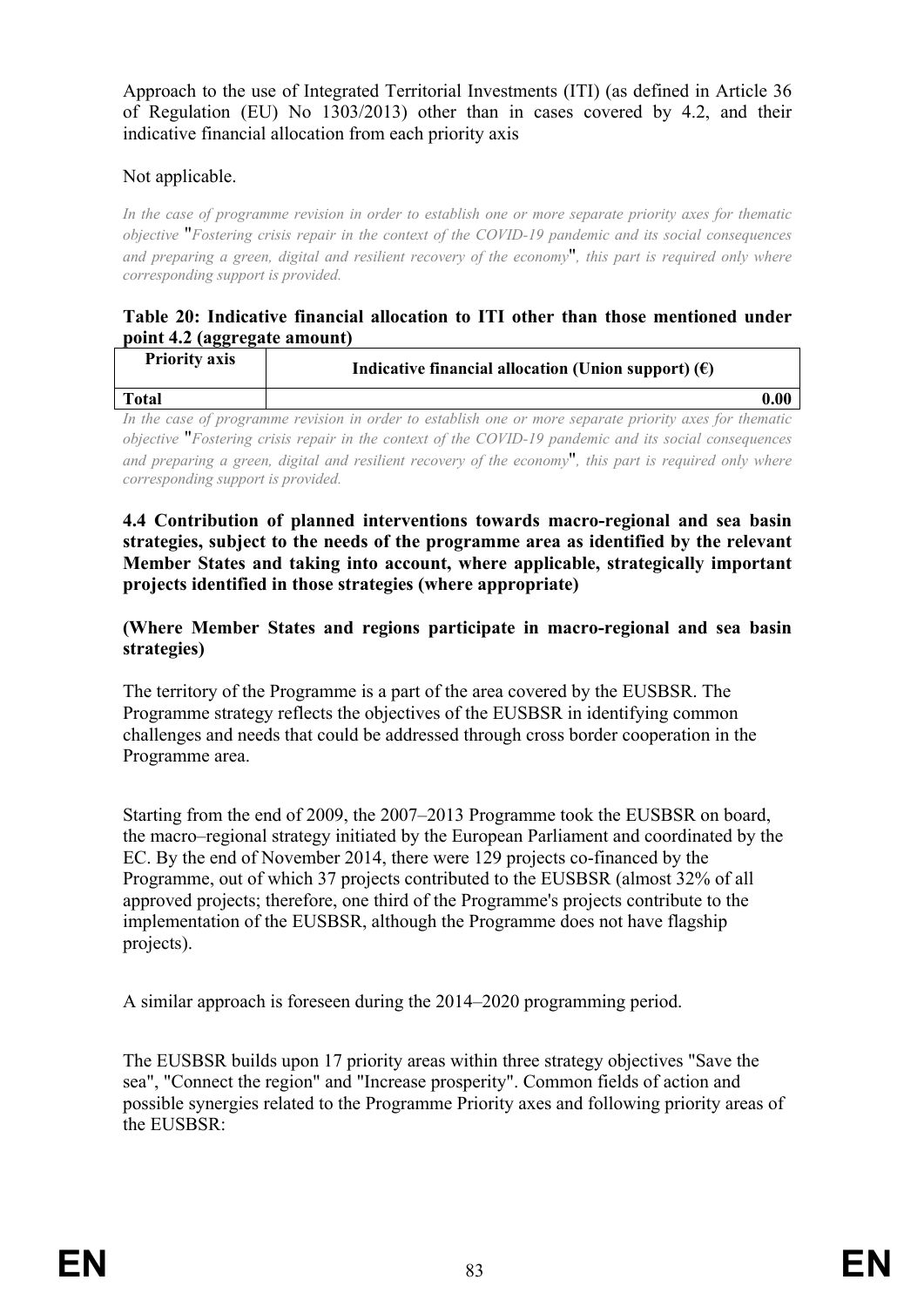Approach to the use of Integrated Territorial Investments (ITI) (as defined in Article 36 of Regulation (EU) No 1303/2013) other than in cases covered by 4.2, and their indicative financial allocation from each priority axis

# Not applicable.

*In the case of programme revision in order to establish one or more separate priority axes for thematic objective* "*Fostering crisis repair in the context of the COVID-19 pandemic and its social consequences and preparing a green, digital and resilient recovery of the economy*"*, this part is required only where corresponding support is provided.*

#### **Table 20: Indicative financial allocation to ITI other than those mentioned under point 4.2 (aggregate amount)**

| <b>Priority axis</b> | Indicative financial allocation (Union support) $(\epsilon)$                                            |
|----------------------|---------------------------------------------------------------------------------------------------------|
| Total                | 0.00                                                                                                    |
|                      | In the case of programme revision in order to establish one or more separate priority ares for thematic |

*In the case of programme revision in order to establish one or more separate priority axes for thematic objective* "*Fostering crisis repair in the context of the COVID-19 pandemic and its social consequences and preparing a green, digital and resilient recovery of the economy*"*, this part is required only where corresponding support is provided.*

#### **4.4 Contribution of planned interventions towards macro-regional and sea basin strategies, subject to the needs of the programme area as identified by the relevant Member States and taking into account, where applicable, strategically important projects identified in those strategies (where appropriate)**

### **(Where Member States and regions participate in macro-regional and sea basin strategies)**

The territory of the Programme is a part of the area covered by the EUSBSR. The Programme strategy reflects the objectives of the EUSBSR in identifying common challenges and needs that could be addressed through cross border cooperation in the Programme area.

Starting from the end of 2009, the 2007–2013 Programme took the EUSBSR on board, the macro–regional strategy initiated by the European Parliament and coordinated by the EC. By the end of November 2014, there were 129 projects co-financed by the Programme, out of which 37 projects contributed to the EUSBSR (almost 32% of all approved projects; therefore, one third of the Programme's projects contribute to the implementation of the EUSBSR, although the Programme does not have flagship projects).

A similar approach is foreseen during the 2014–2020 programming period.

The EUSBSR builds upon 17 priority areas within three strategy objectives "Save the sea", "Connect the region" and "Increase prosperity". Common fields of action and possible synergies related to the Programme Priority axes and following priority areas of the EUSBSR: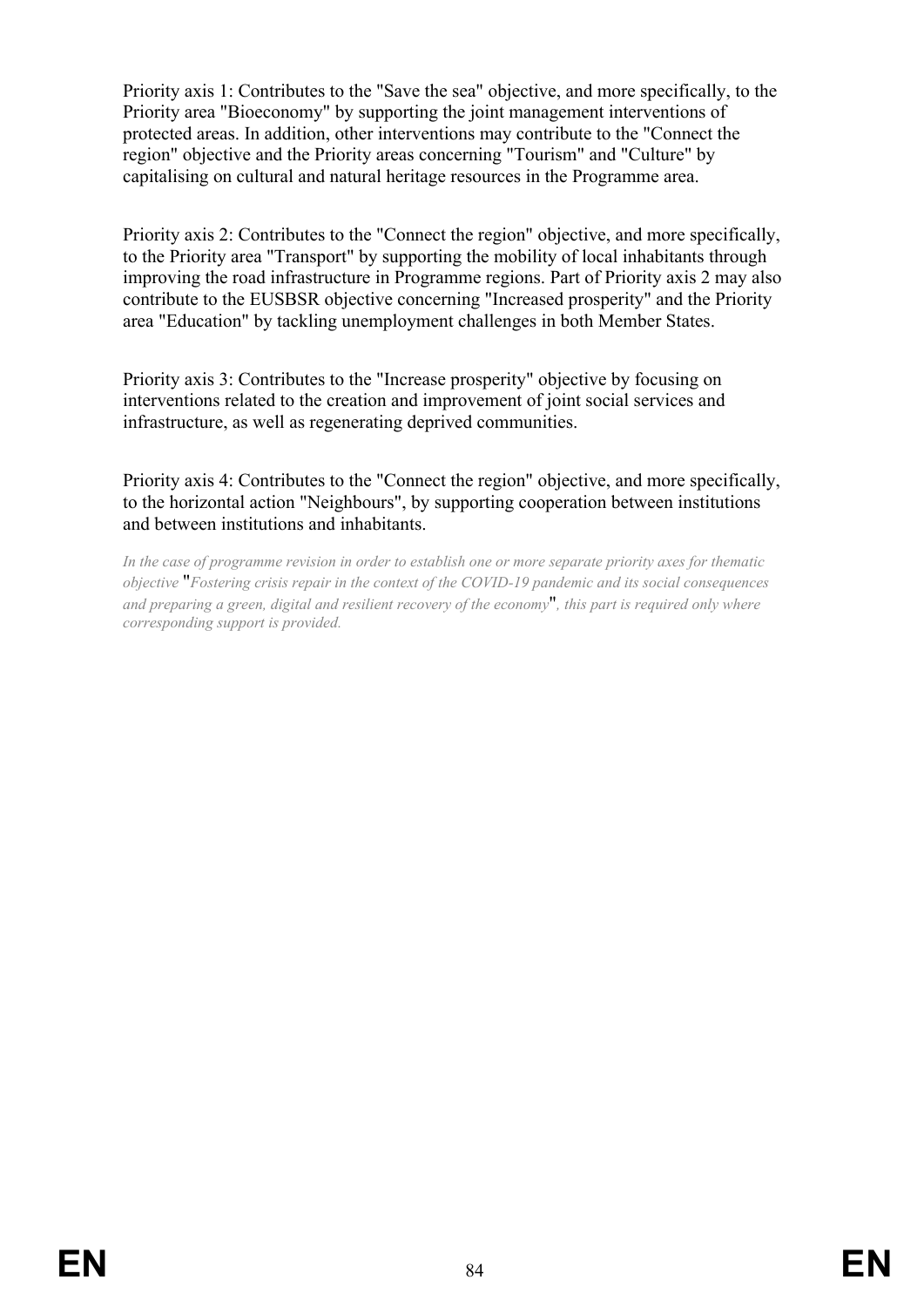Priority axis 1: Contributes to the "Save the sea" objective, and more specifically, to the Priority area "Bioeconomy" by supporting the joint management interventions of protected areas. In addition, other interventions may contribute to the "Connect the region" objective and the Priority areas concerning "Tourism" and "Culture" by capitalising on cultural and natural heritage resources in the Programme area.

Priority axis 2: Contributes to the "Connect the region" objective, and more specifically, to the Priority area "Transport" by supporting the mobility of local inhabitants through improving the road infrastructure in Programme regions. Part of Priority axis 2 may also contribute to the EUSBSR objective concerning "Increased prosperity" and the Priority area "Education" by tackling unemployment challenges in both Member States.

Priority axis 3: Contributes to the "Increase prosperity" objective by focusing on interventions related to the creation and improvement of joint social services and infrastructure, as well as regenerating deprived communities.

Priority axis 4: Contributes to the "Connect the region" objective, and more specifically, to the horizontal action "Neighbours", by supporting cooperation between institutions and between institutions and inhabitants.

*In the case of programme revision in order to establish one or more separate priority axes for thematic objective* "*Fostering crisis repair in the context of the COVID-19 pandemic and its social consequences and preparing a green, digital and resilient recovery of the economy*"*, this part is required only where corresponding support is provided.*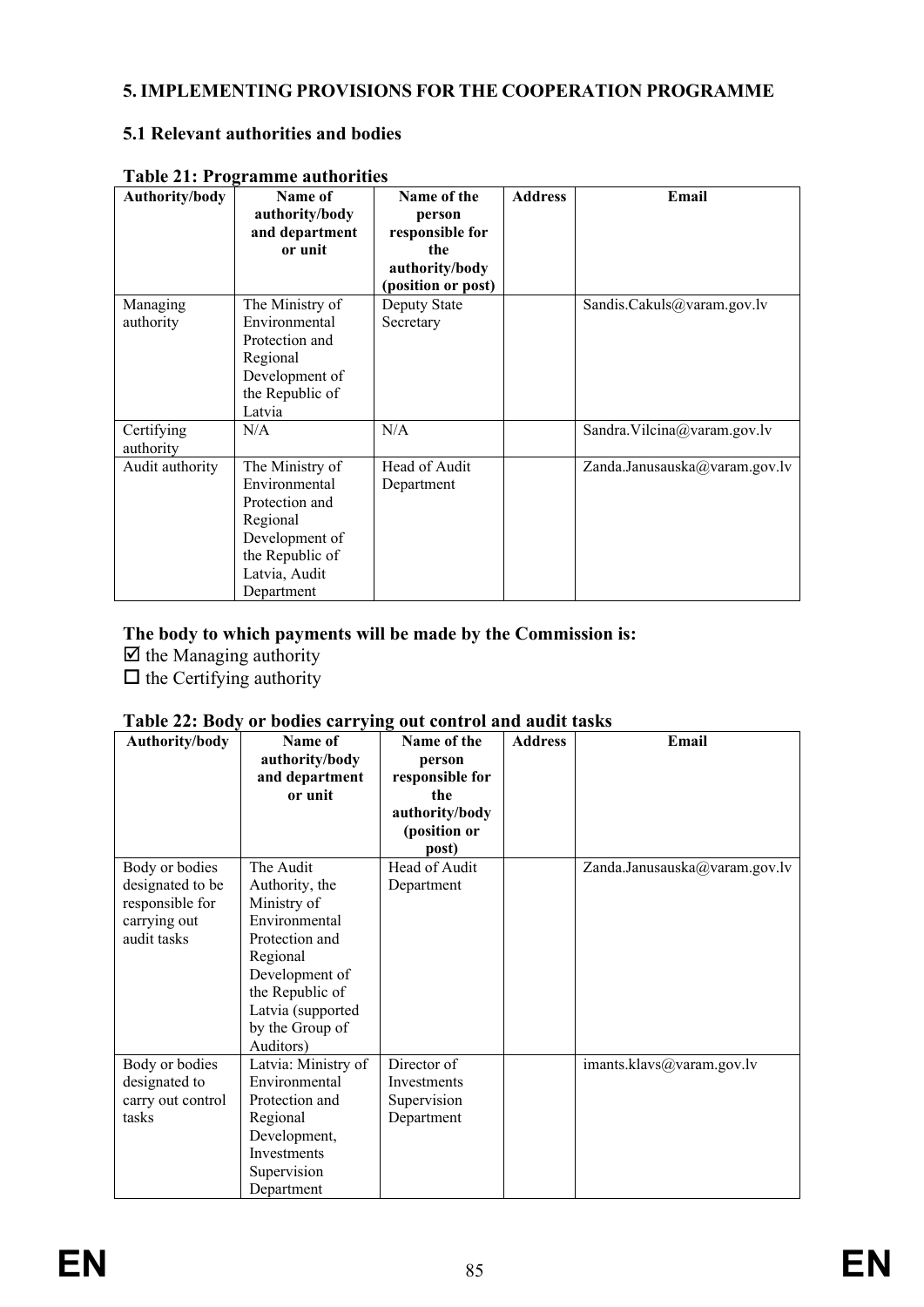# **5. IMPLEMENTING PROVISIONS FOR THE COOPERATION PROGRAMME**

# **5.1 Relevant authorities and bodies**

| Authority/body  | Name of         | Name of the        | <b>Address</b> | Email                         |
|-----------------|-----------------|--------------------|----------------|-------------------------------|
|                 | authority/body  | person             |                |                               |
|                 | and department  | responsible for    |                |                               |
|                 | or unit         | the                |                |                               |
|                 |                 | authority/body     |                |                               |
|                 |                 | (position or post) |                |                               |
| Managing        | The Ministry of | Deputy State       |                | Sandis.Cakuls@varam.gov.lv    |
| authority       | Environmental   | Secretary          |                |                               |
|                 | Protection and  |                    |                |                               |
|                 | Regional        |                    |                |                               |
|                 | Development of  |                    |                |                               |
|                 | the Republic of |                    |                |                               |
|                 | Latvia          |                    |                |                               |
| Certifying      | N/A             | N/A                |                | Sandra. Vilcina@varam.gov.lv  |
| authority       |                 |                    |                |                               |
| Audit authority | The Ministry of | Head of Audit      |                | Zanda.Janusauska@varam.gov.lv |
|                 | Environmental   | Department         |                |                               |
|                 | Protection and  |                    |                |                               |
|                 | Regional        |                    |                |                               |
|                 | Development of  |                    |                |                               |
|                 | the Republic of |                    |                |                               |
|                 | Latvia, Audit   |                    |                |                               |
|                 | Department      |                    |                |                               |

#### **Table 21: Programme authorities**

# **The body to which payments will be made by the Commission is:**

 $\boxtimes$  the Managing authority

 $\Box$  the Certifying authority

#### **Table 22: Body or bodies carrying out control and audit tasks**

| Authority/body    | Name of             | Name of the     | <b>Address</b> | Email                         |
|-------------------|---------------------|-----------------|----------------|-------------------------------|
|                   | authority/body      | person          |                |                               |
|                   | and department      | responsible for |                |                               |
|                   | or unit             | the             |                |                               |
|                   |                     | authority/body  |                |                               |
|                   |                     | (position or    |                |                               |
|                   |                     | post)           |                |                               |
| Body or bodies    | The Audit           | Head of Audit   |                | Zanda.Janusauska@varam.gov.lv |
| designated to be  | Authority, the      | Department      |                |                               |
| responsible for   | Ministry of         |                 |                |                               |
| carrying out      | Environmental       |                 |                |                               |
| audit tasks       | Protection and      |                 |                |                               |
|                   | Regional            |                 |                |                               |
|                   | Development of      |                 |                |                               |
|                   | the Republic of     |                 |                |                               |
|                   | Latvia (supported   |                 |                |                               |
|                   | by the Group of     |                 |                |                               |
|                   | Auditors)           |                 |                |                               |
| Body or bodies    | Latvia: Ministry of | Director of     |                | imants.klavs@varam.gov.lv     |
| designated to     | Environmental       | Investments     |                |                               |
| carry out control | Protection and      | Supervision     |                |                               |
| tasks             | Regional            | Department      |                |                               |
|                   | Development,        |                 |                |                               |
|                   | Investments         |                 |                |                               |
|                   | Supervision         |                 |                |                               |
|                   | Department          |                 |                |                               |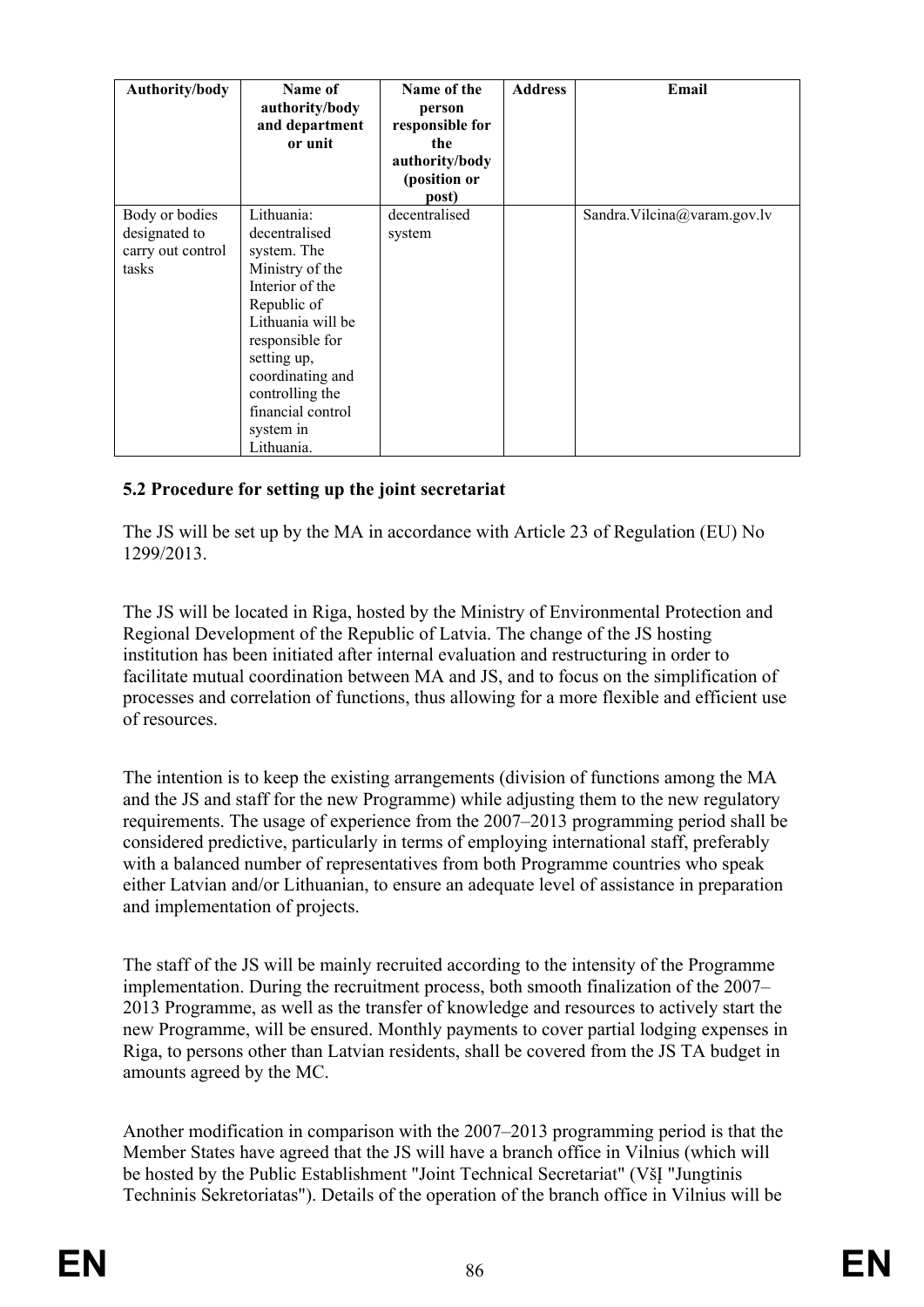| Authority/body                                                | Name of<br>authority/body<br>and department<br>or unit                                                                                                                                                                                        | Name of the<br>person<br>responsible for<br>the<br>authority/body<br>(position or<br>post) | <b>Address</b> | Email                       |
|---------------------------------------------------------------|-----------------------------------------------------------------------------------------------------------------------------------------------------------------------------------------------------------------------------------------------|--------------------------------------------------------------------------------------------|----------------|-----------------------------|
| Body or bodies<br>designated to<br>carry out control<br>tasks | Lithuania:<br>decentralised<br>system. The<br>Ministry of the<br>Interior of the<br>Republic of<br>Lithuania will be<br>responsible for<br>setting up,<br>coordinating and<br>controlling the<br>financial control<br>system in<br>Lithuania. | decentralised<br>system                                                                    |                | Sandra.Vilcina@varam.gov.lv |

### **5.2 Procedure for setting up the joint secretariat**

The JS will be set up by the MA in accordance with Article 23 of Regulation (EU) No 1299/2013.

The JS will be located in Riga, hosted by the Ministry of Environmental Protection and Regional Development of the Republic of Latvia. The change of the JS hosting institution has been initiated after internal evaluation and restructuring in order to facilitate mutual coordination between MA and JS, and to focus on the simplification of processes and correlation of functions, thus allowing for a more flexible and efficient use of resources.

The intention is to keep the existing arrangements (division of functions among the MA and the JS and staff for the new Programme) while adjusting them to the new regulatory requirements. The usage of experience from the 2007–2013 programming period shall be considered predictive, particularly in terms of employing international staff, preferably with a balanced number of representatives from both Programme countries who speak either Latvian and/or Lithuanian, to ensure an adequate level of assistance in preparation and implementation of projects.

The staff of the JS will be mainly recruited according to the intensity of the Programme implementation. During the recruitment process, both smooth finalization of the 2007– 2013 Programme, as well as the transfer of knowledge and resources to actively start the new Programme, will be ensured. Monthly payments to cover partial lodging expenses in Riga, to persons other than Latvian residents, shall be covered from the JS TA budget in amounts agreed by the MC.

Another modification in comparison with the 2007–2013 programming period is that the Member States have agreed that the JS will have a branch office in Vilnius (which will be hosted by the Public Establishment "Joint Technical Secretariat" (VšĮ "Jungtinis Techninis Sekretoriatas"). Details of the operation of the branch office in Vilnius will be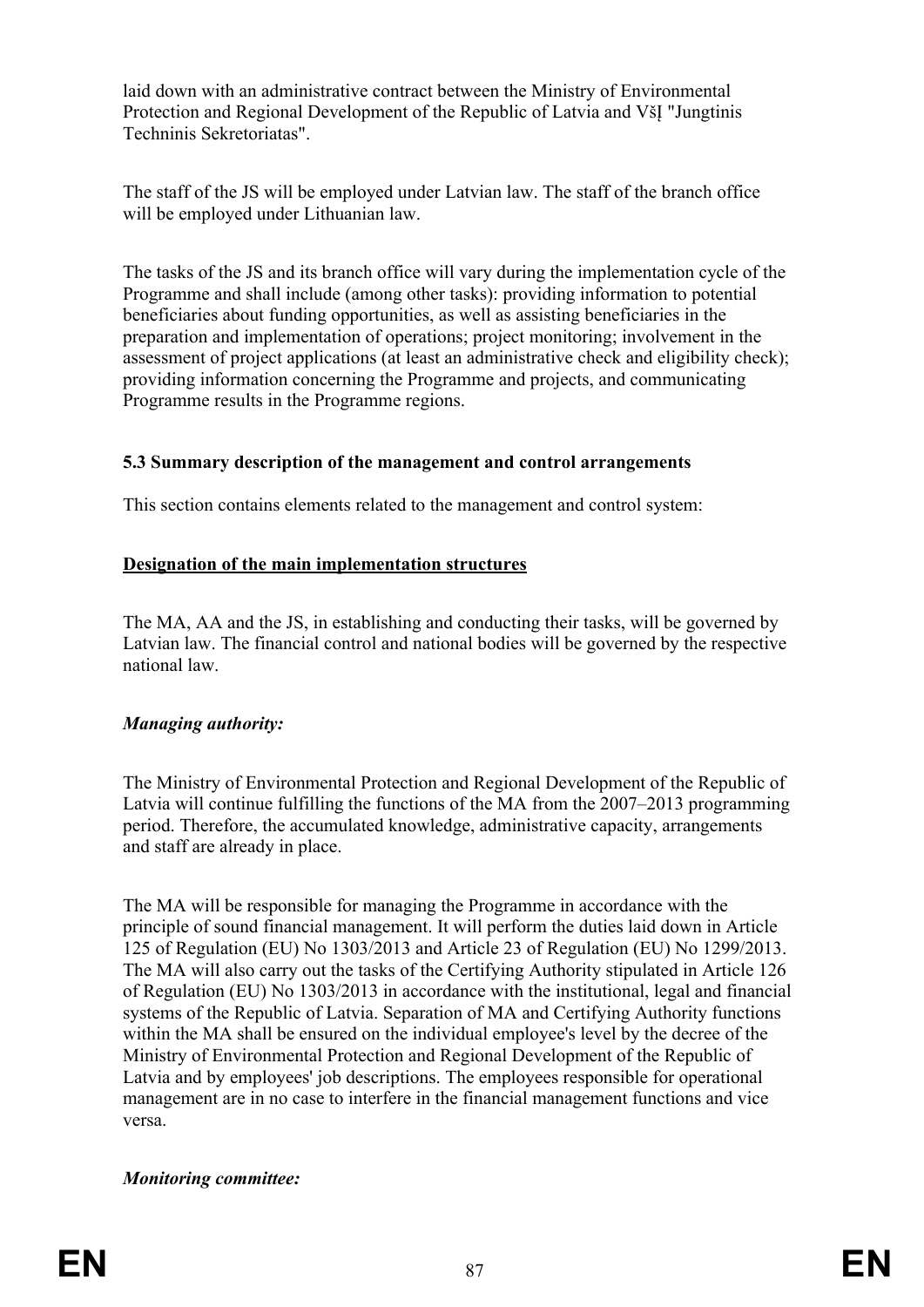laid down with an administrative contract between the Ministry of Environmental Protection and Regional Development of the Republic of Latvia and VšĮ "Jungtinis Techninis Sekretoriatas".

The staff of the JS will be employed under Latvian law. The staff of the branch office will be employed under Lithuanian law.

The tasks of the JS and its branch office will vary during the implementation cycle of the Programme and shall include (among other tasks): providing information to potential beneficiaries about funding opportunities, as well as assisting beneficiaries in the preparation and implementation of operations; project monitoring; involvement in the assessment of project applications (at least an administrative check and eligibility check); providing information concerning the Programme and projects, and communicating Programme results in the Programme regions.

# **5.3 Summary description of the management and control arrangements**

This section contains elements related to the management and control system:

### **Designation of the main implementation structures**

The MA, AA and the JS, in establishing and conducting their tasks, will be governed by Latvian law. The financial control and national bodies will be governed by the respective national law.

# *Managing authority:*

The Ministry of Environmental Protection and Regional Development of the Republic of Latvia will continue fulfilling the functions of the MA from the 2007–2013 programming period. Therefore, the accumulated knowledge, administrative capacity, arrangements and staff are already in place.

The MA will be responsible for managing the Programme in accordance with the principle of sound financial management. It will perform the duties laid down in Article 125 of Regulation (EU) No 1303/2013 and Article 23 of Regulation (EU) No 1299/2013. The MA will also carry out the tasks of the Certifying Authority stipulated in Article 126 of Regulation (EU) No 1303/2013 in accordance with the institutional, legal and financial systems of the Republic of Latvia. Separation of MA and Certifying Authority functions within the MA shall be ensured on the individual employee's level by the decree of the Ministry of Environmental Protection and Regional Development of the Republic of Latvia and by employees' job descriptions. The employees responsible for operational management are in no case to interfere in the financial management functions and vice versa.

#### *Monitoring committee:*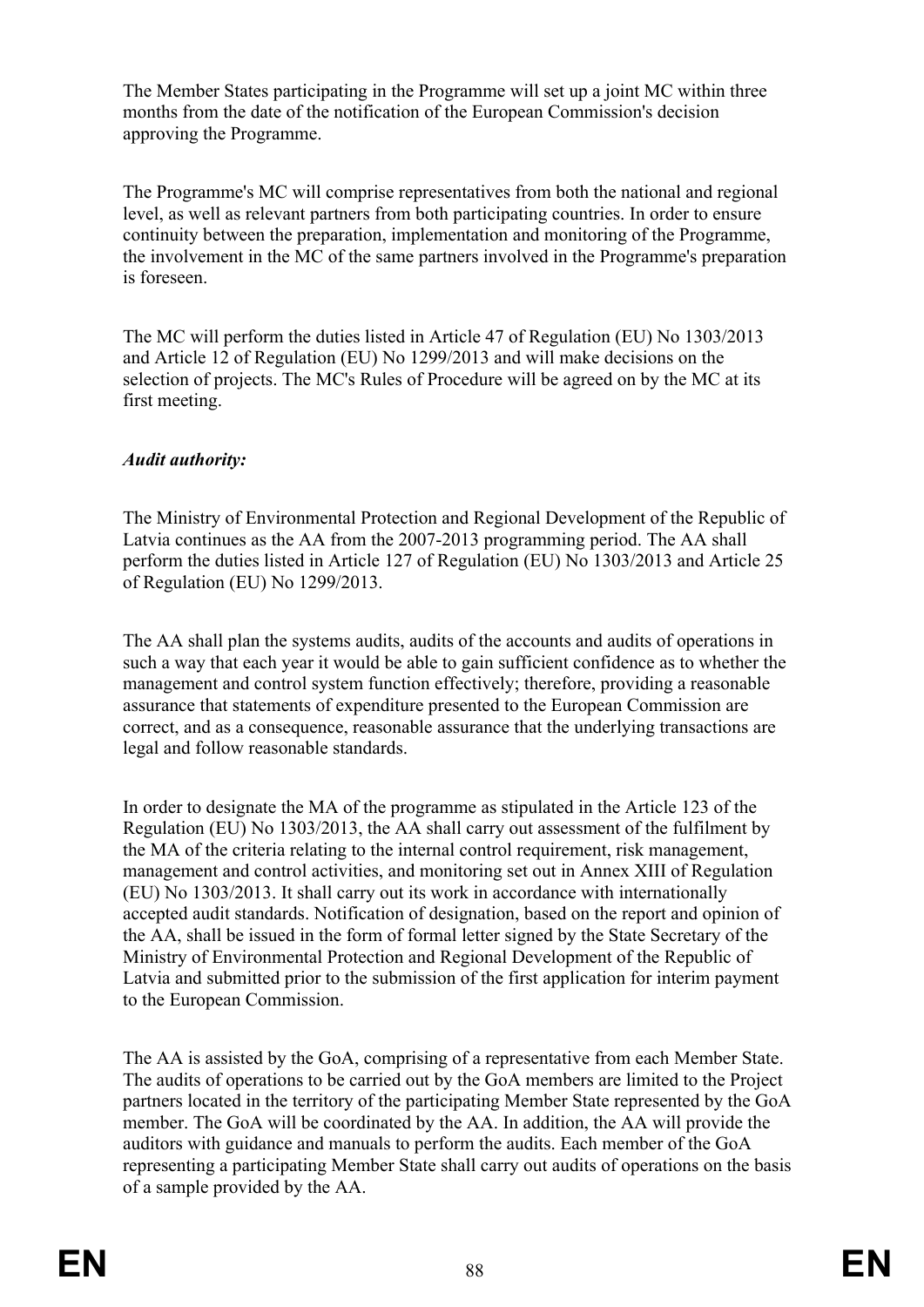The Member States participating in the Programme will set up a joint MC within three months from the date of the notification of the European Commission's decision approving the Programme.

The Programme's MC will comprise representatives from both the national and regional level, as well as relevant partners from both participating countries. In order to ensure continuity between the preparation, implementation and monitoring of the Programme, the involvement in the MC of the same partners involved in the Programme's preparation is foreseen.

The MC will perform the duties listed in Article 47 of Regulation (EU) No 1303/2013 and Article 12 of Regulation (EU) No 1299/2013 and will make decisions on the selection of projects. The MC's Rules of Procedure will be agreed on by the MC at its first meeting.

# *Audit authority:*

The Ministry of Environmental Protection and Regional Development of the Republic of Latvia continues as the AA from the 2007-2013 programming period. The AA shall perform the duties listed in Article 127 of Regulation (EU) No 1303/2013 and Article 25 of Regulation (EU) No 1299/2013.

The AA shall plan the systems audits, audits of the accounts and audits of operations in such a way that each year it would be able to gain sufficient confidence as to whether the management and control system function effectively; therefore, providing a reasonable assurance that statements of expenditure presented to the European Commission are correct, and as a consequence, reasonable assurance that the underlying transactions are legal and follow reasonable standards.

In order to designate the MA of the programme as stipulated in the Article 123 of the Regulation (EU) No 1303/2013, the AA shall carry out assessment of the fulfilment by the MA of the criteria relating to the internal control requirement, risk management, management and control activities, and monitoring set out in Annex XIII of Regulation (EU) No 1303/2013. It shall carry out its work in accordance with internationally accepted audit standards. Notification of designation, based on the report and opinion of the AA, shall be issued in the form of formal letter signed by the State Secretary of the Ministry of Environmental Protection and Regional Development of the Republic of Latvia and submitted prior to the submission of the first application for interim payment to the European Commission.

The AA is assisted by the GoA, comprising of a representative from each Member State. The audits of operations to be carried out by the GoA members are limited to the Project partners located in the territory of the participating Member State represented by the GoA member. The GoA will be coordinated by the AA. In addition, the AA will provide the auditors with guidance and manuals to perform the audits. Each member of the GoA representing a participating Member State shall carry out audits of operations on the basis of a sample provided by the AA.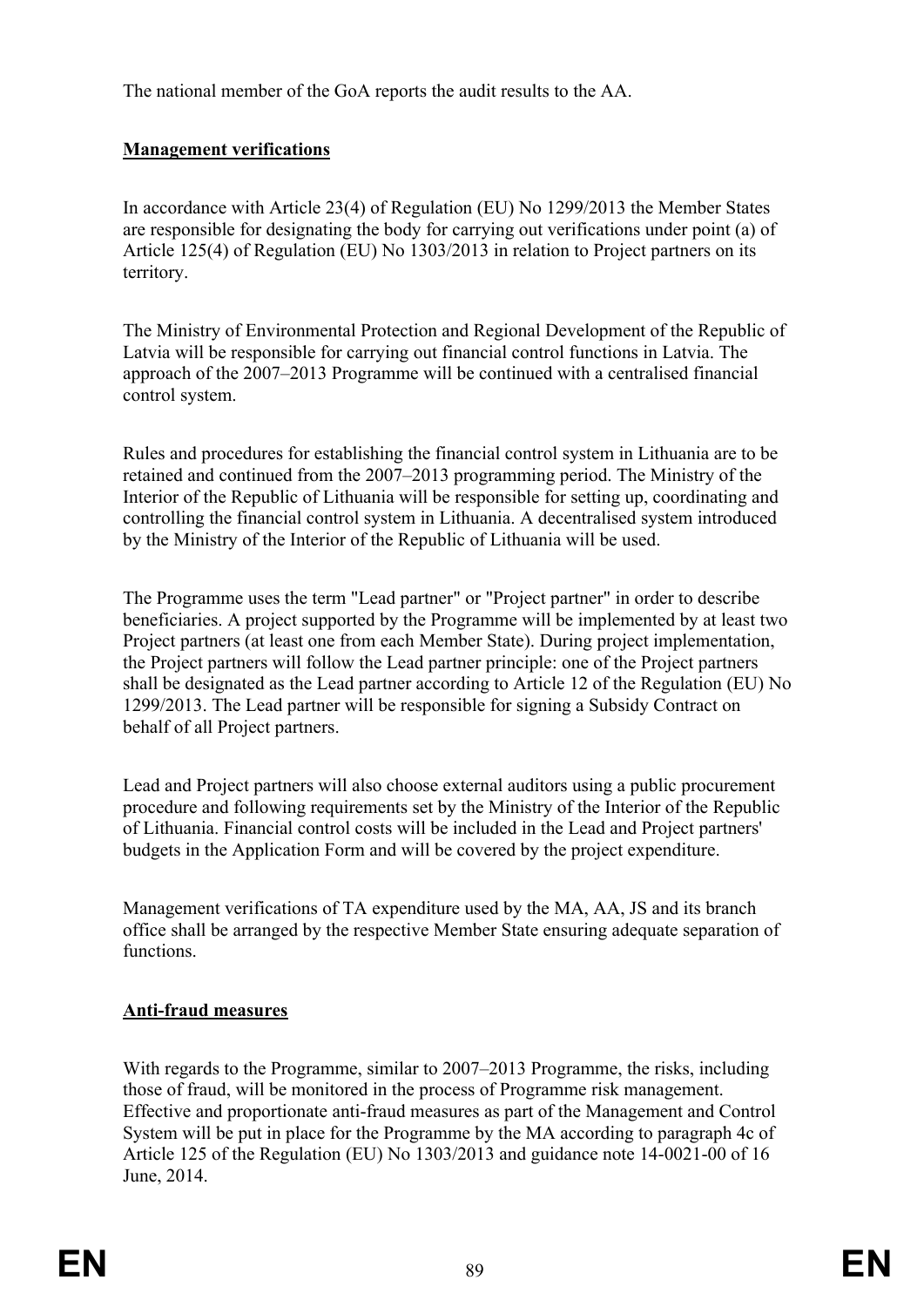The national member of the GoA reports the audit results to the AA.

# **Management verifications**

In accordance with Article 23(4) of Regulation (EU) No 1299/2013 the Member States are responsible for designating the body for carrying out verifications under point (a) of Article 125(4) of Regulation (EU) No 1303/2013 in relation to Project partners on its territory.

The Ministry of Environmental Protection and Regional Development of the Republic of Latvia will be responsible for carrying out financial control functions in Latvia. The approach of the 2007–2013 Programme will be continued with a centralised financial control system.

Rules and procedures for establishing the financial control system in Lithuania are to be retained and continued from the 2007–2013 programming period. The Ministry of the Interior of the Republic of Lithuania will be responsible for setting up, coordinating and controlling the financial control system in Lithuania. A decentralised system introduced by the Ministry of the Interior of the Republic of Lithuania will be used.

The Programme uses the term "Lead partner" or "Project partner" in order to describe beneficiaries. A project supported by the Programme will be implemented by at least two Project partners (at least one from each Member State). During project implementation, the Project partners will follow the Lead partner principle: one of the Project partners shall be designated as the Lead partner according to Article 12 of the Regulation (EU) No 1299/2013. The Lead partner will be responsible for signing a Subsidy Contract on behalf of all Project partners.

Lead and Project partners will also choose external auditors using a public procurement procedure and following requirements set by the Ministry of the Interior of the Republic of Lithuania. Financial control costs will be included in the Lead and Project partners' budgets in the Application Form and will be covered by the project expenditure.

Management verifications of TA expenditure used by the MA, AA, JS and its branch office shall be arranged by the respective Member State ensuring adequate separation of functions.

# **Anti-fraud measures**

With regards to the Programme, similar to 2007–2013 Programme, the risks, including those of fraud, will be monitored in the process of Programme risk management. Effective and proportionate anti-fraud measures as part of the Management and Control System will be put in place for the Programme by the MA according to paragraph 4c of Article 125 of the Regulation (EU) No 1303/2013 and guidance note 14-0021-00 of 16 June, 2014.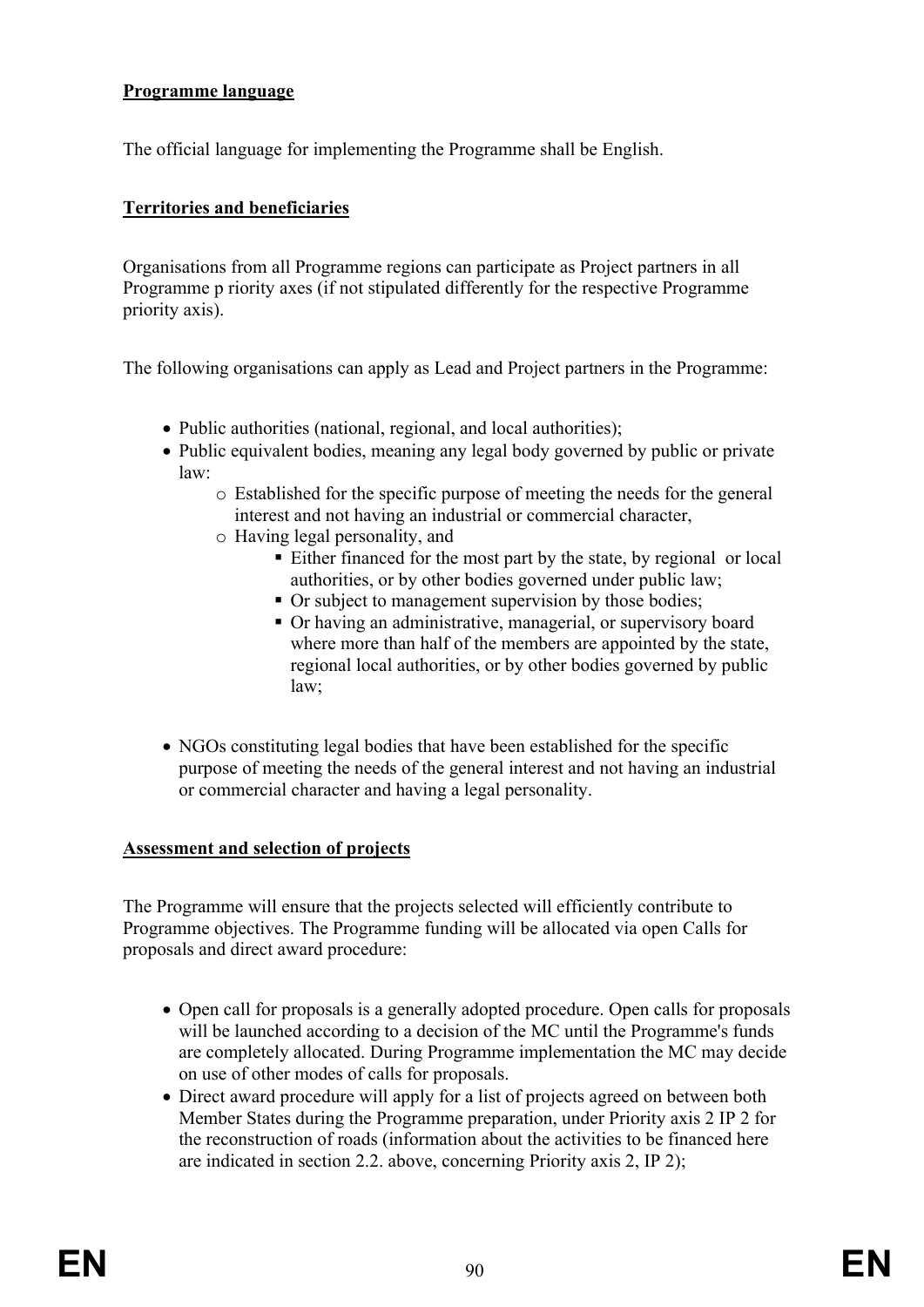# **Programme language**

The official language for implementing the Programme shall be English.

# **Territories and beneficiaries**

Organisations from all Programme regions can participate as Project partners in all Programme p riority axes (if not stipulated differently for the respective Programme priority axis).

The following organisations can apply as Lead and Project partners in the Programme:

- Public authorities (national, regional, and local authorities);
- Public equivalent bodies, meaning any legal body governed by public or private law:
	- o Established for the specific purpose of meeting the needs for the general interest and not having an industrial or commercial character,
	- o Having legal personality, and
		- Either financed for the most part by the state, by regional or local authorities, or by other bodies governed under public law;
		- $\bullet$  Or subject to management supervision by those bodies;
		- Or having an administrative, managerial, or supervisory board where more than half of the members are appointed by the state. regional local authorities, or by other bodies governed by public law;
- NGOs constituting legal bodies that have been established for the specific purpose of meeting the needs of the general interest and not having an industrial or commercial character and having a legal personality.

# **Assessment and selection of projects**

The Programme will ensure that the projects selected will efficiently contribute to Programme objectives. The Programme funding will be allocated via open Calls for proposals and direct award procedure:

- Open call for proposals is a generally adopted procedure. Open calls for proposals will be launched according to a decision of the MC until the Programme's funds are completely allocated. During Programme implementation the MC may decide on use of other modes of calls for proposals.
- Direct award procedure will apply for a list of projects agreed on between both Member States during the Programme preparation, under Priority axis 2 IP 2 for the reconstruction of roads (information about the activities to be financed here are indicated in section 2.2. above, concerning Priority axis 2, IP 2);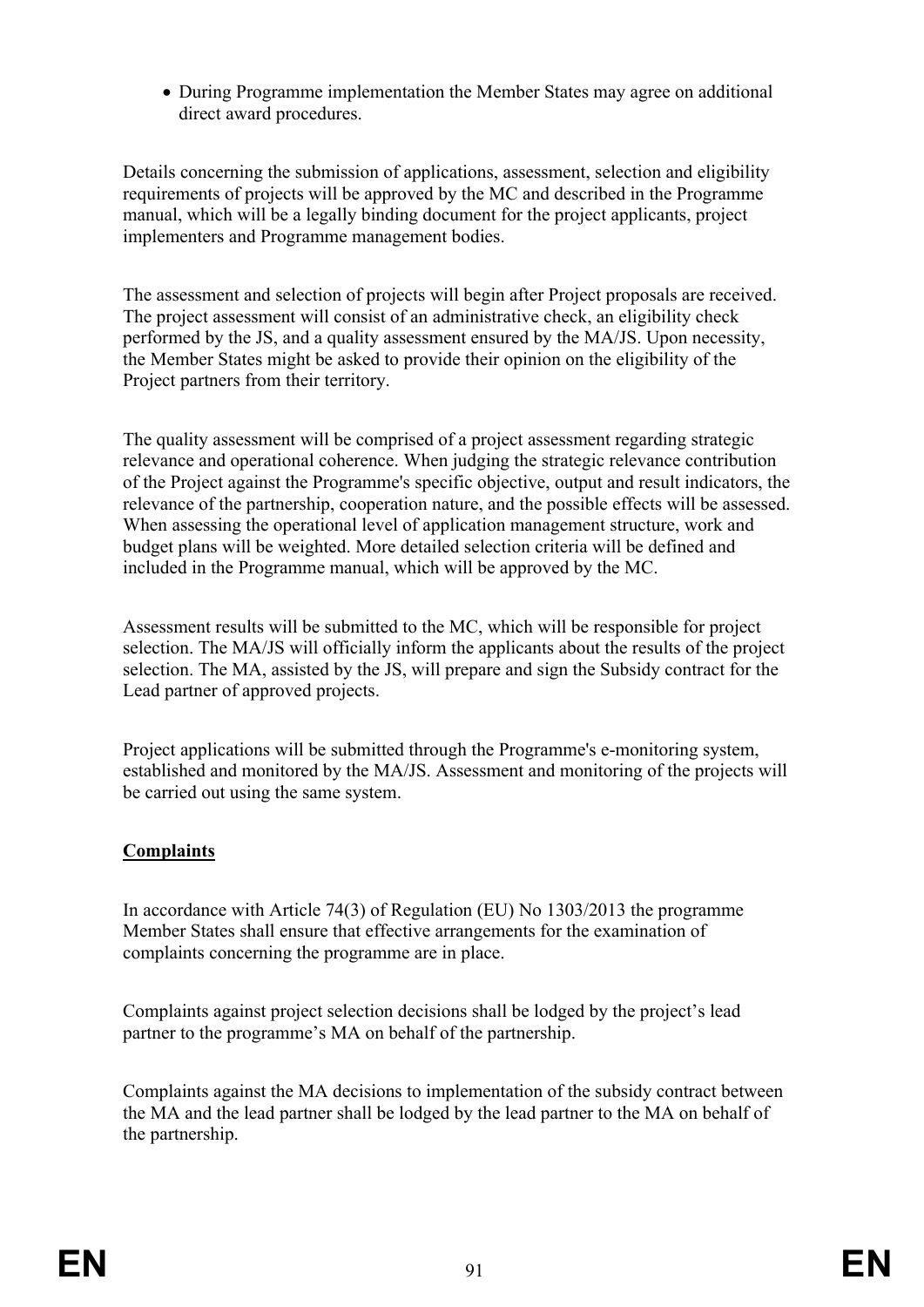During Programme implementation the Member States may agree on additional direct award procedures.

Details concerning the submission of applications, assessment, selection and eligibility requirements of projects will be approved by the MC and described in the Programme manual, which will be a legally binding document for the project applicants, project implementers and Programme management bodies.

The assessment and selection of projects will begin after Project proposals are received. The project assessment will consist of an administrative check, an eligibility check performed by the JS, and a quality assessment ensured by the MA/JS. Upon necessity, the Member States might be asked to provide their opinion on the eligibility of the Project partners from their territory.

The quality assessment will be comprised of a project assessment regarding strategic relevance and operational coherence. When judging the strategic relevance contribution of the Project against the Programme's specific objective, output and result indicators, the relevance of the partnership, cooperation nature, and the possible effects will be assessed. When assessing the operational level of application management structure, work and budget plans will be weighted. More detailed selection criteria will be defined and included in the Programme manual, which will be approved by the MC.

Assessment results will be submitted to the MC, which will be responsible for project selection. The MA/JS will officially inform the applicants about the results of the project selection. The MA, assisted by the JS, will prepare and sign the Subsidy contract for the Lead partner of approved projects.

Project applications will be submitted through the Programme's e-monitoring system, established and monitored by the MA/JS. Assessment and monitoring of the projects will be carried out using the same system.

# **Complaints**

In accordance with Article 74(3) of Regulation (EU) No 1303/2013 the programme Member States shall ensure that effective arrangements for the examination of complaints concerning the programme are in place.

Complaints against project selection decisions shall be lodged by the project's lead partner to the programme's MA on behalf of the partnership.

Complaints against the MA decisions to implementation of the subsidy contract between the MA and the lead partner shall be lodged by the lead partner to the MA on behalf of the partnership.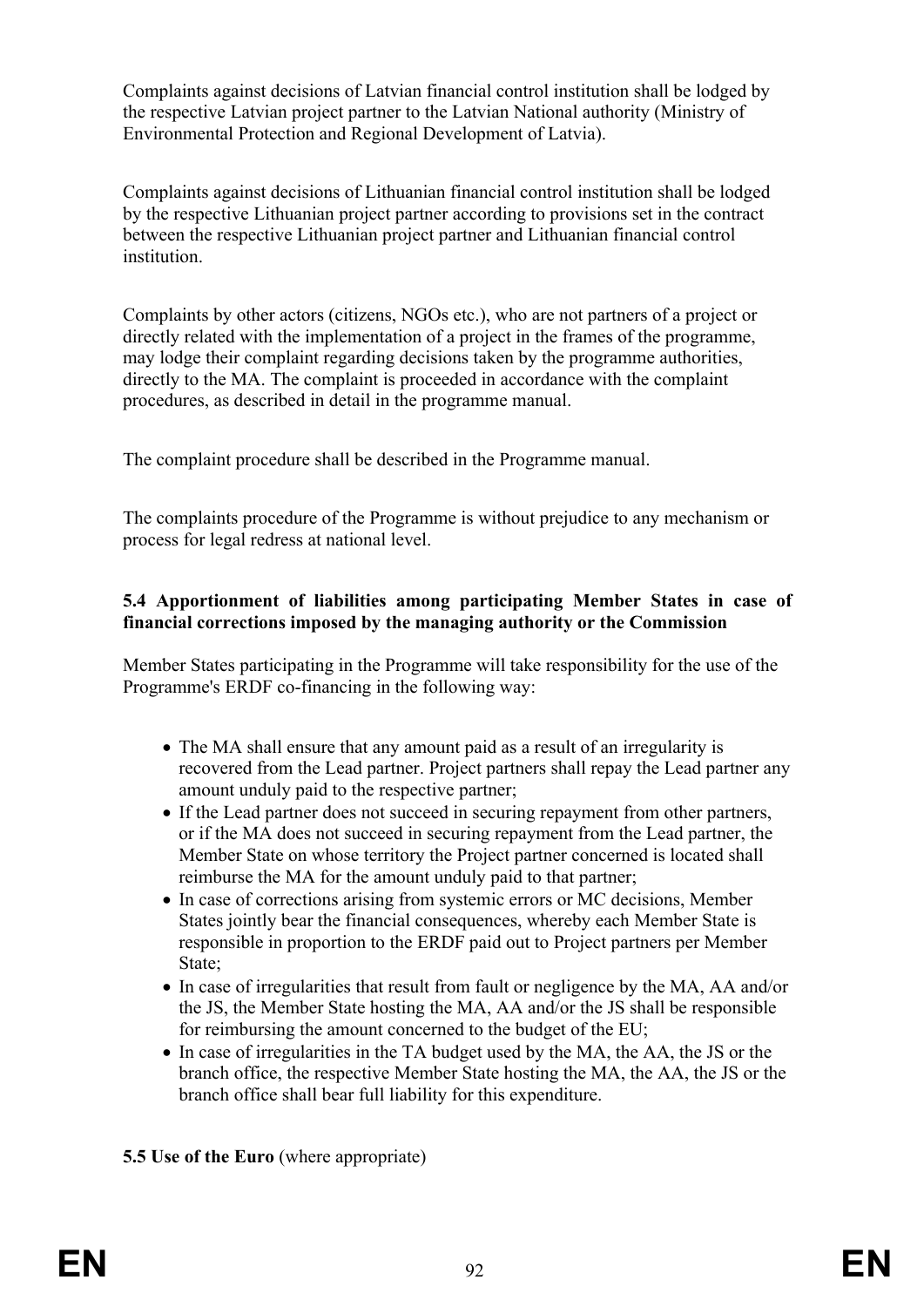Complaints against decisions of Latvian financial control institution shall be lodged by the respective Latvian project partner to the Latvian National authority (Ministry of Environmental Protection and Regional Development of Latvia).

Complaints against decisions of Lithuanian financial control institution shall be lodged by the respective Lithuanian project partner according to provisions set in the contract between the respective Lithuanian project partner and Lithuanian financial control institution.

Complaints by other actors (citizens, NGOs etc.), who are not partners of a project or directly related with the implementation of a project in the frames of the programme, may lodge their complaint regarding decisions taken by the programme authorities, directly to the MA. The complaint is proceeded in accordance with the complaint procedures, as described in detail in the programme manual.

The complaint procedure shall be described in the Programme manual.

The complaints procedure of the Programme is without prejudice to any mechanism or process for legal redress at national level.

#### **5.4 Apportionment of liabilities among participating Member States in case of financial corrections imposed by the managing authority or the Commission**

Member States participating in the Programme will take responsibility for the use of the Programme's ERDF co-financing in the following way:

- The MA shall ensure that any amount paid as a result of an irregularity is recovered from the Lead partner. Project partners shall repay the Lead partner any amount unduly paid to the respective partner;
- If the Lead partner does not succeed in securing repayment from other partners, or if the MA does not succeed in securing repayment from the Lead partner, the Member State on whose territory the Project partner concerned is located shall reimburse the MA for the amount unduly paid to that partner;
- In case of corrections arising from systemic errors or MC decisions, Member States jointly bear the financial consequences, whereby each Member State is responsible in proportion to the ERDF paid out to Project partners per Member State;
- In case of irregularities that result from fault or negligence by the MA, AA and/or the JS, the Member State hosting the MA, AA and/or the JS shall be responsible for reimbursing the amount concerned to the budget of the EU;
- In case of irregularities in the TA budget used by the MA, the AA, the JS or the branch office, the respective Member State hosting the MA, the AA, the JS or the branch office shall bear full liability for this expenditure.

# **5.5 Use of the Euro** (where appropriate)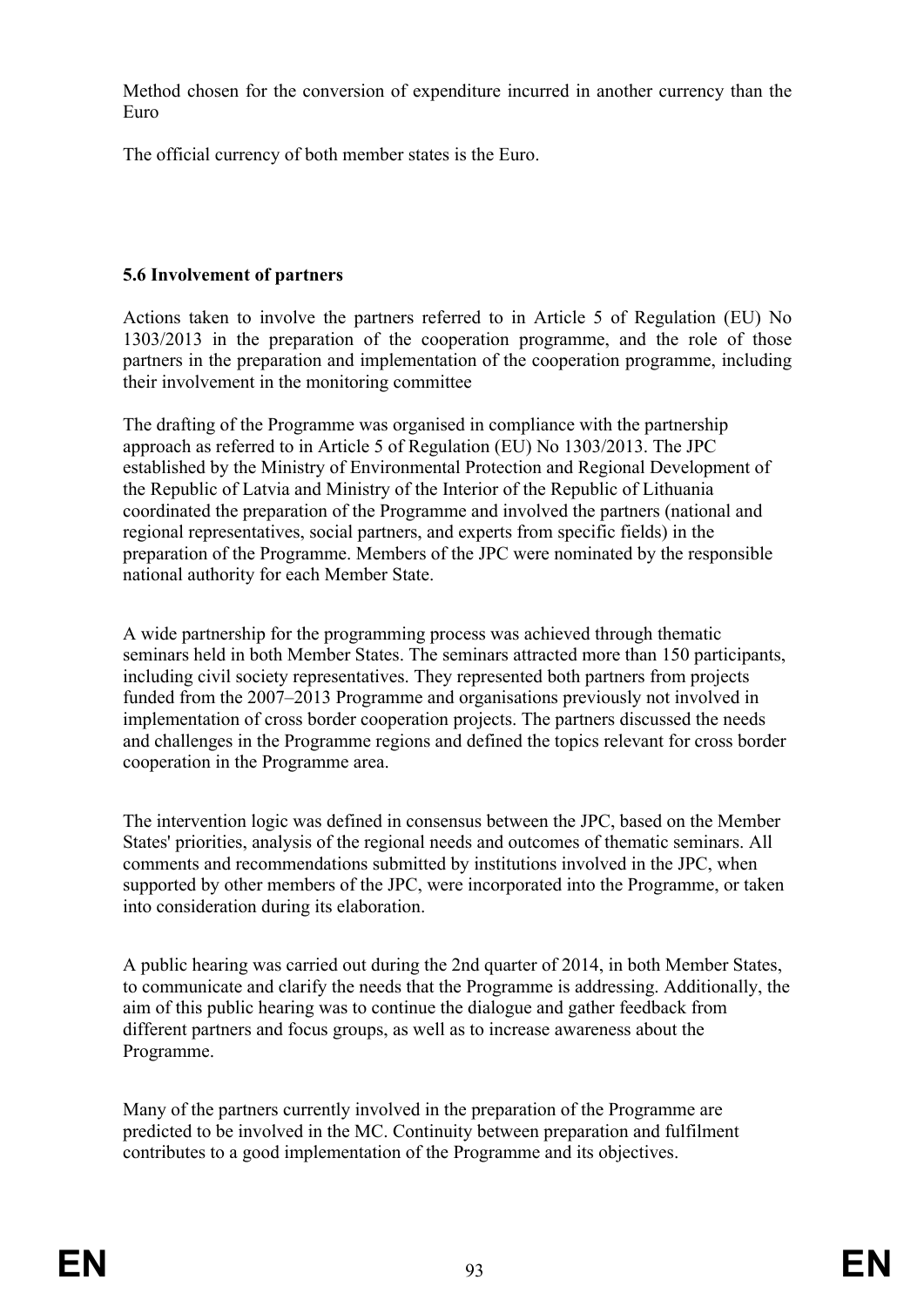Method chosen for the conversion of expenditure incurred in another currency than the Euro

The official currency of both member states is the Euro.

# **5.6 Involvement of partners**

Actions taken to involve the partners referred to in Article 5 of Regulation (EU) No 1303/2013 in the preparation of the cooperation programme, and the role of those partners in the preparation and implementation of the cooperation programme, including their involvement in the monitoring committee

The drafting of the Programme was organised in compliance with the partnership approach as referred to in Article 5 of Regulation (EU) No 1303/2013. The JPC established by the Ministry of Environmental Protection and Regional Development of the Republic of Latvia and Ministry of the Interior of the Republic of Lithuania coordinated the preparation of the Programme and involved the partners (national and regional representatives, social partners, and experts from specific fields) in the preparation of the Programme. Members of the JPC were nominated by the responsible national authority for each Member State.

A wide partnership for the programming process was achieved through thematic seminars held in both Member States. The seminars attracted more than 150 participants, including civil society representatives. They represented both partners from projects funded from the 2007–2013 Programme and organisations previously not involved in implementation of cross border cooperation projects. The partners discussed the needs and challenges in the Programme regions and defined the topics relevant for cross border cooperation in the Programme area.

The intervention logic was defined in consensus between the JPC, based on the Member States' priorities, analysis of the regional needs and outcomes of thematic seminars. All comments and recommendations submitted by institutions involved in the JPC, when supported by other members of the JPC, were incorporated into the Programme, or taken into consideration during its elaboration.

A public hearing was carried out during the 2nd quarter of 2014, in both Member States, to communicate and clarify the needs that the Programme is addressing. Additionally, the aim of this public hearing was to continue the dialogue and gather feedback from different partners and focus groups, as well as to increase awareness about the Programme.

Many of the partners currently involved in the preparation of the Programme are predicted to be involved in the MC. Continuity between preparation and fulfilment contributes to a good implementation of the Programme and its objectives.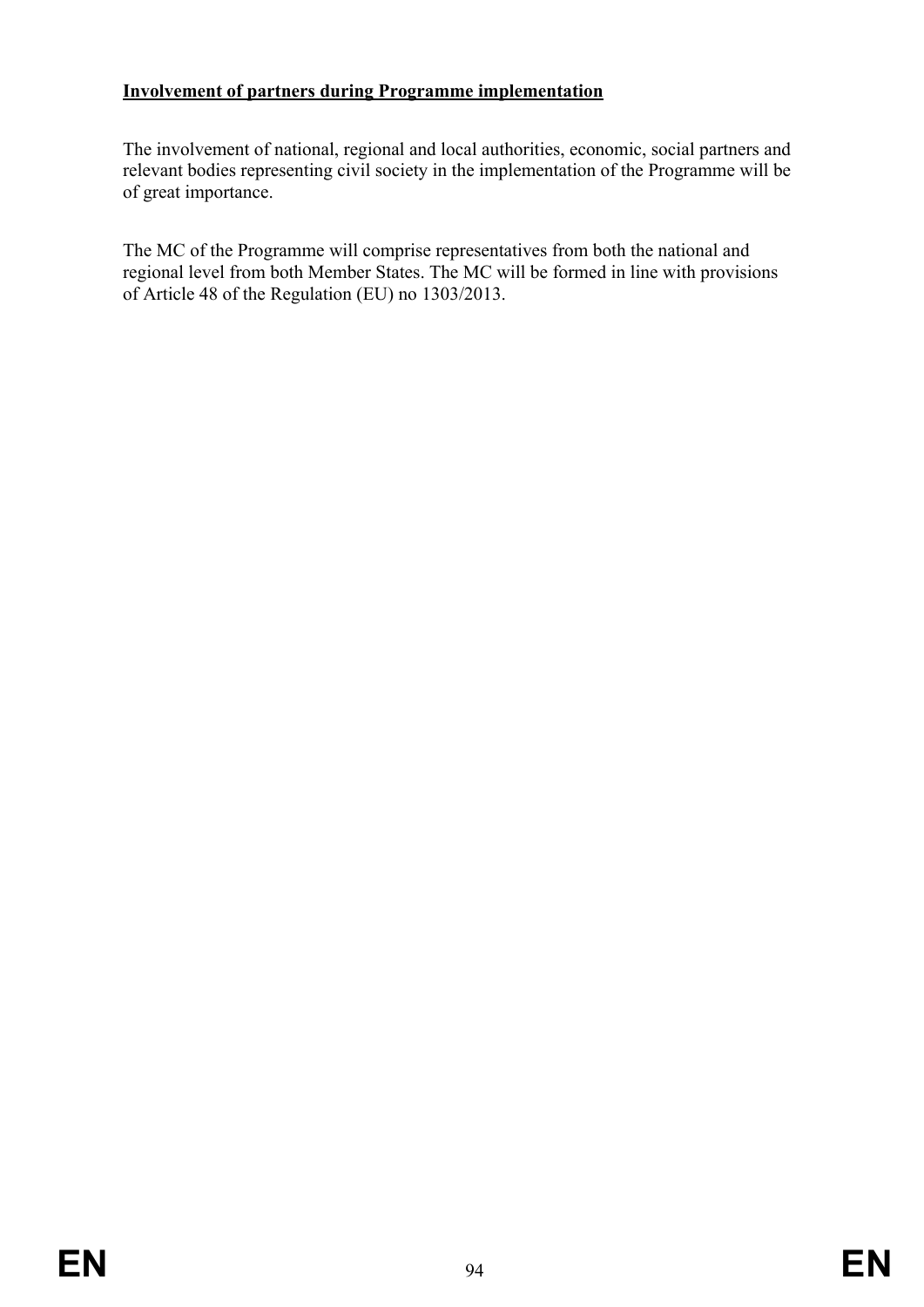# **Involvement of partners during Programme implementation**

The involvement of national, regional and local authorities, economic, social partners and relevant bodies representing civil society in the implementation of the Programme will be of great importance.

The MC of the Programme will comprise representatives from both the national and regional level from both Member States. The MC will be formed in line with provisions of Article 48 of the Regulation (EU) no 1303/2013.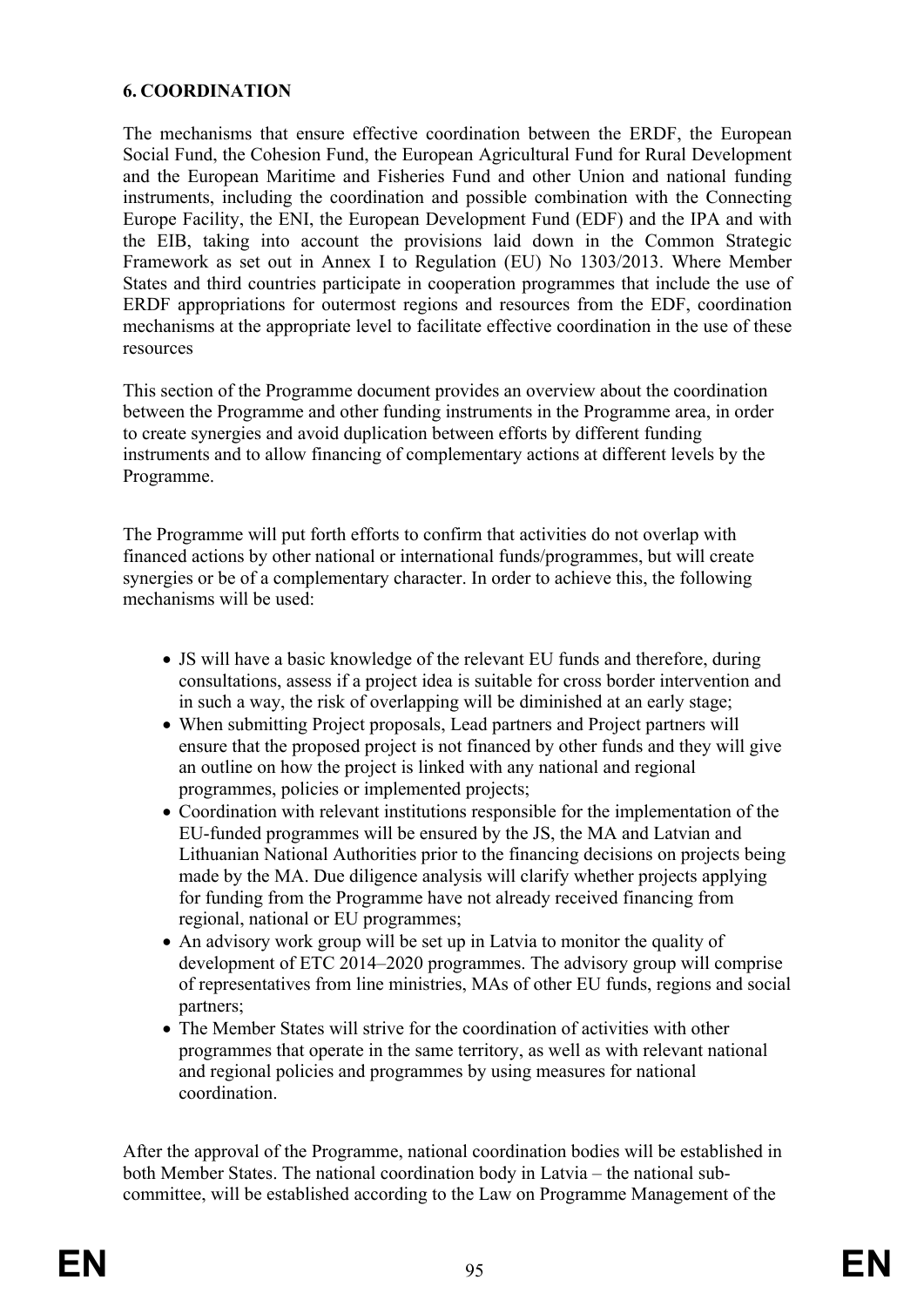# **6. COORDINATION**

The mechanisms that ensure effective coordination between the ERDF, the European Social Fund, the Cohesion Fund, the European Agricultural Fund for Rural Development and the European Maritime and Fisheries Fund and other Union and national funding instruments, including the coordination and possible combination with the Connecting Europe Facility, the ENI, the European Development Fund (EDF) and the IPA and with the EIB, taking into account the provisions laid down in the Common Strategic Framework as set out in Annex I to Regulation (EU) No 1303/2013. Where Member States and third countries participate in cooperation programmes that include the use of ERDF appropriations for outermost regions and resources from the EDF, coordination mechanisms at the appropriate level to facilitate effective coordination in the use of these resources

This section of the Programme document provides an overview about the coordination between the Programme and other funding instruments in the Programme area, in order to create synergies and avoid duplication between efforts by different funding instruments and to allow financing of complementary actions at different levels by the Programme.

The Programme will put forth efforts to confirm that activities do not overlap with financed actions by other national or international funds/programmes, but will create synergies or be of a complementary character. In order to achieve this, the following mechanisms will be used:

- JS will have a basic knowledge of the relevant EU funds and therefore, during consultations, assess if a project idea is suitable for cross border intervention and in such a way, the risk of overlapping will be diminished at an early stage;
- When submitting Project proposals, Lead partners and Project partners will ensure that the proposed project is not financed by other funds and they will give an outline on how the project is linked with any national and regional programmes, policies or implemented projects;
- Coordination with relevant institutions responsible for the implementation of the EU-funded programmes will be ensured by the JS, the MA and Latvian and Lithuanian National Authorities prior to the financing decisions on projects being made by the MA. Due diligence analysis will clarify whether projects applying for funding from the Programme have not already received financing from regional, national or EU programmes;
- An advisory work group will be set up in Latvia to monitor the quality of development of ETC 2014–2020 programmes. The advisory group will comprise of representatives from line ministries, MAs of other EU funds, regions and social partners;
- The Member States will strive for the coordination of activities with other programmes that operate in the same territory, as well as with relevant national and regional policies and programmes by using measures for national coordination.

After the approval of the Programme, national coordination bodies will be established in both Member States. The national coordination body in Latvia – the national subcommittee, will be established according to the Law on Programme Management of the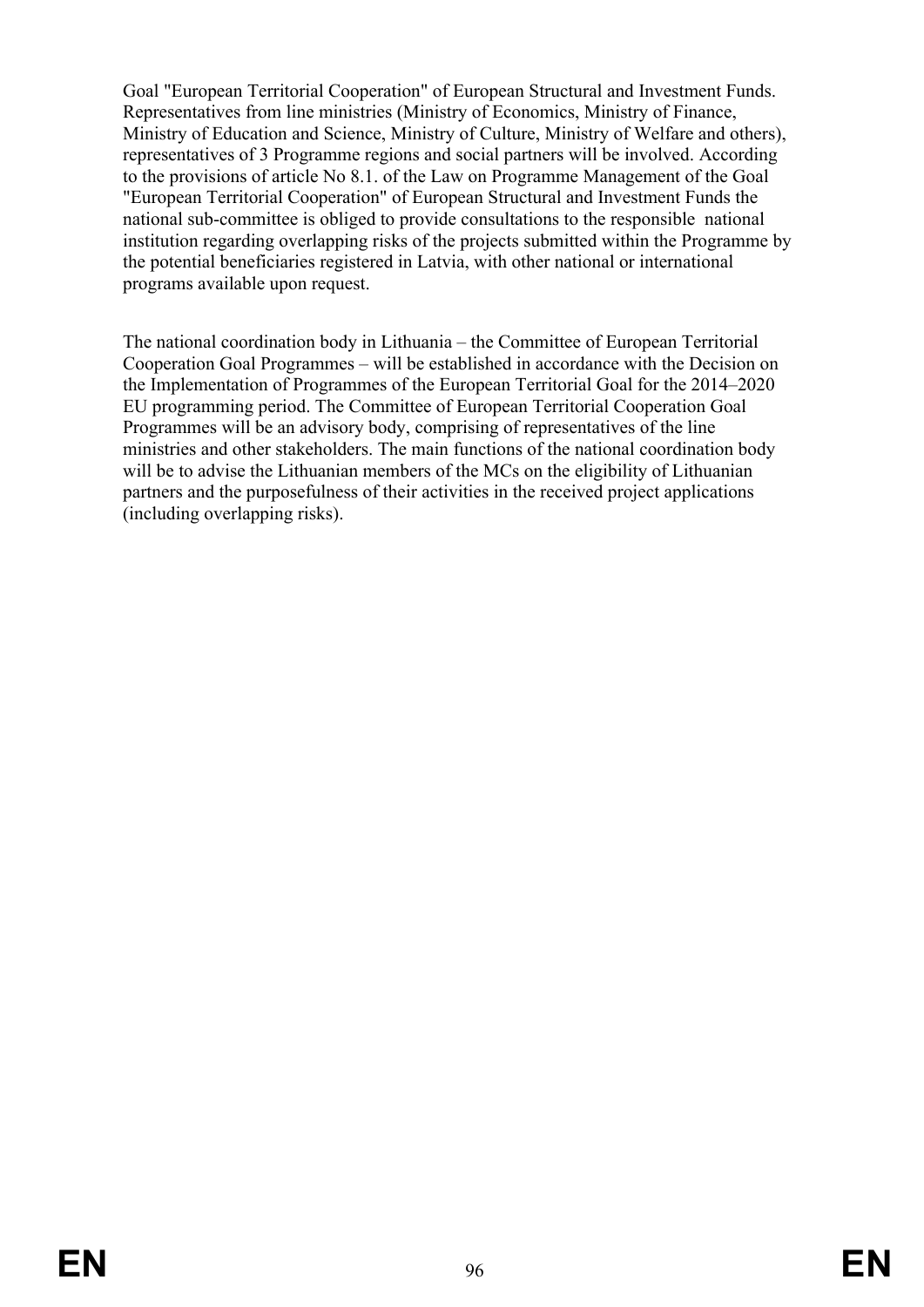Goal "European Territorial Cooperation" of European Structural and Investment Funds. Representatives from line ministries (Ministry of Economics, Ministry of Finance, Ministry of Education and Science, Ministry of Culture, Ministry of Welfare and others), representatives of 3 Programme regions and social partners will be involved. According to the provisions of article No 8.1. of the Law on Programme Management of the Goal "European Territorial Cooperation" of European Structural and Investment Funds the national sub-committee is obliged to provide consultations to the responsible national institution regarding overlapping risks of the projects submitted within the Programme by the potential beneficiaries registered in Latvia, with other national or international programs available upon request.

The national coordination body in Lithuania – the Committee of European Territorial Cooperation Goal Programmes – will be established in accordance with the Decision on the Implementation of Programmes of the European Territorial Goal for the 2014–2020 EU programming period. The Committee of European Territorial Cooperation Goal Programmes will be an advisory body, comprising of representatives of the line ministries and other stakeholders. The main functions of the national coordination body will be to advise the Lithuanian members of the MCs on the eligibility of Lithuanian partners and the purposefulness of their activities in the received project applications (including overlapping risks).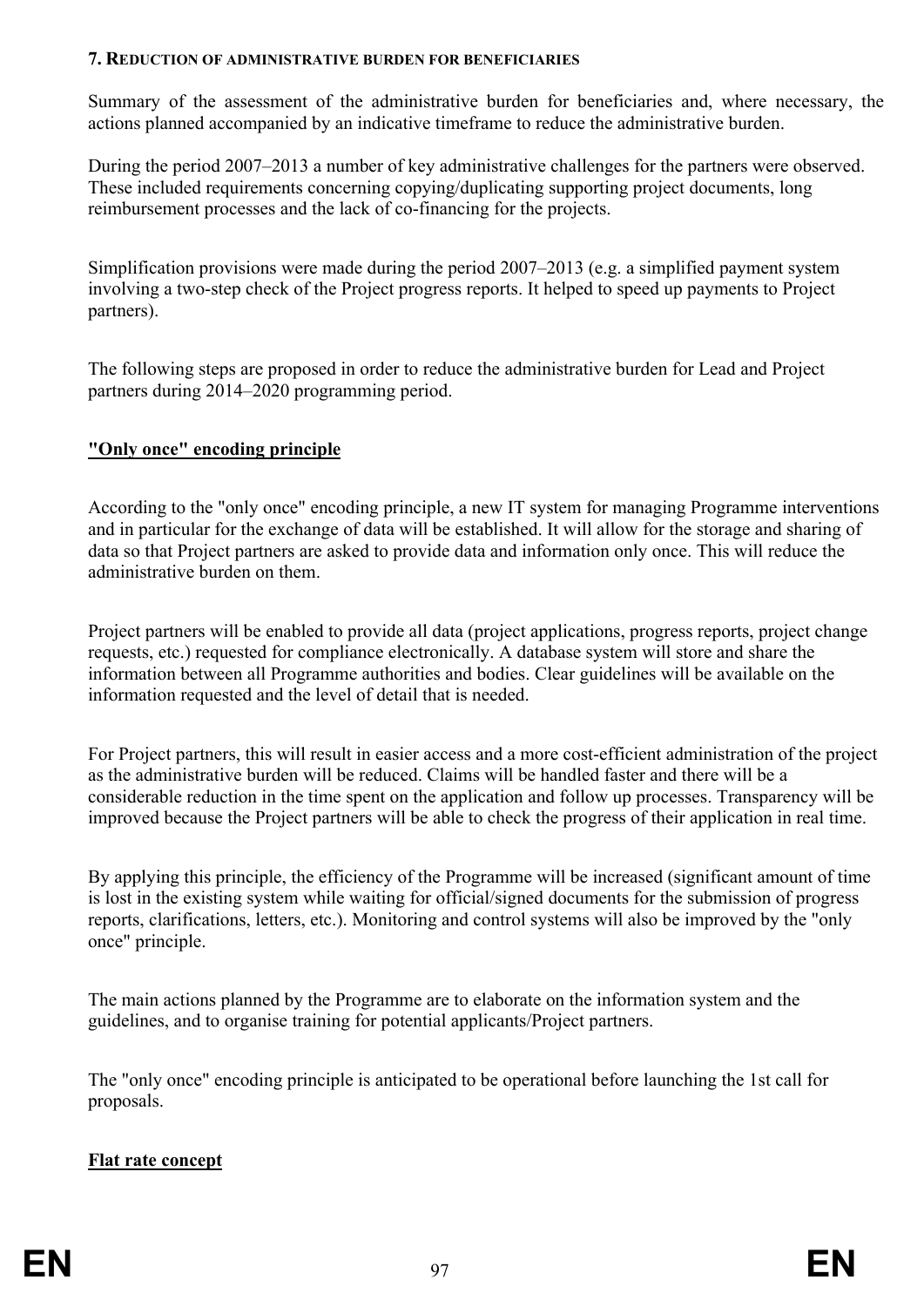#### **7. REDUCTION OF ADMINISTRATIVE BURDEN FOR BENEFICIARIES**

Summary of the assessment of the administrative burden for beneficiaries and, where necessary, the actions planned accompanied by an indicative timeframe to reduce the administrative burden.

During the period 2007–2013 a number of key administrative challenges for the partners were observed. These included requirements concerning copying/duplicating supporting project documents, long reimbursement processes and the lack of co-financing for the projects.

Simplification provisions were made during the period 2007–2013 (e.g. a simplified payment system involving a two-step check of the Project progress reports. It helped to speed up payments to Project partners).

The following steps are proposed in order to reduce the administrative burden for Lead and Project partners during 2014–2020 programming period.

# **"Only once" encoding principle**

According to the "only once" encoding principle, a new IT system for managing Programme interventions and in particular for the exchange of data will be established. It will allow for the storage and sharing of data so that Project partners are asked to provide data and information only once. This will reduce the administrative burden on them.

Project partners will be enabled to provide all data (project applications, progress reports, project change requests, etc.) requested for compliance electronically. A database system will store and share the information between all Programme authorities and bodies. Clear guidelines will be available on the information requested and the level of detail that is needed.

For Project partners, this will result in easier access and a more cost-efficient administration of the project as the administrative burden will be reduced. Claims will be handled faster and there will be a considerable reduction in the time spent on the application and follow up processes. Transparency will be improved because the Project partners will be able to check the progress of their application in real time.

By applying this principle, the efficiency of the Programme will be increased (significant amount of time is lost in the existing system while waiting for official/signed documents for the submission of progress reports, clarifications, letters, etc.). Monitoring and control systems will also be improved by the "only once" principle.

The main actions planned by the Programme are to elaborate on the information system and the guidelines, and to organise training for potential applicants/Project partners.

The "only once" encoding principle is anticipated to be operational before launching the 1st call for proposals.

# **Flat rate concept**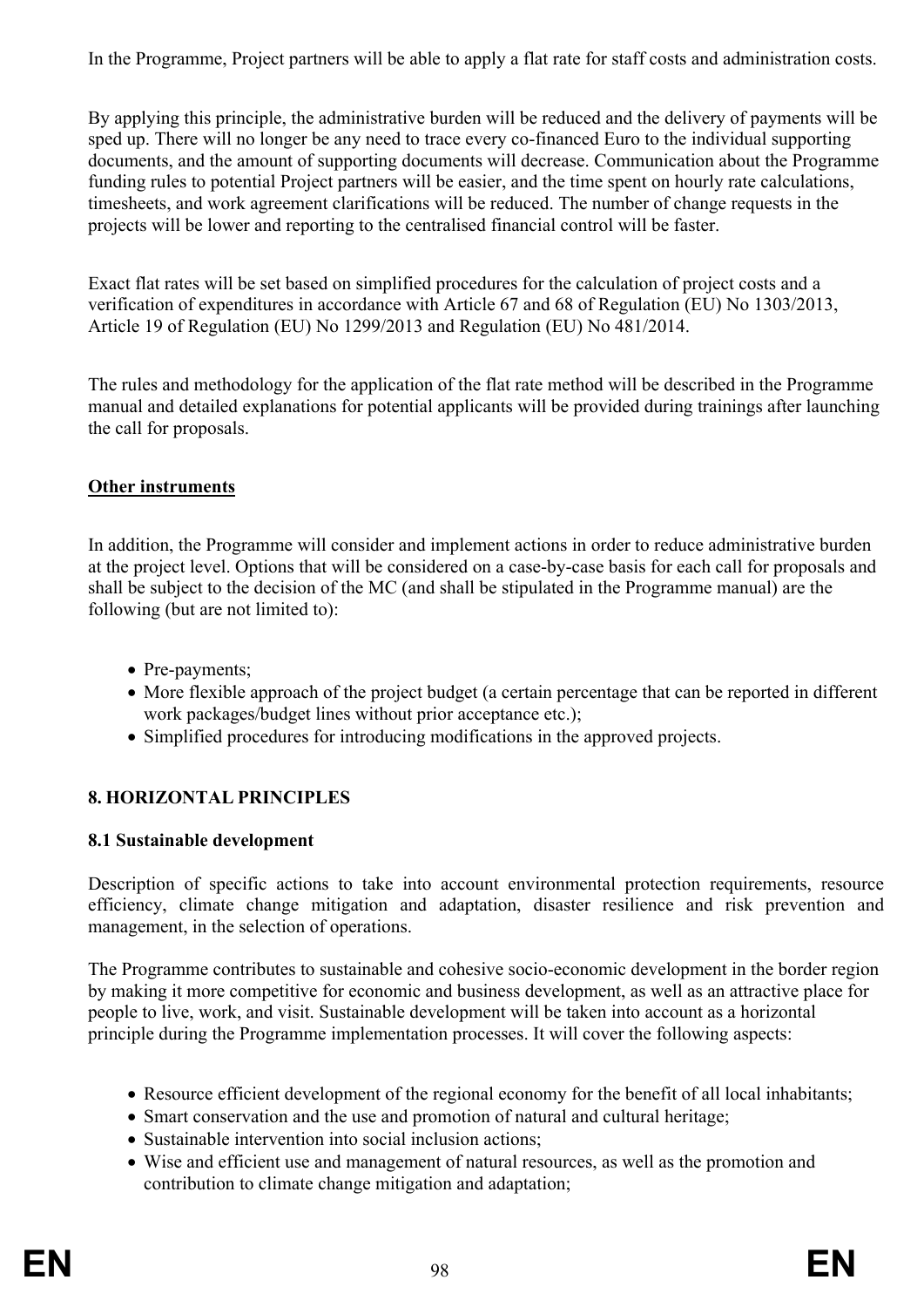In the Programme, Project partners will be able to apply a flat rate for staff costs and administration costs.

By applying this principle, the administrative burden will be reduced and the delivery of payments will be sped up. There will no longer be any need to trace every co-financed Euro to the individual supporting documents, and the amount of supporting documents will decrease. Communication about the Programme funding rules to potential Project partners will be easier, and the time spent on hourly rate calculations, timesheets, and work agreement clarifications will be reduced. The number of change requests in the projects will be lower and reporting to the centralised financial control will be faster.

Exact flat rates will be set based on simplified procedures for the calculation of project costs and a verification of expenditures in accordance with Article 67 and 68 of Regulation (EU) No 1303/2013, Article 19 of Regulation (EU) No 1299/2013 and Regulation (EU) No 481/2014.

The rules and methodology for the application of the flat rate method will be described in the Programme manual and detailed explanations for potential applicants will be provided during trainings after launching the call for proposals.

#### **Other instruments**

In addition, the Programme will consider and implement actions in order to reduce administrative burden at the project level. Options that will be considered on a case-by-case basis for each call for proposals and shall be subject to the decision of the MC (and shall be stipulated in the Programme manual) are the following (but are not limited to):

- Pre-payments;
- More flexible approach of the project budget (a certain percentage that can be reported in different work packages/budget lines without prior acceptance etc.);
- Simplified procedures for introducing modifications in the approved projects.

# **8. HORIZONTAL PRINCIPLES**

#### **8.1 Sustainable development**

Description of specific actions to take into account environmental protection requirements, resource efficiency, climate change mitigation and adaptation, disaster resilience and risk prevention and management, in the selection of operations.

The Programme contributes to sustainable and cohesive socio-economic development in the border region by making it more competitive for economic and business development, as well as an attractive place for people to live, work, and visit. Sustainable development will be taken into account as a horizontal principle during the Programme implementation processes. It will cover the following aspects:

- Resource efficient development of the regional economy for the benefit of all local inhabitants;
- Smart conservation and the use and promotion of natural and cultural heritage:
- Sustainable intervention into social inclusion actions;
- Wise and efficient use and management of natural resources, as well as the promotion and contribution to climate change mitigation and adaptation;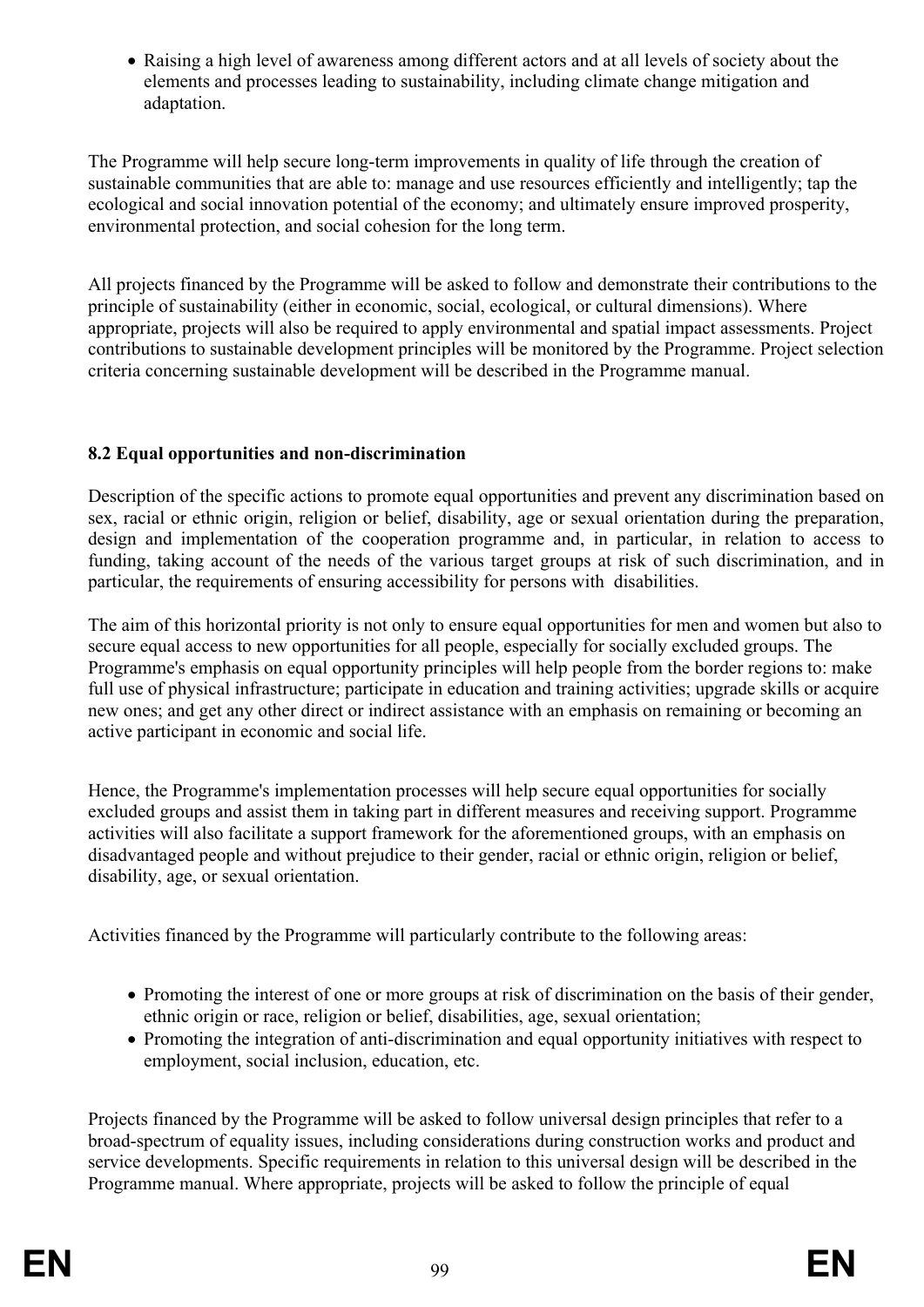Raising a high level of awareness among different actors and at all levels of society about the elements and processes leading to sustainability, including climate change mitigation and adaptation.

The Programme will help secure long-term improvements in quality of life through the creation of sustainable communities that are able to: manage and use resources efficiently and intelligently; tap the ecological and social innovation potential of the economy; and ultimately ensure improved prosperity, environmental protection, and social cohesion for the long term.

All projects financed by the Programme will be asked to follow and demonstrate their contributions to the principle of sustainability (either in economic, social, ecological, or cultural dimensions). Where appropriate, projects will also be required to apply environmental and spatial impact assessments. Project contributions to sustainable development principles will be monitored by the Programme. Project selection criteria concerning sustainable development will be described in the Programme manual.

# **8.2 Equal opportunities and non-discrimination**

Description of the specific actions to promote equal opportunities and prevent any discrimination based on sex, racial or ethnic origin, religion or belief, disability, age or sexual orientation during the preparation, design and implementation of the cooperation programme and, in particular, in relation to access to funding, taking account of the needs of the various target groups at risk of such discrimination, and in particular, the requirements of ensuring accessibility for persons with disabilities.

The aim of this horizontal priority is not only to ensure equal opportunities for men and women but also to secure equal access to new opportunities for all people, especially for socially excluded groups. The Programme's emphasis on equal opportunity principles will help people from the border regions to: make full use of physical infrastructure; participate in education and training activities; upgrade skills or acquire new ones; and get any other direct or indirect assistance with an emphasis on remaining or becoming an active participant in economic and social life.

Hence, the Programme's implementation processes will help secure equal opportunities for socially excluded groups and assist them in taking part in different measures and receiving support. Programme activities will also facilitate a support framework for the aforementioned groups, with an emphasis on disadvantaged people and without prejudice to their gender, racial or ethnic origin, religion or belief, disability, age, or sexual orientation.

Activities financed by the Programme will particularly contribute to the following areas:

- Promoting the interest of one or more groups at risk of discrimination on the basis of their gender, ethnic origin or race, religion or belief, disabilities, age, sexual orientation;
- Promoting the integration of anti-discrimination and equal opportunity initiatives with respect to employment, social inclusion, education, etc.

Projects financed by the Programme will be asked to follow universal design principles that refer to a broad-spectrum of equality issues, including considerations during construction works and product and service developments. Specific requirements in relation to this universal design will be described in the Programme manual. Where appropriate, projects will be asked to follow the principle of equal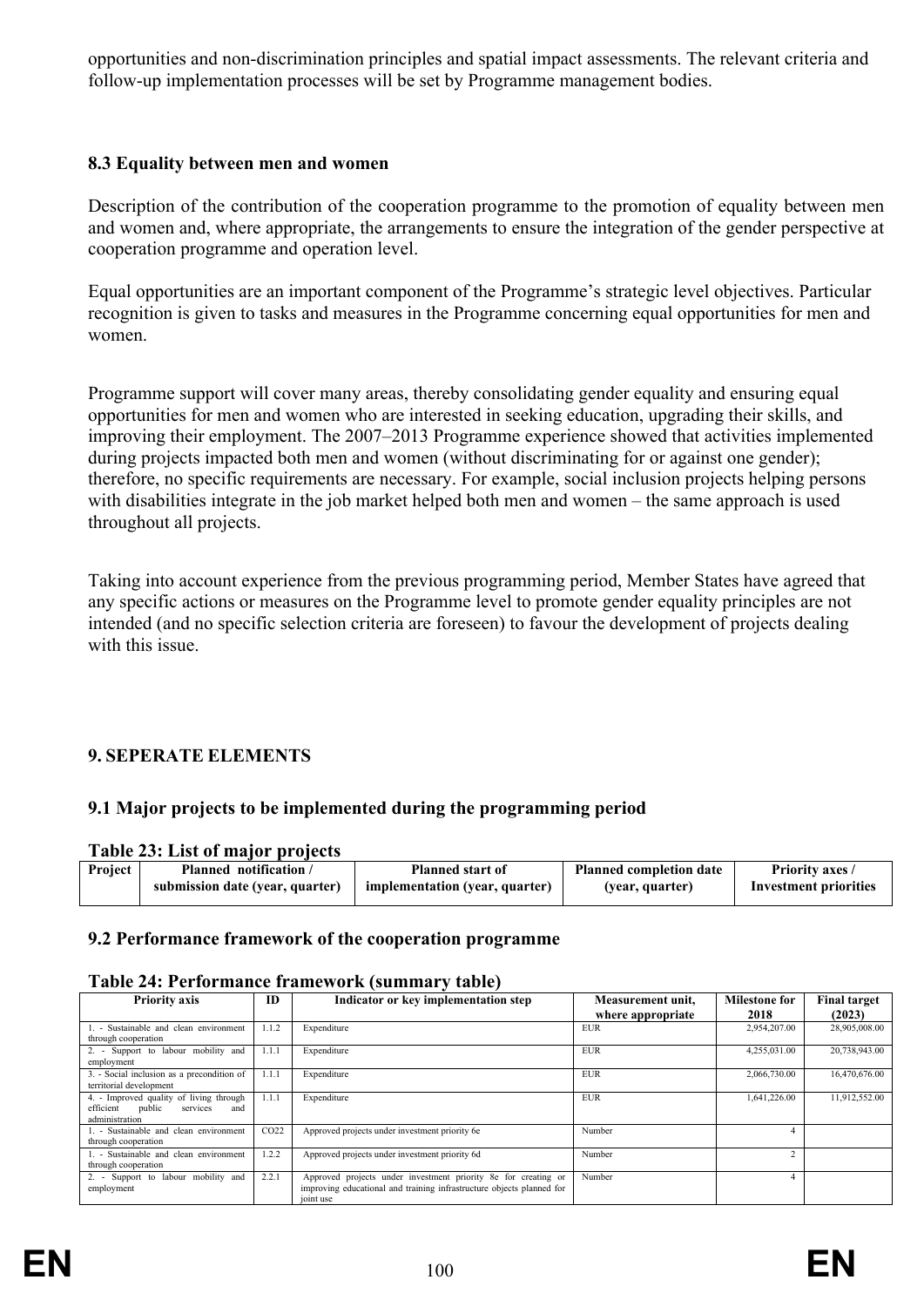opportunities and non-discrimination principles and spatial impact assessments. The relevant criteria and follow-up implementation processes will be set by Programme management bodies.

#### **8.3 Equality between men and women**

Description of the contribution of the cooperation programme to the promotion of equality between men and women and, where appropriate, the arrangements to ensure the integration of the gender perspective at cooperation programme and operation level.

Equal opportunities are an important component of the Programme's strategic level objectives. Particular recognition is given to tasks and measures in the Programme concerning equal opportunities for men and women.

Programme support will cover many areas, thereby consolidating gender equality and ensuring equal opportunities for men and women who are interested in seeking education, upgrading their skills, and improving their employment. The 2007–2013 Programme experience showed that activities implemented during projects impacted both men and women (without discriminating for or against one gender); therefore, no specific requirements are necessary. For example, social inclusion projects helping persons with disabilities integrate in the job market helped both men and women – the same approach is used throughout all projects.

Taking into account experience from the previous programming period, Member States have agreed that any specific actions or measures on the Programme level to promote gender equality principles are not intended (and no specific selection criteria are foreseen) to favour the development of projects dealing with this issue.

# **9. SEPERATE ELEMENTS**

#### **9.1 Major projects to be implemented during the programming period**

#### **Table 23: List of major projects**

| Project | Planned notification /          | <b>Planned start of</b>        | <b>Planned completion date</b> | <b>Priority axes /</b> |
|---------|---------------------------------|--------------------------------|--------------------------------|------------------------|
|         | submission date (year, quarter) | implementation (year, quarter) | (year, quarter)                | Investment priorities  |
|         |                                 |                                |                                |                        |

#### **9.2 Performance framework of the cooperation programme**

| adie 44. Feriorihance iraillework (suillinary table)                                                |       |                                                                                                                                                      |                   |                      |                     |  |  |  |  |
|-----------------------------------------------------------------------------------------------------|-------|------------------------------------------------------------------------------------------------------------------------------------------------------|-------------------|----------------------|---------------------|--|--|--|--|
| <b>Priority axis</b>                                                                                | ID    | Indicator or key implementation step                                                                                                                 | Measurement unit. | <b>Milestone for</b> | <b>Final target</b> |  |  |  |  |
|                                                                                                     |       |                                                                                                                                                      | where appropriate | 2018                 | (2023)              |  |  |  |  |
| 1. - Sustainable and clean environment<br>through cooperation                                       | 1.1.2 | Expenditure                                                                                                                                          | <b>EUR</b>        | 2,954,207.00         | 28,905,008.00       |  |  |  |  |
| 2. - Support to labour mobility and<br>employment                                                   | 1.1.1 | Expenditure                                                                                                                                          | <b>EUR</b>        | 4,255,031.00         | 20,738,943.00       |  |  |  |  |
| 3. - Social inclusion as a precondition of<br>territorial development                               | 1.1.1 | Expenditure                                                                                                                                          | <b>EUR</b>        | 2,066,730.00         | 16.470.676.00       |  |  |  |  |
| 4. - Improved quality of living through<br>public<br>efficient<br>services<br>and<br>administration | 1.1.1 | Expenditure                                                                                                                                          | <b>EUR</b>        | 1,641,226.00         | 11,912,552.00       |  |  |  |  |
| 1. - Sustainable and clean environment<br>through cooperation                                       | CO22  | Approved projects under investment priority 6e                                                                                                       | Number            |                      |                     |  |  |  |  |
| 1. - Sustainable and clean environment<br>through cooperation                                       | 1.2.2 | Approved projects under investment priority 6d                                                                                                       | Number            | $\overline{2}$       |                     |  |  |  |  |
| 2. - Support to labour mobility and<br>employment                                                   | 2.2.1 | Approved projects under investment priority 8e for creating or<br>improving educational and training infrastructure objects planned for<br>joint use | Number            |                      |                     |  |  |  |  |

# **Table 24: Performance framework (summary table)**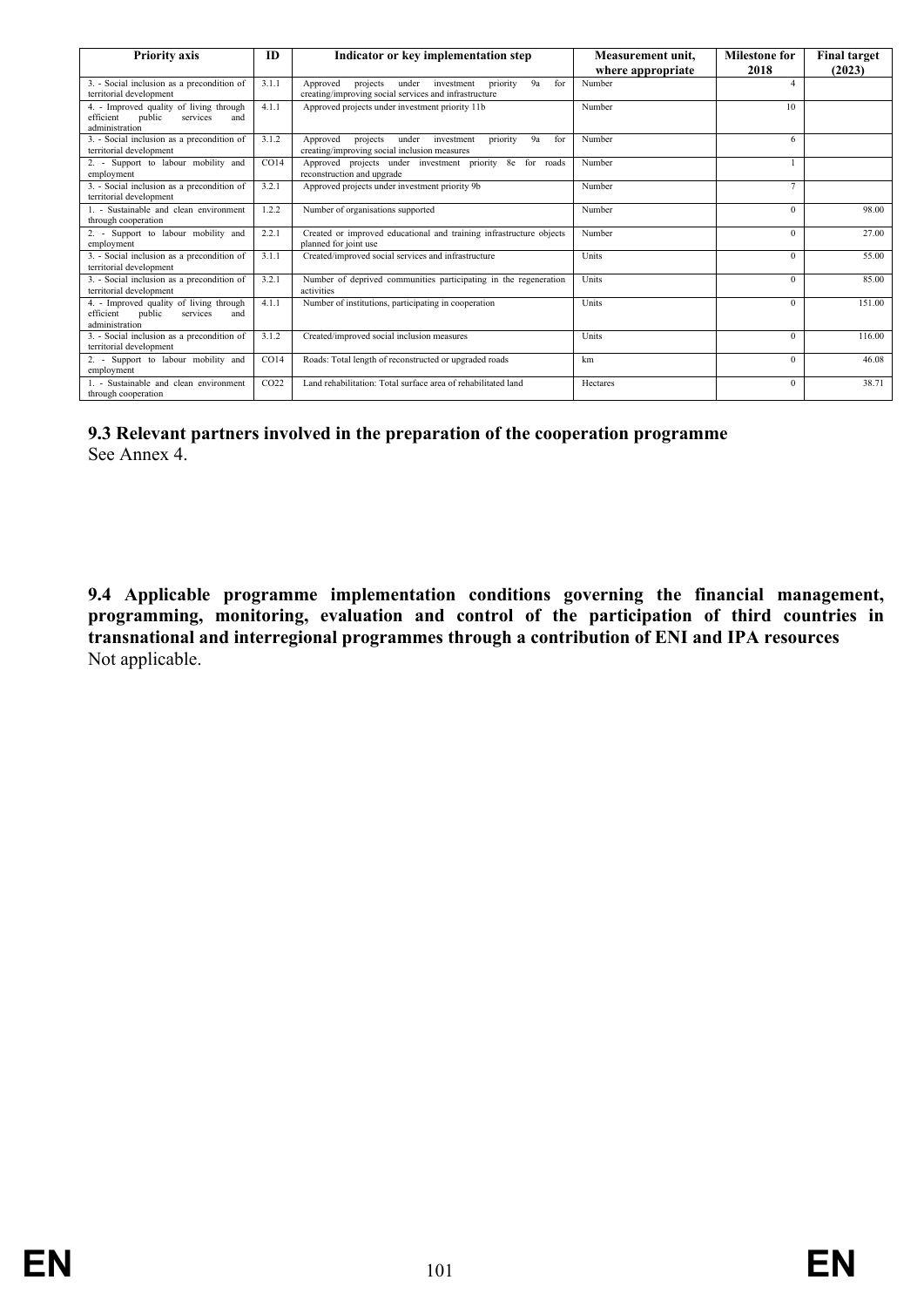| <b>Priority axis</b>                                                                                | <b>ID</b> | Indicator or key implementation step                                                                                          | Measurement unit, | <b>Milestone for</b> | <b>Final target</b> |
|-----------------------------------------------------------------------------------------------------|-----------|-------------------------------------------------------------------------------------------------------------------------------|-------------------|----------------------|---------------------|
|                                                                                                     |           |                                                                                                                               | where appropriate | 2018                 | (2023)              |
| 3. - Social inclusion as a precondition of<br>territorial development                               | 3.1.1     | Approved<br>priority<br>9a<br>for<br>projects<br>under<br>investment<br>creating/improving social services and infrastructure | Number            | 4                    |                     |
| 4. - Improved quality of living through<br>public<br>efficient<br>services<br>and<br>administration | 4.1.1     | Approved projects under investment priority 11b                                                                               | Number            | 10                   |                     |
| 3. - Social inclusion as a precondition of<br>territorial development                               | 3.1.2     | Approved<br>projects<br>under<br>investment<br>priority<br>9a<br>for<br>creating/improving social inclusion measures          | Number            | 6                    |                     |
| 2. - Support to labour mobility and<br>employment                                                   | CO14      | Approved projects under investment priority 8e for roads<br>reconstruction and upgrade                                        | Number            |                      |                     |
| 3. - Social inclusion as a precondition of<br>territorial development                               | 3.2.1     | Approved projects under investment priority 9b                                                                                | Number            | $\overline{7}$       |                     |
| 1. - Sustainable and clean environment<br>through cooperation                                       | 1.2.2     | Number of organisations supported                                                                                             | Number            | $\Omega$             | 98.00               |
| 2. - Support to labour mobility and<br>employment                                                   | 2.2.1     | Created or improved educational and training infrastructure objects<br>planned for joint use                                  | Number            | $\mathbf{0}$         | 27.00               |
| 3. - Social inclusion as a precondition of<br>territorial development                               | 3.1.1     | Created/improved social services and infrastructure                                                                           | Units             | $\Omega$             | 55.00               |
| 3. - Social inclusion as a precondition of<br>territorial development                               | 3.2.1     | Number of deprived communities participating in the regeneration<br>activities                                                | Units             | $\mathbf{0}$         | 85.00               |
| 4. - Improved quality of living through<br>public<br>efficient<br>services<br>and<br>administration | 4.1.1     | Number of institutions, participating in cooperation                                                                          | Units             | $\theta$             | 151.00              |
| 3. - Social inclusion as a precondition of<br>territorial development                               | 3.1.2     | Created/improved social inclusion measures                                                                                    | Units             | $\mathbf{0}$         | 116.00              |
| 2. - Support to labour mobility and<br>employment                                                   | CO14      | Roads: Total length of reconstructed or upgraded roads                                                                        | km                | $\theta$             | 46.08               |
| 1. - Sustainable and clean environment<br>through cooperation                                       | CO22      | Land rehabilitation: Total surface area of rehabilitated land                                                                 | Hectares          | $\mathbf{0}$         | 38.71               |

**9.3 Relevant partners involved in the preparation of the cooperation programme** See Annex 4.

**9.4 Applicable programme implementation conditions governing the financial management, programming, monitoring, evaluation and control of the participation of third countries in transnational and interregional programmes through a contribution of ENI and IPA resources** Not applicable.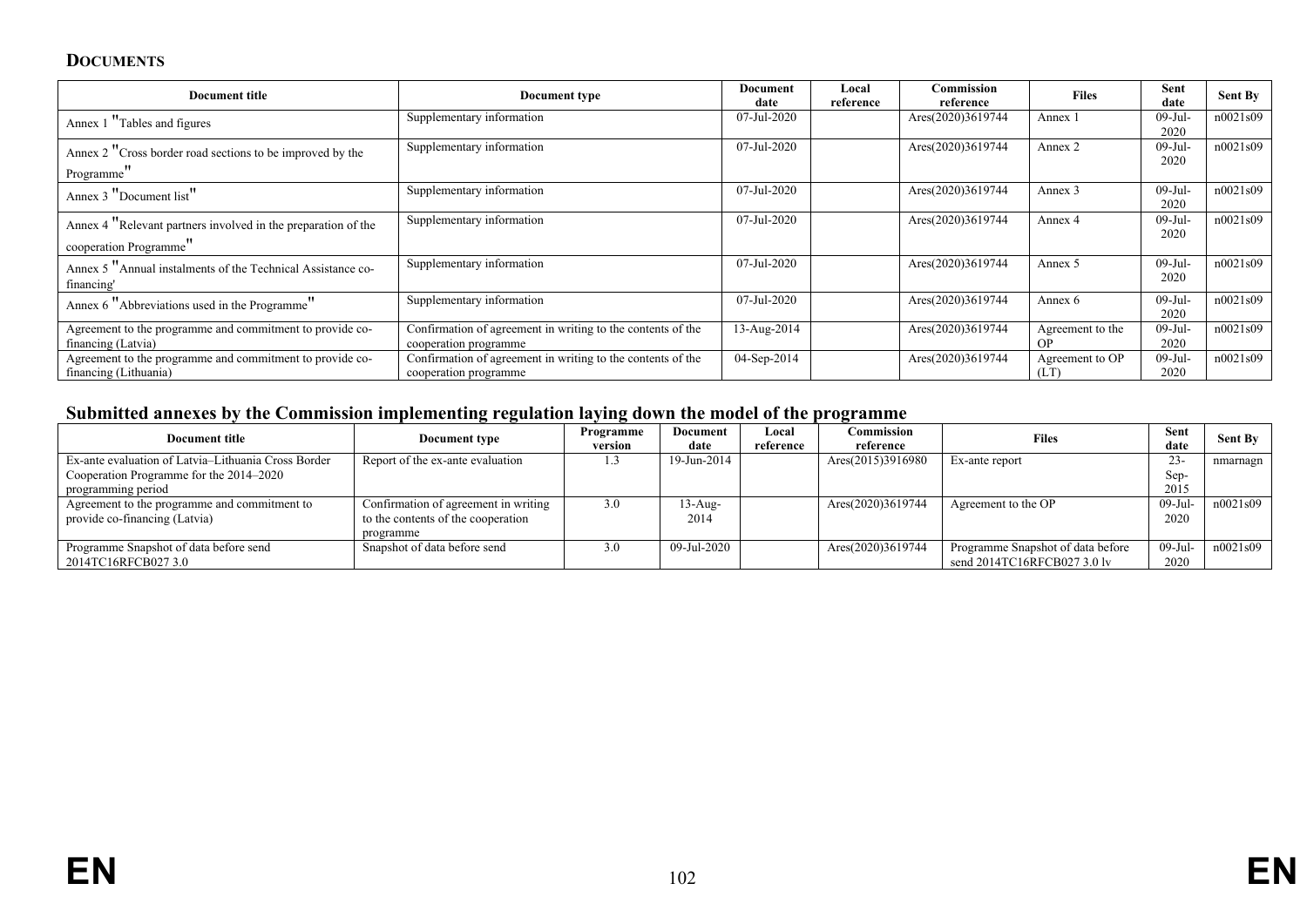#### **DOCUMENTS**

| Document title                                                                          | Document type                                                                        | <b>Document</b><br>date | Local<br>reference | Commission<br>reference | <b>Files</b>            | Sent<br>date      | Sent By  |
|-----------------------------------------------------------------------------------------|--------------------------------------------------------------------------------------|-------------------------|--------------------|-------------------------|-------------------------|-------------------|----------|
| Annex 1 "Tables and figures"                                                            | Supplementary information                                                            | 07-Jul-2020             |                    | Ares(2020)3619744       | Annex 1                 | $09-Jul$<br>2020  | n0021s09 |
| Annex 2 <sup>"</sup> Cross border road sections to be improved by the<br>Programme"     | Supplementary information                                                            | 07-Jul-2020             |                    | Ares(2020)3619744       | Annex 2                 | $09$ -Jul<br>2020 | n0021s09 |
| Annex 3 "Document list"                                                                 | Supplementary information                                                            | 07-Jul-2020             |                    | Ares(2020)3619744       | Annex 3                 | $09-Jul$<br>2020  | n0021s09 |
| Annex 4 "Relevant partners involved in the preparation of the<br>cooperation Programme" | Supplementary information                                                            | 07-Jul-2020             |                    | Ares(2020)3619744       | Annex 4                 | $09-Jul$<br>2020  | n0021s09 |
| Annex 5 <sup>"</sup> Annual instalments of the Technical Assistance co-<br>financing'   | Supplementary information                                                            | 07-Jul-2020             |                    | Ares(2020)3619744       | Annex 5                 | $09-Jul$<br>2020  | n0021s09 |
| Annex 6 "Abbreviations used in the Programme"                                           | Supplementary information                                                            | 07-Jul-2020             |                    | Ares(2020)3619744       | Annex 6                 | $09-Jul$<br>2020  | n0021s09 |
| Agreement to the programme and commitment to provide co-<br>financing (Latvia)          | Confirmation of agreement in writing to the contents of the<br>cooperation programme | 13-Aug-2014             |                    | Ares(2020)3619744       | Agreement to the<br>OP. | $09-Jul$<br>2020  | n0021s09 |
| Agreement to the programme and commitment to provide co-<br>financing (Lithuania)       | Confirmation of agreement in writing to the contents of the<br>cooperation programme | 04-Sep-2014             |                    | Ares(2020)3619744       | Agreement to OP<br>(LT) | $09-Jul$<br>2020  | n0021s09 |

# **Submitted annexes by the Commission implementing regulation laying down the model of the programme**

| <b>Document title</b>                               | Document type                        | Programme<br>version | Document<br>date | Local<br>reference | Commission<br>reference | <b>Files</b>                      | Sent<br>date | Sent By  |
|-----------------------------------------------------|--------------------------------------|----------------------|------------------|--------------------|-------------------------|-----------------------------------|--------------|----------|
| Ex-ante evaluation of Latvia-Lithuania Cross Border | Report of the ex-ante evaluation     | $\cdot$ 3            | 19-Jun-2014      |                    | Ares(2015)3916980       | Ex-ante report                    | $23 -$       | nmarnagn |
| Cooperation Programme for the 2014–2020             |                                      |                      |                  |                    |                         |                                   | Sep-         |          |
| programming period                                  |                                      |                      |                  |                    |                         |                                   | 2015         |          |
| Agreement to the programme and commitment to        | Confirmation of agreement in writing | 3.0                  | 13-Aug-          |                    | Ares(2020)3619744       | Agreement to the OP               | $09$ -Jul-   | n0021s09 |
| provide co-financing (Latvia)                       | to the contents of the cooperation   |                      | 2014             |                    |                         |                                   | 2020         |          |
|                                                     | programme                            |                      |                  |                    |                         |                                   |              |          |
| Programme Snapshot of data before send              | Snapshot of data before send         | 3.0                  | 09-Jul-2020      |                    | Ares(2020)3619744       | Programme Snapshot of data before | 09-Jul-      | n0021s09 |
| 2014TC16RFCB027 3.0                                 |                                      |                      |                  |                    |                         | send 2014TC16RFCB027 3.0 lv       | 2020         |          |